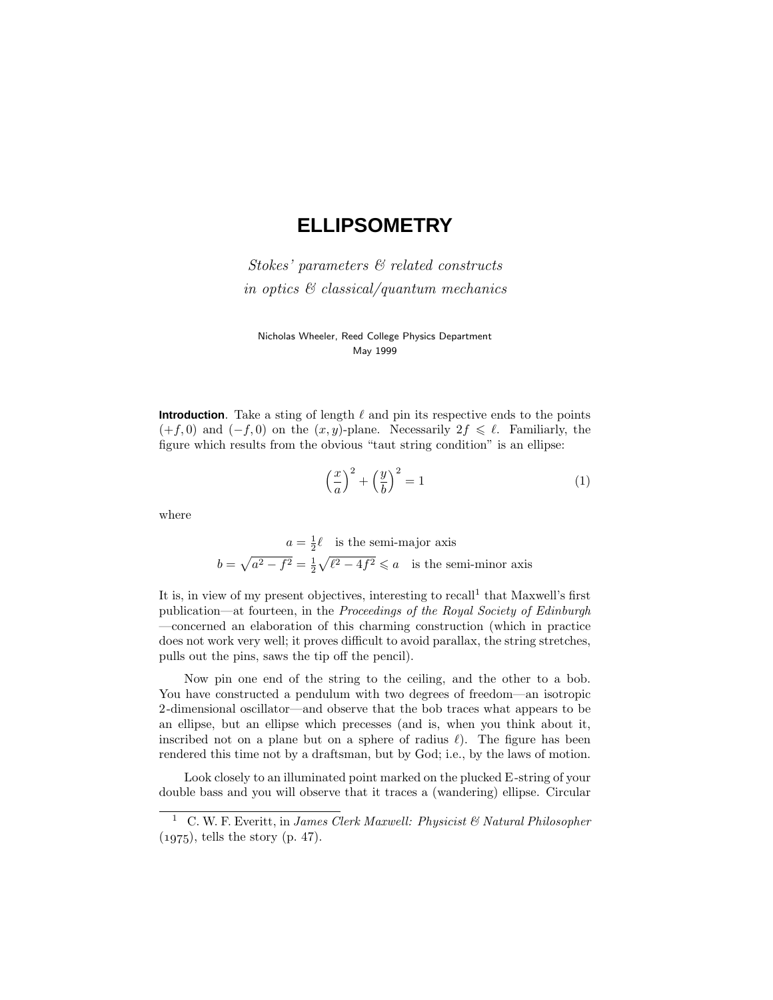# **ELLIPSOMETRY**

Stokes' parameters & related constructs in optics & classical/quantum mechanics

Nicholas Wheeler, Reed College Physics Department May 1999

**Introduction**. Take a sting of length  $\ell$  and pin its respective ends to the points  $(+f, 0)$  and  $(-f, 0)$  on the  $(x, y)$ -plane. Necessarily  $2f \leq \ell$ . Familiarly, the figure which results from the obvious "taut string condition" is an ellipse:

$$
\left(\frac{x}{a}\right)^2 + \left(\frac{y}{b}\right)^2 = 1\tag{1}
$$

where

 $a = \frac{1}{2}\ell$  is the semi-major axis  $b = \sqrt{a^2 - f^2} = \frac{1}{2}\sqrt{\ell^2 - 4f^2} \leqslant a$  is the semi-minor axis

It is, in view of my present objectives, interesting to recall<sup>1</sup> that Maxwell's first publication—at fourteen, in the Proceedings of the Royal Society of Edinburgh —concerned an elaboration of this charming construction (which in practice does not work very well; it proves difficult to avoid parallax, the string stretches, pulls out the pins, saws the tip off the pencil).

Now pin one end of the string to the ceiling, and the other to a bob. You have constructed a pendulum with two degrees of freedom—an isotropic 2-dimensional oscillator—and observe that the bob traces what appears to be an ellipse, but an ellipse which precesses (and is, when you think about it, inscribed not on a plane but on a sphere of radius  $\ell$ ). The figure has been rendered this time not by a draftsman, but by God; i.e., by the laws of motion.

Look closely to an illuminated point marked on the plucked E-string of your double bass and you will observe that it traces a (wandering) ellipse. Circular

<sup>&</sup>lt;sup>1</sup> C. W. F. Everitt, in James Clerk Maxwell: Physicist & Natural Philosopher  $(1975)$ , tells the story (p. 47).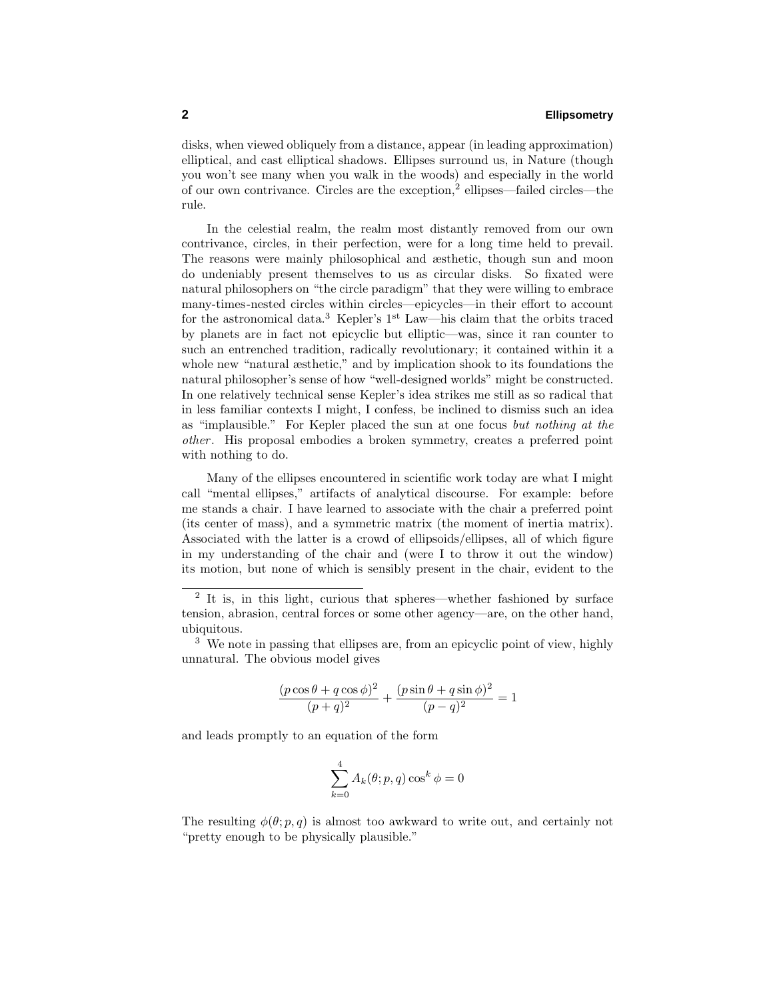disks, when viewed obliquely from a distance, appear (in leading approximation) elliptical, and cast elliptical shadows. Ellipses surround us, in Nature (though you won't see many when you walk in the woods) and especially in the world of our own contrivance. Circles are the exception,<sup>2</sup> ellipses—failed circles—the rule.

In the celestial realm, the realm most distantly removed from our own contrivance, circles, in their perfection, were for a long time held to prevail. The reasons were mainly philosophical and æsthetic, though sun and moon do undeniably present themselves to us as circular disks. So fixated were natural philosophers on "the circle paradigm" that they were willing to embrace many-times-nested circles within circles—epicycles—in their effort to account for the astronomical data.<sup>3</sup> Kepler's  $1<sup>st</sup>$  Law—his claim that the orbits traced by planets are in fact not epicyclic but elliptic—was, since it ran counter to such an entrenched tradition, radically revolutionary; it contained within it a whole new "natural æsthetic," and by implication shook to its foundations the natural philosopher's sense of how "well-designed worlds" might be constructed. In one relatively technical sense Kepler's idea strikes me still as so radical that in less familiar contexts I might, I confess, be inclined to dismiss such an idea as "implausible." For Kepler placed the sun at one focus but nothing at the other. His proposal embodies a broken symmetry, creates a preferred point with nothing to do.

Many of the ellipses encountered in scientific work today are what I might call "mental ellipses," artifacts of analytical discourse. For example: before me stands a chair. I have learned to associate with the chair a preferred point (its center of mass), and a symmetric matrix (the moment of inertia matrix). Associated with the latter is a crowd of ellipsoids/ellipses, all of which figure in my understanding of the chair and (were I to throw it out the window) its motion, but none of which is sensibly present in the chair, evident to the

<sup>3</sup> We note in passing that ellipses are, from an epicyclic point of view, highly unnatural. The obvious model gives

$$
\frac{(p\cos\theta + q\cos\phi)^2}{(p+q)^2} + \frac{(p\sin\theta + q\sin\phi)^2}{(p-q)^2} = 1
$$

and leads promptly to an equation of the form

$$
\sum_{k=0}^{4} A_k(\theta; p, q) \cos^k \phi = 0
$$

The resulting  $\phi(\theta; p, q)$  is almost too awkward to write out, and certainly not "pretty enough to be physically plausible."

<sup>&</sup>lt;sup>2</sup> It is, in this light, curious that spheres—whether fashioned by surface tension, abrasion, central forces or some other agency—are, on the other hand, ubiquitous.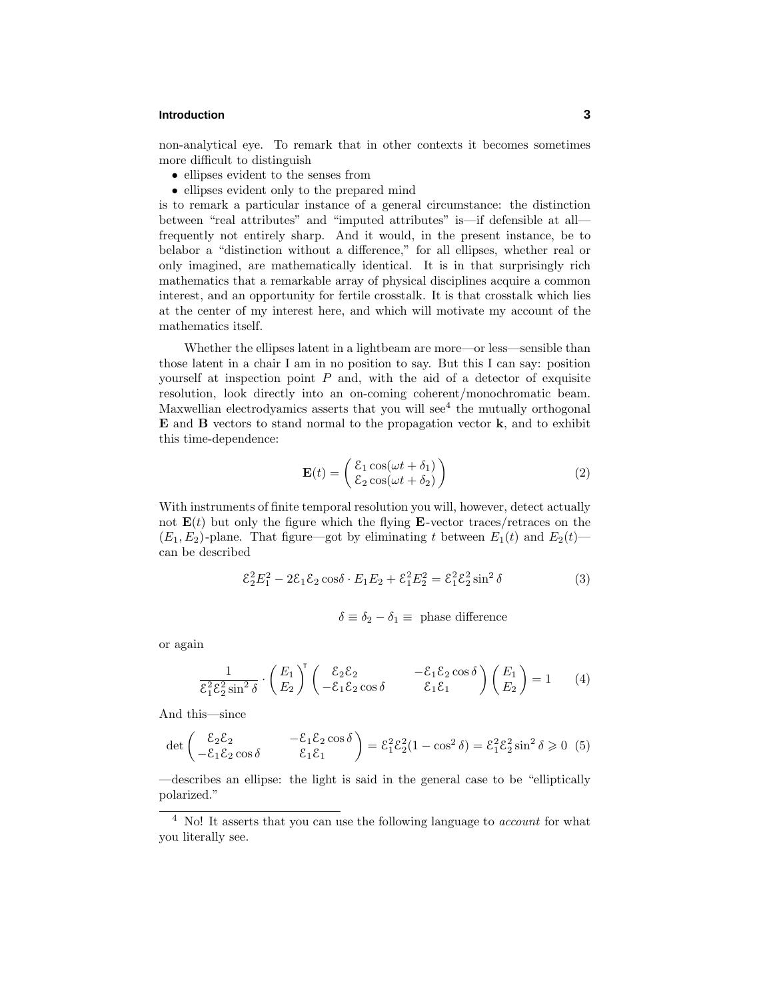# **Introduction 3**

non-analytical eye. To remark that in other contexts it becomes sometimes more difficult to distinguish

- ellipses evident to the senses from
- ellipses evident only to the prepared mind

is to remark a particular instance of a general circumstance: the distinction between "real attributes" and "imputed attributes" is—if defensible at all frequently not entirely sharp. And it would, in the present instance, be to belabor a "distinction without a difference," for all ellipses, whether real or only imagined, are mathematically identical. It is in that surprisingly rich mathematics that a remarkable array of physical disciplines acquire a common interest, and an opportunity for fertile crosstalk. It is that crosstalk which lies at the center of my interest here, and which will motivate my account of the mathematics itself.

Whether the ellipses latent in a lightbeam are more—or less—sensible than those latent in a chair I am in no position to say. But this I can say: position yourself at inspection point *P* and, with the aid of a detector of exquisite resolution, look directly into an on-coming coherent/monochromatic beam. Maxwellian electrodyamics asserts that you will see $<sup>4</sup>$  the mutually orthogonal</sup> **E** and **B** vectors to stand normal to the propagation vector **k**, and to exhibit this time-dependence:

$$
\mathbf{E}(t) = \begin{pmatrix} \mathcal{E}_1 \cos(\omega t + \delta_1) \\ \mathcal{E}_2 \cos(\omega t + \delta_2) \end{pmatrix}
$$
 (2)

With instruments of finite temporal resolution you will, however, detect actually not  $E(t)$  but only the figure which the flying  $E$ -vector traces/retraces on the  $(E_1, E_2)$ -plane. That figure—got by eliminating *t* between  $E_1(t)$  and  $E_2(t)$  can be described

$$
\mathcal{E}_2^2 E_1^2 - 2\mathcal{E}_1 \mathcal{E}_2 \cos \delta \cdot E_1 E_2 + \mathcal{E}_1^2 E_2^2 = \mathcal{E}_1^2 \mathcal{E}_2^2 \sin^2 \delta \tag{3}
$$

$$
\delta \equiv \delta_2 - \delta_1 \equiv \text{ phase difference}
$$

or again

$$
\frac{1}{\mathcal{E}_1^2 \mathcal{E}_2^2 \sin^2 \delta} \cdot \begin{pmatrix} E_1 \\ E_2 \end{pmatrix}^\mathsf{T} \begin{pmatrix} \mathcal{E}_2 \mathcal{E}_2 & -\mathcal{E}_1 \mathcal{E}_2 \cos \delta \\ -\mathcal{E}_1 \mathcal{E}_2 \cos \delta & \mathcal{E}_1 \mathcal{E}_1 \end{pmatrix} \begin{pmatrix} E_1 \\ E_2 \end{pmatrix} = 1 \tag{4}
$$

And this—since

$$
\det \begin{pmatrix} \mathcal{E}_2 \mathcal{E}_2 & -\mathcal{E}_1 \mathcal{E}_2 \cos \delta \\ -\mathcal{E}_1 \mathcal{E}_2 \cos \delta & \mathcal{E}_1 \mathcal{E}_1 \end{pmatrix} = \mathcal{E}_1^2 \mathcal{E}_2^2 (1 - \cos^2 \delta) = \mathcal{E}_1^2 \mathcal{E}_2^2 \sin^2 \delta \ge 0 \tag{5}
$$

—describes an ellipse: the light is said in the general case to be "elliptically polarized."

 $^4\,$  No! It asserts that you can use the following language to  $account$  for what you literally see.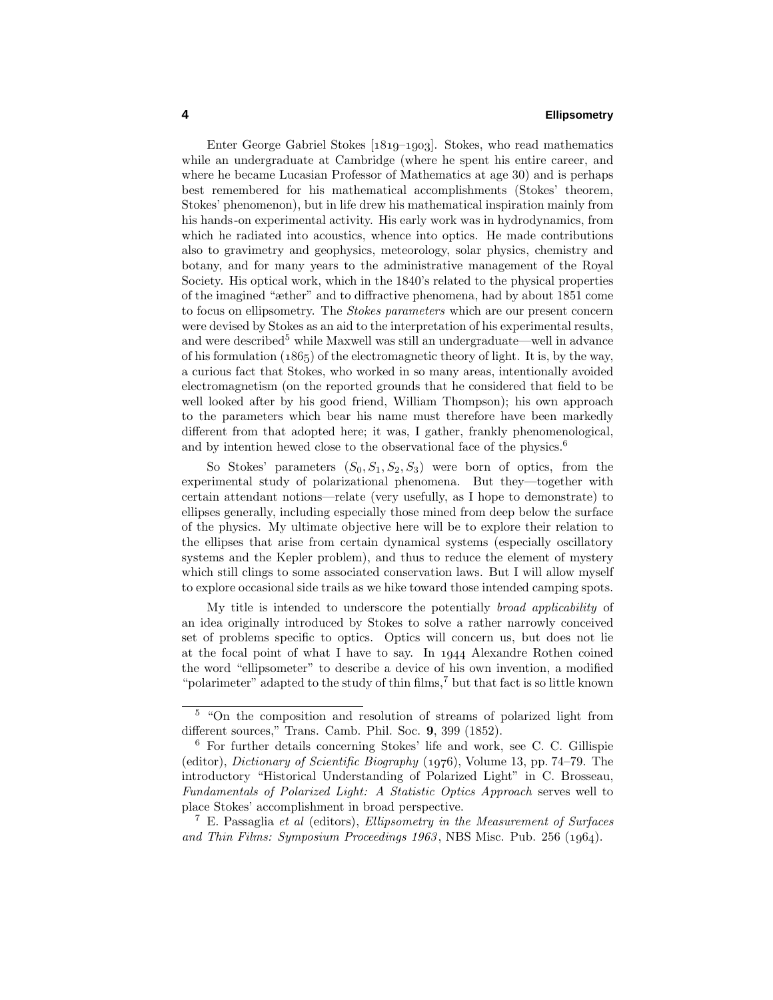Enter George Gabriel Stokes  $[1819-1903]$ . Stokes, who read mathematics while an undergraduate at Cambridge (where he spent his entire career, and where he became Lucasian Professor of Mathematics at age 30) and is perhaps best remembered for his mathematical accomplishments (Stokes' theorem, Stokes' phenomenon), but in life drew his mathematical inspiration mainly from his hands-on experimental activity. His early work was in hydrodynamics, from which he radiated into acoustics, whence into optics. He made contributions also to gravimetry and geophysics, meteorology, solar physics, chemistry and botany, and for many years to the administrative management of the Royal Society. His optical work, which in the 1840's related to the physical properties of the imagined "æther" and to diffractive phenomena, had by about 1851 come to focus on ellipsometry. The Stokes parameters which are our present concern were devised by Stokes as an aid to the interpretation of his experimental results, and were described<sup>5</sup> while Maxwell was still an undergraduate—well in advance of his formulation  $(1865)$  of the electromagnetic theory of light. It is, by the way, a curious fact that Stokes, who worked in so many areas, intentionally avoided electromagnetism (on the reported grounds that he considered that field to be well looked after by his good friend, William Thompson); his own approach to the parameters which bear his name must therefore have been markedly different from that adopted here; it was, I gather, frankly phenomenological, and by intention hewed close to the observational face of the physics.<sup>6</sup>

So Stokes' parameters  $(S_0, S_1, S_2, S_3)$  were born of optics, from the experimental study of polarizational phenomena. But they—together with certain attendant notions—relate (very usefully, as I hope to demonstrate) to ellipses generally, including especially those mined from deep below the surface of the physics. My ultimate objective here will be to explore their relation to the ellipses that arise from certain dynamical systems (especially oscillatory systems and the Kepler problem), and thus to reduce the element of mystery which still clings to some associated conservation laws. But I will allow myself to explore occasional side trails as we hike toward those intended camping spots.

My title is intended to underscore the potentially broad applicability of an idea originally introduced by Stokes to solve a rather narrowly conceived set of problems specific to optics. Optics will concern us, but does not lie at the focal point of what I have to say. In 1944 Alexandre Rothen coined the word "ellipsometer" to describe a device of his own invention, a modified "polarimeter" adapted to the study of thin films,<sup>7</sup> but that fact is so little known

<sup>5</sup> "On the composition and resolution of streams of polarized light from different sources," Trans. Camb. Phil. Soc. **9**, 399 (1852).

<sup>6</sup> For further details concerning Stokes' life and work, see C. C. Gillispie (editor), *Dictionary of Scientific Biography*  $(1976)$ , Volume 13, pp. 74–79. The introductory "Historical Understanding of Polarized Light" in C. Brosseau, Fundamentals of Polarized Light: A Statistic Optics Approach serves well to place Stokes' accomplishment in broad perspective.

<sup>&</sup>lt;sup>7</sup> E. Passaglia *et al* (editors), *Ellipsometry in the Measurement of Surfaces* and Thin Films: Symposium Proceedings  $1963$ , NBS Misc. Pub. 256 (1964).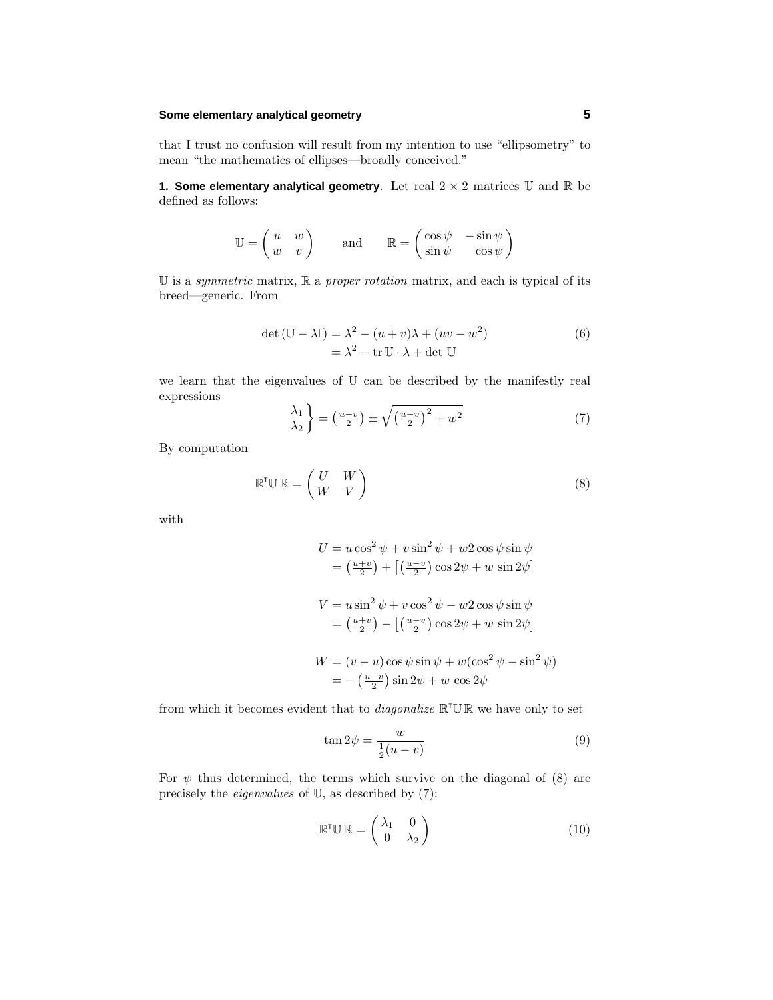#### **Some elementary analytical geometry 5**

that I trust no confusion will result from my intention to use "ellipsometry" to mean "the mathematics of ellipses—broadly conceived."

**1. Some elementary analytical geometry**. Let real  $2 \times 2$  matrices  $\mathbb U$  and  $\mathbb R$  be defined as follows:

$$
\mathbb{U} = \begin{pmatrix} u & w \\ w & v \end{pmatrix} \quad \text{and} \quad \mathbb{R} = \begin{pmatrix} \cos \psi & -\sin \psi \\ \sin \psi & \cos \psi \end{pmatrix}
$$

 $\mathbb U$  is a *symmetric* matrix,  $\mathbb R$  a *proper rotation* matrix, and each is typical of its breed—generic. From

$$
\det (\mathbb{U} - \lambda \mathbb{I}) = \lambda^2 - (u + v)\lambda + (uv - w^2) \n= \lambda^2 - \text{tr } \mathbb{U} \cdot \lambda + \det \mathbb{U}
$$
\n(6)

we learn that the eigenvalues of U can be described by the manifestly real expressions

$$
\begin{pmatrix} \lambda_1 \\ \lambda_2 \end{pmatrix} = \left(\frac{u+v}{2}\right) \pm \sqrt{\left(\frac{u-v}{2}\right)^2 + w^2} \tag{7}
$$

By computation

$$
\mathbb{R}^{\mathsf{T}} \mathbb{U} \mathbb{R} = \begin{pmatrix} U & W \\ W & V \end{pmatrix} \tag{8}
$$

with

$$
U = u \cos^2 \psi + v \sin^2 \psi + w \cos \psi \sin \psi
$$
  
=  $\left(\frac{u+v}{2}\right) + \left[\left(\frac{u-v}{2}\right) \cos 2\psi + w \sin 2\psi\right]$ 

$$
V = u \sin^2 \psi + v \cos^2 \psi - w^2 \cos \psi \sin \psi
$$
  
=  $\left(\frac{u+v}{2}\right) - \left[\left(\frac{u-v}{2}\right) \cos 2\psi + w \sin 2\psi\right]$ 

$$
W = (v - u)\cos\psi\sin\psi + w(\cos^2\psi - \sin^2\psi)
$$
  
= -(\frac{u-v}{2})\sin 2\psi + w \cos 2\psi

from which it becomes evident that to *diagonalize*  $\mathbb{R}^T \mathbb{U} \mathbb{R}$  we have only to set

$$
\tan 2\psi = \frac{w}{\frac{1}{2}(u-v)}
$$
\n(9)

For  $\psi$  thus determined, the terms which survive on the diagonal of (8) are precisely the eigenvalues of U, as described by (7):

$$
\mathbb{R}^{\mathsf{T}}\mathbb{U}\,\mathbb{R}=\begin{pmatrix}\lambda_1 & 0\\ 0 & \lambda_2\end{pmatrix} \tag{10}
$$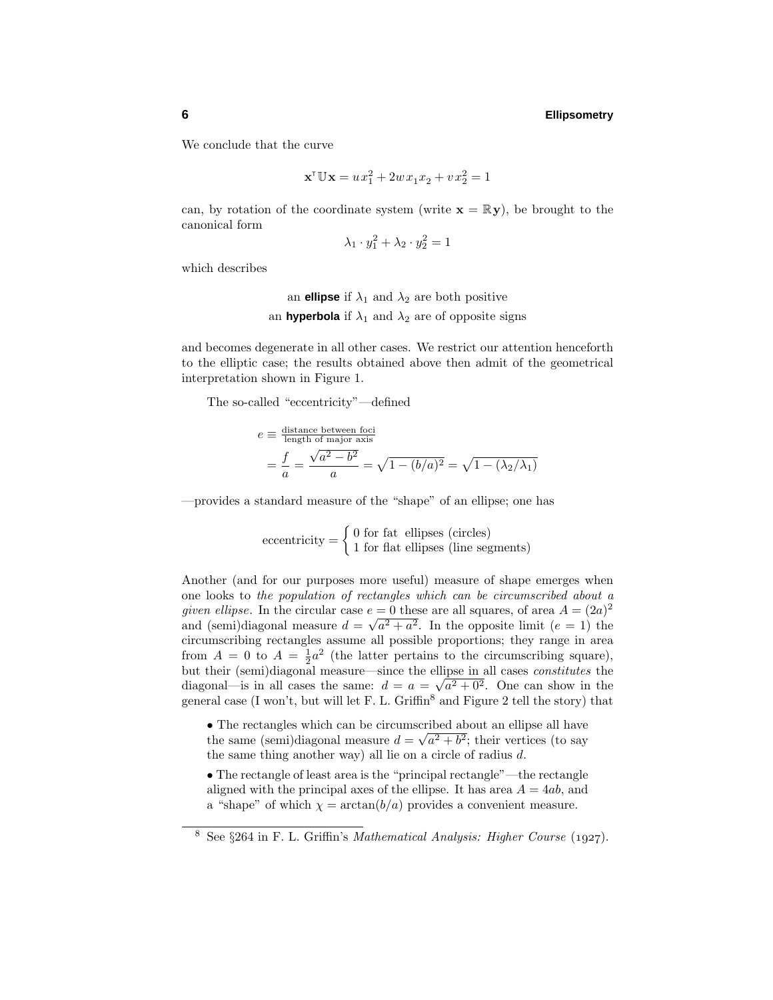We conclude that the curve

$$
\mathbf{x}^{\mathsf{T}} \mathbb{U} \mathbf{x} = u x_1^2 + 2w x_1 x_2 + v x_2^2 = 1
$$

can, by rotation of the coordinate system (write  $\mathbf{x} = \mathbb{R} \mathbf{y}$ ), be brought to the canonical form

$$
\lambda_1 \cdot y_1^2 + \lambda_2 \cdot y_2^2 = 1
$$

which describes

an **ellipse** if  $\lambda_1$  and  $\lambda_2$  are both positive an **hyperbola** if  $\lambda_1$  and  $\lambda_2$  are of opposite signs

and becomes degenerate in all other cases. We restrict our attention henceforth to the elliptic case; the results obtained above then admit of the geometrical interpretation shown in Figure 1.

The so-called "eccentricity"—defined

$$
e \equiv \frac{\text{distance between foci}}{\text{length of major axis}}= \frac{f}{a} = \frac{\sqrt{a^2 - b^2}}{a} = \sqrt{1 - (b/a)^2} = \sqrt{1 - (\lambda_2/\lambda_1)}
$$

—provides a standard measure of the "shape" of an ellipse; one has

 $\text{eccentricity} = \begin{cases} 0 \text{ for fat ellipses (circles)} \\ 1 \text{ for flat ellipses (line segments)} \end{cases}$ 

Another (and for our purposes more useful) measure of shape emerges when one looks to the population of rectangles which can be circumscribed about a *given ellipse*. In the circular case  $e = 0$  these are all squares, of area  $A = (2a)^2$ and (semi)diagonal measure  $d = \sqrt{a^2 + a^2}$ . In the opposite limit ( $e = 1$ ) the circumscribing rectangles assume all possible proportions; they range in area from  $A = 0$  to  $A = \frac{1}{2}a^2$  (the latter pertains to the circumscribing square), but their (semi)diagonal measure—since the ellipse in all cases constitutes the diagonal—is in all cases the same:  $d = a = \sqrt{a^2 + 0^2}$ . One can show in the general case (I won't, but will let F. L. Griffin<sup>8</sup> and Figure 2 tell the story) that

- The rectangles which can be circumscribed about an ellipse all have the same (semi)diagonal measure  $d = \sqrt{a^2 + b^2}$ ; their vertices (to say the same thing another way) all lie on a circle of radius *d*.
- The rectangle of least area is the "principal rectangle"—the rectangle aligned with the principal axes of the ellipse. It has area  $A = 4ab$ , and a "shape" of which  $\chi = \arctan(b/a)$  provides a convenient measure.

<sup>&</sup>lt;sup>8</sup> See  $\S 264$  in F. L. Griffin's *Mathematical Analysis: Higher Course* (1927).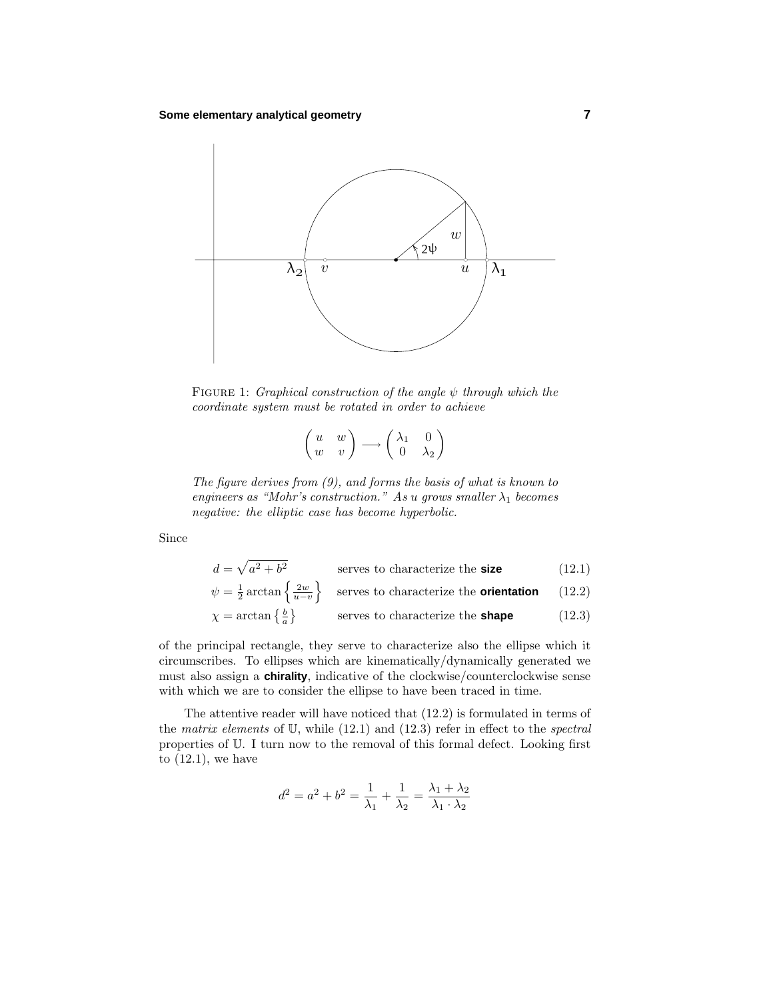

Figure 1: Graphical construction of the angle *ψ* through which the coordinate system must be rotated in order to achieve

$$
\begin{pmatrix} u & w \\ w & v \end{pmatrix} \longrightarrow \begin{pmatrix} \lambda_1 & 0 \\ 0 & \lambda_2 \end{pmatrix}
$$

The figure derives from  $(9)$ , and forms the basis of what is known to engineers as "Mohr's construction." As *u* grows smaller  $\lambda_1$  becomes negative: the elliptic case has become hyperbolic.

Since

$$
d = \sqrt{a^2 + b^2}
$$
 serves to characterize the **size** (12.1)  
\n
$$
\psi = \frac{1}{2} \arctan\left\{\frac{2w}{u-v}\right\}
$$
 serves to characterize the **orientation** (12.2)  
\n
$$
\chi = \arctan\left\{\frac{b}{a}\right\}
$$
 serves to characterize the **shape** (12.3)

of the principal rectangle, they serve to characterize also the ellipse which it circumscribes. To ellipses which are kinematically/dynamically generated we must also assign a **chirality**, indicative of the clockwise/counterclockwise sense with which we are to consider the ellipse to have been traced in time.

The attentive reader will have noticed that (12.2) is formulated in terms of the matrix elements of  $U$ , while (12.1) and (12.3) refer in effect to the spectral properties of U. I turn now to the removal of this formal defect. Looking first to  $(12.1)$ , we have

$$
d^{2} = a^{2} + b^{2} = \frac{1}{\lambda_{1}} + \frac{1}{\lambda_{2}} = \frac{\lambda_{1} + \lambda_{2}}{\lambda_{1} \cdot \lambda_{2}}
$$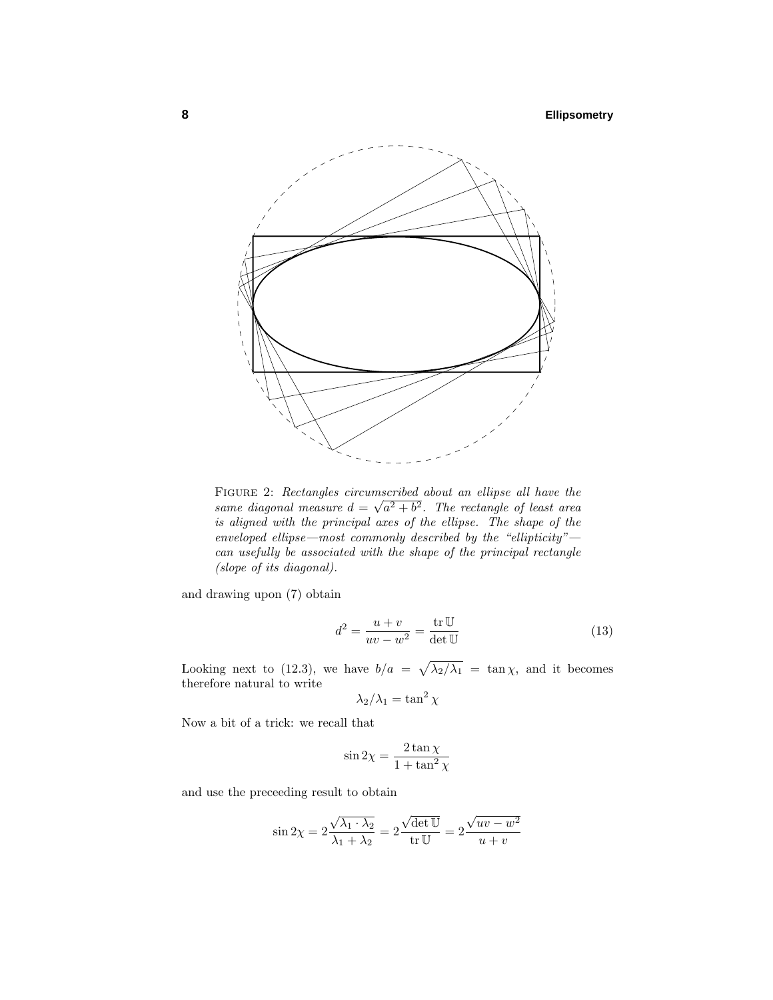

Figure 2: Rectangles circumscribed about an ellipse all have the  $\frac{d}{dx}$  is the constant of the contract of the same diagonal measure  $d = \sqrt{a^2 + b^2}$ . The rectangle of least area is aligned with the principal axes of the ellipse. The shape of the enveloped ellipse—most commonly described by the "ellipticity" can usefully be associated with the shape of the principal rectangle (slope of its diagonal).

and drawing upon (7) obtain

$$
d^2 = \frac{u+v}{uv-w^2} = \frac{\text{tr}\,\mathbb{U}}{\det\mathbb{U}}\tag{13}
$$

Looking next to (12.3), we have  $b/a = \sqrt{\lambda_2/\lambda_1} = \tan \chi$ , and it becomes therefore natural to write

$$
\lambda_2/\lambda_1 = \tan^2 \chi
$$

Now a bit of a trick: we recall that

$$
\sin 2\chi = \frac{2 \tan \chi}{1 + \tan^2 \chi}
$$

and use the preceeding result to obtain

$$
\sin 2\chi = 2\frac{\sqrt{\lambda_1 \cdot \lambda_2}}{\lambda_1 + \lambda_2} = 2\frac{\sqrt{\det \mathbb{U}}}{\operatorname{tr} \mathbb{U}} = 2\frac{\sqrt{uv - w^2}}{u + v}
$$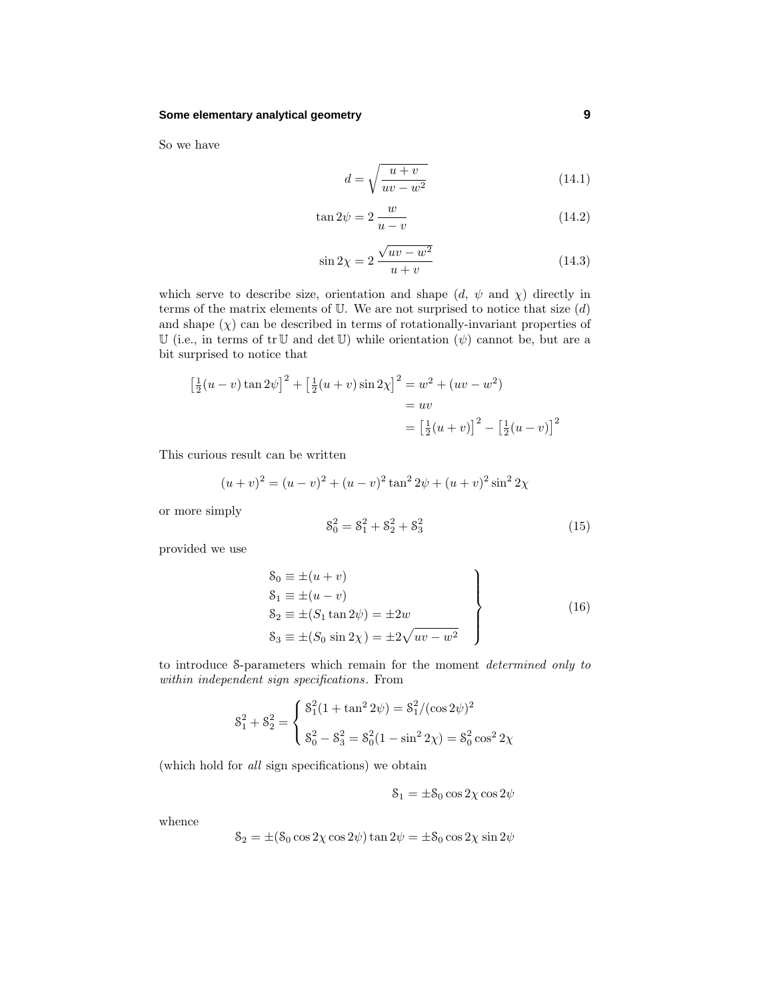#### **Some elementary analytical geometry 9**

So we have

$$
d = \sqrt{\frac{u+v}{uv-w^2}}\tag{14.1}
$$

$$
\tan 2\psi = 2\frac{w}{u - v} \tag{14.2}
$$

$$
\sin 2\chi = 2 \frac{\sqrt{uv - w^2}}{u + v} \tag{14.3}
$$

which serve to describe size, orientation and shape  $(d, \psi \text{ and } \chi)$  directly in terms of the matrix elements of U. We are not surprised to notice that size (*d*) and shape  $(\chi)$  can be described in terms of rotationally-invariant properties of U (i.e., in terms of  $tr U$  and  $det U$ ) while orientation  $(\psi)$  cannot be, but are a bit surprised to notice that

$$
\left[\frac{1}{2}(u-v)\tan 2\psi\right]^2 + \left[\frac{1}{2}(u+v)\sin 2\chi\right]^2 = w^2 + (uv - w^2)
$$
  
= uv  
=  $\left[\frac{1}{2}(u+v)\right]^2 - \left[\frac{1}{2}(u-v)\right]^2$ 

This curious result can be written

$$
(u + v)2 = (u - v)2 + (u - v)2 tan2 2\psi + (u + v)2 sin2 2\chi
$$

or more simply

$$
\mathcal{S}_0^2 = \mathcal{S}_1^2 + \mathcal{S}_2^2 + \mathcal{S}_3^2 \tag{15}
$$

provided we use

$$
S_0 \equiv \pm (u + v) \nS_1 \equiv \pm (u - v) \nS_2 \equiv \pm (S_1 \tan 2\psi) = \pm 2w \nS_3 \equiv \pm (S_0 \sin 2\chi) = \pm 2\sqrt{uv - w^2}
$$
\n(16)

to introduce S-parameters which remain for the moment determined only to within independent sign specifications. From

$$
8_1^2 + 8_2^2 = \begin{cases} 8_1^2(1 + \tan^2 2\psi) = 8_1^2/(\cos 2\psi)^2 \\ 8_0^2 - 8_3^2 = 8_0^2(1 - \sin^2 2\chi) = 8_0^2 \cos^2 2\chi \end{cases}
$$

(which hold for all sign specifications) we obtain

$$
\mathbf{S}_1 = \pm \mathbf{S}_0 \cos 2\chi \cos 2\psi
$$

whence

$$
\mathcal{S}_2 = \pm (\mathcal{S}_0 \cos 2\chi \cos 2\psi) \tan 2\psi = \pm \mathcal{S}_0 \cos 2\chi \sin 2\psi
$$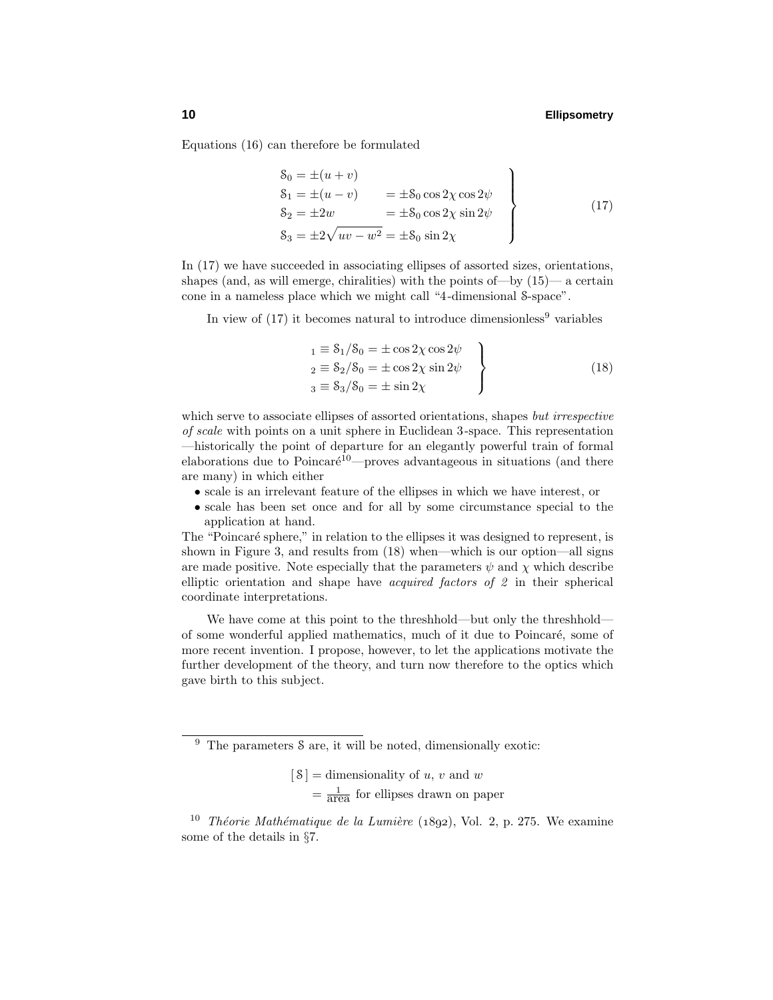Equations (16) can therefore be formulated

$$
8_0 = \pm (u + v) \n8_1 = \pm (u - v) = \pm 8_0 \cos 2\chi \cos 2\psi \n8_2 = \pm 2w = \pm 8_0 \cos 2\chi \sin 2\psi \n8_3 = \pm 2\sqrt{uv - w^2} = \pm 8_0 \sin 2\chi
$$
\n(17)

In (17) we have succeeded in associating ellipses of assorted sizes, orientations, shapes (and, as will emerge, chiralities) with the points of—by  $(15)$ — a certain cone in a nameless place which we might call "4-dimensional S-space".

In view of  $(17)$  it becomes natural to introduce dimensionless<sup>9</sup> variables

$$
\begin{aligned}\n1 &\equiv \frac{8}{1} / 8_0 = \pm \cos 2\chi \cos 2\psi \\
2 &\equiv \frac{8}{2} / 8_0 = \pm \cos 2\chi \sin 2\psi \\
3 &\equiv \frac{8}{3} / 8_0 = \pm \sin 2\chi\n\end{aligned}
$$
\n
$$
(18)
$$

which serve to associate ellipses of assorted orientations, shapes but irrespective of scale with points on a unit sphere in Euclidean 3-space. This representation —historically the point of departure for an elegantly powerful train of formal elaborations due to Poincaré<sup>10</sup>—proves advantageous in situations (and there are many) in which either

- scale is an irrelevant feature of the ellipses in which we have interest, or
- scale has been set once and for all by some circumstance special to the application at hand.

The "Poincaré sphere," in relation to the ellipses it was designed to represent, is shown in Figure 3, and results from (18) when—which is our option—all signs are made positive. Note especially that the parameters  $\psi$  and  $\chi$  which describe elliptic orientation and shape have acquired factors of 2 in their spherical coordinate interpretations.

We have come at this point to the threshhold—but only the threshhold of some wonderful applied mathematics, much of it due to Poincar´e, some of more recent invention. I propose, however, to let the applications motivate the further development of the theory, and turn now therefore to the optics which gave birth to this subject.

 $[8]$  = dimensionality of *u*, *v* and *w*  $=\frac{1}{\text{area}}$  for ellipses drawn on paper

<sup>9</sup> The parameters S are, it will be noted, dimensionally exotic:

<sup>&</sup>lt;sup>10</sup> Théorie Mathématique de la Lumière (1892), Vol. 2, p. 275. We examine some of the details in §7.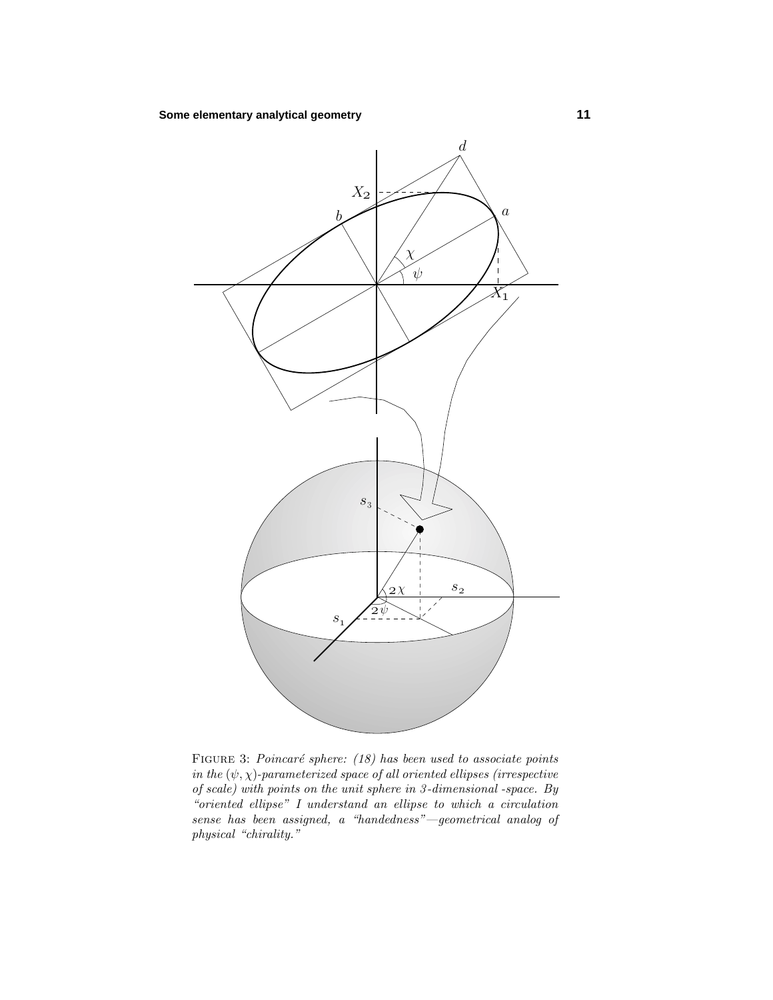

FIGURE 3: Poincaré sphere:  $(18)$  has been used to associate points in the  $(\psi, \chi)$ -parameterized space of all oriented ellipses (irrespective of scale) with points on the unit sphere in 3 -dimensional -space. By "oriented ellipse" I understand an ellipse to which a circulation sense has been assigned, a "handedness"—geometrical analog of physical "chirality."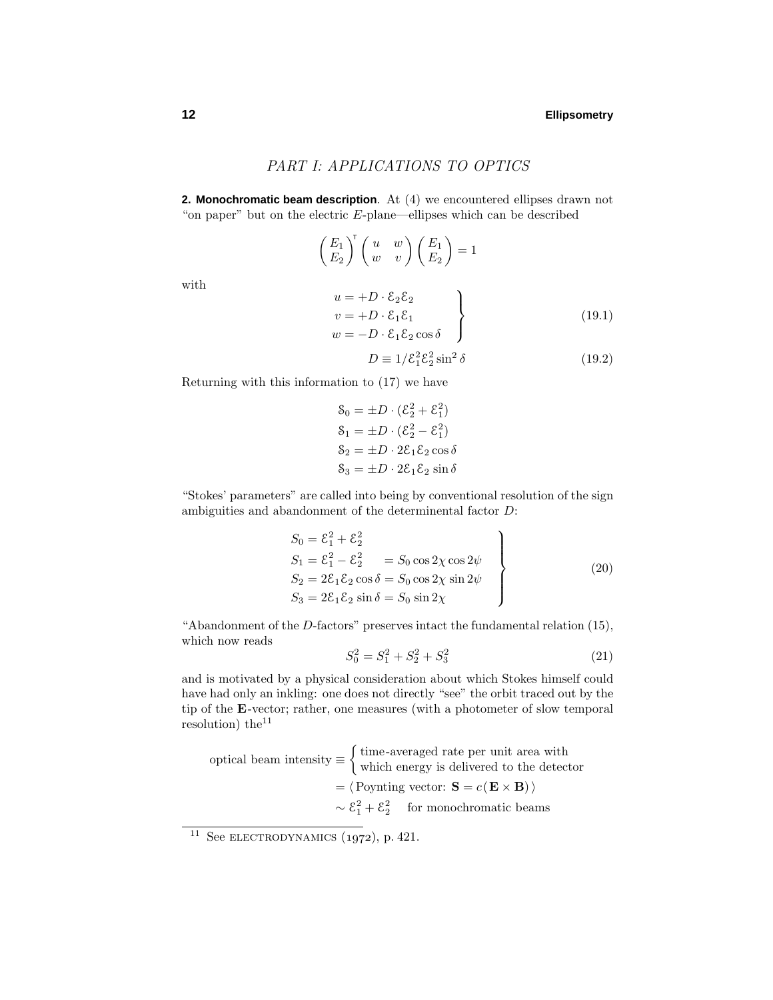# PART I: APPLICATIONS TO OPTICS

**2. Monochromatic beam description**. At (4) we encountered ellipses drawn not "on paper" but on the electric *E*-plane—ellipses which can be described

$$
\begin{pmatrix} E_1 \\ E_2 \end{pmatrix}^{\mathsf{T}} \begin{pmatrix} u & w \\ w & v \end{pmatrix} \begin{pmatrix} E_1 \\ E_2 \end{pmatrix} = 1
$$
  
\n
$$
u = +D \cdot \mathcal{E}_2 \mathcal{E}_2
$$
  
\n
$$
v = +D \cdot \mathcal{E}_1 \mathcal{E}_1
$$
  
\n
$$
w = -D \cdot \mathcal{E}_1 \mathcal{E}_2 \cos \delta
$$
  
\n
$$
D \equiv 1/\mathcal{E}_1^2 \mathcal{E}_2^2 \sin^2 \delta
$$
 (19.2)

Returning with this information to (17) we have

$$
\begin{aligned}\n\mathbf{S}_0 &= \pm D \cdot (\mathcal{E}_2^2 + \mathcal{E}_1^2) \\
\mathbf{S}_1 &= \pm D \cdot (\mathcal{E}_2^2 - \mathcal{E}_1^2) \\
\mathbf{S}_2 &= \pm D \cdot 2\mathcal{E}_1 \mathcal{E}_2 \cos \delta \\
\mathbf{S}_3 &= \pm D \cdot 2\mathcal{E}_1 \mathcal{E}_2 \sin \delta\n\end{aligned}
$$

"Stokes' parameters" are called into being by conventional resolution of the sign ambiguities and abandonment of the determinental factor *D*:

$$
S_0 = \mathcal{E}_1^2 + \mathcal{E}_2^2
$$
  
\n
$$
S_1 = \mathcal{E}_1^2 - \mathcal{E}_2^2 = S_0 \cos 2\chi \cos 2\psi
$$
  
\n
$$
S_2 = 2\mathcal{E}_1 \mathcal{E}_2 \cos \delta = S_0 \cos 2\chi \sin 2\psi
$$
  
\n
$$
S_3 = 2\mathcal{E}_1 \mathcal{E}_2 \sin \delta = S_0 \sin 2\chi
$$
\n(20)

"Abandonment of the *D*-factors" preserves intact the fundamental relation (15), which now reads

$$
S_0^2 = S_1^2 + S_2^2 + S_3^2 \tag{21}
$$

and is motivated by a physical consideration about which Stokes himself could have had only an inkling: one does not directly "see" the orbit traced out by the tip of the **E**-vector; rather, one measures (with a photometer of slow temporal resolution) the<sup>11</sup>

optical beam intensity 
$$
\equiv
$$
 { time-averaged rate per unit area with  
which energy is delivered to the detector  
=  $\langle$  Poynting vector: **S** =  $c$ (**E** × **B**) $\rangle$   
 $\sim \mathcal{E}_1^2 + \mathcal{E}_2^2$  for monochromatic beams

with

<sup>&</sup>lt;sup>11</sup> See ELECTRODYNAMICS  $(1972)$ , p. 421.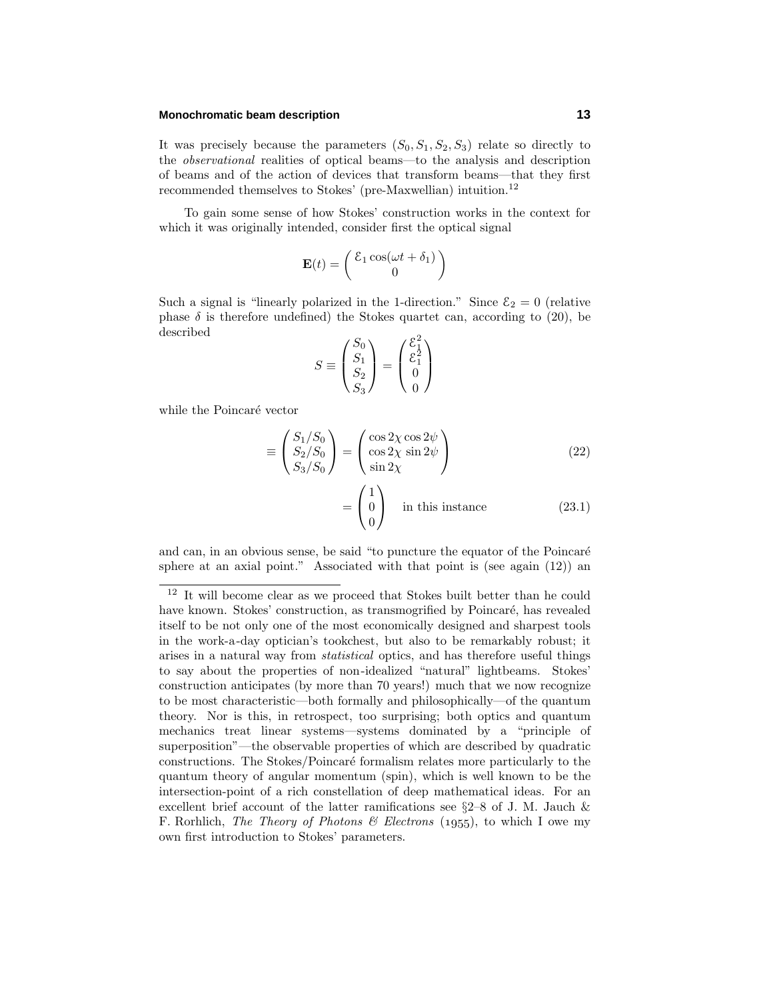### **Monochromatic beam description 13**

It was precisely because the parameters  $(S_0, S_1, S_2, S_3)$  relate so directly to the observational realities of optical beams—to the analysis and description of beams and of the action of devices that transform beams—that they first recommended themselves to Stokes' (pre-Maxwellian) intuition.<sup>12</sup>

To gain some sense of how Stokes' construction works in the context for which it was originally intended, consider first the optical signal

$$
\mathbf{E}(t) = \begin{pmatrix} \mathcal{E}_1 \cos(\omega t + \delta_1) \\ 0 \end{pmatrix}
$$

Such a signal is "linearly polarized in the 1-direction." Since  $\mathcal{E}_2 = 0$  (relative phase  $\delta$  is therefore undefined) the Stokes quartet can, according to (20), be described

$$
S \equiv \begin{pmatrix} S_0 \\ S_1 \\ S_2 \\ S_3 \end{pmatrix} = \begin{pmatrix} \mathcal{E}_1^2 \\ \mathcal{E}_1^2 \\ 0 \\ 0 \end{pmatrix}
$$

while the Poincaré vector

$$
\equiv \begin{pmatrix} S_1/S_0 \\ S_2/S_0 \\ S_3/S_0 \end{pmatrix} = \begin{pmatrix} \cos 2\chi \cos 2\psi \\ \cos 2\chi \sin 2\psi \\ \sin 2\chi \end{pmatrix}
$$
(22)

$$
= \begin{pmatrix} 1 \\ 0 \\ 0 \end{pmatrix}
$$
 in this instance (23.1)

and can, in an obvious sense, be said "to puncture the equator of the Poincaré sphere at an axial point." Associated with that point is (see again (12)) an

<sup>12</sup> It will become clear as we proceed that Stokes built better than he could have known. Stokes' construction, as transmogrified by Poincaré, has revealed itself to be not only one of the most economically designed and sharpest tools in the work-a-day optician's tookchest, but also to be remarkably robust; it arises in a natural way from statistical optics, and has therefore useful things to say about the properties of non-idealized "natural" lightbeams. Stokes' construction anticipates (by more than 70 years!) much that we now recognize to be most characteristic—both formally and philosophically—of the quantum theory. Nor is this, in retrospect, too surprising; both optics and quantum mechanics treat linear systems—systems dominated by a "principle of superposition"—the observable properties of which are described by quadratic constructions. The Stokes/Poincaré formalism relates more particularly to the quantum theory of angular momentum (spin), which is well known to be the intersection-point of a rich constellation of deep mathematical ideas. For an excellent brief account of the latter ramifications see §2–8 of J. M. Jauch & F. Rorhlich, The Theory of Photons & Electrons (1955), to which I owe my own first introduction to Stokes' parameters.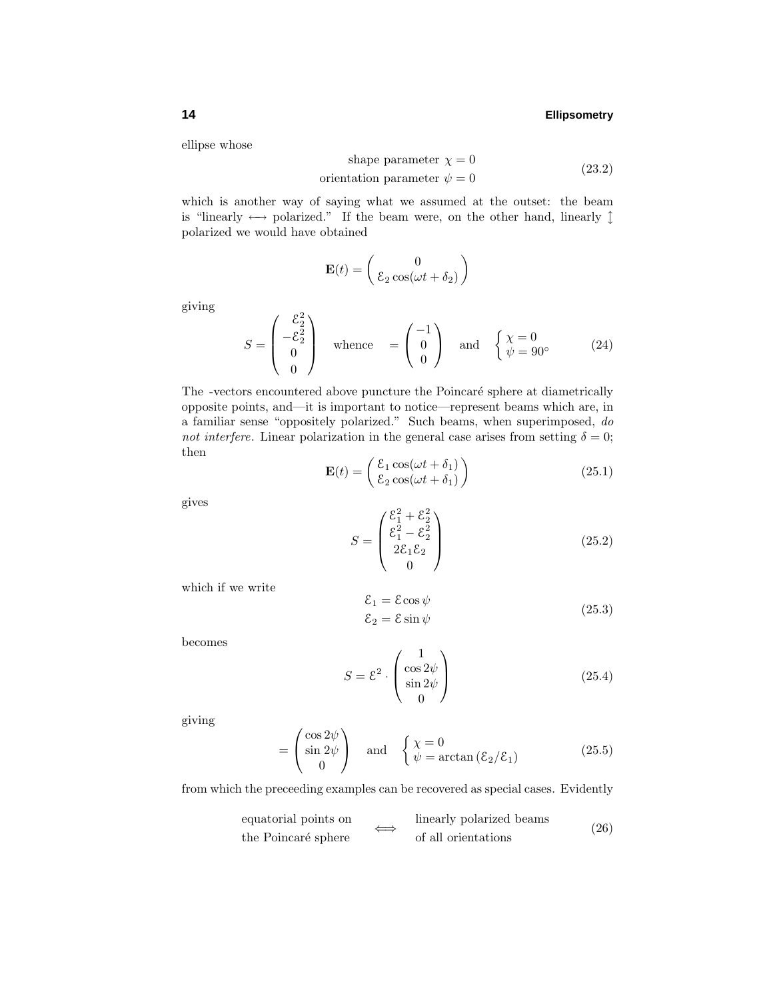ellipse whose

shape parameter 
$$
\chi = 0
$$
  
orientation parameter  $\psi = 0$  (23.2)

which is another way of saying what we assumed at the outset: the beam is "linearly  $\leftrightarrow$  polarized." If the beam were, on the other hand, linearly  $\uparrow$ polarized we would have obtained

$$
\mathbf{E}(t) = \begin{pmatrix} 0 \\ \varepsilon_2 \cos(\omega t + \delta_2) \end{pmatrix}
$$

giving

$$
S = \begin{pmatrix} \mathcal{E}_2^2 \\ -\mathcal{E}_2^2 \\ 0 \\ 0 \end{pmatrix} \quad \text{whence} \quad = \begin{pmatrix} -1 \\ 0 \\ 0 \end{pmatrix} \quad \text{and} \quad \begin{cases} \chi = 0 \\ \psi = 90^\circ \end{cases} \tag{24}
$$

The -vectors encountered above puncture the Poincaré sphere at diametrically opposite points, and—it is important to notice—represent beams which are, in a familiar sense "oppositely polarized." Such beams, when superimposed, do not interfere. Linear polarization in the general case arises from setting  $\delta = 0$ ; then

$$
\mathbf{E}(t) = \begin{pmatrix} \mathcal{E}_1 \cos(\omega t + \delta_1) \\ \mathcal{E}_2 \cos(\omega t + \delta_1) \end{pmatrix}
$$
 (25.1)

gives

$$
S = \begin{pmatrix} \mathcal{E}_1^2 + \mathcal{E}_2^2 \\ \mathcal{E}_1^2 - \mathcal{E}_2^2 \\ 2\mathcal{E}_1 \mathcal{E}_2 \\ 0 \end{pmatrix}
$$
 (25.2)

which if we write

$$
\begin{aligned} \mathcal{E}_1 &= \mathcal{E}\cos\psi\\ \mathcal{E}_2 &= \mathcal{E}\sin\psi \end{aligned} \tag{25.3}
$$

becomes

$$
S = \mathcal{E}^2 \cdot \begin{pmatrix} 1 \\ \cos 2\psi \\ \sin 2\psi \\ 0 \end{pmatrix}
$$
 (25.4)

giving

$$
= \begin{pmatrix} \cos 2\psi \\ \sin 2\psi \\ 0 \end{pmatrix} \text{ and } \begin{cases} \chi = 0 \\ \psi = \arctan\left(\frac{\mathcal{E}_2}{\mathcal{E}_1}\right) \end{cases} (25.5)
$$

from which the preceeding examples can be recovered as special cases. Evidently

equatorial points on the Poincaré sphere

\n
$$
\iff \text{linearly polarized beams}
$$
\n(26)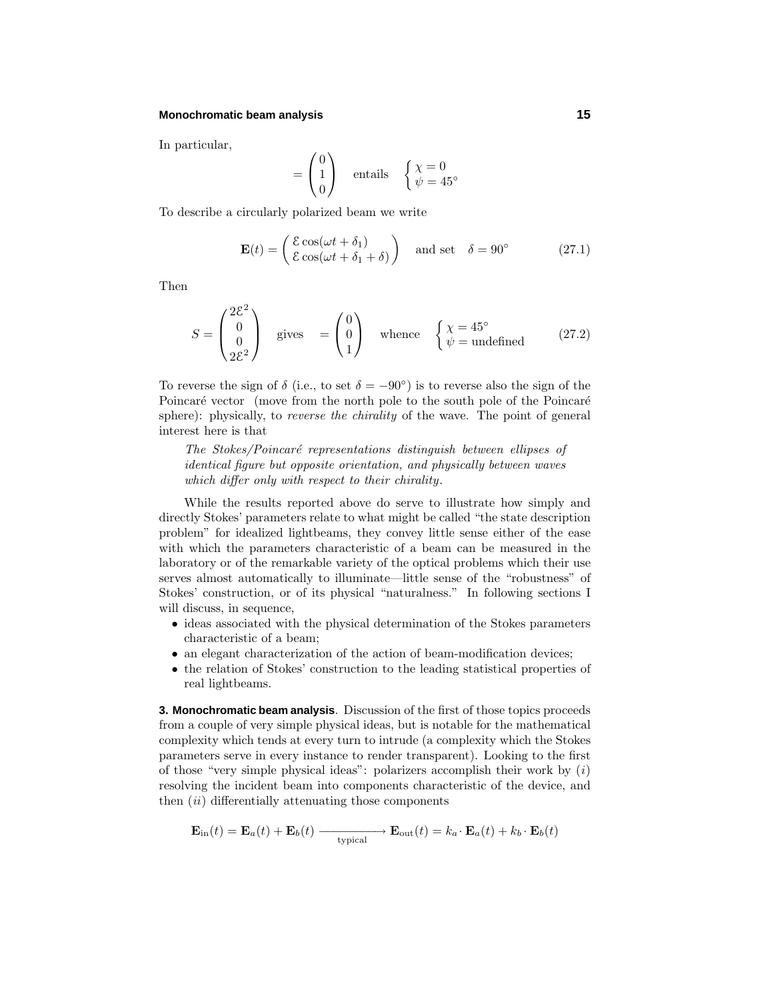#### **Monochromatic beam analysis 15**

 $\overline{2}$ 

In particular,

$$
= \begin{pmatrix} 0 \\ 1 \\ 0 \end{pmatrix} \quad \text{entails} \quad \begin{cases} \chi = 0 \\ \psi = 45^{\circ} \end{cases}
$$

To describe a circularly polarized beam we write

$$
\mathbf{E}(t) = \begin{pmatrix} \mathcal{E}\cos(\omega t + \delta_1) \\ \mathcal{E}\cos(\omega t + \delta_1 + \delta) \end{pmatrix} \text{ and set } \delta = 90^{\circ} \tag{27.1}
$$

Then

$$
S = \begin{pmatrix} 2\mathcal{E}^2 \\ 0 \\ 0 \\ 2\mathcal{E}^2 \end{pmatrix} \quad \text{gives} \quad = \begin{pmatrix} 0 \\ 0 \\ 1 \end{pmatrix} \quad \text{whence} \quad \begin{cases} \chi = 45^\circ \\ \psi = \text{undefined} \end{cases} \tag{27.2}
$$

To reverse the sign of  $\delta$  (i.e., to set  $\delta = -90^{\circ}$ ) is to reverse also the sign of the Poincaré vector (move from the north pole to the south pole of the Poincaré sphere): physically, to *reverse the chirality* of the wave. The point of general interest here is that

The Stokes/Poincaré representations distinguish between ellipses of identical figure but opposite orientation, and physically between waves which differ only with respect to their chirality.

While the results reported above do serve to illustrate how simply and directly Stokes' parameters relate to what might be called "the state description problem" for idealized lightbeams, they convey little sense either of the ease with which the parameters characteristic of a beam can be measured in the laboratory or of the remarkable variety of the optical problems which their use serves almost automatically to illuminate—little sense of the "robustness" of Stokes' construction, or of its physical "naturalness." In following sections I will discuss, in sequence,

- ideas associated with the physical determination of the Stokes parameters characteristic of a beam;
- an elegant characterization of the action of beam-modification devices;
- the relation of Stokes' construction to the leading statistical properties of real lightbeams.

**3. Monochromatic beam analysis**. Discussion of the first of those topics proceeds from a couple of very simple physical ideas, but is notable for the mathematical complexity which tends at every turn to intrude (a complexity which the Stokes parameters serve in every instance to render transparent). Looking to the first of those "very simple physical ideas": polarizers accomplish their work by  $(i)$ resolving the incident beam into components characteristic of the device, and then  $(ii)$  differentially attenuating those components

$$
\mathbf{E}_{\text{in}}(t) = \mathbf{E}_a(t) + \mathbf{E}_b(t) \xrightarrow{\text{typical}} \mathbf{E}_{\text{out}}(t) = k_a \cdot \mathbf{E}_a(t) + k_b \cdot \mathbf{E}_b(t)
$$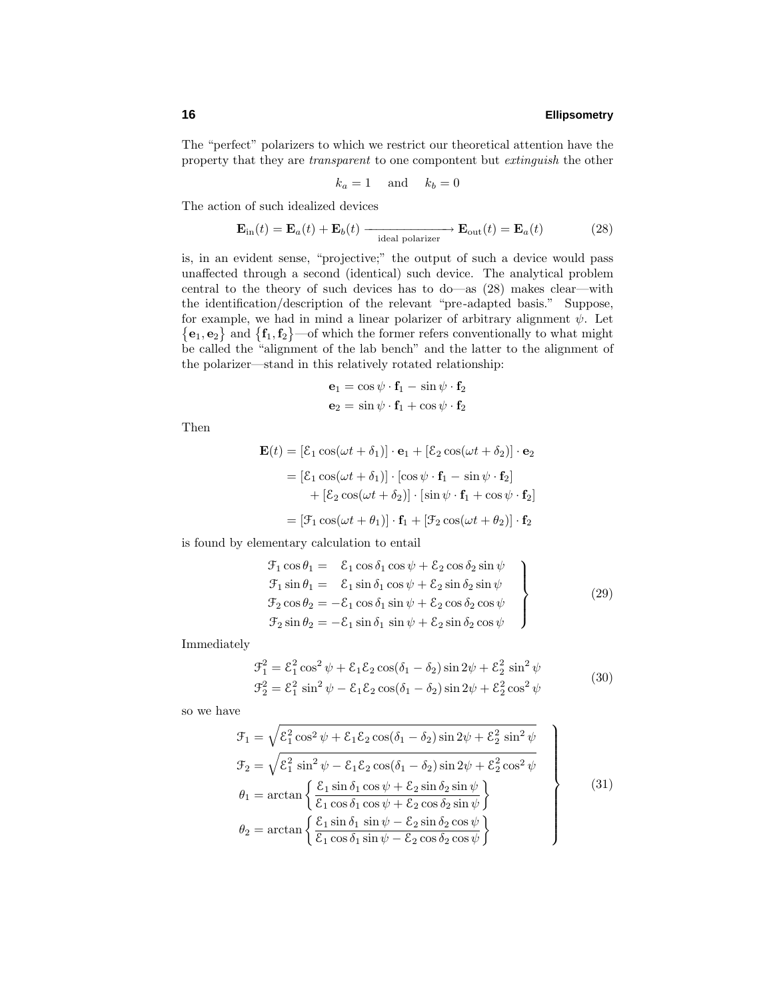The "perfect" polarizers to which we restrict our theoretical attention have the property that they are transparent to one compontent but extinguish the other

$$
k_a = 1 \quad \text{and} \quad k_b = 0
$$

The action of such idealized devices

$$
\mathbf{E}_{\rm in}(t) = \mathbf{E}_a(t) + \mathbf{E}_b(t) \xrightarrow{\text{ideal polarizer}} \mathbf{E}_{\rm out}(t) = \mathbf{E}_a(t) \tag{28}
$$

is, in an evident sense, "projective;" the output of such a device would pass unaffected through a second (identical) such device. The analytical problem central to the theory of such devices has to do—as (28) makes clear—with the identification/description of the relevant "pre-adapted basis." Suppose, for example, we had in mind a linear polarizer of arbitrary alignment  $\psi$ . Let  ${e_1, e_2}$  and  ${f_1, f_2}$ —of which the former refers conventionally to what might be called the "alignment of the lab bench" and the latter to the alignment of the polarizer—stand in this relatively rotated relationship:

$$
\mathbf{e}_1 = \cos \psi \cdot \mathbf{f}_1 - \sin \psi \cdot \mathbf{f}_2
$$

$$
\mathbf{e}_2 = \sin \psi \cdot \mathbf{f}_1 + \cos \psi \cdot \mathbf{f}_2
$$

Then

$$
\mathbf{E}(t) = [\mathcal{E}_1 \cos(\omega t + \delta_1)] \cdot \mathbf{e}_1 + [\mathcal{E}_2 \cos(\omega t + \delta_2)] \cdot \mathbf{e}_2
$$
  
\n
$$
= [\mathcal{E}_1 \cos(\omega t + \delta_1)] \cdot [\cos \psi \cdot \mathbf{f}_1 - \sin \psi \cdot \mathbf{f}_2]
$$
  
\n
$$
+ [\mathcal{E}_2 \cos(\omega t + \delta_2)] \cdot [\sin \psi \cdot \mathbf{f}_1 + \cos \psi \cdot \mathbf{f}_2]
$$
  
\n
$$
= [\mathcal{F}_1 \cos(\omega t + \theta_1)] \cdot \mathbf{f}_1 + [\mathcal{F}_2 \cos(\omega t + \theta_2)] \cdot \mathbf{f}_2
$$

is found by elementary calculation to entail

$$
\mathcal{F}_1 \cos \theta_1 = \n\mathcal{E}_1 \cos \delta_1 \cos \psi + \mathcal{E}_2 \cos \delta_2 \sin \psi
$$
\n
$$
\mathcal{F}_1 \sin \theta_1 = \n\mathcal{E}_1 \sin \delta_1 \cos \psi + \mathcal{E}_2 \sin \delta_2 \sin \psi
$$
\n
$$
\mathcal{F}_2 \cos \theta_2 = -\mathcal{E}_1 \cos \delta_1 \sin \psi + \mathcal{E}_2 \cos \delta_2 \cos \psi
$$
\n
$$
\mathcal{F}_2 \sin \theta_2 = -\mathcal{E}_1 \sin \delta_1 \sin \psi + \mathcal{E}_2 \sin \delta_2 \cos \psi
$$
\n(29)

Immediately

$$
\mathcal{F}_1^2 = \mathcal{E}_1^2 \cos^2 \psi + \mathcal{E}_1 \mathcal{E}_2 \cos(\delta_1 - \delta_2) \sin 2\psi + \mathcal{E}_2^2 \sin^2 \psi \n\mathcal{F}_2^2 = \mathcal{E}_1^2 \sin^2 \psi - \mathcal{E}_1 \mathcal{E}_2 \cos(\delta_1 - \delta_2) \sin 2\psi + \mathcal{E}_2^2 \cos^2 \psi
$$
\n(30)

so we have

$$
\mathcal{F}_1 = \sqrt{\mathcal{E}_1^2 \cos^2 \psi + \mathcal{E}_1 \mathcal{E}_2 \cos(\delta_1 - \delta_2) \sin 2\psi + \mathcal{E}_2^2 \sin^2 \psi}
$$
\n
$$
\mathcal{F}_2 = \sqrt{\mathcal{E}_1^2 \sin^2 \psi - \mathcal{E}_1 \mathcal{E}_2 \cos(\delta_1 - \delta_2) \sin 2\psi + \mathcal{E}_2^2 \cos^2 \psi}
$$
\n
$$
\theta_1 = \arctan \left\{ \frac{\mathcal{E}_1 \sin \delta_1 \cos \psi + \mathcal{E}_2 \sin \delta_2 \sin \psi}{\mathcal{E}_1 \cos \delta_1 \cos \psi + \mathcal{E}_2 \cos \delta_2 \sin \psi} \right\}
$$
\n
$$
\theta_2 = \arctan \left\{ \frac{\mathcal{E}_1 \sin \delta_1 \sin \psi - \mathcal{E}_2 \sin \delta_2 \cos \psi}{\mathcal{E}_1 \cos \delta_1 \sin \psi - \mathcal{E}_2 \cos \delta_2 \cos \psi} \right\}
$$
\n(31)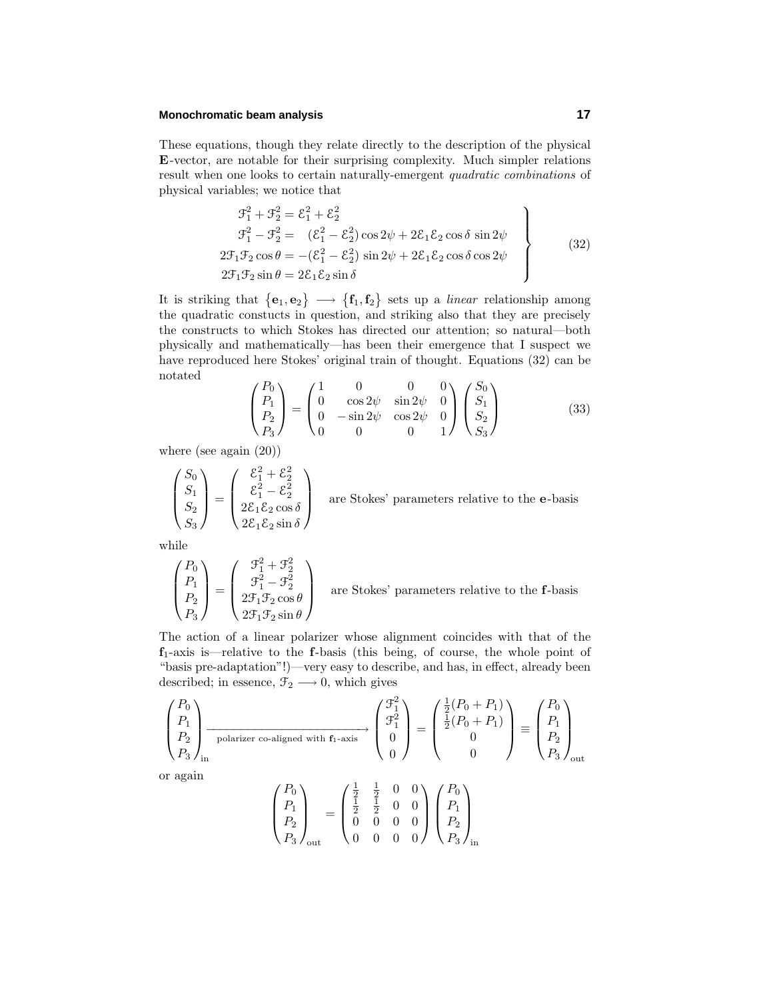### **Monochromatic beam analysis 17**

These equations, though they relate directly to the description of the physical **E**-vector, are notable for their surprising complexity. Much simpler relations result when one looks to certain naturally-emergent quadratic combinations of physical variables; we notice that

$$
\mathcal{F}_1^2 + \mathcal{F}_2^2 = \mathcal{E}_1^2 + \mathcal{E}_2^2
$$
  
\n
$$
\mathcal{F}_1^2 - \mathcal{F}_2^2 = (\mathcal{E}_1^2 - \mathcal{E}_2^2) \cos 2\psi + 2\mathcal{E}_1 \mathcal{E}_2 \cos \delta \sin 2\psi
$$
  
\n
$$
2\mathcal{F}_1 \mathcal{F}_2 \cos \theta = -(\mathcal{E}_1^2 - \mathcal{E}_2^2) \sin 2\psi + 2\mathcal{E}_1 \mathcal{E}_2 \cos \delta \cos 2\psi
$$
  
\n
$$
2\mathcal{F}_1 \mathcal{F}_2 \sin \theta = 2\mathcal{E}_1 \mathcal{E}_2 \sin \delta
$$
\n(32)

It is striking that  $\{e_1, e_2\} \longrightarrow \{f_1, f_2\}$  sets up a *linear* relationship among the quadratic constucts in question, and striking also that they are precisely the constructs to which Stokes has directed our attention; so natural—both physically and mathematically—has been their emergence that I suspect we have reproduced here Stokes' original train of thought. Equations (32) can be notated

$$
\begin{pmatrix}\nP_0 \\
P_1 \\
P_2 \\
P_3\n\end{pmatrix} = \begin{pmatrix}\n1 & 0 & 0 & 0 \\
0 & \cos 2\psi & \sin 2\psi & 0 \\
0 & -\sin 2\psi & \cos 2\psi & 0 \\
0 & 0 & 0 & 1\n\end{pmatrix} \begin{pmatrix}\nS_0 \\
S_1 \\
S_2 \\
S_3\n\end{pmatrix}
$$
\n(33)

where (see again (20))

$$
\begin{pmatrix} S_0 \\ S_1 \\ S_2 \\ S_3 \end{pmatrix} = \begin{pmatrix} \mathcal{E}_1^2 + \mathcal{E}_2^2 \\ \mathcal{E}_1^2 - \mathcal{E}_2^2 \\ 2\mathcal{E}_1\mathcal{E}_2\cos\delta \\ 2\mathcal{E}_1\mathcal{E}_2\sin\delta \end{pmatrix}
$$
 are Stokes' parameters relative to the **e**-basis

while

$$
\begin{pmatrix} P_0 \\ P_1 \\ P_2 \\ P_3 \end{pmatrix} = \begin{pmatrix} \mathcal{F}_1^2 + \mathcal{F}_2^2 \\ \mathcal{F}_1^2 - \mathcal{F}_2^2 \\ 2\mathcal{F}_1\mathcal{F}_2\cos\theta \\ 2\mathcal{F}_1\mathcal{F}_2\sin\theta \end{pmatrix}
$$
 are St

cokes' parameters relative to the f-basis

The action of a linear polarizer whose alignment coincides with that of the **f**1-axis is—relative to the **f**-basis (this being, of course, the whole point of "basis pre-adaptation"!)—very easy to describe, and has, in effect, already been described; in essence,  $\mathfrak{F}_2 \longrightarrow 0$ , which gives

$$
\begin{pmatrix} P_0 \\ P_1 \\ P_2 \\ P_3 \end{pmatrix}_{\text{in}} \xrightarrow{\hspace{1cm}} \text{polarizer co-aligned with } \mathbf{f}_1 \text{-axis} \begin{pmatrix} \mathcal{F}_1^2 \\ \mathcal{F}_1^2 \\ 0 \\ 0 \end{pmatrix} = \begin{pmatrix} \frac{1}{2}(P_0 + P_1) \\ \frac{1}{2}(P_0 + P_1) \\ 0 \\ 0 \end{pmatrix} \equiv \begin{pmatrix} P_0 \\ P_1 \\ P_2 \\ P_3 \end{pmatrix}_{\text{out}}
$$

or again

$$
\begin{pmatrix}\nP_0 \\
P_1 \\
P_2 \\
P_3\n\end{pmatrix}_{\text{out}} = \begin{pmatrix}\n\frac{1}{2} & \frac{1}{2} & 0 & 0 \\
\frac{1}{2} & \frac{1}{2} & 0 & 0 \\
0 & 0 & 0 & 0 \\
0 & 0 & 0 & 0\n\end{pmatrix} \begin{pmatrix}\nP_0 \\
P_1 \\
P_2 \\
P_3\n\end{pmatrix}_{\text{in}}
$$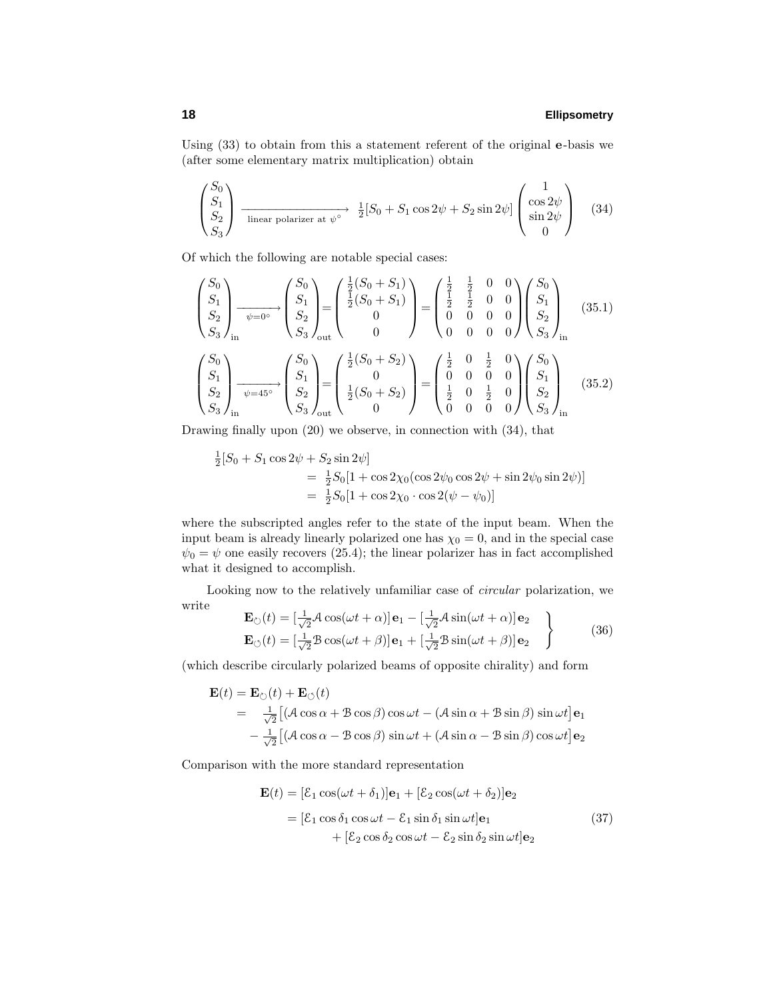Using (33) to obtain from this a statement referent of the original **e**-basis we (after some elementary matrix multiplication) obtain

$$
\begin{pmatrix} S_0 \\ S_1 \\ S_2 \\ S_3 \end{pmatrix} \xrightarrow{\text{linear polarizer at } \psi^\circ} \frac{1}{2} [S_0 + S_1 \cos 2\psi + S_2 \sin 2\psi] \begin{pmatrix} 1 \\ \cos 2\psi \\ \sin 2\psi \\ 0 \end{pmatrix} \quad (34)
$$

Of which the following are notable special cases:

$$
\begin{pmatrix}\nS_0 \\
S_1 \\
S_2 \\
S_3\n\end{pmatrix}_{\text{in}} \xrightarrow{\psi=0^\circ} \begin{pmatrix}\nS_0 \\
S_1 \\
S_2 \\
S_3\n\end{pmatrix}_{\text{out}} = \begin{pmatrix}\n\frac{1}{2}(S_0 + S_1) \\
\frac{1}{2}(S_0 + S_1) \\
0 \\
0\n\end{pmatrix} = \begin{pmatrix}\n\frac{1}{2} & \frac{1}{2} & 0 & 0 \\
\frac{1}{2} & \frac{1}{2} & 0 & 0 \\
0 & 0 & 0 & 0 \\
0 & 0 & 0 & 0\n\end{pmatrix} \begin{pmatrix}\nS_0 \\
S_1 \\
S_2 \\
S_3\n\end{pmatrix}_{\text{in}} \begin{pmatrix}\nS_0 \\
S_1 \\
S_2 \\
S_3\n\end{pmatrix}_{\text{out}} = \begin{pmatrix}\n\frac{1}{2}(S_0 + S_2) \\
0 & 0 & \frac{1}{2}(S_0 + S_2) \\
0 & 0 & 0 & 0 \\
0 & 0 & 0 & 0\n\end{pmatrix} \begin{pmatrix}\nS_0 \\
S_1 \\
S_2 \\
S_3\n\end{pmatrix}_{\text{in}} \begin{pmatrix}\nS_0 \\
S_1 \\
S_2 \\
S_3\n\end{pmatrix}_{\text{in}} = \begin{pmatrix}\n\frac{1}{2}(S_0 + S_2) \\
0 & 0 & \frac{1}{2}(S_0 + S_2) \\
0 & 0 & 0 & 0 \\
0 & 0 & 0 & 0\n\end{pmatrix} \begin{pmatrix}\nS_0 \\
S_1 \\
S_2 \\
S_3\n\end{pmatrix}_{\text{in}} \quad (35.2)
$$

Drawing finally upon (20) we observe, in connection with (34), that

$$
\frac{1}{2}[S_0 + S_1 \cos 2\psi + S_2 \sin 2\psi]
$$
  
=  $\frac{1}{2}S_0[1 + \cos 2\chi_0(\cos 2\psi_0 \cos 2\psi + \sin 2\psi_0 \sin 2\psi)]$   
=  $\frac{1}{2}S_0[1 + \cos 2\chi_0 \cdot \cos 2(\psi - \psi_0)]$ 

where the subscripted angles refer to the state of the input beam. When the input beam is already linearly polarized one has  $\chi_0 = 0$ , and in the special case  $\psi_0 = \psi$  one easily recovers (25.4); the linear polarizer has in fact accomplished what it designed to accomplish.

Looking now to the relatively unfamiliar case of circular polarization, we write  $\overline{1}$  $1$ 

$$
\mathbf{E}_{\circlearrowright}(t) = \left[\frac{1}{\sqrt{2}}\mathcal{A}\cos(\omega t + \alpha)\right]\mathbf{e}_{1} - \left[\frac{1}{\sqrt{2}}\mathcal{A}\sin(\omega t + \alpha)\right]\mathbf{e}_{2}
$$
\n
$$
\mathbf{E}_{\circlearrowleft}(t) = \left[\frac{1}{\sqrt{2}}\mathcal{B}\cos(\omega t + \beta)\right]\mathbf{e}_{1} + \left[\frac{1}{\sqrt{2}}\mathcal{B}\sin(\omega t + \beta)\right]\mathbf{e}_{2}
$$
\n(36)

(which describe circularly polarized beams of opposite chirality) and form

$$
\mathbf{E}(t) = \mathbf{E}_{\circlearrowright}(t) + \mathbf{E}_{\circlearrowleft}(t)
$$
\n
$$
= \frac{1}{\sqrt{2}} \left[ (\mathcal{A} \cos \alpha + \mathcal{B} \cos \beta) \cos \omega t - (\mathcal{A} \sin \alpha + \mathcal{B} \sin \beta) \sin \omega t \right] \mathbf{e}_1
$$
\n
$$
- \frac{1}{\sqrt{2}} \left[ (\mathcal{A} \cos \alpha - \mathcal{B} \cos \beta) \sin \omega t + (\mathcal{A} \sin \alpha - \mathcal{B} \sin \beta) \cos \omega t \right] \mathbf{e}_2
$$

Comparison with the more standard representation

$$
\mathbf{E}(t) = [\mathcal{E}_1 \cos(\omega t + \delta_1)]\mathbf{e}_1 + [\mathcal{E}_2 \cos(\omega t + \delta_2)]\mathbf{e}_2
$$
  
= [\mathcal{E}\_1 \cos \delta\_1 \cos \omega t - \mathcal{E}\_1 \sin \delta\_1 \sin \omega t] \mathbf{e}\_1  
+ [\mathcal{E}\_2 \cos \delta\_2 \cos \omega t - \mathcal{E}\_2 \sin \delta\_2 \sin \omega t] \mathbf{e}\_2 (37)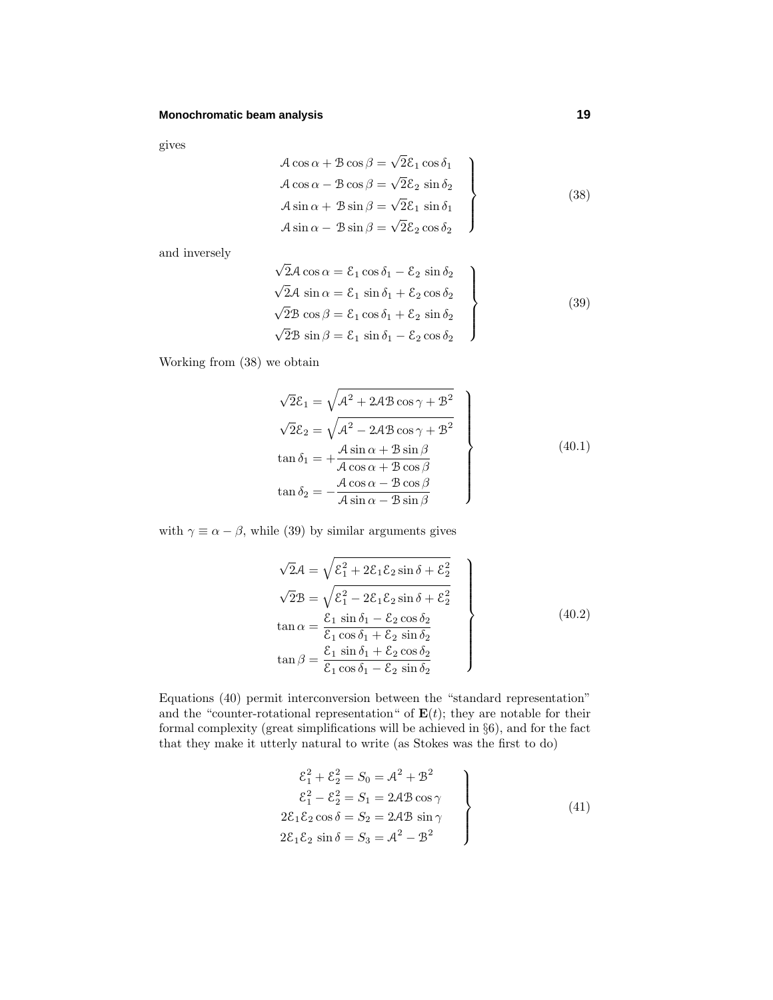# **Monochromatic beam analysis 19**

gives

$$
\begin{aligned}\n\mathcal{A}\cos\alpha + \mathcal{B}\cos\beta &= \sqrt{2}\mathcal{E}_1\cos\delta_1\\ \n\mathcal{A}\cos\alpha - \mathcal{B}\cos\beta &= \sqrt{2}\mathcal{E}_2\sin\delta_2\\ \n\mathcal{A}\sin\alpha + \mathcal{B}\sin\beta &= \sqrt{2}\mathcal{E}_1\sin\delta_1\\ \n\mathcal{A}\sin\alpha - \mathcal{B}\sin\beta &= \sqrt{2}\mathcal{E}_2\cos\delta_2\n\end{aligned}
$$
\n(38)

and inversely

$$
\sqrt{2}A \cos \alpha = \mathcal{E}_1 \cos \delta_1 - \mathcal{E}_2 \sin \delta_2
$$
  
\n
$$
\sqrt{2}A \sin \alpha = \mathcal{E}_1 \sin \delta_1 + \mathcal{E}_2 \cos \delta_2
$$
  
\n
$$
\sqrt{2}B \cos \beta = \mathcal{E}_1 \cos \delta_1 + \mathcal{E}_2 \sin \delta_2
$$
  
\n
$$
\sqrt{2}B \sin \beta = \mathcal{E}_1 \sin \delta_1 - \mathcal{E}_2 \cos \delta_2
$$
\n(39)

Working from (38) we obtain

$$
\sqrt{2}\mathcal{E}_1 = \sqrt{\mathcal{A}^2 + 2\mathcal{A}\mathcal{B}\cos\gamma + \mathcal{B}^2}
$$
  
\n
$$
\sqrt{2}\mathcal{E}_2 = \sqrt{\mathcal{A}^2 - 2\mathcal{A}\mathcal{B}\cos\gamma + \mathcal{B}^2}
$$
  
\n
$$
\tan\delta_1 = +\frac{\mathcal{A}\sin\alpha + \mathcal{B}\sin\beta}{\mathcal{A}\cos\alpha + \mathcal{B}\cos\beta}
$$
  
\n
$$
\tan\delta_2 = -\frac{\mathcal{A}\cos\alpha - \mathcal{B}\cos\beta}{\mathcal{A}\sin\alpha - \mathcal{B}\sin\beta}
$$
\n(40.1)

with  $\gamma \equiv \alpha - \beta$ , while (39) by similar arguments gives

$$
\sqrt{2}\mathcal{A} = \sqrt{\mathcal{E}_1^2 + 2\mathcal{E}_1\mathcal{E}_2 \sin \delta + \mathcal{E}_2^2}
$$
  
\n
$$
\sqrt{2}\mathcal{B} = \sqrt{\mathcal{E}_1^2 - 2\mathcal{E}_1\mathcal{E}_2 \sin \delta + \mathcal{E}_2^2}
$$
  
\n
$$
\tan \alpha = \frac{\mathcal{E}_1 \sin \delta_1 - \mathcal{E}_2 \cos \delta_2}{\mathcal{E}_1 \cos \delta_1 + \mathcal{E}_2 \sin \delta_2}
$$
  
\n
$$
\tan \beta = \frac{\mathcal{E}_1 \sin \delta_1 + \mathcal{E}_2 \cos \delta_2}{\mathcal{E}_1 \cos \delta_1 - \mathcal{E}_2 \sin \delta_2}
$$
\n(40.2)

Equations (40) permit interconversion between the "standard representation" and the "counter-rotational representation" of  $E(t)$ ; they are notable for their formal complexity (great simplifications will be achieved in §6), and for the fact that they make it utterly natural to write (as Stokes was the first to do)

$$
\begin{aligned}\n\mathcal{E}_1^2 + \mathcal{E}_2^2 &= S_0 = \mathcal{A}^2 + \mathcal{B}^2 \\
\mathcal{E}_1^2 - \mathcal{E}_2^2 &= S_1 = 2\mathcal{A}\mathcal{B}\cos\gamma \\
2\mathcal{E}_1\mathcal{E}_2\cos\delta &= S_2 = 2\mathcal{A}\mathcal{B}\sin\gamma \\
2\mathcal{E}_1\mathcal{E}_2\sin\delta &= S_3 = \mathcal{A}^2 - \mathcal{B}^2\n\end{aligned}\n\tag{41}
$$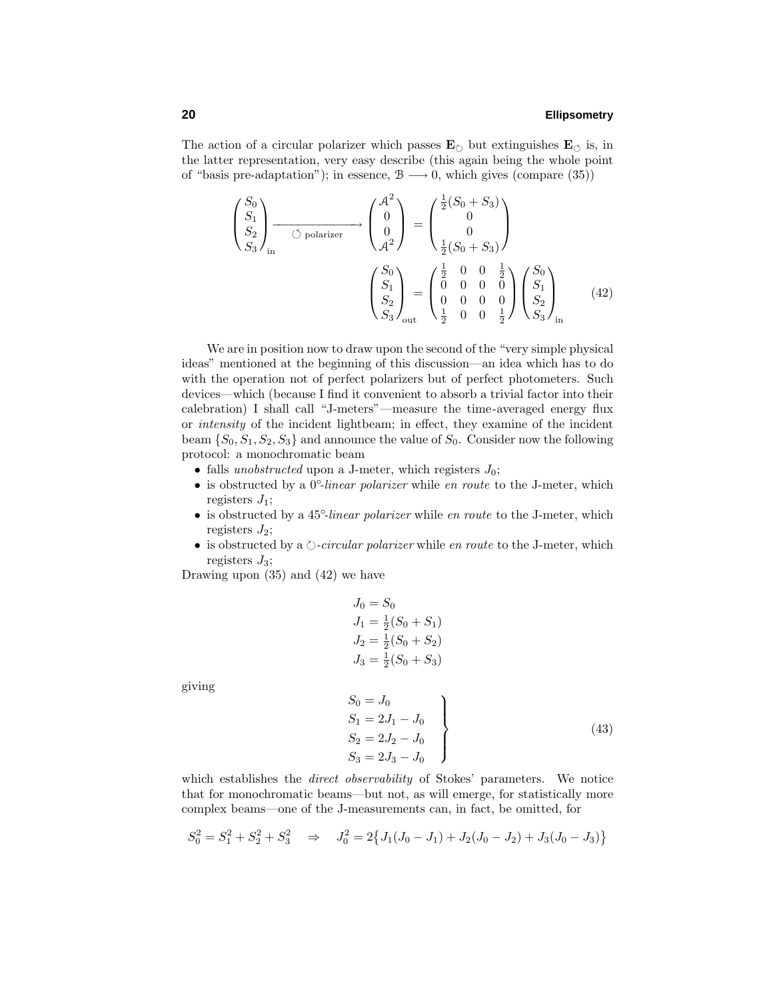The action of a circular polarizer which passes  $\mathbf{E}_{\circlearrowright}$  but extinguishes  $\mathbf{E}_{\circlearrowleft}$  is, in the latter representation, very easy describe (this again being the whole point of "basis pre-adaptation"); in essence,  $\mathcal{B} \longrightarrow 0$ , which gives (compare (35))

$$
\begin{pmatrix} S_0 \\ S_1 \\ S_2 \\ S_3 \end{pmatrix}_{\text{in}} \longrightarrow \begin{pmatrix} A^2 \\ 0 \\ 0 \\ A^2 \end{pmatrix} = \begin{pmatrix} \frac{1}{2}(S_0 + S_3) \\ 0 \\ 0 \\ \frac{1}{2}(S_0 + S_3) \end{pmatrix}
$$

$$
\begin{pmatrix} S_0 \\ S_1 \\ S_2 \\ S_3 \end{pmatrix}_{\text{out}} = \begin{pmatrix} \frac{1}{2} & 0 & 0 & \frac{1}{2} \\ 0 & 0 & 0 & 0 \\ 0 & 0 & 0 & 0 \\ \frac{1}{2} & 0 & 0 & \frac{1}{2} \end{pmatrix} \begin{pmatrix} S_0 \\ S_1 \\ S_2 \\ S_3 \end{pmatrix}_{\text{in}} \qquad (42)
$$

We are in position now to draw upon the second of the "very simple physical ideas" mentioned at the beginning of this discussion—an idea which has to do with the operation not of perfect polarizers but of perfect photometers. Such devices—which (because I find it convenient to absorb a trivial factor into their calebration) I shall call "J-meters"—measure the time-averaged energy flux or intensity of the incident lightbeam; in effect, they examine of the incident beam  $\{S_0, S_1, S_2, S_3\}$  and announce the value of  $S_0$ . Consider now the following protocol: a monochromatic beam

- falls *unobstructed* upon a J-meter, which registers  $J_0$ ;
- is obstructed by a 0<sup>°-</sup>linear polarizer while en route to the J-meter, which registers *J*1;
- is obstructed by a 45<sup>°-</sup>linear polarizer while en route to the J-meter, which registers  $J_2$ ;
- is obstructed by a  $\Diamond$ -circular polarizer while en route to the J-meter, which registers *J*3;

Drawing upon (35) and (42) we have

$$
J_0 = S_0
$$
  
\n
$$
J_1 = \frac{1}{2}(S_0 + S_1)
$$
  
\n
$$
J_2 = \frac{1}{2}(S_0 + S_2)
$$
  
\n
$$
J_3 = \frac{1}{2}(S_0 + S_3)
$$

giving

$$
S_0 = J_0
$$
  
\n
$$
S_1 = 2J_1 - J_0
$$
  
\n
$$
S_2 = 2J_2 - J_0
$$
  
\n
$$
S_3 = 2J_3 - J_0
$$
\n(43)

which establishes the *direct observability* of Stokes' parameters. We notice that for monochromatic beams—but not, as will emerge, for statistically more complex beams—one of the J-measurements can, in fact, be omitted, for

$$
S_0^2 = S_1^2 + S_2^2 + S_3^2 \Rightarrow J_0^2 = 2\{J_1(J_0 - J_1) + J_2(J_0 - J_2) + J_3(J_0 - J_3)\}
$$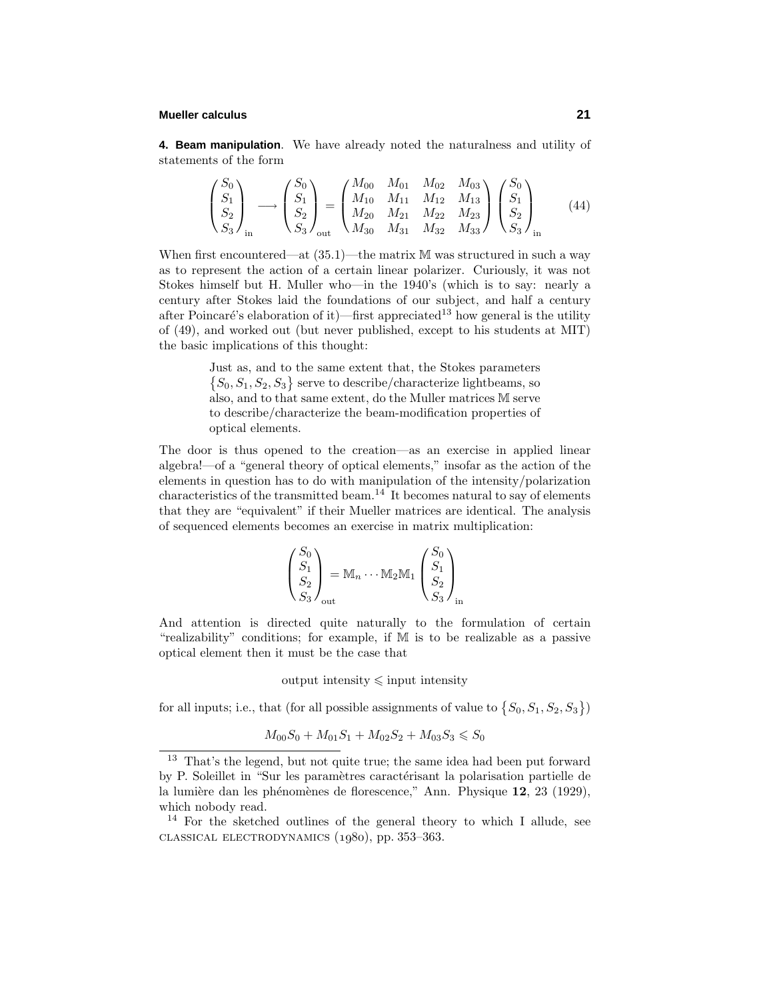# **Mueller calculus 21**

**4. Beam manipulation**. We have already noted the naturalness and utility of statements of the form

$$
\begin{pmatrix} S_0 \\ S_1 \\ S_2 \\ S_3 \end{pmatrix}_{\text{in}} \longrightarrow \begin{pmatrix} S_0 \\ S_1 \\ S_2 \\ S_3 \end{pmatrix}_{\text{out}} = \begin{pmatrix} M_{00} & M_{01} & M_{02} & M_{03} \\ M_{10} & M_{11} & M_{12} & M_{13} \\ M_{20} & M_{21} & M_{22} & M_{23} \\ M_{30} & M_{31} & M_{32} & M_{33} \end{pmatrix} \begin{pmatrix} S_0 \\ S_1 \\ S_2 \\ S_3 \end{pmatrix}_{\text{in}} \tag{44}
$$

When first encountered—at  $(35.1)$ —the matrix M was structured in such a way as to represent the action of a certain linear polarizer. Curiously, it was not Stokes himself but H. Muller who—in the 1940's (which is to say: nearly a century after Stokes laid the foundations of our subject, and half a century after Poincaré's elaboration of it)—first appreciated<sup>13</sup> how general is the utility of (49), and worked out (but never published, except to his students at MIT) the basic implications of this thought:

> Just as, and to the same extent that, the Stokes parameters  $\{S_0, S_1, S_2, S_3\}$  serve to describe/characterize lightbeams, so also, and to that same extent, do the Muller matrices M serve to describe/characterize the beam-modification properties of optical elements.

The door is thus opened to the creation—as an exercise in applied linear algebra!—of a "general theory of optical elements," insofar as the action of the elements in question has to do with manipulation of the intensity/polarization characteristics of the transmitted beam.<sup>14</sup> It becomes natural to say of elements that they are "equivalent" if their Mueller matrices are identical. The analysis of sequenced elements becomes an exercise in matrix multiplication:

$$
\begin{pmatrix} S_0 \\ S_1 \\ S_2 \\ S_3 \end{pmatrix}_{\text{out}} = \mathbb{M}_n \cdots \mathbb{M}_2 \mathbb{M}_1 \begin{pmatrix} S_0 \\ S_1 \\ S_2 \\ S_3 \end{pmatrix}_{\text{in}}
$$

And attention is directed quite naturally to the formulation of certain "realizability" conditions; for example, if M is to be realizable as a passive optical element then it must be the case that

output intensity  $\leq$  input intensity

for all inputs; i.e., that (for all possible assignments of value to  $\{S_0, S_1, S_2, S_3\}$ )

$$
M_{00}S_0 + M_{01}S_1 + M_{02}S_2 + M_{03}S_3 \leq S_0
$$

<sup>13</sup> That's the legend, but not quite true; the same idea had been put forward by P. Soleillet in "Sur les paramètres caractérisant la polarisation partielle de la lumière dan les phénomènes de florescence," Ann. Physique 12, 23 (1929), which nobody read.

 $14$  For the sketched outlines of the general theory to which I allude, see  $CLASSICAL ELECTRODYNAMICS (1980), pp. 353-363.$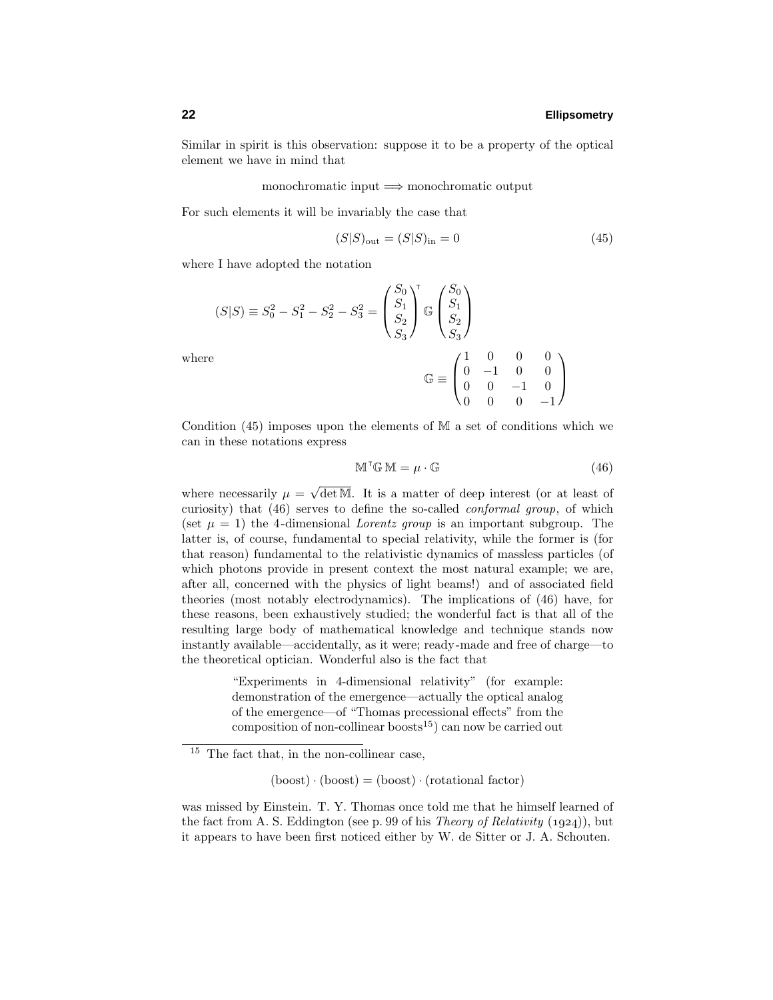Similar in spirit is this observation: suppose it to be a property of the optical element we have in mind that

monochromatic input =⇒ monochromatic output

For such elements it will be invariably the case that

$$
(S|S)_{\text{out}} = (S|S)_{\text{in}} = 0 \tag{45}
$$

where I have adopted the notation

$$
(S|S) \equiv S_0^2 - S_1^2 - S_2^2 - S_3^2 = \begin{pmatrix} S_0 \\ S_1 \\ S_2 \\ S_3 \end{pmatrix}^{\mathsf{T}} \mathbb{G} \begin{pmatrix} S_0 \\ S_1 \\ S_2 \\ S_3 \end{pmatrix}
$$
  
where  

$$
\mathbb{G} \equiv \begin{pmatrix} 1 & 0 & 0 & 0 \\ 0 & -1 & 0 & 0 \\ 0 & 0 & -1 & 0 \\ 0 & 0 & 0 & -1 \end{pmatrix}
$$

Condition (45) imposes upon the elements of M a set of conditions which we can in these notations express

$$
\mathbb{M}^\mathsf{T}\mathbb{G}\,\mathbb{M} = \mu \cdot \mathbb{G} \tag{46}
$$

where necessarily  $\mu = \sqrt{\det M}$ . It is a matter of deep interest (or at least of curiosity) that (46) serves to define the so-called conformal group, of which (set  $\mu = 1$ ) the 4-dimensional *Lorentz group* is an important subgroup. The latter is, of course, fundamental to special relativity, while the former is (for that reason) fundamental to the relativistic dynamics of massless particles (of which photons provide in present context the most natural example; we are, after all, concerned with the physics of light beams!) and of associated field theories (most notably electrodynamics). The implications of (46) have, for these reasons, been exhaustively studied; the wonderful fact is that all of the resulting large body of mathematical knowledge and technique stands now instantly available—accidentally, as it were; ready-made and free of charge—to the theoretical optician. Wonderful also is the fact that

> "Experiments in 4-dimensional relativity" (for example: demonstration of the emergence—actually the optical analog of the emergence—of "Thomas precessional effects" from the composition of non-collinear boosts<sup>15</sup>) can now be carried out

 $(boost) \cdot (boost) = (boost) \cdot (rotational factor)$ 

was missed by Einstein. T. Y. Thomas once told me that he himself learned of the fact from A. S. Eddington (see p. 99 of his *Theory of Relativity* (1924)), but it appears to have been first noticed either by W. de Sitter or J. A. Schouten.

 $^{15}\,$  The fact that, in the non-collinear case,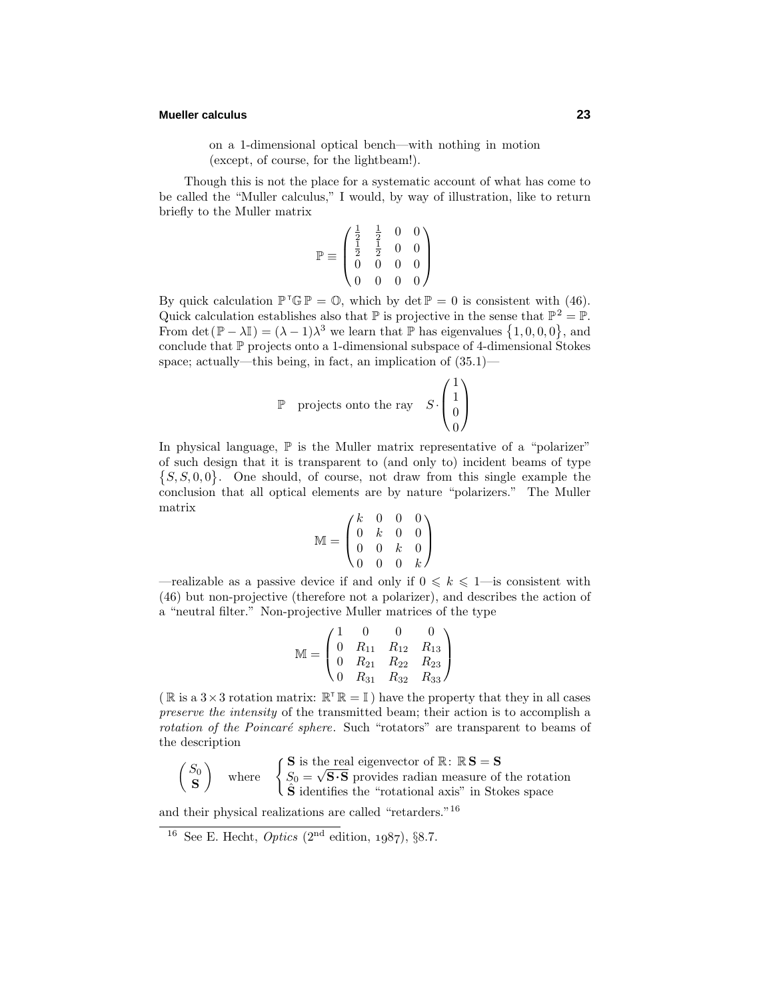# **Mueller calculus 23**

on a 1-dimensional optical bench—with nothing in motion (except, of course, for the lightbeam!).

Though this is not the place for a systematic account of what has come to be called the "Muller calculus," I would, by way of illustration, like to return briefly to the Muller matrix

$$
\mathbb{P} \equiv \begin{pmatrix} \frac{1}{2} & \frac{1}{2} & 0 & 0 \\ \frac{1}{2} & \frac{1}{2} & 0 & 0 \\ 0 & 0 & 0 & 0 \\ 0 & 0 & 0 & 0 \end{pmatrix}
$$

By quick calculation  $\mathbb{P}^\top \mathbb{G} \mathbb{P} = \mathbb{O}$ , which by  $\det \mathbb{P} = 0$  is consistent with (46). Quick calculation establishes also that  $\mathbb P$  is projective in the sense that  $\mathbb P^2 = \mathbb P$ . From det( $\mathbb{P} - \lambda \mathbb{I}$ ) =  $(\lambda - 1)\lambda^3$  we learn that  $\mathbb{P}$  has eigenvalues  $\{1, 0, 0, 0\}$ , and conclude that P projects onto a 1-dimensional subspace of 4-dimensional Stokes space; actually—this being, in fact, an implication of (35.1)—

$$
\mathbb{P} \quad \text{projects onto the ray} \quad S \cdot \begin{pmatrix} 1 \\ 1 \\ 0 \\ 0 \end{pmatrix}
$$

In physical language,  $\mathbb P$  is the Muller matrix representative of a "polarizer" of such design that it is transparent to (and only to) incident beams of type  ${S, S, 0, 0}$ . One should, of course, not draw from this single example the conclusion that all optical elements are by nature "polarizers." The Muller matrix

$$
\mathbb{M} = \begin{pmatrix} k & 0 & 0 & 0 \\ 0 & k & 0 & 0 \\ 0 & 0 & k & 0 \\ 0 & 0 & 0 & k \end{pmatrix}
$$

—realizable as a passive device if and only if  $0 \leq k \leq 1$ —is consistent with (46) but non-projective (therefore not a polarizer), and describes the action of a "neutral filter." Non-projective Muller matrices of the type

$$
\mathbb{M} = \begin{pmatrix} 1 & 0 & 0 & 0 \\ 0 & R_{11} & R_{12} & R_{13} \\ 0 & R_{21} & R_{22} & R_{23} \\ 0 & R_{31} & R_{32} & R_{33} \end{pmatrix}
$$

( $\mathbb R$  is a 3 × 3 rotation matrix:  $\mathbb R^T \mathbb R = \mathbb I$ ) have the property that they in all cases preserve the intensity of the transmitted beam; their action is to accomplish a rotation of the Poincaré sphere. Such "rotators" are transparent to beams of the description

$$
\begin{pmatrix} S_0 \\ \mathbf{S} \end{pmatrix}
$$
 where 
$$
\begin{cases} \mathbf{S} \text{ is the real eigenvector of } \mathbb{R} \colon \mathbb{R} \mathbf{S} = \mathbf{S} \\ S_0 = \sqrt{\mathbf{S} \cdot \mathbf{S}} \text{ provides radian measure of the rotation} \\ \hat{\mathbf{S}} \text{ identifies the "rotational axis" in Stokes space} \end{cases}
$$

and their physical realizations are called "retarders."<sup>16</sup>

<sup>&</sup>lt;sup>16</sup> See E. Hecht, *Optics*  $(2^{nd}$  edition, 1987), §8.7.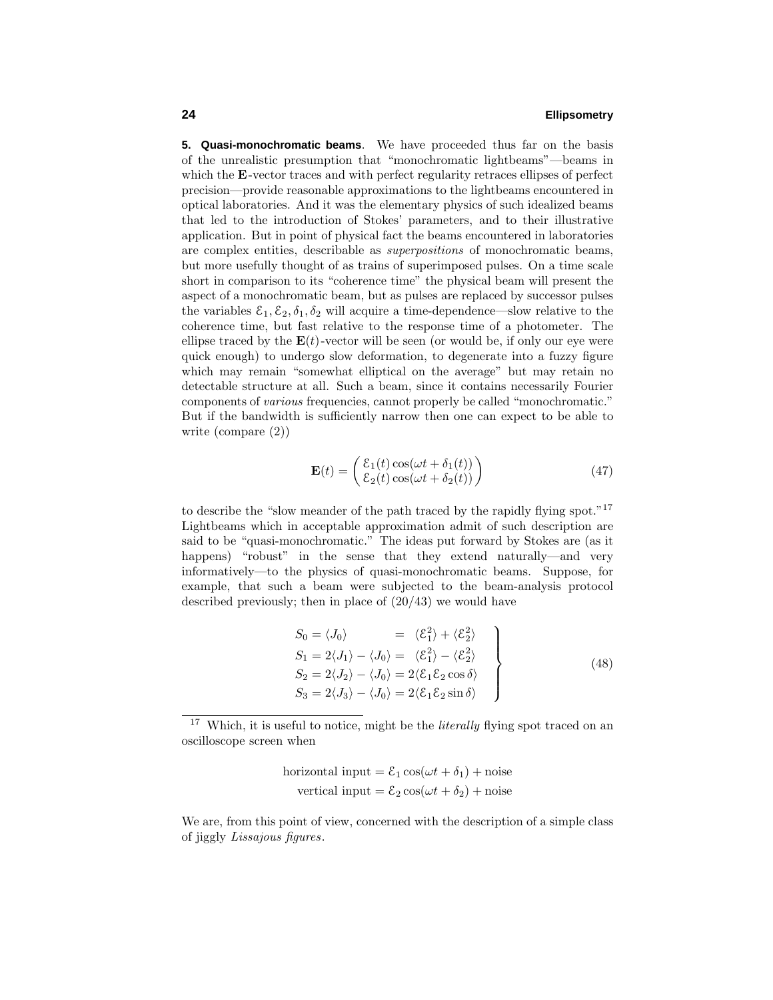**5. Quasi-monochromatic beams**. We have proceeded thus far on the basis of the unrealistic presumption that "monochromatic lightbeams"—beams in which the **E**-vector traces and with perfect regularity retraces ellipses of perfect precision—provide reasonable approximations to the lightbeams encountered in optical laboratories. And it was the elementary physics of such idealized beams that led to the introduction of Stokes' parameters, and to their illustrative application. But in point of physical fact the beams encountered in laboratories are complex entities, describable as superpositions of monochromatic beams, but more usefully thought of as trains of superimposed pulses. On a time scale short in comparison to its "coherence time" the physical beam will present the aspect of a monochromatic beam, but as pulses are replaced by successor pulses the variables  $\mathcal{E}_1, \mathcal{E}_2, \delta_1, \delta_2$  will acquire a time-dependence—slow relative to the coherence time, but fast relative to the response time of a photometer. The ellipse traced by the  $E(t)$ -vector will be seen (or would be, if only our eye were quick enough) to undergo slow deformation, to degenerate into a fuzzy figure which may remain "somewhat elliptical on the average" but may retain no detectable structure at all. Such a beam, since it contains necessarily Fourier components of various frequencies, cannot properly be called "monochromatic." But if the bandwidth is sufficiently narrow then one can expect to be able to write (compare (2))

$$
\mathbf{E}(t) = \begin{pmatrix} \mathcal{E}_1(t) \cos(\omega t + \delta_1(t)) \\ \mathcal{E}_2(t) \cos(\omega t + \delta_2(t)) \end{pmatrix}
$$
 (47)

to describe the "slow meander of the path traced by the rapidly flying spot."<sup>17</sup> Lightbeams which in acceptable approximation admit of such description are said to be "quasi-monochromatic." The ideas put forward by Stokes are (as it happens) "robust" in the sense that they extend naturally—and very informatively—to the physics of quasi-monochromatic beams. Suppose, for example, that such a beam were subjected to the beam-analysis protocol described previously; then in place of (20/43) we would have

$$
S_0 = \langle J_0 \rangle = \langle \mathcal{E}_1^2 \rangle + \langle \mathcal{E}_2^2 \rangle
$$
  
\n
$$
S_1 = 2\langle J_1 \rangle - \langle J_0 \rangle = \langle \mathcal{E}_1^2 \rangle - \langle \mathcal{E}_2^2 \rangle
$$
  
\n
$$
S_2 = 2\langle J_2 \rangle - \langle J_0 \rangle = 2\langle \mathcal{E}_1 \mathcal{E}_2 \cos \delta \rangle
$$
  
\n
$$
S_3 = 2\langle J_3 \rangle - \langle J_0 \rangle = 2\langle \mathcal{E}_1 \mathcal{E}_2 \sin \delta \rangle
$$
\n(48)

horizontal input =  $\mathcal{E}_1 \cos(\omega t + \delta_1) + \text{noise}$ vertical input =  $\mathcal{E}_2 \cos(\omega t + \delta_2) + \text{noise}$ 

We are, from this point of view, concerned with the description of a simple class of jiggly Lissajous figures.

 $^{17}\,$  Which, it is useful to notice, might be the literally flying spot traced on an oscilloscope screen when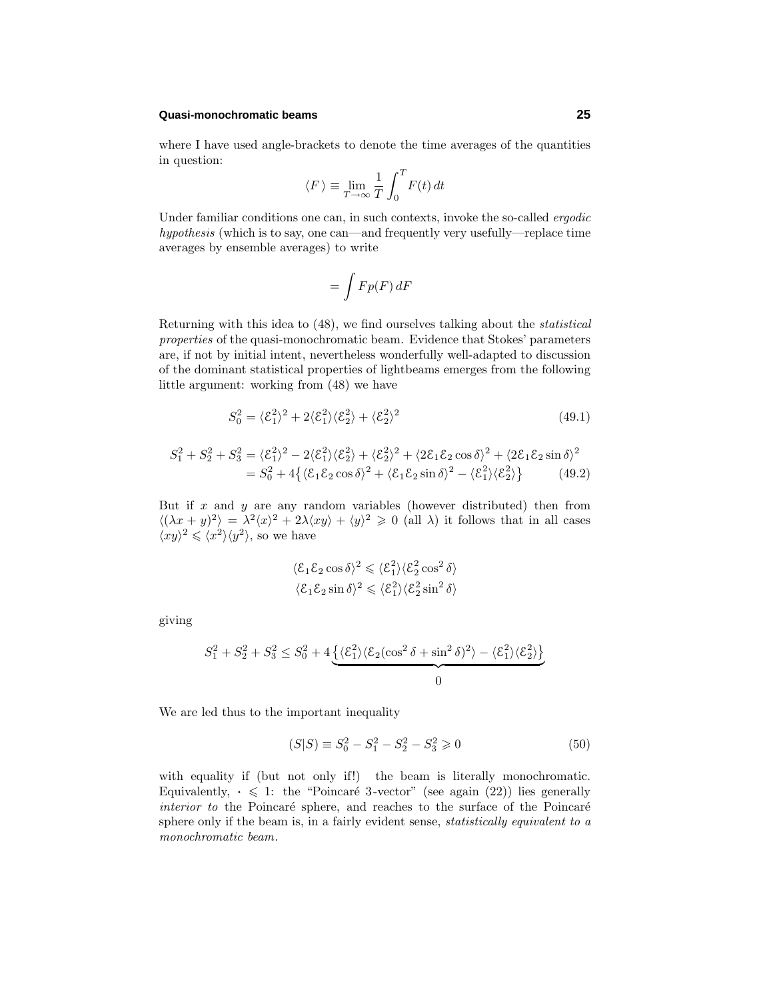#### **Quasi-monochromatic beams 25**

where I have used angle-brackets to denote the time averages of the quantities in question:

$$
\langle F \rangle \equiv \lim_{T \to \infty} \frac{1}{T} \int_0^T F(t) dt
$$

Under familiar conditions one can, in such contexts, invoke the so-called *ergodic* hypothesis (which is to say, one can—and frequently very usefully—replace time averages by ensemble averages) to write

$$
=\int Fp(F)\,dF
$$

Returning with this idea to (48), we find ourselves talking about the statistical properties of the quasi-monochromatic beam. Evidence that Stokes' parameters are, if not by initial intent, nevertheless wonderfully well-adapted to discussion of the dominant statistical properties of lightbeams emerges from the following little argument: working from (48) we have

$$
S_0^2 = \langle \mathcal{E}_1^2 \rangle^2 + 2 \langle \mathcal{E}_1^2 \rangle \langle \mathcal{E}_2^2 \rangle + \langle \mathcal{E}_2^2 \rangle^2 \tag{49.1}
$$

$$
S_1^2 + S_2^2 + S_3^2 = \langle \mathcal{E}_1^2 \rangle^2 - 2 \langle \mathcal{E}_1^2 \rangle \langle \mathcal{E}_2^2 \rangle + \langle \mathcal{E}_2^2 \rangle^2 + \langle 2 \mathcal{E}_1 \mathcal{E}_2 \cos \delta \rangle^2 + \langle 2 \mathcal{E}_1 \mathcal{E}_2 \sin \delta \rangle^2
$$
  
=  $S_0^2 + 4 \{ \langle \mathcal{E}_1 \mathcal{E}_2 \cos \delta \rangle^2 + \langle \mathcal{E}_1 \mathcal{E}_2 \sin \delta \rangle^2 - \langle \mathcal{E}_1^2 \rangle \langle \mathcal{E}_2^2 \rangle \}$  (49.2)

But if *x* and *y* are any random variables (however distributed) then from  $\langle (\lambda x + y)^2 \rangle = \lambda^2 \langle x \rangle^2 + 2\lambda \langle xy \rangle + \langle y \rangle^2 \geq 0$  (all  $\lambda$ ) it follows that in all cases  $\langle xy \rangle^2 \leq \langle x^2 \rangle \langle y^2 \rangle$ , so we have

$$
\langle \mathcal{E}_1 \mathcal{E}_2 \cos \delta \rangle^2 \leqslant \langle \mathcal{E}_1^2 \rangle \langle \mathcal{E}_2^2 \cos^2 \delta \rangle
$$
  

$$
\langle \mathcal{E}_1 \mathcal{E}_2 \sin \delta \rangle^2 \leqslant \langle \mathcal{E}_1^2 \rangle \langle \mathcal{E}_2^2 \sin^2 \delta \rangle
$$

giving

$$
S_1^2 + S_2^2 + S_3^2 \le S_0^2 + 4 \underbrace{\{\langle \mathcal{E}_1^2 \rangle \langle \mathcal{E}_2 (\cos^2 \delta + \sin^2 \delta)^2 \rangle - \langle \mathcal{E}_1^2 \rangle \langle \mathcal{E}_2^2 \rangle \}}_{0}
$$

We are led thus to the important inequality

$$
(S|S) \equiv S_0^2 - S_1^2 - S_2^2 - S_3^2 \geq 0 \tag{50}
$$

with equality if (but not only if!) the beam is literally monochromatic. Equivalently,  $\cdot \leq 1$ : the "Poincaré 3-vector" (see again (22)) lies generally  $interior to the Poincaré sphere, and reaches to the surface of the Poincaré$ sphere only if the beam is, in a fairly evident sense, statistically equivalent to a monochromatic beam.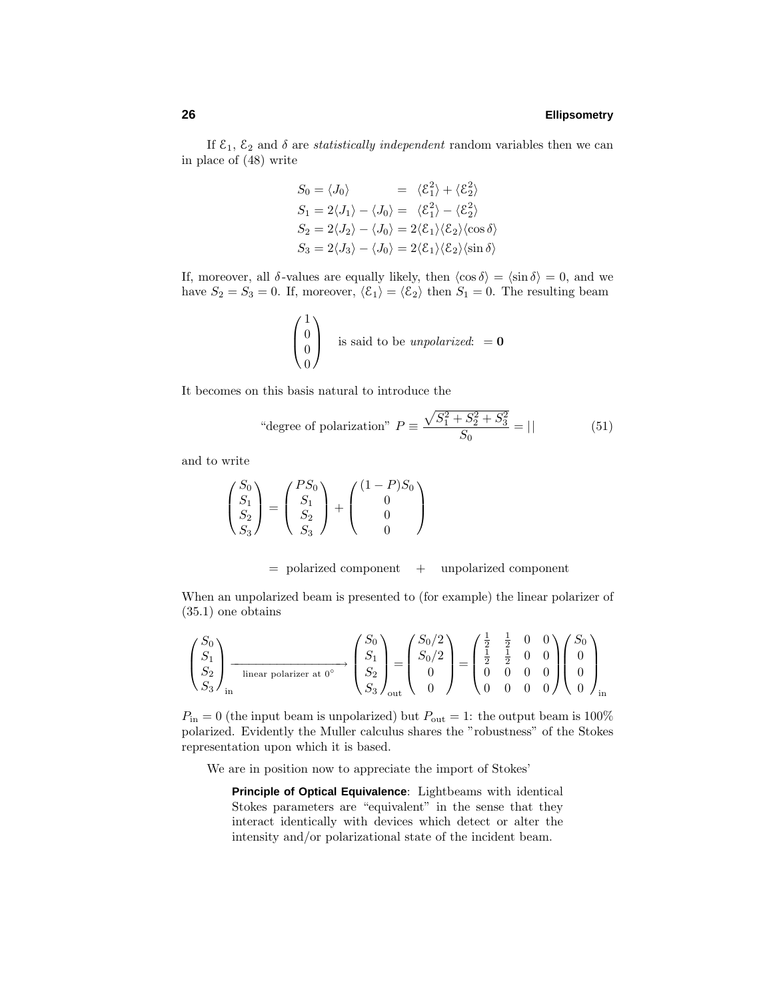If  $\mathcal{E}_1$ ,  $\mathcal{E}_2$  and  $\delta$  are *statistically independent* random variables then we can in place of (48) write

$$
S_0 = \langle J_0 \rangle = \langle \mathcal{E}_1^2 \rangle + \langle \mathcal{E}_2^2 \rangle
$$
  
\n
$$
S_1 = 2\langle J_1 \rangle - \langle J_0 \rangle = \langle \mathcal{E}_1^2 \rangle - \langle \mathcal{E}_2^2 \rangle
$$
  
\n
$$
S_2 = 2\langle J_2 \rangle - \langle J_0 \rangle = 2\langle \mathcal{E}_1 \rangle \langle \mathcal{E}_2 \rangle \langle \cos \delta \rangle
$$
  
\n
$$
S_3 = 2\langle J_3 \rangle - \langle J_0 \rangle = 2\langle \mathcal{E}_1 \rangle \langle \mathcal{E}_2 \rangle \langle \sin \delta \rangle
$$

If, moreover, all  $\delta$ -values are equally likely, then  $\langle \cos \delta \rangle = \langle \sin \delta \rangle = 0$ , and we have  $S_2 = S_3 = 0$ . If, moreover,  $\langle \mathcal{E}_1 \rangle = \langle \mathcal{E}_2 \rangle$  then  $S_1 = 0$ . The resulting beam

$$
\begin{pmatrix} 1 \\ 0 \\ 0 \end{pmatrix}
$$
 is said to be *unpolarized*:  $= 0$ 

It becomes on this basis natural to introduce the

"degree of polarization" 
$$
P \equiv \frac{\sqrt{S_1^2 + S_2^2 + S_3^2}}{S_0} = || \qquad (51)
$$

and to write

$$
\begin{pmatrix} S_0 \\ S_1 \\ S_2 \\ S_3 \end{pmatrix} = \begin{pmatrix} PS_0 \\ S_1 \\ S_2 \\ S_3 \end{pmatrix} + \begin{pmatrix} (1-P)S_0 \\ 0 \\ 0 \\ 0 \end{pmatrix}
$$

#### $=$  polarized component  $+$  unpolarized component

When an unpolarized beam is presented to (for example) the linear polarizer of (35.1) one obtains

$$
\begin{pmatrix} S_0 \\ S_1 \\ S_2 \\ S_3 \end{pmatrix}_{\text{in}} \xrightarrow{\text{linear polarizer at } 0^\circ} \begin{pmatrix} S_0 \\ S_1 \\ S_2 \\ S_3 \end{pmatrix}_{\text{out}} = \begin{pmatrix} S_0/2 \\ S_0/2 \\ 0 \\ 0 \end{pmatrix} = \begin{pmatrix} \frac{1}{2} & \frac{1}{2} & 0 & 0 \\ \frac{1}{2} & \frac{1}{2} & 0 & 0 \\ 0 & 0 & 0 & 0 \\ 0 & 0 & 0 & 0 \end{pmatrix} \begin{pmatrix} S_0 \\ 0 \\ 0 \\ 0 \end{pmatrix}_{\text{in}}
$$

 $P_{\text{in}} = 0$  (the input beam is unpolarized) but  $P_{\text{out}} = 1$ : the output beam is 100% polarized. Evidently the Muller calculus shares the "robustness" of the Stokes representation upon which it is based.

We are in position now to appreciate the import of Stokes'

**Principle of Optical Equivalence**: Lightbeams with identical Stokes parameters are "equivalent" in the sense that they interact identically with devices which detect or alter the intensity and/or polarizational state of the incident beam.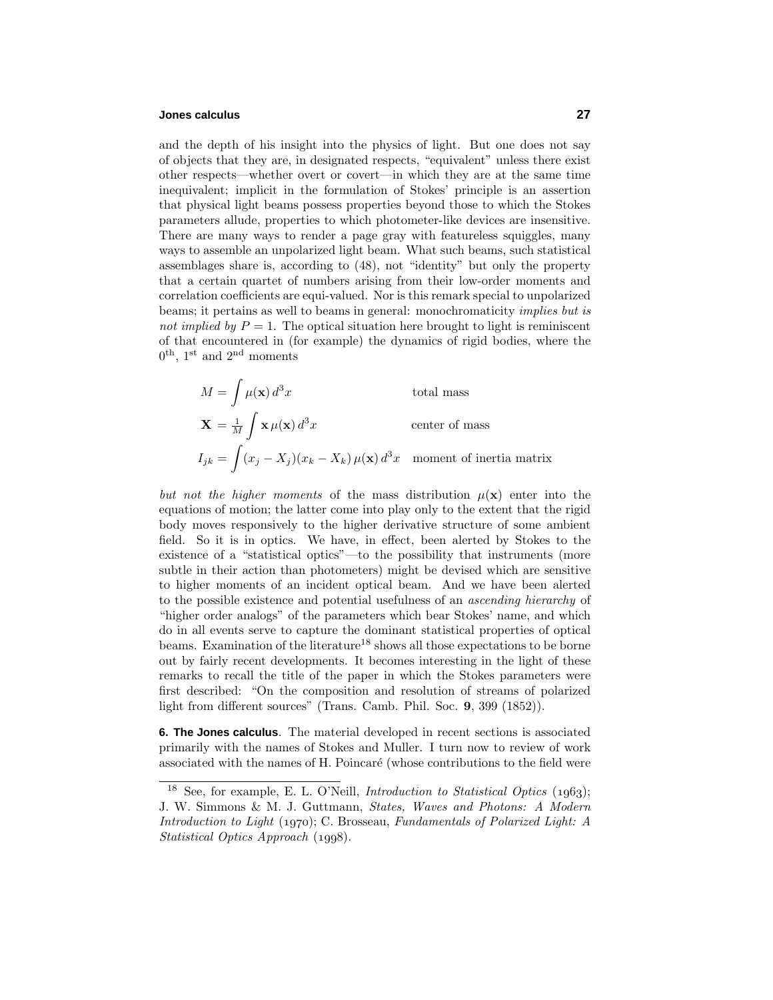# **Jones calculus 27**

and the depth of his insight into the physics of light. But one does not say of objects that they are, in designated respects, "equivalent" unless there exist other respects—whether overt or covert—in which they are at the same time inequivalent; implicit in the formulation of Stokes' principle is an assertion that physical light beams possess properties beyond those to which the Stokes parameters allude, properties to which photometer-like devices are insensitive. There are many ways to render a page gray with featureless squiggles, many ways to assemble an unpolarized light beam. What such beams, such statistical assemblages share is, according to (48), not "identity" but only the property that a certain quartet of numbers arising from their low-order moments and correlation coefficients are equi-valued. Nor is this remark special to unpolarized beams; it pertains as well to beams in general: monochromaticity implies but is not implied by  $P = 1$ . The optical situation here brought to light is reminiscent of that encountered in (for example) the dynamics of rigid bodies, where the  $0^{\text{th}}$ , 1<sup>st</sup> and  $2^{\text{nd}}$  moments

$$
M = \int \mu(\mathbf{x}) d^3 x
$$
 total mass  

$$
\mathbf{X} = \frac{1}{M} \int \mathbf{x} \mu(\mathbf{x}) d^3 x
$$
 center of mass  

$$
I_{jk} = \int (x_j - X_j)(x_k - X_k) \mu(\mathbf{x}) d^3 x
$$
 moment of inertia matrix

but not the higher moments of the mass distribution  $\mu(\mathbf{x})$  enter into the equations of motion; the latter come into play only to the extent that the rigid body moves responsively to the higher derivative structure of some ambient field. So it is in optics. We have, in effect, been alerted by Stokes to the existence of a "statistical optics"—to the possibility that instruments (more subtle in their action than photometers) might be devised which are sensitive to higher moments of an incident optical beam. And we have been alerted to the possible existence and potential usefulness of an ascending hierarchy of "higher order analogs" of the parameters which bear Stokes' name, and which do in all events serve to capture the dominant statistical properties of optical beams. Examination of the literature<sup>18</sup> shows all those expectations to be borne out by fairly recent developments. It becomes interesting in the light of these remarks to recall the title of the paper in which the Stokes parameters were first described: "On the composition and resolution of streams of polarized light from different sources" (Trans. Camb. Phil. Soc. **9**, 399 (1852)).

**6. The Jones calculus**. The material developed in recent sections is associated primarily with the names of Stokes and Muller. I turn now to review of work associated with the names of H. Poincaré (whose contributions to the field were

<sup>&</sup>lt;sup>18</sup> See, for example, E. L. O'Neill, *Introduction to Statistical Optics* (1963); J. W. Simmons & M. J. Guttmann, States, Waves and Photons: A Modern Introduction to Light  $(1970); C. Brosseau, Fundamentals of Polarized Light: A$ Statistical Optics Approach  $(1998)$ .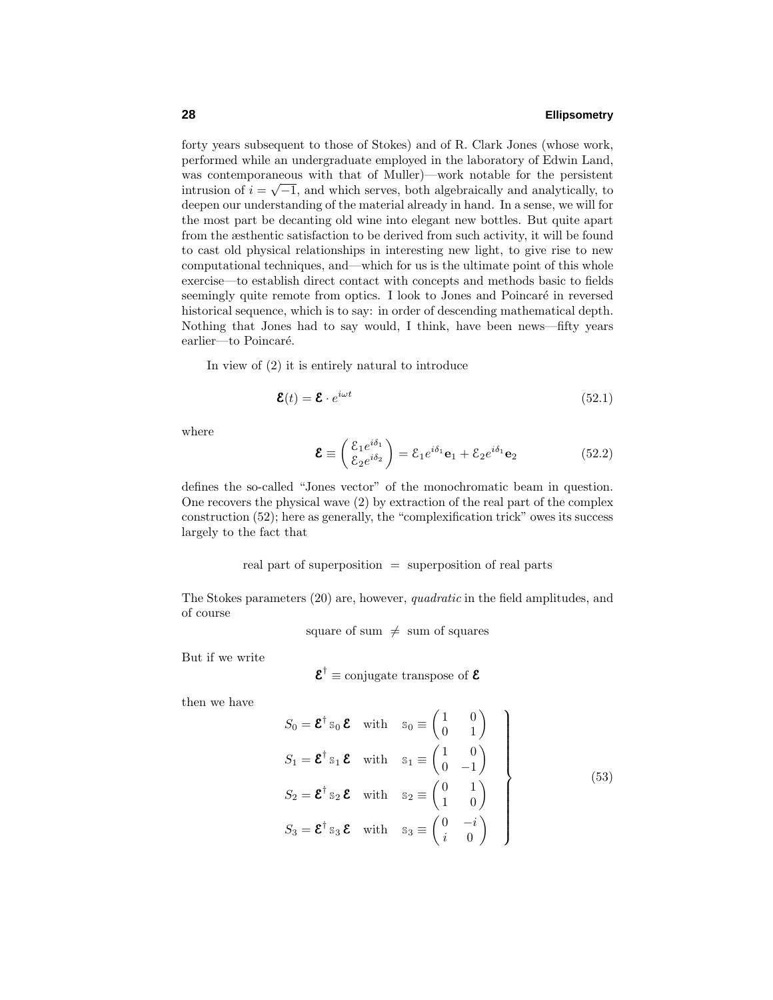forty years subsequent to those of Stokes) and of R. Clark Jones (whose work, performed while an undergraduate employed in the laboratory of Edwin Land, was contemporaneous with that of Muller)—work notable for the persistent intrusion of  $i = \sqrt{-1}$ , and which serves, both algebraically and analytically, to deepen our understanding of the material already in hand. In a sense, we will for the most part be decanting old wine into elegant new bottles. But quite apart from the æsthentic satisfaction to be derived from such activity, it will be found to cast old physical relationships in interesting new light, to give rise to new computational techniques, and—which for us is the ultimate point of this whole exercise—to establish direct contact with concepts and methods basic to fields seemingly quite remote from optics. I look to Jones and Poincaré in reversed historical sequence, which is to say: in order of descending mathematical depth. Nothing that Jones had to say would, I think, have been news—fifty years earlier—to Poincaré.

In view of (2) it is entirely natural to introduce

$$
\mathbf{\mathcal{E}}(t) = \mathbf{\mathcal{E}} \cdot e^{i\omega t} \tag{52.1}
$$

where

$$
\mathbf{\mathcal{E}} \equiv \begin{pmatrix} \mathcal{E}_1 e^{i\delta_1} \\ \mathcal{E}_2 e^{i\delta_2} \end{pmatrix} = \mathcal{E}_1 e^{i\delta_1} \mathbf{e}_1 + \mathcal{E}_2 e^{i\delta_1} \mathbf{e}_2 \tag{52.2}
$$

defines the so-called "Jones vector" of the monochromatic beam in question. One recovers the physical wave (2) by extraction of the real part of the complex construction (52); here as generally, the "complexification trick" owes its success largely to the fact that

real part of superposition = superposition of real parts

The Stokes parameters (20) are, however, quadratic in the field amplitudes, and of course

square of sum  $\neq$  sum of squares

But if we write

$$
\mathbf{\mathcal{E}}^{\dagger} \equiv \text{conjugate transpose of } \mathbf{\mathcal{E}}
$$

then we have

$$
S_0 = \mathbf{\mathcal{E}}^{\dagger} s_0 \mathbf{\mathcal{E}} \quad \text{with} \quad s_0 \equiv \begin{pmatrix} 1 & 0 \\ 0 & 1 \end{pmatrix}
$$
  
\n
$$
S_1 = \mathbf{\mathcal{E}}^{\dagger} s_1 \mathbf{\mathcal{E}} \quad \text{with} \quad s_1 \equiv \begin{pmatrix} 1 & 0 \\ 0 & -1 \end{pmatrix}
$$
  
\n
$$
S_2 = \mathbf{\mathcal{E}}^{\dagger} s_2 \mathbf{\mathcal{E}} \quad \text{with} \quad s_2 \equiv \begin{pmatrix} 0 & 1 \\ 1 & 0 \end{pmatrix}
$$
  
\n
$$
S_3 = \mathbf{\mathcal{E}}^{\dagger} s_3 \mathbf{\mathcal{E}} \quad \text{with} \quad s_3 \equiv \begin{pmatrix} 0 & -i \\ i & 0 \end{pmatrix}
$$
 (53)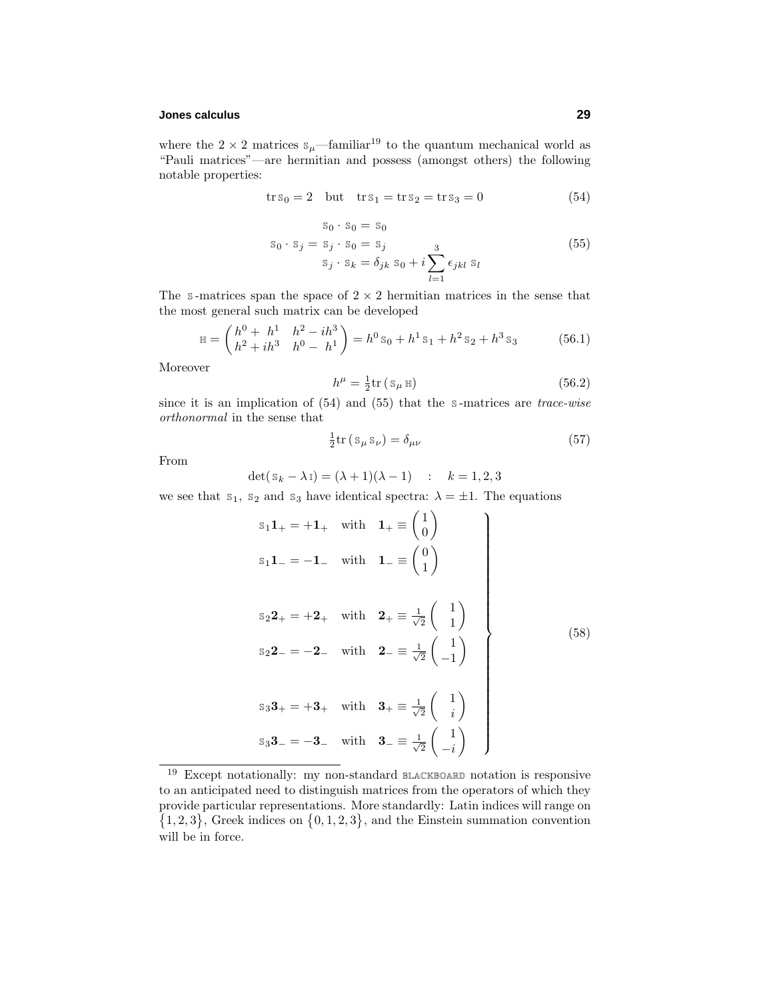# **Jones calculus 29**

where the  $2 \times 2$  matrices  $s_{\mu}$ —familiar<sup>19</sup> to the quantum mechanical world as "Pauli matrices"—are hermitian and possess (amongst others) the following notable properties:

$$
\operatorname{tr} s_0 = 2 \quad \text{but} \quad \operatorname{tr} s_1 = \operatorname{tr} s_2 = \operatorname{tr} s_3 = 0 \tag{54}
$$

 $s_0 \cdot s_0 = s_0$ 

$$
s_0 \cdot s_j = s_j \cdot s_0 = s_j s_j \cdot s_k = \delta_{jk} s_0 + i \sum_{l=1}^3 \epsilon_{jkl} s_l
$$
 (55)

The s-matrices span the space of  $2 \times 2$  hermitian matrices in the sense that the most general such matrix can be developed

$$
\mathbb{H} = \begin{pmatrix} h^0 + h^1 & h^2 - ih^3 \\ h^2 + ih^3 & h^0 - h^1 \end{pmatrix} = h^0 \mathbb{S}_0 + h^1 \mathbb{S}_1 + h^2 \mathbb{S}_2 + h^3 \mathbb{S}_3 \tag{56.1}
$$

Moreover

$$
h^{\mu} = \frac{1}{2} \text{tr} \left( \mathbf{s}_{\mu} \mathbf{H} \right) \tag{56.2}
$$

since it is an implication of  $(54)$  and  $(55)$  that the s-matrices are *trace-wise* orthonormal in the sense that

$$
\frac{1}{2}\text{tr}\left(s_{\mu}s_{\nu}\right) = \delta_{\mu\nu} \tag{57}
$$

From

$$
\det(\mathbf{s}_k - \lambda \mathbf{I}) = (\lambda + 1)(\lambda - 1) \quad : \quad k = 1, 2, 3
$$

we see that  $s_1$ ,  $s_2$  and  $s_3$  have identical spectra:  $\lambda = \pm 1$ . The equations

$$
s_{1}1_{+} = +1_{+} \text{ with } 1_{+} \equiv \begin{pmatrix} 1 \\ 0 \end{pmatrix}
$$
  
\n
$$
s_{1}1_{-} = -1_{-} \text{ with } 1_{-} \equiv \begin{pmatrix} 0 \\ 1 \end{pmatrix}
$$
  
\n
$$
s_{2}2_{+} = +2_{+} \text{ with } 2_{+} \equiv \frac{1}{\sqrt{2}} \begin{pmatrix} 1 \\ 1 \end{pmatrix}
$$
  
\n
$$
s_{2}2_{-} = -2_{-} \text{ with } 2_{-} \equiv \frac{1}{\sqrt{2}} \begin{pmatrix} 1 \\ -1 \end{pmatrix}
$$
  
\n
$$
s_{3}3_{+} = +3_{+} \text{ with } 3_{+} \equiv \frac{1}{\sqrt{2}} \begin{pmatrix} 1 \\ i \end{pmatrix}
$$
  
\n
$$
s_{3}3_{-} = -3_{-} \text{ with } 3_{-} \equiv \frac{1}{\sqrt{2}} \begin{pmatrix} 1 \\ -i \end{pmatrix}
$$

<sup>19</sup> Except notationally: my non-standard BLACKBOARD notation is responsive to an anticipated need to distinguish matrices from the operators of which they provide particular representations. More standardly: Latin indices will range on  $\{1,2,3\}$ , Greek indices on  $\{0,1,2,3\}$ , and the Einstein summation convention will be in force.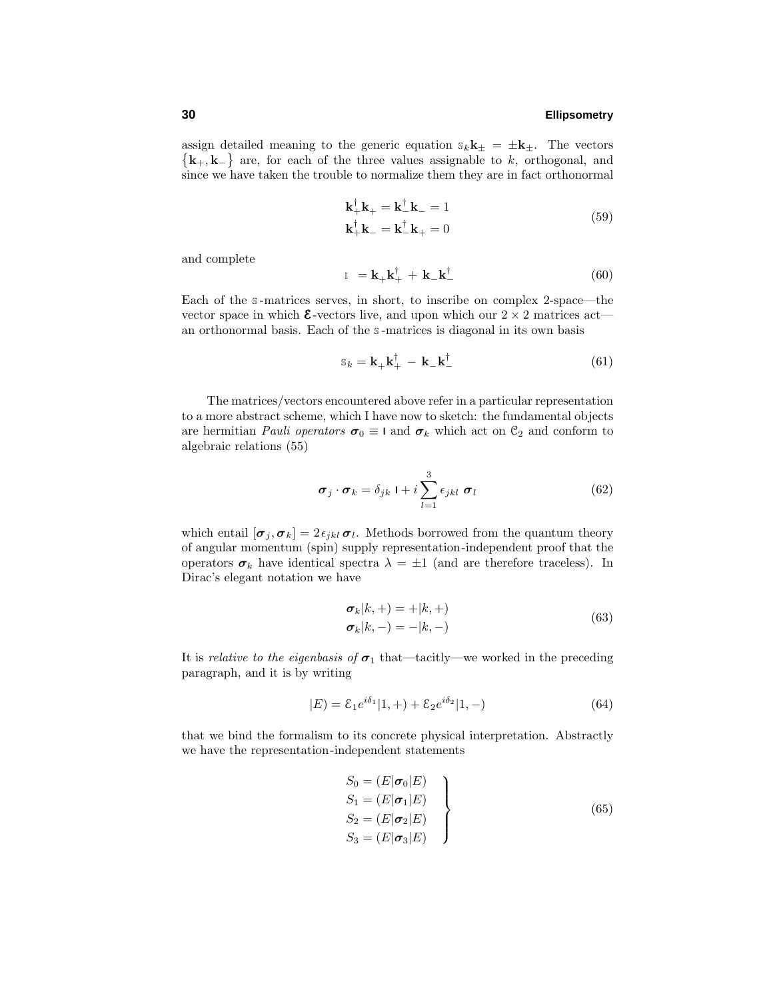assign detailed meaning to the generic equation  $s_k \mathbf{k}_{\pm} = \pm \mathbf{k}_{\pm}$ . The vectors  $\{k_+, k_-\}$  are, for each of the three values assignable to *k*, orthogonal, and since we have taken the trouble to normalize them they are in fact orthonormal

$$
\mathbf{k}_{+}^{\dagger}\mathbf{k}_{+} = \mathbf{k}_{-}^{\dagger}\mathbf{k}_{-} = 1
$$
\n
$$
\mathbf{k}_{+}^{\dagger}\mathbf{k}_{-} = \mathbf{k}_{-}^{\dagger}\mathbf{k}_{+} = 0
$$
\n(59)

and complete

$$
\mathbb{I} = \mathbf{k}_{+} \mathbf{k}_{+}^{\dagger} + \mathbf{k}_{-} \mathbf{k}_{-}^{\dagger} \tag{60}
$$

Each of the s-matrices serves, in short, to inscribe on complex 2-space—the vector space in which  $\epsilon$ -vectors live, and upon which our  $2 \times 2$  matrices act an orthonormal basis. Each of the <sup>S</sup> -matrices is diagonal in its own basis

$$
\mathbf{s}_k = \mathbf{k}_+ \mathbf{k}_+^\dagger - \mathbf{k}_- \mathbf{k}_-^\dagger \tag{61}
$$

The matrices/vectors encountered above refer in a particular representation to a more abstract scheme, which I have now to sketch: the fundamental objects are hermitian *Pauli operators*  $\sigma_0 \equiv 1$  and  $\sigma_k$  which act on  $\mathcal{C}_2$  and conform to algebraic relations (55)

$$
\boldsymbol{\sigma}_j \cdot \boldsymbol{\sigma}_k = \delta_{jk} \mathbf{1} + i \sum_{l=1}^3 \epsilon_{jkl} \ \boldsymbol{\sigma}_l \tag{62}
$$

which entail  $[\sigma_j, \sigma_k] = 2 \epsilon_{jkl} \sigma_l$ . Methods borrowed from the quantum theory of angular momentum (spin) supply representation-independent proof that the operators  $\sigma_k$  have identical spectra  $\lambda = \pm 1$  (and are therefore traceless). In Dirac's elegant notation we have

$$
\begin{aligned} \n\sigma_k|k, +\rangle &= +|k, +\rangle \\ \n\sigma_k|k, -\rangle &= -|k, -\rangle \n\end{aligned} \tag{63}
$$

It is *relative to the eigenbasis of*  $\sigma_1$  that—tacitly—we worked in the preceding paragraph, and it is by writing

$$
|E) = \mathcal{E}_1 e^{i\delta_1} |1, +\rangle + \mathcal{E}_2 e^{i\delta_2} |1, -\rangle \tag{64}
$$

that we bind the formalism to its concrete physical interpretation. Abstractly we have the representation-independent statements

$$
S_0 = (E|\boldsymbol{\sigma}_0|E)
$$
  
\n
$$
S_1 = (E|\boldsymbol{\sigma}_1|E)
$$
  
\n
$$
S_2 = (E|\boldsymbol{\sigma}_2|E)
$$
  
\n
$$
S_3 = (E|\boldsymbol{\sigma}_3|E)
$$
\n(65)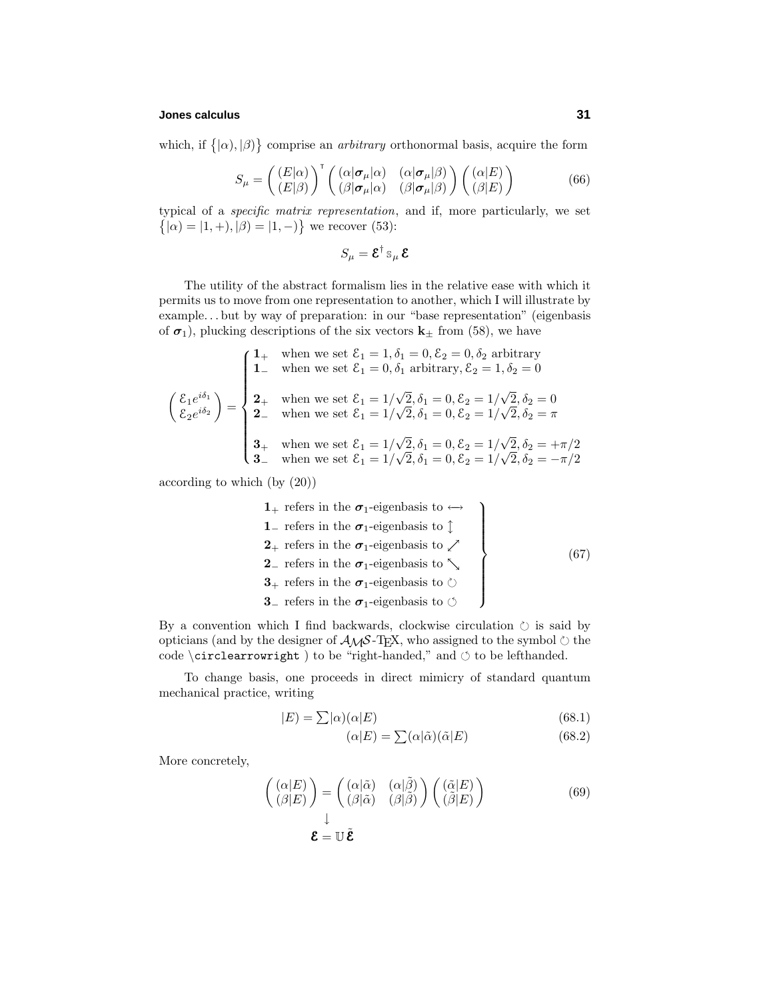# **Jones calculus 31**

which, if  $\{|\alpha\rangle, |\beta\rangle\}$  comprise an *arbitrary* orthonormal basis, acquire the form

$$
S_{\mu} = \left( \begin{array}{c} (E|\alpha) \\ (E|\beta) \end{array} \right)^{\mathrm{T}} \left( \begin{array}{cc} (\alpha|\sigma_{\mu}|\alpha) & (\alpha|\sigma_{\mu}|\beta) \\ (\beta|\sigma_{\mu}|\alpha) & (\beta|\sigma_{\mu}|\beta) \end{array} \right) \left( \begin{array}{c} (\alpha|E) \\ (\beta|E) \end{array} \right) \tag{66}
$$

typical of a specific matrix representation, and if, more particularly, we set  $\{|\alpha\rangle = |1, +\rangle, |\beta\rangle = |1, -\rangle\}$  we recover (53):

$$
S_\mu = \boldsymbol{\mathcal{E}}^\dagger \, \mathbb{S}_\mu \, \boldsymbol{\mathcal{E}}
$$

The utility of the abstract formalism lies in the relative ease with which it permits us to move from one representation to another, which I will illustrate by example*...* but by way of preparation: in our "base representation" (eigenbasis of  $\sigma_1$ ), plucking descriptions of the six vectors  $\mathbf{k}_{\pm}$  from (58), we have

$$
\begin{pmatrix}\n1_{+} & \text{when we set } \mathcal{E}_{1} = 1, \delta_{1} = 0, \mathcal{E}_{2} = 0, \delta_{2} \text{ arbitrary} \\
1_{-} & \text{when we set } \mathcal{E}_{1} = 0, \delta_{1} \text{ arbitrary}, \mathcal{E}_{2} = 1, \delta_{2} = 0 \\
2_{+} & \text{when we set } \mathcal{E}_{1} = 1/\sqrt{2}, \delta_{1} = 0, \mathcal{E}_{2} = 1/\sqrt{2}, \delta_{2} = 0 \\
2_{-} & \text{when we set } \mathcal{E}_{1} = 1/\sqrt{2}, \delta_{1} = 0, \mathcal{E}_{2} = 1/\sqrt{2}, \delta_{2} = \pi \\
3_{+} & \text{when we set } \mathcal{E}_{1} = 1/\sqrt{2}, \delta_{1} = 0, \mathcal{E}_{2} = 1/\sqrt{2}, \delta_{2} = +\pi/2 \\
3_{-} & \text{when we set } \mathcal{E}_{1} = 1/\sqrt{2}, \delta_{1} = 0, \mathcal{E}_{2} = 1/\sqrt{2}, \delta_{2} = -\pi/2\n\end{pmatrix}
$$

according to which (by (20))

\n- **1** 
$$
+
$$
 refers in the  $\sigma_1$ -eigenbasis to  $\leftrightarrow$
\n- **1**  $-$  refers in the  $\sigma_1$ -eigenbasis to  $\updownarrow$
\n- **2**  $-$  refers in the  $\sigma_1$ -eigenbasis to  $\searrow$
\n- **3**  $+$  refers in the  $\sigma_1$ -eigenbasis to  $\circlearrowright$
\n- **3**  $-$  refers in the  $\sigma_1$ -eigenbasis to  $\circlearrowleft$
\n
\n**4**  $-$  refers to the  $\sigma_1$ -eigenbasis to  $\circlearrowleft$ 

\n**5**  $-$  refers to the  $\sigma_1$ -eigenbasis to  $\circlearrowleft$ 

\n**67**  $-$ 

\n**7**  $-$ 

\n**8**  $-$  refers to the  $\sigma_1$ -eigenbasis to  $\circlearrowright$ 

By a convention which I find backwards, clockwise circulation  $\circlearrowright$  is said by opticians (and by the designer of  $A_{\mathcal{M}}S$ -T<sub>E</sub>X, who assigned to the symbol  $\circlearrowright$  the code  $\c{circlearrowright}$  ) to be "right-handed," and  $\circ$  to be lefthanded.

To change basis, one proceeds in direct mimicry of standard quantum mechanical practice, writing

$$
|E) = \sum |\alpha(\alpha|E) \tag{68.1}
$$

$$
(\alpha|E) = \sum (\alpha|\tilde{\alpha})(\tilde{\alpha}|E) \tag{68.2}
$$

More concretely,

$$
\begin{pmatrix}\n(\alpha|E) \\
(\beta|E)\n\end{pmatrix} = \begin{pmatrix}\n(\alpha|\tilde{\alpha}) & (\alpha|\tilde{\beta}) \\
(\beta|\tilde{\alpha}) & (\beta|\tilde{\beta})\n\end{pmatrix} \begin{pmatrix}\n(\tilde{\alpha}|E) \\
(\tilde{\beta}|E)\n\end{pmatrix}
$$
\n
$$
\mathbf{\mathcal{E}} = \mathbb{U}\tilde{\mathbf{\mathcal{E}}}
$$
\n(69)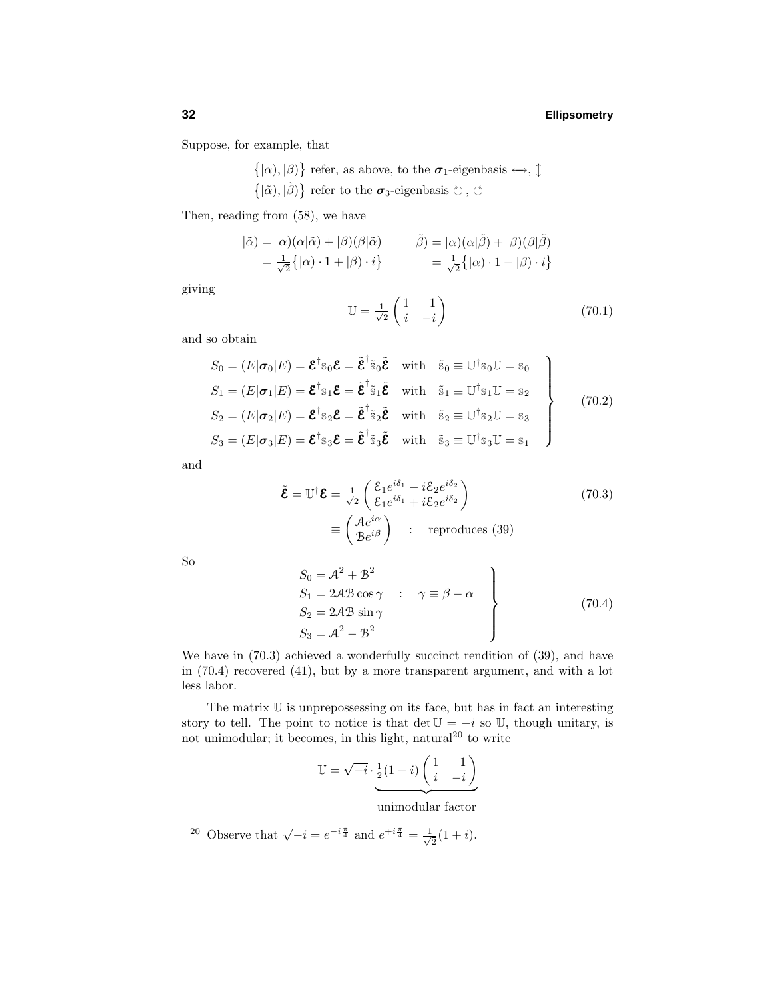Suppose, for example, that

- $\{|\alpha\rangle, |\beta\rangle\}$  refer, as above, to the  $\sigma_1$ -eigenbasis  $\leftrightarrow$ ,  $\updownarrow$
- $\{|\tilde{\alpha}\rangle, |\tilde{\beta}\rangle\}$  refer to the  $\sigma_3$ -eigenbasis  $\circlearrowright$ ,  $\circlearrowleft$

Then, reading from (58), we have

$$
\begin{aligned}\n|\tilde{\alpha}) &= |\alpha)(\alpha|\tilde{\alpha}) + |\beta)(\beta|\tilde{\alpha} \\
&= \frac{1}{\sqrt{2}} \{|\alpha \cdot 1 + |\beta \cdot i\} \\
&= \frac{1}{\sqrt{2}} \{|\alpha \cdot 1 + |\beta \cdot i\} \\
&= \frac{1}{\sqrt{2}} \{|\alpha \cdot 1 - |\beta \cdot i\}\n\end{aligned}
$$

giving

$$
\mathbb{U} = \frac{1}{\sqrt{2}} \begin{pmatrix} 1 & 1 \\ i & -i \end{pmatrix} \tag{70.1}
$$

and so obtain

$$
S_0 = (E|\boldsymbol{\sigma}_0|E) = \boldsymbol{\mathcal{E}}^{\dagger} s_0 \boldsymbol{\mathcal{E}} = \tilde{\boldsymbol{\mathcal{E}}}^{\dagger} \tilde{s}_0 \tilde{\boldsymbol{\mathcal{E}}}
$$
 with  $\tilde{s}_0 \equiv \mathbb{U}^{\dagger} s_0 \mathbb{U} = s_0$   
\n
$$
S_1 = (E|\boldsymbol{\sigma}_1|E) = \boldsymbol{\mathcal{E}}^{\dagger} s_1 \boldsymbol{\mathcal{E}} = \tilde{\boldsymbol{\mathcal{E}}}^{\dagger} \tilde{s}_1 \tilde{\boldsymbol{\mathcal{E}}}
$$
 with  $\tilde{s}_1 \equiv \mathbb{U}^{\dagger} s_1 \mathbb{U} = s_2$   
\n
$$
S_2 = (E|\boldsymbol{\sigma}_2|E) = \boldsymbol{\mathcal{E}}^{\dagger} s_2 \boldsymbol{\mathcal{E}} = \tilde{\boldsymbol{\mathcal{E}}}^{\dagger} \tilde{s}_2 \tilde{\boldsymbol{\mathcal{E}}}
$$
 with  $\tilde{s}_2 \equiv \mathbb{U}^{\dagger} s_2 \mathbb{U} = s_3$   
\n
$$
S_3 = (E|\boldsymbol{\sigma}_3|E) = \boldsymbol{\mathcal{E}}^{\dagger} s_3 \boldsymbol{\mathcal{E}} = \tilde{\boldsymbol{\mathcal{E}}}^{\dagger} \tilde{s}_3 \tilde{\boldsymbol{\mathcal{E}}}
$$
 with  $\tilde{s}_3 \equiv \mathbb{U}^{\dagger} s_3 \mathbb{U} = s_1$  (70.2)

and

$$
\tilde{\mathbf{\mathcal{E}}} = \mathbb{U}^{\dagger} \mathbf{\mathcal{E}} = \frac{1}{\sqrt{2}} \begin{pmatrix} \mathcal{E}_1 e^{i\delta_1} - i\mathcal{E}_2 e^{i\delta_2} \\ \mathcal{E}_1 e^{i\delta_1} + i\mathcal{E}_2 e^{i\delta_2} \end{pmatrix}
$$
\n
$$
\equiv \begin{pmatrix} \mathcal{A}e^{i\alpha} \\ \mathcal{B}e^{i\beta} \end{pmatrix} : \text{ reproduces (39)}
$$
\n(70.3)

So

$$
S_0 = A^2 + B^2
$$
  
\n
$$
S_1 = 2A B \cos \gamma : \gamma \equiv \beta - \alpha
$$
  
\n
$$
S_2 = 2A B \sin \gamma
$$
  
\n
$$
S_3 = A^2 - B^2
$$
\n(70.4)

We have in  $(70.3)$  achieved a wonderfully succinct rendition of  $(39)$ , and have in (70.4) recovered (41), but by a more transparent argument, and with a lot less labor.

The matrix  $\mathbb U$  is unprepossessing on its face, but has in fact an interesting story to tell. The point to notice is that det  $\mathbb{U} = -i$  so  $\mathbb{U}$ , though unitary, is not unimodular; it becomes, in this light, natural<sup>20</sup> to write

$$
\mathbb{U} = \sqrt{-i} \cdot \underbrace{\frac{1}{2}(1+i) \begin{pmatrix} 1 & 1 \\ i & -i \end{pmatrix}}_{\mathbf{1}}
$$

unimodular factor

20 Observe that  $\sqrt{-i} = e^{-i\frac{\pi}{4}}$  and  $e^{+i\frac{\pi}{4}} = \frac{1}{\sqrt{2}}(1+i)$ .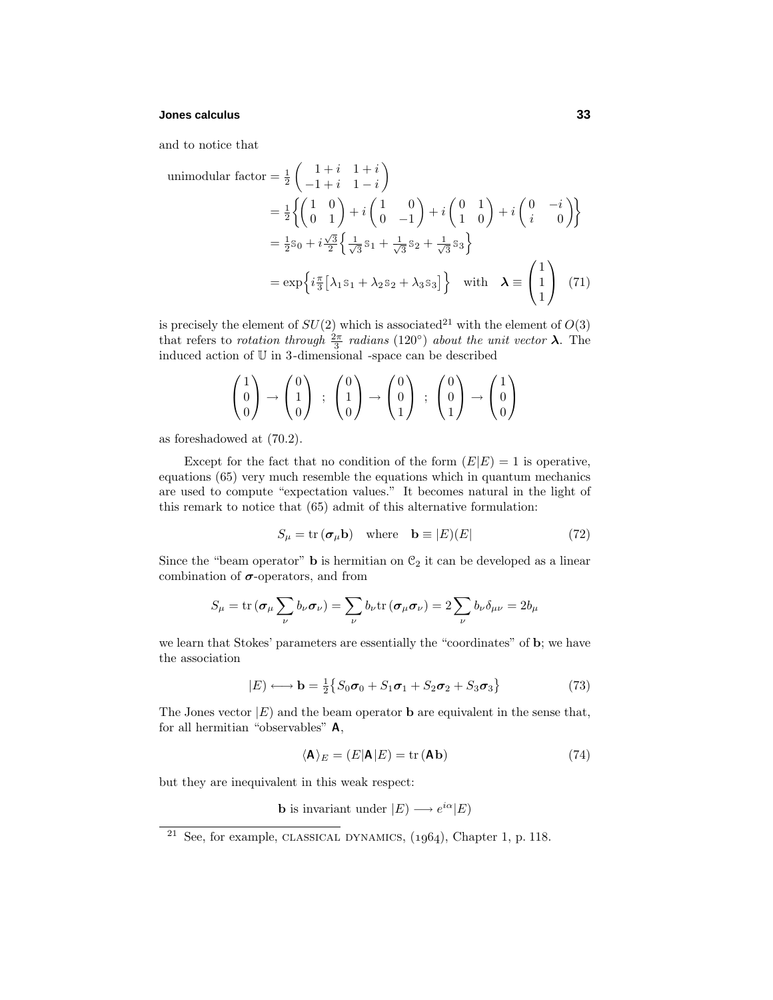# **Jones calculus 33**

and to notice that

unimodular factor =

\n
$$
\frac{1}{2} \begin{pmatrix}\n1+i & 1+i \\
-1+i & 1-i\n\end{pmatrix}
$$
\n
$$
= \frac{1}{2} \left\{ \begin{pmatrix}\n1 & 0 \\
0 & 1\n\end{pmatrix} + i \begin{pmatrix}\n1 & 0 \\
0 & -1\n\end{pmatrix} + i \begin{pmatrix}\n0 & 1 \\
1 & 0\n\end{pmatrix} + i \begin{pmatrix}\n0 & -i \\
i & 0\n\end{pmatrix} \right\}
$$
\n
$$
= \frac{1}{2} s_0 + i \frac{\sqrt{3}}{2} \left\{ \frac{1}{\sqrt{3}} s_1 + \frac{1}{\sqrt{3}} s_2 + \frac{1}{\sqrt{3}} s_3 \right\}
$$
\n
$$
= \exp \left\{ i \frac{\pi}{3} [\lambda_1 s_1 + \lambda_2 s_2 + \lambda_3 s_3] \right\} \quad \text{with} \quad \lambda \equiv \begin{pmatrix} 1 \\
1 \\
1 \end{pmatrix} \tag{71}
$$

is precisely the element of  $SU(2)$  which is associated<sup>21</sup> with the element of  $O(3)$ that refers to *rotation through*  $\frac{2\pi}{3}$  *radians* (120<sup>°</sup>) about the unit vector  $\lambda$ . The induced action of  $\mathbbm{U}$  in 3-dimensional -space can be described

$$
\begin{pmatrix} 1 \\ 0 \\ 0 \end{pmatrix} \rightarrow \begin{pmatrix} 0 \\ 1 \\ 0 \end{pmatrix} ; \begin{pmatrix} 0 \\ 1 \\ 0 \end{pmatrix} \rightarrow \begin{pmatrix} 0 \\ 0 \\ 1 \end{pmatrix} ; \begin{pmatrix} 0 \\ 0 \\ 1 \end{pmatrix} \rightarrow \begin{pmatrix} 1 \\ 0 \\ 0 \end{pmatrix}
$$

as foreshadowed at (70.2).

Except for the fact that no condition of the form  $(E|E) = 1$  is operative, equations (65) very much resemble the equations which in quantum mechanics are used to compute "expectation values." It becomes natural in the light of this remark to notice that (65) admit of this alternative formulation:

$$
S_{\mu} = \text{tr}(\sigma_{\mu} \mathbf{b}) \quad \text{where} \quad \mathbf{b} \equiv |E)(E| \tag{72}
$$

Since the "beam operator" **b** is hermitian on  $\mathcal{C}_2$  it can be developed as a linear combination of  $\sigma$ -operators, and from

$$
S_{\mu} = \text{tr}(\boldsymbol{\sigma}_{\mu} \sum_{\nu} b_{\nu} \boldsymbol{\sigma}_{\nu}) = \sum_{\nu} b_{\nu} \text{tr}(\boldsymbol{\sigma}_{\mu} \boldsymbol{\sigma}_{\nu}) = 2 \sum_{\nu} b_{\nu} \delta_{\mu \nu} = 2b_{\mu}
$$

we learn that Stokes' parameters are essentially the "coordinates" of **b**; we have the association

$$
|E\rangle \longleftrightarrow \mathbf{b} = \frac{1}{2} \{ S_0 \boldsymbol{\sigma}_0 + S_1 \boldsymbol{\sigma}_1 + S_2 \boldsymbol{\sigma}_2 + S_3 \boldsymbol{\sigma}_3 \}
$$
(73)

The Jones vector  $|E|$  and the beam operator **b** are equivalent in the sense that, for all hermitian "observables" **A**,

$$
\langle \mathbf{A} \rangle_E = (E|\mathbf{A}|E) = \text{tr}(\mathbf{A}\mathbf{b})\tag{74}
$$

but they are inequivalent in this weak respect:

**b** is invariant under  $|E| \longrightarrow e^{i\alpha} |E|$ 

<sup>&</sup>lt;sup>21</sup> See, for example, CLASSICAL DYNAMICS,  $(1964)$ , Chapter 1, p. 118.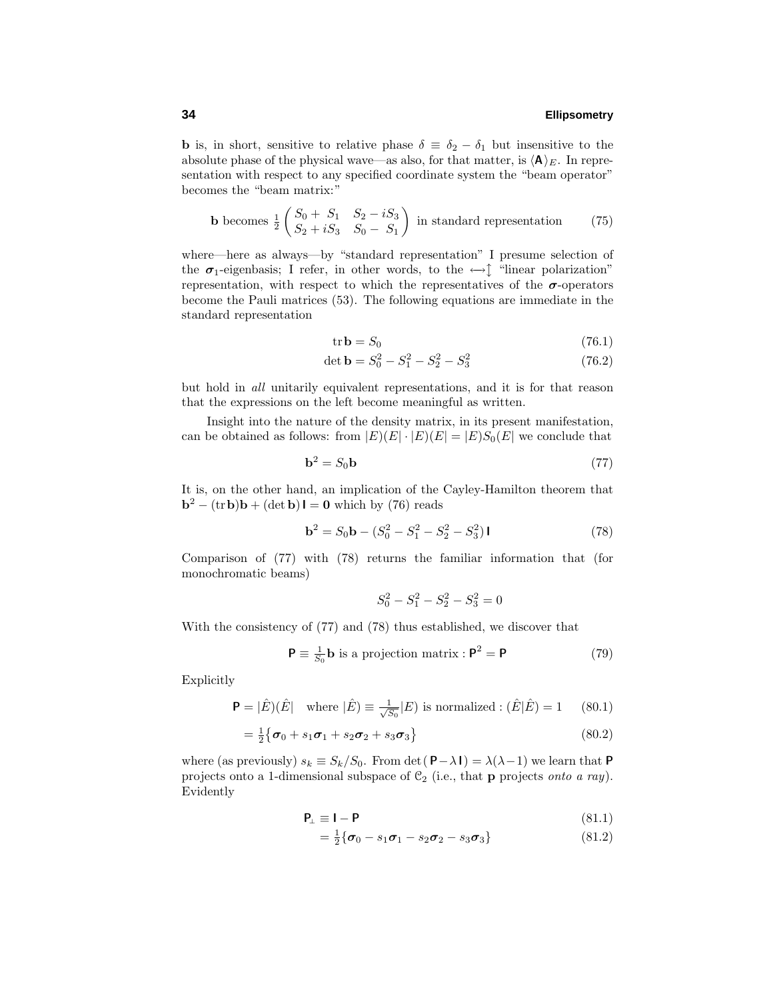**b** is, in short, sensitive to relative phase  $\delta \equiv \delta_2 - \delta_1$  but insensitive to the absolute phase of the physical wave—as also, for that matter, is  $\langle \mathbf{A} \rangle_E$ . In representation with respect to any specified coordinate system the "beam operator" becomes the "beam matrix:"

**b** becomes 
$$
\frac{1}{2} \begin{pmatrix} S_0 + S_1 & S_2 - iS_3 \ S_2 + iS_3 & S_0 - S_1 \end{pmatrix}
$$
 in standard representation (75)

where—here as always—by "standard representation" I presume selection of the  $\sigma_1$ -eigenbasis; I refer, in other words, to the  $\leftrightarrow \uparrow$  "linear polarization" representation, with respect to which the representatives of the  $\sigma$ -operators become the Pauli matrices (53). The following equations are immediate in the standard representation

$$
tr\mathbf{b} = S_0 \tag{76.1}
$$

$$
\det \mathbf{b} = S_0^2 - S_1^2 - S_2^2 - S_3^2 \tag{76.2}
$$

but hold in all unitarily equivalent representations, and it is for that reason that the expressions on the left become meaningful as written.

Insight into the nature of the density matrix, in its present manifestation, can be obtained as follows: from  $|E(E)| \cdot |E(E)| = |E(S_0(E))|$  we conclude that

$$
\mathbf{b}^2 = S_0 \mathbf{b} \tag{77}
$$

It is, on the other hand, an implication of the Cayley-Hamilton theorem that  $\mathbf{b}^2 - (\text{tr}\,\mathbf{b})\mathbf{b} + (\text{det}\,\mathbf{b})\mathbf{I} = \mathbf{0}$  which by (76) reads

$$
\mathbf{b}^2 = S_0 \mathbf{b} - (S_0^2 - S_1^2 - S_2^2 - S_3^2) \mathbf{I}
$$
 (78)

Comparison of (77) with (78) returns the familiar information that (for monochromatic beams)

$$
S_0^2 - S_1^2 - S_2^2 - S_3^2 = 0
$$

With the consistency of (77) and (78) thus established, we discover that

$$
\mathbf{P} \equiv \frac{1}{S_0} \mathbf{b} \text{ is a projection matrix : } \mathbf{P}^2 = \mathbf{P}
$$
 (79)

Explicitly

$$
\mathbf{P} = |\hat{E})(\hat{E}| \quad \text{where } |\hat{E}) \equiv \frac{1}{\sqrt{S_0}}|E| \text{ is normalized : } (\hat{E}|\hat{E}) = 1 \quad (80.1)
$$

$$
=\frac{1}{2}\big\{\boldsymbol{\sigma}_0 + s_1\boldsymbol{\sigma}_1 + s_2\boldsymbol{\sigma}_2 + s_3\boldsymbol{\sigma}_3\big\} \tag{80.2}
$$

where (as previously)  $s_k \equiv S_k/S_0$ . From det( $\mathbf{P}-\lambda \mathbf{I}$ ) =  $\lambda(\lambda-1)$  we learn that  $\mathbf{P}$ projects onto a 1-dimensional subspace of  $C_2$  (i.e., that **p** projects *onto a ray*). Evidently

$$
\mathbf{P}_{\perp} \equiv \mathbf{I} - \mathbf{P} \tag{81.1}
$$

$$
= \frac{1}{2} \{ \sigma_0 - s_1 \sigma_1 - s_2 \sigma_2 - s_3 \sigma_3 \}
$$
 (81.2)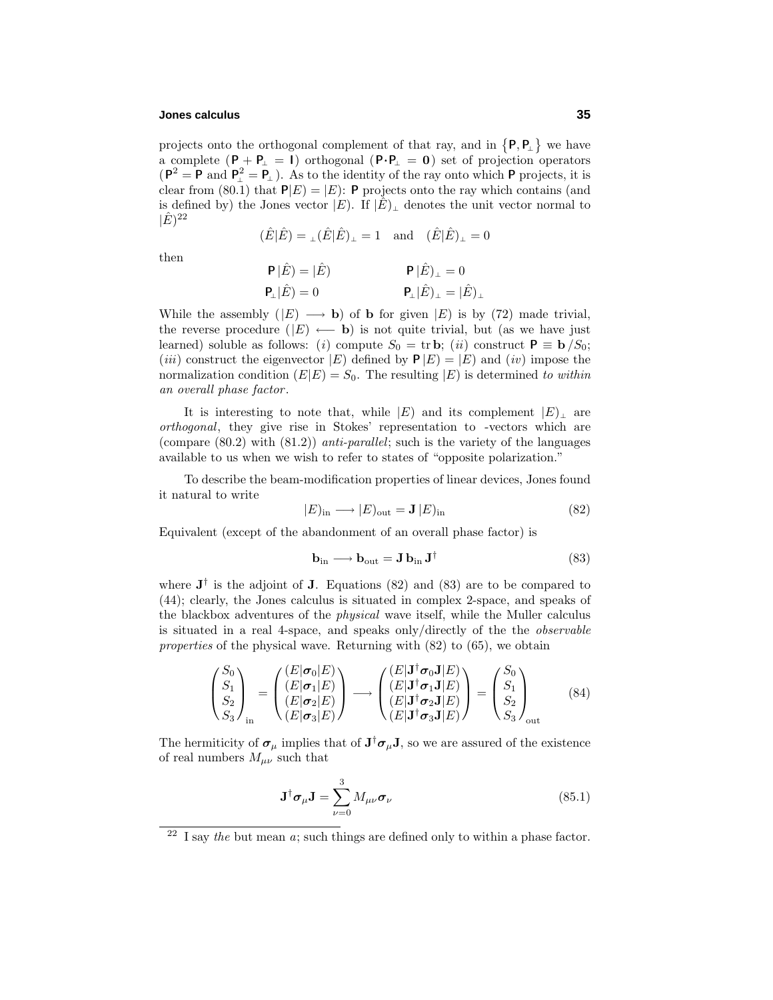# **Jones calculus 35**

projects onto the orthogonal complement of that ray, and in  $\{P, P_\perp\}$  we have a complete (**P** + **P**<sup>⊥</sup> = **I**) orthogonal (**P**·**P**<sup>⊥</sup> = **0**) set of projection operators  $(P^2 = P \text{ and } P^2_{\perp} = P_{\perp})$ . As to the identity of the ray onto which **P** projects, it is clear from (80.1) that  $P|E| = |E|$ : **P** projects onto the ray which contains (and is defined by) the Jones vector  $|E|$ . If  $|\hat{E}|$ <sub>⊥</sub> denotes the unit vector normal to  $|\hat{E})^{22}$ 

$$
(\hat{E}|\hat{E}) = \mathbf{1}(\hat{E}|\hat{E})\mathbf{1} = 1 \quad \text{and} \quad (\hat{E}|\hat{E})\mathbf{1} = 0
$$

then

$$
\begin{aligned} \mathsf{P}\,|\hat{E}) &= |\hat{E}) \\ \mathsf{P}_\perp |\hat{E}) &= 0 \end{aligned} \qquad \qquad \begin{aligned} \mathsf{P}\,|\hat{E})_\perp &= 0 \\ \mathsf{P}_\perp |\hat{E})_\perp &= |\hat{E})_\perp \end{aligned}
$$

While the assembly  $(|E| \longrightarrow b)$  of **b** for given  $|E|$  is by (72) made trivial, the reverse procedure  $(|E| \leftarrow \mathbf{b})$  is not quite trivial, but (as we have just learned) soluble as follows: (i) compute  $S_0 = \text{tr } \mathbf{b}$ ; (ii) construct  $\mathbf{P} \equiv \mathbf{b}/S_0$ ; (*iii*) construct the eigenvector  $|E|$  defined by  $P|E| = |E|$  and (*iv*) impose the normalization condition  $(E|E) = S_0$ . The resulting  $|E|$  is determined to within an overall phase factor .

It is interesting to note that, while  $|E|$  and its complement  $|E|$  are orthogonal, they give rise in Stokes' representation to -vectors which are (compare  $(80.2)$  with  $(81.2)$ ) anti-parallel; such is the variety of the languages available to us when we wish to refer to states of "opposite polarization."

To describe the beam-modification properties of linear devices, Jones found it natural to write

$$
|E)_{\text{in}} \longrightarrow |E)_{\text{out}} = \mathbf{J} |E)_{\text{in}} \tag{82}
$$

Equivalent (except of the abandonment of an overall phase factor) is

$$
\mathbf{b}_{\rm in} \longrightarrow \mathbf{b}_{\rm out} = \mathbf{J} \, \mathbf{b}_{\rm in} \, \mathbf{J}^{\dagger} \tag{83}
$$

where  $J^{\dagger}$  is the adjoint of **J**. Equations (82) and (83) are to be compared to (44); clearly, the Jones calculus is situated in complex 2-space, and speaks of the blackbox adventures of the physical wave itself, while the Muller calculus is situated in a real 4-space, and speaks only/directly of the the observable properties of the physical wave. Returning with (82) to (65), we obtain

$$
\begin{pmatrix} S_0 \\ S_1 \\ S_2 \\ S_3 \end{pmatrix}_{\text{in}} = \begin{pmatrix} (E|\sigma_0|E) \\ (E|\sigma_1|E) \\ (E|\sigma_2|E) \\ (E|\sigma_3|E) \end{pmatrix} \longrightarrow \begin{pmatrix} (E|\mathbf{J}^\dagger \sigma_0 \mathbf{J}|E) \\ (E|\mathbf{J}^\dagger \sigma_1 \mathbf{J}|E) \\ (E|\mathbf{J}^\dagger \sigma_2 \mathbf{J}|E) \\ (E|\mathbf{J}^\dagger \sigma_3 \mathbf{J}|E) \end{pmatrix} = \begin{pmatrix} S_0 \\ S_1 \\ S_2 \\ S_3 \end{pmatrix}_{\text{out}} \tag{84}
$$

The hermiticity of  $\sigma_{\mu}$  implies that of  $J^{\dagger} \sigma_{\mu} J$ , so we are assured of the existence of real numbers  $M_{\mu\nu}$  such that

$$
\mathbf{J}^{\dagger}\boldsymbol{\sigma}_{\mu}\mathbf{J} = \sum_{\nu=0}^{3} M_{\mu\nu}\boldsymbol{\sigma}_{\nu}
$$
 (85.1)

<sup>&</sup>lt;sup>22</sup> I say the but mean a; such things are defined only to within a phase factor.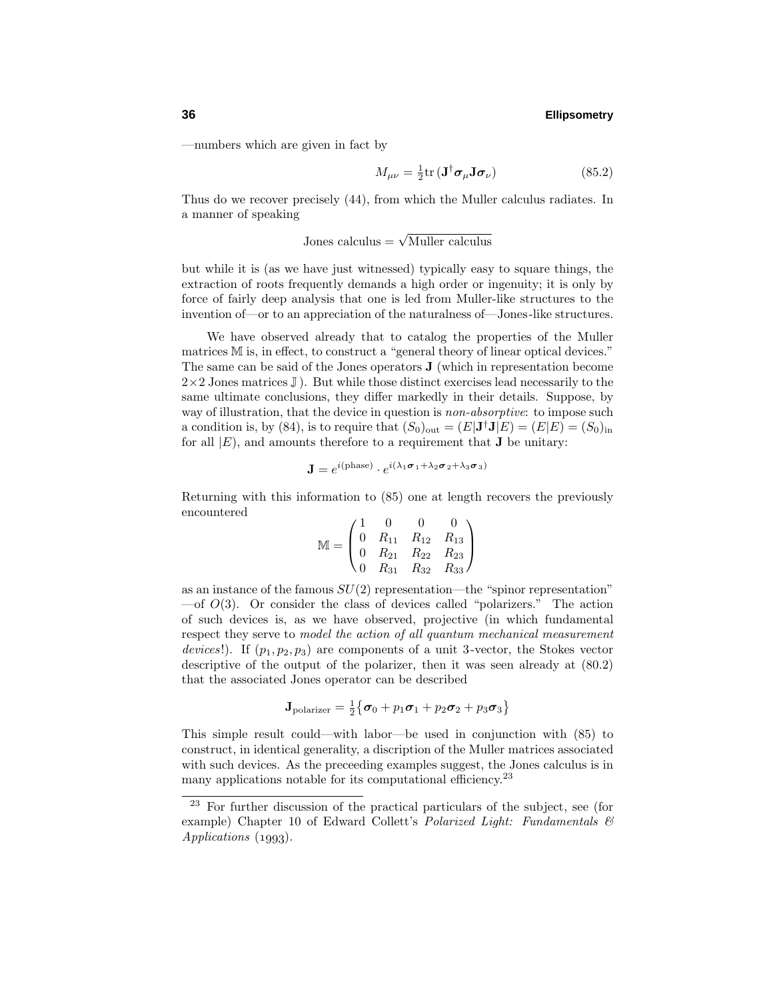—numbers which are given in fact by

$$
M_{\mu\nu} = \frac{1}{2} \text{tr} \left( \mathbf{J}^{\dagger} \boldsymbol{\sigma}_{\mu} \mathbf{J} \boldsymbol{\sigma}_{\nu} \right) \tag{85.2}
$$

Thus do we recover precisely (44), from which the Muller calculus radiates. In a manner of speaking

Jones calculus =  $\sqrt{\text{Muller}}$  calculus

but while it is (as we have just witnessed) typically easy to square things, the extraction of roots frequently demands a high order or ingenuity; it is only by force of fairly deep analysis that one is led from Muller-like structures to the invention of—or to an appreciation of the naturalness of—Jones-like structures.

We have observed already that to catalog the properties of the Muller matrices M is, in effect, to construct a "general theory of linear optical devices." The same can be said of the Jones operators **J** (which in representation become  $2\times 2$  Jones matrices  $\mathbb{J}$ ). But while those distinct exercises lead necessarily to the same ultimate conclusions, they differ markedly in their details. Suppose, by way of illustration, that the device in question is *non-absorptive*: to impose such a condition is, by (84), is to require that  $(S_0)_{\text{out}} = (E|\mathbf{J}^\dagger \mathbf{J}|E) = (E|E) = (S_0)_{\text{in}}$ for all  $|E|$ , and amounts therefore to a requirement that **J** be unitary:

$$
\mathbf{J} = e^{i(\text{phase})} \cdot e^{i(\lambda_1 \boldsymbol{\sigma}_1 + \lambda_2 \boldsymbol{\sigma}_2 + \lambda_3 \boldsymbol{\sigma}_3)}
$$

Returning with this information to (85) one at length recovers the previously encountered

$$
\mathbb{M} = \begin{pmatrix} 1 & 0 & 0 & 0 \\ 0 & R_{11} & R_{12} & R_{13} \\ 0 & R_{21} & R_{22} & R_{23} \\ 0 & R_{31} & R_{32} & R_{33} \end{pmatrix}
$$

as an instance of the famous *SU*(2) representation—the "spinor representation" —of *O*(3). Or consider the class of devices called "polarizers." The action of such devices is, as we have observed, projective (in which fundamental respect they serve to model the action of all quantum mechanical measurement devices!). If  $(p_1, p_2, p_3)$  are components of a unit 3-vector, the Stokes vector descriptive of the output of the polarizer, then it was seen already at (80.2) that the associated Jones operator can be described

$$
\mathbf{J}_{\text{polarizer}} = \frac{1}{2} \{ \boldsymbol{\sigma}_0 + p_1 \boldsymbol{\sigma}_1 + p_2 \boldsymbol{\sigma}_2 + p_3 \boldsymbol{\sigma}_3 \}
$$

This simple result could—with labor—be used in conjunction with (85) to construct, in identical generality, a discription of the Muller matrices associated with such devices. As the preceeding examples suggest, the Jones calculus is in many applications notable for its computational efficiency.<sup>23</sup>

<sup>23</sup> For further discussion of the practical particulars of the subject, see (for example) Chapter 10 of Edward Collett's Polarized Light: Fundamentals  $\mathcal{B}$  $Applications (1993).$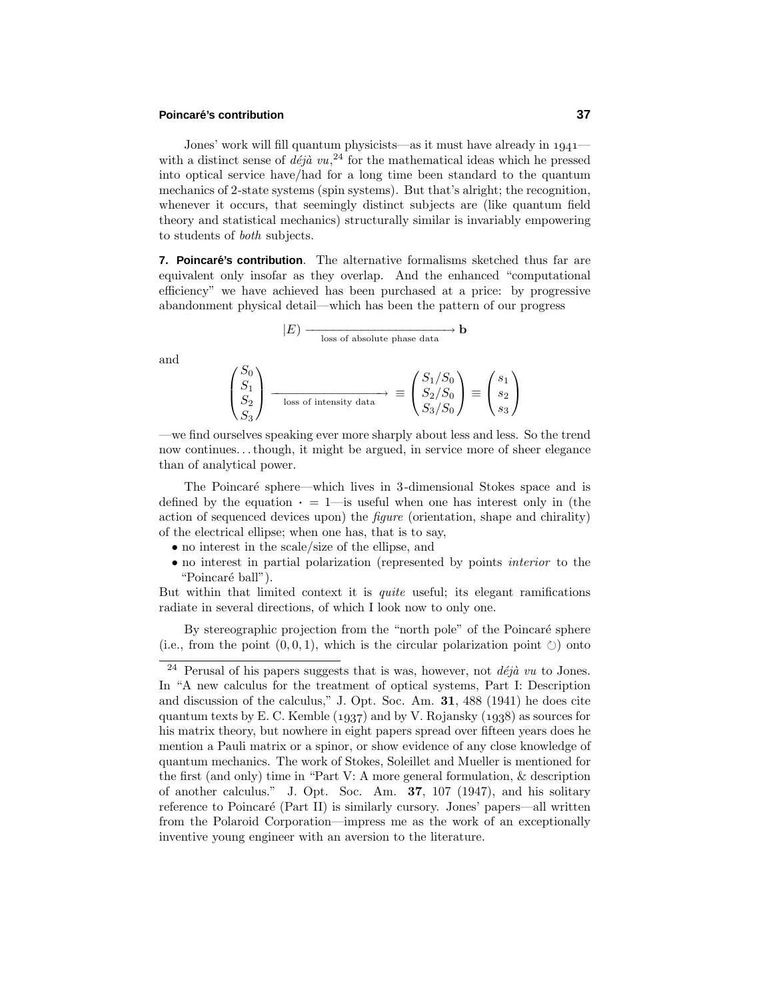#### **Poincar´e's contribution 37**

Jones' work will fill quantum physicists—as it must have already in  $1941$ with a distinct sense of  $d\acute{e}j\grave{a} vu,$ <sup>24</sup> for the mathematical ideas which he pressed into optical service have/had for a long time been standard to the quantum mechanics of 2-state systems (spin systems). But that's alright; the recognition, whenever it occurs, that seemingly distinct subjects are (like quantum field theory and statistical mechanics) structurally similar is invariably empowering to students of both subjects.

**7. Poincaré's contribution**. The alternative formalisms sketched thus far are equivalent only insofar as they overlap. And the enhanced "computational efficiency" we have achieved has been purchased at a price: by progressive abandonment physical detail—which has been the pattern of our progress

$$
|E) \longrightarrow \text{loss of absolute phase data} \longrightarrow \mathbf{b}
$$

and

$$
\begin{pmatrix} S_0 \\ S_1 \\ S_2 \\ S_3 \end{pmatrix} \xrightarrow[\text{loss of intensity data}]{\text{loss of intensity data}} \equiv \begin{pmatrix} S_1/S_0 \\ S_2/S_0 \\ S_3/S_0 \end{pmatrix} \equiv \begin{pmatrix} s_1 \\ s_2 \\ s_3 \end{pmatrix}
$$

—we find ourselves speaking ever more sharply about less and less. So the trend now continues*...*though, it might be argued, in service more of sheer elegance than of analytical power.

The Poincaré sphere—which lives in 3-dimensional Stokes space and is defined by the equation  $\cdot = 1$ —is useful when one has interest only in (the action of sequenced devices upon) the *figure* (orientation, shape and chirality) of the electrical ellipse; when one has, that is to say,

- no interest in the scale/size of the ellipse, and
- no interest in partial polarization (represented by points interior to the "Poincaré ball").

But within that limited context it is *quite* useful; its elegant ramifications radiate in several directions, of which I look now to only one.

By stereographic projection from the "north pole" of the Poincaré sphere (i.e., from the point  $(0,0,1)$ , which is the circular polarization point  $\circlearrowright)$ ) onto

<sup>&</sup>lt;sup>24</sup> Perusal of his papers suggests that is was, however, not  $d\acute{e}j\grave{a}$  vu to Jones. In "A new calculus for the treatment of optical systems, Part I: Description and discussion of the calculus," J. Opt. Soc. Am. **31**, 488 (1941) he does cite quantum texts by E. C. Kemble  $(1937)$  and by V. Rojansky  $(1938)$  as sources for his matrix theory, but nowhere in eight papers spread over fifteen years does he mention a Pauli matrix or a spinor, or show evidence of any close knowledge of quantum mechanics. The work of Stokes, Soleillet and Mueller is mentioned for the first (and only) time in "Part V: A more general formulation, & description of another calculus." J. Opt. Soc. Am. **37**, 107 (1947), and his solitary reference to Poincaré (Part II) is similarly cursory. Jones' papers—all written from the Polaroid Corporation—impress me as the work of an exceptionally inventive young engineer with an aversion to the literature.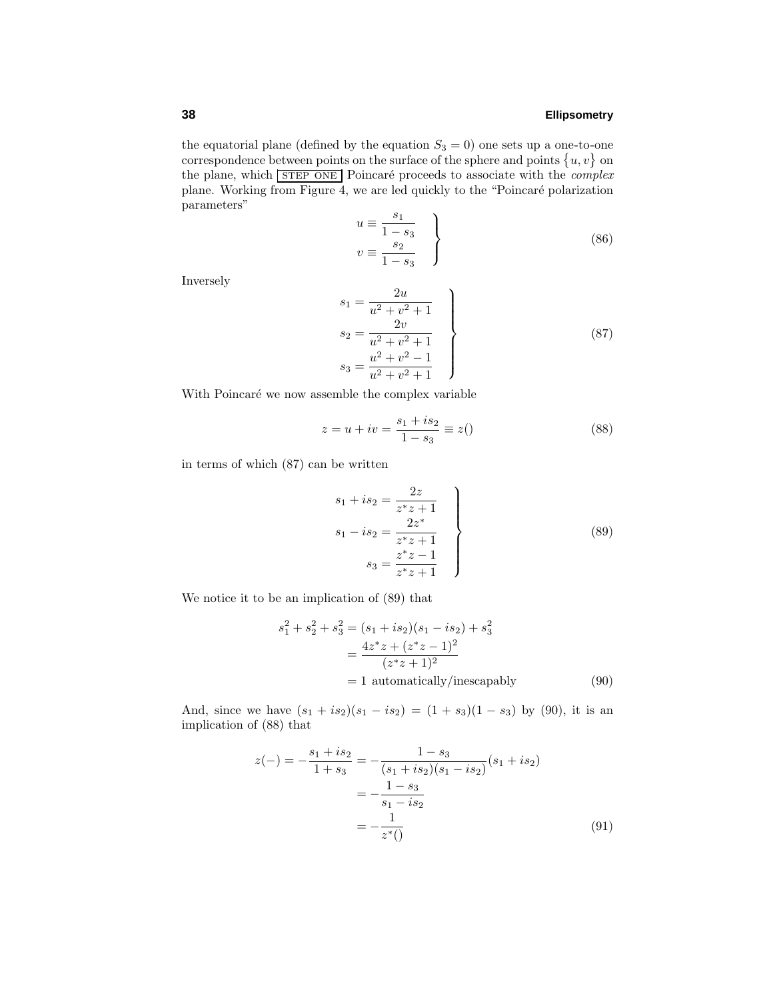the equatorial plane (defined by the equation  $S_3 = 0$ ) one sets up a one-to-one correspondence between points on the surface of the sphere and points  $\{u, v\}$  on the plane, which  $STEP$  ONE Poincaré proceeds to associate with the *complex* plane. Working from Figure 4, we are led quickly to the "Poincaré polarization parameters"

$$
u \equiv \frac{s_1}{1 - s_3}
$$
  

$$
v \equiv \frac{s_2}{1 - s_3}
$$
 (86)

Inversely

$$
s_1 = \frac{2u}{u^2 + v^2 + 1}
$$
  
\n
$$
s_2 = \frac{2v}{u^2 + v^2 + 1}
$$
  
\n
$$
s_3 = \frac{u^2 + v^2 - 1}{u^2 + v^2 + 1}
$$
\n(87)

With Poincaré we now assemble the complex variable

$$
z = u + iv = \frac{s_1 + is_2}{1 - s_3} \equiv z()
$$
\n(88)

in terms of which (87) can be written

$$
s_1 + is_2 = \frac{2z}{z^*z + 1}
$$
  
\n
$$
s_1 - is_2 = \frac{2z^*}{z^*z + 1}
$$
  
\n
$$
s_3 = \frac{z^*z - 1}{z^*z + 1}
$$
\n(89)

We notice it to be an implication of (89) that

$$
s_1^2 + s_2^2 + s_3^2 = (s_1 + is_2)(s_1 - is_2) + s_3^2
$$
  
= 
$$
\frac{4z^*z + (z^*z - 1)^2}{(z^*z + 1)^2}
$$
  
= 1 automatically/inescapably (90)

And, since we have  $(s_1 + is_2)(s_1 - is_2) = (1 + s_3)(1 - s_3)$  by (90), it is an implication of (88) that

$$
z(-) = -\frac{s_1 + is_2}{1 + s_3} = -\frac{1 - s_3}{(s_1 + is_2)(s_1 - is_2)}(s_1 + is_2)
$$

$$
= -\frac{1 - s_3}{s_1 - is_2}
$$

$$
= -\frac{1}{z^*()}
$$
(91)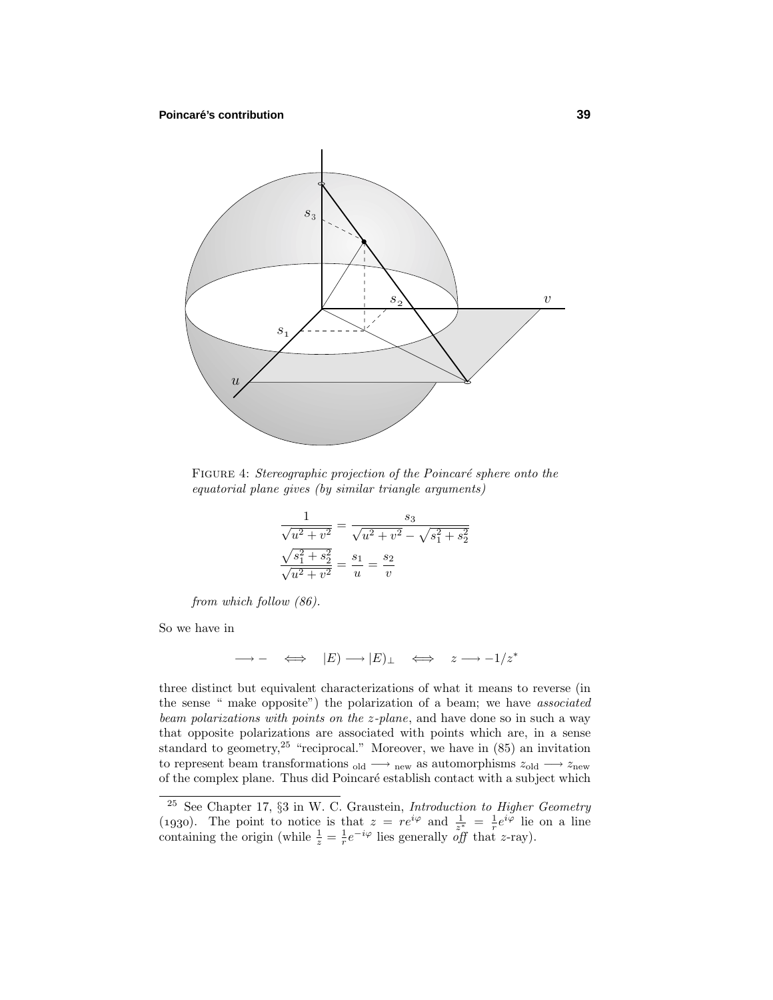

FIGURE 4: Stereographic projection of the Poincaré sphere onto the equatorial plane gives (by similar triangle arguments)

$$
\frac{1}{\sqrt{u^2 + v^2}} = \frac{s_3}{\sqrt{u^2 + v^2} - \sqrt{s_1^2 + s_2^2}}
$$

$$
\frac{\sqrt{s_1^2 + s_2^2}}{\sqrt{u^2 + v^2}} = \frac{s_1}{u} = \frac{s_2}{v}
$$

from which follow (86).

So we have in

$$
\longrightarrow - \iff |E) \longrightarrow |E)_{\perp} \iff z \longrightarrow -1/z^*
$$

three distinct but equivalent characterizations of what it means to reverse (in the sense " make opposite") the polarization of a beam; we have associated beam polarizations with points on the *z*-plane, and have done so in such a way that opposite polarizations are associated with points which are, in a sense standard to geometry, <sup>25</sup> "reciprocal." Moreover, we have in  $(85)$  an invitation to represent beam transformations <sub>old</sub>  $\longrightarrow$  <sub>new</sub> as automorphisms  $z_{old} \longrightarrow z_{new}$ of the complex plane. Thus did Poincaré establish contact with a subject which

<sup>25</sup> See Chapter 17, §3 in W. C. Graustein, Introduction to Higher Geometry (1930). The point to notice is that  $z = re^{i\varphi}$  and  $\frac{1}{z^*} = \frac{1}{r}e^{i\varphi}$  lie on a line containing the origin (while  $\frac{1}{z} = \frac{1}{r}e^{-i\varphi}$  lies generally *off* that *z*-ray).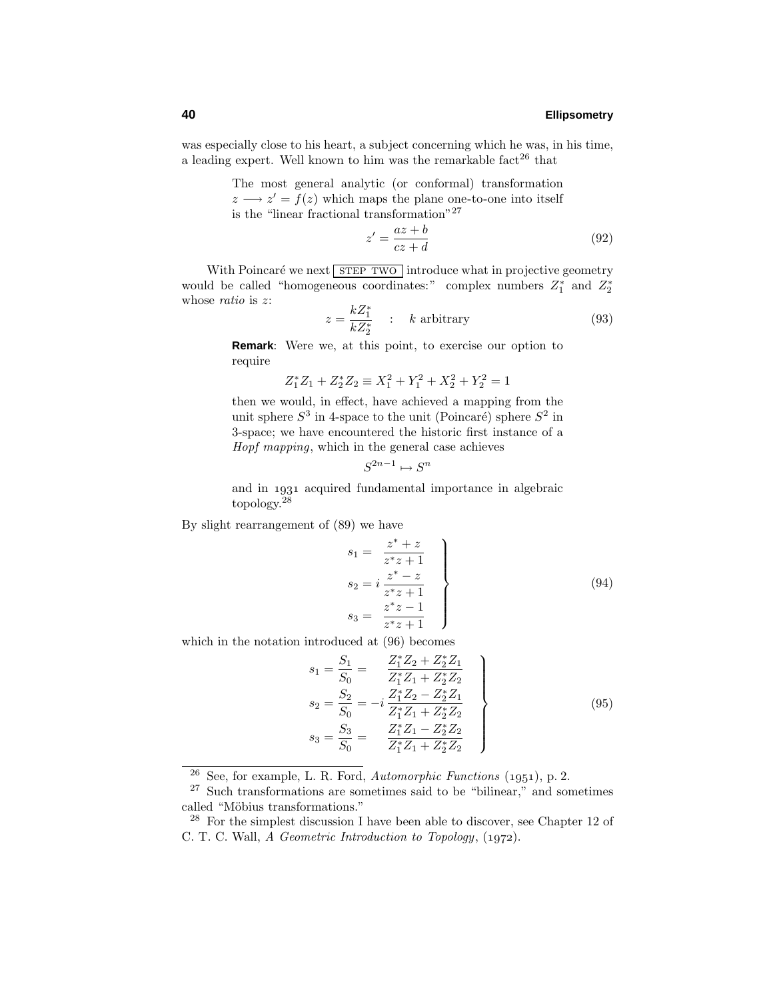was especially close to his heart, a subject concerning which he was, in his time, a leading expert. Well known to him was the remarkable fact<sup>26</sup> that

> The most general analytic (or conformal) transformation  $z \rightarrow z' = f(z)$  which maps the plane one-to-one into itself is the "linear fractional transformation"<sup>27</sup>

$$
z' = \frac{az+b}{cz+d} \tag{92}
$$

With Poincaré we next STEP TWO introduce what in projective geometry would be called "homogeneous coordinates:" complex numbers  $Z_1^*$  and  $Z_2^*$ whose ratio is *z*:

$$
z = \frac{kZ_1^*}{kZ_2^*} \qquad k \text{ arbitrary} \tag{93}
$$

**Remark**: Were we, at this point, to exercise our option to require

$$
Z_1^* Z_1 + Z_2^* Z_2 \equiv X_1^2 + Y_1^2 + X_2^2 + Y_2^2 = 1
$$

then we would, in effect, have achieved a mapping from the unit sphere  $S^3$  in 4-space to the unit (Poincaré) sphere  $S^2$  in 3-space; we have encountered the historic first instance of a Hopf mapping, which in the general case achieves

$$
S^{2n-1} \mapsto S^n
$$

and in acquired fundamental importance in algebraic topology.<sup>28</sup>

By slight rearrangement of (89) we have

$$
s_{1} = \frac{z^{*} + z}{z^{*}z + 1}
$$
  
\n
$$
s_{2} = i \frac{z^{*} - z}{z^{*}z + 1}
$$
  
\n
$$
s_{3} = \frac{z^{*}z - 1}{z^{*}z + 1}
$$
  
\n(94)

which in the notation introduced at (96) becomes

$$
s_1 = \frac{S_1}{S_0} = \frac{Z_1^* Z_2 + Z_2^* Z_1}{Z_1^* Z_1 + Z_2^* Z_2}
$$
  
\n
$$
s_2 = \frac{S_2}{S_0} = -i \frac{Z_1^* Z_2 - Z_2^* Z_1}{Z_1^* Z_1 + Z_2^* Z_2}
$$
  
\n
$$
s_3 = \frac{S_3}{S_0} = \frac{Z_1^* Z_1 - Z_2^* Z_2}{Z_1^* Z_1 + Z_2^* Z_2}
$$
\n(95)

 $\frac{26}{26}$  See, for example, L. R. Ford, Automorphic Functions (1951), p. 2.

<sup>27</sup> Such transformations are sometimes said to be "bilinear," and sometimes called "Möbius transformations."

 $28$  For the simplest discussion I have been able to discover, see Chapter 12 of C. T. C. Wall,  $\tilde{A}$  Geometric Introduction to Topology,  $(1972)$ .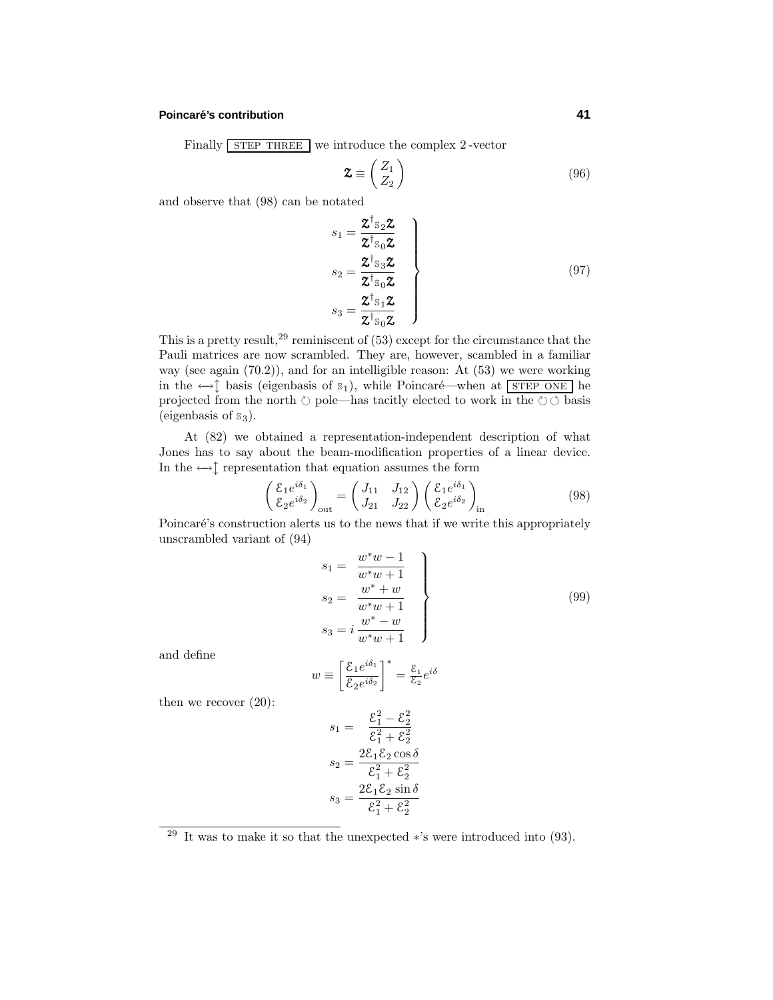#### **Poincare´'s contribution 41**

Finally STEP THREE we introduce the complex 2-vector

$$
\mathbf{Z} \equiv \begin{pmatrix} Z_1 \\ Z_2 \end{pmatrix} \tag{96}
$$

and observe that (98) can be notated

$$
s_{1} = \frac{\mathcal{Z}^{\dagger} s_{2} \mathcal{Z}}{\mathcal{Z}^{\dagger} s_{0} \mathcal{Z}}
$$
\n
$$
s_{2} = \frac{\mathcal{Z}^{\dagger} s_{3} \mathcal{Z}}{\mathcal{Z}^{\dagger} s_{0} \mathcal{Z}}
$$
\n
$$
s_{3} = \frac{\mathcal{Z}^{\dagger} s_{1} \mathcal{Z}}{\mathcal{Z}^{\dagger} s_{0} \mathcal{Z}}
$$
\n(97)

This is a pretty result,  $29$  reminiscent of (53) except for the circumstance that the Pauli matrices are now scrambled. They are, however, scambled in a familiar way (see again (70.2)), and for an intelligible reason: At (53) we were working in the  $\leftrightarrow \uparrow$  basis (eigenbasis of s<sub>1</sub>), while Poincaré—when at STEP ONE he projected from the north  $\circlearrowright$  pole—has tacitly elected to work in the  $\circlearrowright \circlearrowleft$  basis (eigenbasis of  $s_3$ ).

At (82) we obtained a representation-independent description of what Jones has to say about the beam-modification properties of a linear device. In the  $\leftrightarrow \updownarrow$  representation that equation assumes the form

$$
\begin{pmatrix}\n\xi_1 e^{i\delta_1} \\
\xi_2 e^{i\delta_2}\n\end{pmatrix}_{\text{out}} =\n\begin{pmatrix}\nJ_{11} & J_{12} \\
J_{21} & J_{22}\n\end{pmatrix}\n\begin{pmatrix}\n\xi_1 e^{i\delta_1} \\
\xi_2 e^{i\delta_2}\n\end{pmatrix}_{\text{in}}\n\tag{98}
$$

Poincaré's construction alerts us to the news that if we write this appropriately unscrambled variant of (94)

$$
s_{1} = \frac{w^{*}w - 1}{w^{*}w + 1}
$$
  
\n
$$
s_{2} = \frac{w^{*} + w}{w^{*}w + 1}
$$
  
\n
$$
s_{3} = i\frac{w^{*} - w}{w^{*}w + 1}
$$
  
\n(99)

and define

$$
w \equiv \left[\frac{\mathcal{E}_1 e^{i\delta_1}}{\mathcal{E}_2 e^{i\delta_2}}\right]^* = \frac{\mathcal{E}_1}{\mathcal{E}_2} e^{i\delta}
$$

then we recover (20):

$$
s_1 = \frac{\xi_1^2 - \xi_2^2}{\xi_1^2 + \xi_2^2}
$$

$$
s_2 = \frac{2\xi_1\xi_2\cos\delta}{\xi_1^2 + \xi_2^2}
$$

$$
s_3 = \frac{2\xi_1\xi_2\sin\delta}{\xi_1^2 + \xi_2^2}
$$

<sup>&</sup>lt;sup>29</sup> It was to make it so that the unexpected  $*$ 's were introduced into (93).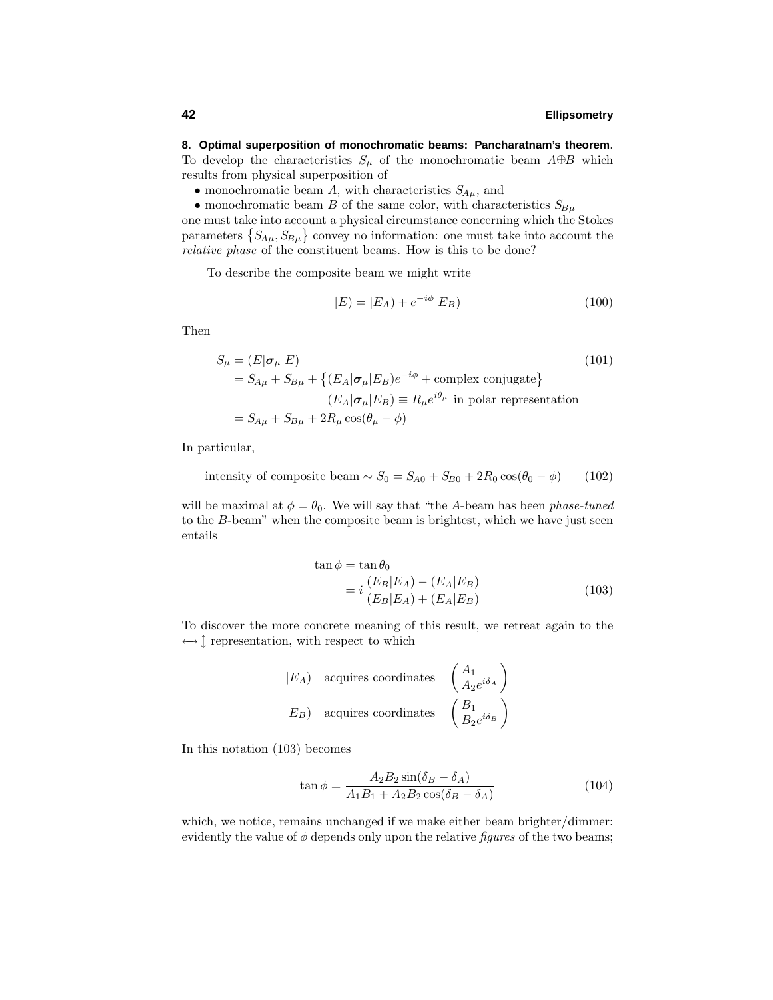# **8. Optimal superposition of monochromatic beams: Pancharatnam's theorem**.

To develop the characteristics  $S_\mu$  of the monochromatic beam  $A \oplus B$  which results from physical superposition of

- monochromatic beam *A*, with characteristics  $S_{A\mu}$ , and
- monochromatic beam *B* of the same color, with characteristics  $S_{Bu}$

one must take into account a physical circumstance concerning which the Stokes parameters  ${S_{A\mu}, S_{B\mu}}$  convey no information: one must take into account the relative phase of the constituent beams. How is this to be done?

To describe the composite beam we might write

$$
|E| = |E_A| + e^{-i\phi}|E_B)
$$
\n(100)

Then

$$
S_{\mu} = (E|\sigma_{\mu}|E)
$$
\n
$$
= S_{A\mu} + S_{B\mu} + \{(E_A|\sigma_{\mu}|E_B)e^{-i\phi} + \text{complex conjugate}\}
$$
\n
$$
(E_A|\sigma_{\mu}|E_B) \equiv R_{\mu}e^{i\theta_{\mu}}
$$
in polar representation\n
$$
= S_{A\mu} + S_{B\mu} + 2R_{\mu}\cos(\theta_{\mu} - \phi)
$$
\n
$$
(101)
$$

In particular,

intensity of composite beam  $\sim S_0 = S_{A0} + S_{B0} + 2R_0 \cos(\theta_0 - \phi)$  (102)

will be maximal at  $\phi = \theta_0$ . We will say that "the *A*-beam has been *phase-tuned* to the *B*-beam" when the composite beam is brightest, which we have just seen entails

$$
\tan \phi = \tan \theta_0
$$
  
=  $i \frac{(E_B|E_A) - (E_A|E_B)}{(E_B|E_A) + (E_A|E_B)}$  (103)

To discover the more concrete meaning of this result, we retreat again to the ←  $\updownarrow$  representation, with respect to which

$$
\begin{array}{ccc}\n|E_A| & \text{acquires coordinates} & \begin{pmatrix} A_1 \\ A_2 e^{i\delta_A} \end{pmatrix} \\
|E_B| & \text{acquires coordinates} & \begin{pmatrix} B_1 \\ B_2 e^{i\delta_B} \end{pmatrix}\n\end{array}
$$

In this notation (103) becomes

$$
\tan \phi = \frac{A_2 B_2 \sin(\delta_B - \delta_A)}{A_1 B_1 + A_2 B_2 \cos(\delta_B - \delta_A)}
$$
(104)

which, we notice, remains unchanged if we make either beam brighter/dimmer: evidently the value of  $\phi$  depends only upon the relative *figures* of the two beams;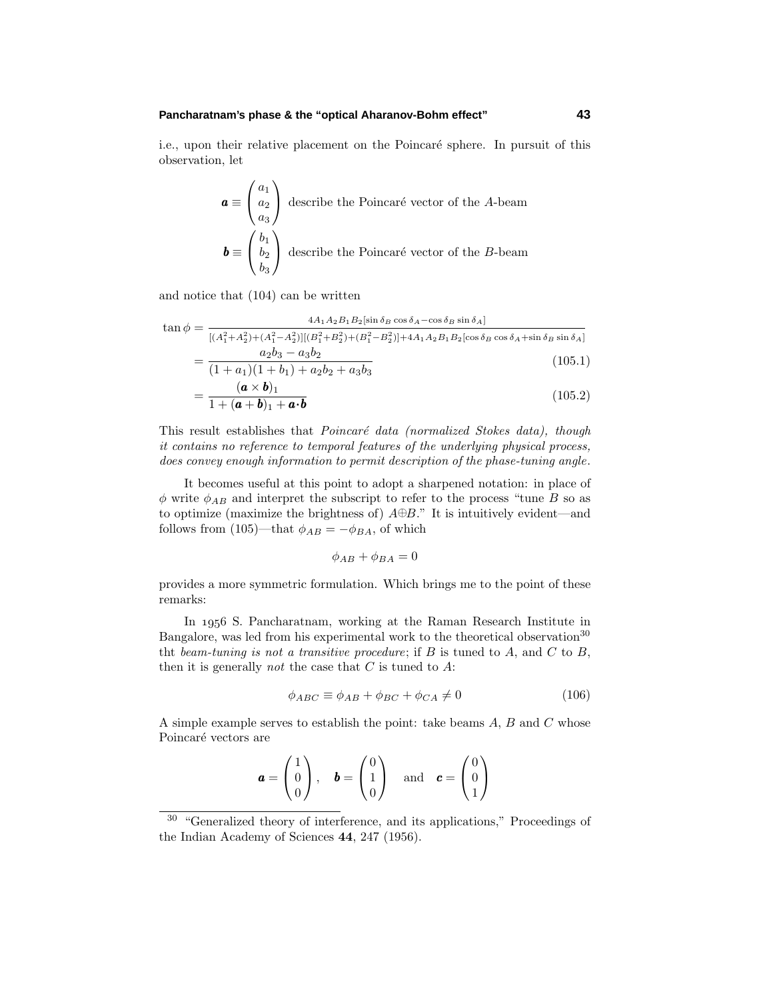#### **Pancharatnam's phase & the "optical Aharanov-Bohm effect" 43**

i.e., upon their relative placement on the Poincaré sphere. In pursuit of this observation, let

$$
\mathbf{a} \equiv \begin{pmatrix} a_1 \\ a_2 \\ a_3 \end{pmatrix}
$$
 describe the Poincaré vector of the *A*-beam  

$$
\mathbf{b} \equiv \begin{pmatrix} b_1 \\ b_2 \\ b_3 \end{pmatrix}
$$
 describe the Poincaré vector of the *B*-beam

and notice that (104) can be written

$$
\tan \phi = \frac{4A_1 A_2 B_1 B_2 [\sin \delta_B \cos \delta_A - \cos \delta_B \sin \delta_A]}{[(A_1^2 + A_2^2) + (A_1^2 - A_2^2)][(B_1^2 + B_2^2) + (B_1^2 - B_2^2)] + 4A_1 A_2 B_1 B_2 [\cos \delta_B \cos \delta_A + \sin \delta_B \sin \delta_A]}
$$
  
= 
$$
\frac{a_2 b_3 - a_3 b_2}{(1 + a_1)(1 + b_1) + a_2 b_2 + a_3 b_3}
$$
(105.1)

$$
=\frac{(\mathbf{a}\times\mathbf{b})_1}{1+(\mathbf{a}+\mathbf{b})_1+\mathbf{a}\cdot\mathbf{b}}\tag{105.2}
$$

This result establishes that *Poincaré data (normalized Stokes data)*, though it contains no reference to temporal features of the underlying physical process, does convey enough information to permit description of the phase-tuning angle.

It becomes useful at this point to adopt a sharpened notation: in place of  $\phi$  write  $\phi_{AB}$  and interpret the subscript to refer to the process "tune *B* so as to optimize (maximize the brightness of) *A*⊕*B*." It is intuitively evident—and follows from (105)—that  $\phi_{AB} = -\phi_{BA}$ , of which

$$
\phi_{AB} + \phi_{BA} = 0
$$

provides a more symmetric formulation. Which brings me to the point of these remarks:

In 1956 S. Pancharatnam, working at the Raman Research Institute in Bangalore, was led from his experimental work to the theoretical observation<sup>30</sup> tht beam-tuning is not a transitive procedure; if *B* is tuned to *A*, and *C* to *B*, then it is generally not the case that *C* is tuned to *A*:

$$
\phi_{ABC} \equiv \phi_{AB} + \phi_{BC} + \phi_{CA} \neq 0 \tag{106}
$$

A simple example serves to establish the point: take beams *A*, *B* and *C* whose Poincaré vectors are

$$
\mathbf{a} = \begin{pmatrix} 1 \\ 0 \\ 0 \end{pmatrix}, \quad \mathbf{b} = \begin{pmatrix} 0 \\ 1 \\ 0 \end{pmatrix} \quad \text{and} \quad \mathbf{c} = \begin{pmatrix} 0 \\ 0 \\ 1 \end{pmatrix}
$$

<sup>30</sup> "Generalized theory of interference, and its applications," Proceedings of the Indian Academy of Sciences **44**, 247 (1956).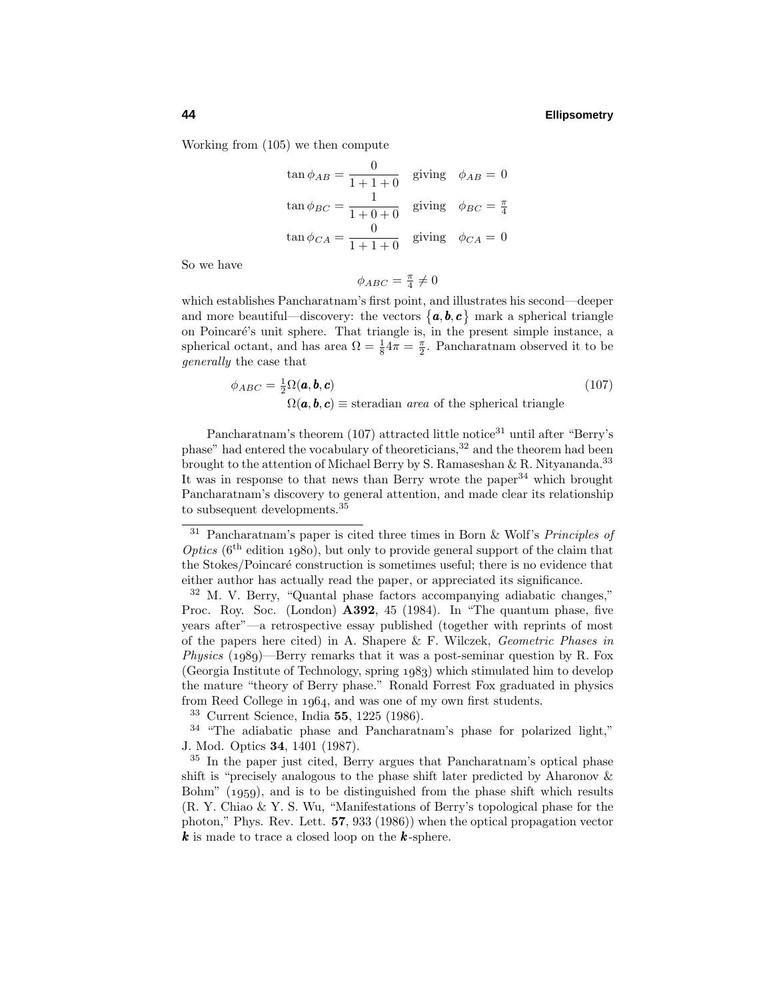Working from (105) we then compute

$$
\tan \phi_{AB} = \frac{0}{1+1+0} \quad \text{giving} \quad \phi_{AB} = 0
$$
\n
$$
\tan \phi_{BC} = \frac{1}{1+0+0} \quad \text{giving} \quad \phi_{BC} = \frac{\pi}{4}
$$
\n
$$
\tan \phi_{CA} = \frac{0}{1+1+0} \quad \text{giving} \quad \phi_{CA} = 0
$$

So we have

$$
\phi_{ABC} = \frac{\pi}{4} \neq 0
$$

which establishes Pancharatnam's first point, and illustrates his second—deeper and more beautiful—discovery: the vectors  $\{a, b, c\}$  mark a spherical triangle on Poincaré's unit sphere. That triangle is, in the present simple instance, a spherical octant, and has area  $\Omega = \frac{1}{8}4\pi = \frac{\pi}{2}$ . Pancharatnam observed it to be generally the case that

$$
\phi_{ABC} = \frac{1}{2} \Omega(\mathbf{a}, \mathbf{b}, \mathbf{c})
$$
\n
$$
\Omega(\mathbf{a}, \mathbf{b}, \mathbf{c}) \equiv \text{steradian area of the spherical triangle}
$$
\n(107)

Pancharatnam's theorem  $(107)$  attracted little notice<sup>31</sup> until after "Berry's phase" had entered the vocabulary of theoreticians,<sup>32</sup> and the theorem had been brought to the attention of Michael Berry by S. Ramaseshan & R. Nityananda.<sup>33</sup> It was in response to that news than Berry wrote the paper  $34$  which brought Pancharatnam's discovery to general attention, and made clear its relationship to subsequent developments.<sup>35</sup>

<sup>33</sup> Current Science, India **55**, 1225 (1986).

<sup>34</sup> "The adiabatic phase and Pancharatnam's phase for polarized light," J. Mod. Optics **34**, 1401 (1987).

 $31$  Pancharatnam's paper is cited three times in Born & Wolf's *Principles of* Optics ( $6<sup>th</sup>$  edition 1980), but only to provide general support of the claim that the Stokes/Poincaré construction is sometimes useful; there is no evidence that either author has actually read the paper, or appreciated its significance.

<sup>32</sup> M. V. Berry, "Quantal phase factors accompanying adiabatic changes," Proc. Roy. Soc. (London) **A392**, 45 (1984). In "The quantum phase, five years after"—a retrospective essay published (together with reprints of most of the papers here cited) in A. Shapere & F. Wilczek, Geometric Phases in *Physics* (1989)—Berry remarks that it was a post-seminar question by R. Fox  $(Georgia Institute of Technology, spring 1983)$  which stimulated him to develop the mature "theory of Berry phase." Ronald Forrest Fox graduated in physics from Reed College in 1964, and was one of my own first students.

<sup>35</sup> In the paper just cited, Berry argues that Pancharatnam's optical phase shift is "precisely analogous to the phase shift later predicted by Aharonov & Bohm"  $(1959)$ , and is to be distinguished from the phase shift which results (R. Y. Chiao & Y. S. Wu, "Manifestations of Berry's topological phase for the photon," Phys. Rev. Lett. **57**, 933 (1986)) when the optical propagation vector *k* is made to trace a closed loop on the *k* -sphere.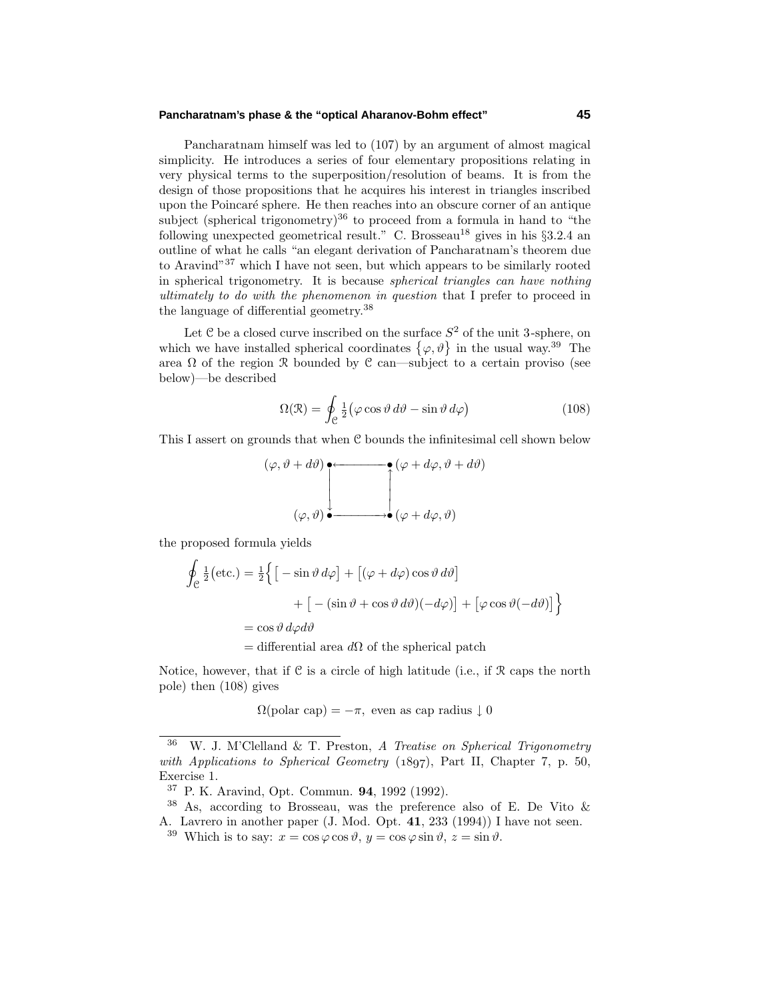#### **Pancharatnam's phase & the "optical Aharanov-Bohm effect" 45**

Pancharatnam himself was led to (107) by an argument of almost magical simplicity. He introduces a series of four elementary propositions relating in very physical terms to the superposition/resolution of beams. It is from the design of those propositions that he acquires his interest in triangles inscribed upon the Poincar´e sphere. He then reaches into an obscure corner of an antique subject (spherical trigonometry)<sup>36</sup> to proceed from a formula in hand to "the following unexpected geometrical result." C. Brosseau<sup>18</sup> gives in his  $\S 3.2.4$  an outline of what he calls "an elegant derivation of Pancharatnam's theorem due to Aravind"<sup>37</sup> which I have not seen, but which appears to be similarly rooted in spherical trigonometry. It is because spherical triangles can have nothing ultimately to do with the phenomenon in question that I prefer to proceed in the language of differential geometry.<sup>38</sup>

Let  $\mathfrak C$  be a closed curve inscribed on the surface  $S^2$  of the unit 3-sphere, on which we have installed spherical coordinates  $\{\varphi, \vartheta\}$  in the usual way.<sup>39</sup> The area  $\Omega$  of the region R bounded by C can—subject to a certain proviso (see below)—be described

$$
\Omega(\mathcal{R}) = \oint_{\mathcal{C}} \frac{1}{2} (\varphi \cos \vartheta \, d\vartheta - \sin \vartheta \, d\varphi) \tag{108}
$$

This I assert on grounds that when C bounds the infinitesimal cell shown below

$$
(\varphi, \vartheta + d\vartheta) \bullet \qquad (\varphi + d\varphi, \vartheta + d\vartheta)
$$
  

$$
(\varphi, \vartheta) \bullet \qquad \qquad (\varphi + d\varphi, \vartheta)
$$

the proposed formula yields

$$
\oint_{\mathcal{C}} \frac{1}{2} (\text{etc.}) = \frac{1}{2} \Big\{ \Big[ -\sin \vartheta \, d\varphi \Big] + \Big[ (\varphi + d\varphi) \cos \vartheta \, d\vartheta \Big] \n+ \Big[ -(\sin \vartheta + \cos \vartheta \, d\vartheta) (-d\varphi) \Big] + \Big[ \varphi \cos \vartheta (-d\vartheta) \Big] \Big\} \n= \cos \vartheta \, d\varphi d\vartheta \n= \text{differential area } d\Omega \text{ of the spherical patch}
$$

Notice, however, that if  $C$  is a circle of high latitude (i.e., if  $R$  caps the north pole) then (108) gives

 $\Omega(\text{polar cap}) = -\pi$ , even as cap radius  $\downarrow 0$ 

W. J. M'Clelland & T. Preston, A Treatise on Spherical Trigonometry with Applications to Spherical Geometry  $(1897)$ , Part II, Chapter 7, p. 50, Exercise 1.

<sup>37</sup> P. K. Aravind, Opt. Commun. **94**, 1992 (1992).

 $38$  As, according to Brosseau, was the preference also of E. De Vito  $\&$ A. Lavrero in another paper (J. Mod. Opt. **41**, 233 (1994)) I have not seen.

<sup>&</sup>lt;sup>39</sup> Which is to say:  $x = \cos \varphi \cos \vartheta$ ,  $y = \cos \varphi \sin \vartheta$ ,  $z = \sin \vartheta$ .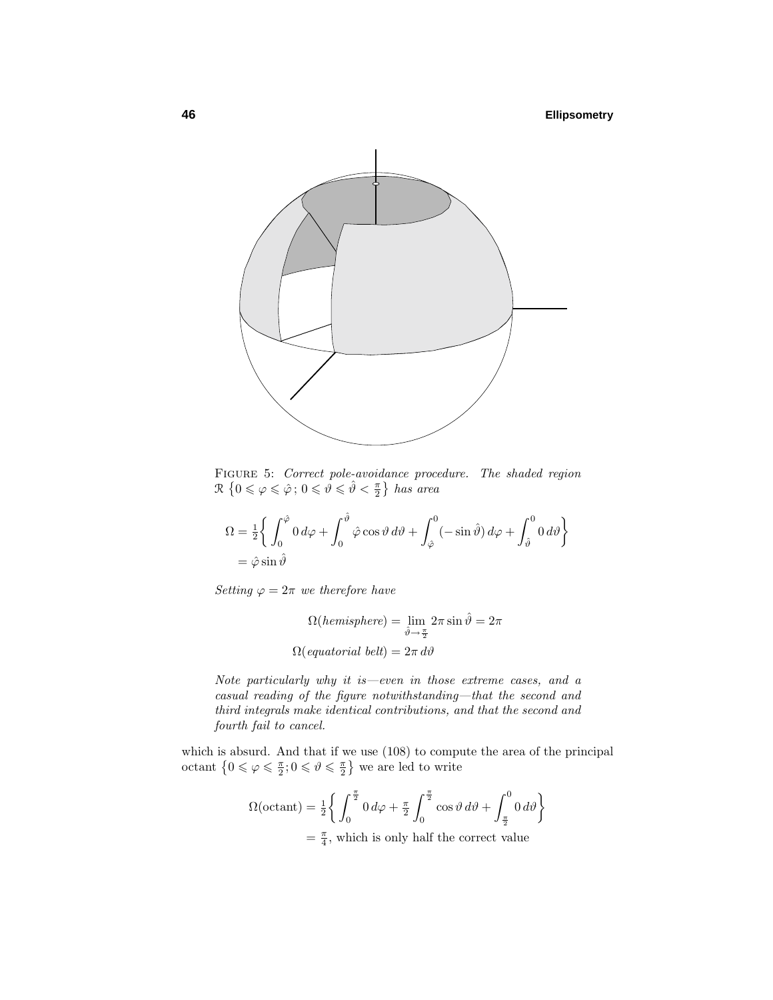

FIGURE 5: Correct pole-avoidance procedure. The shaded region  $\mathcal{R} \{0 \leqslant \varphi \leqslant \hat{\varphi} \, ; \, 0 \leqslant \vartheta \leqslant \hat{\vartheta} < \frac{\pi}{2}\}$  has area

$$
\Omega = \frac{1}{2} \left\{ \int_0^{\hat{\varphi}} 0 \, d\varphi + \int_0^{\hat{\vartheta}} \hat{\varphi} \cos \vartheta \, d\vartheta + \int_{\hat{\varphi}}^0 (-\sin \hat{\vartheta}) \, d\varphi + \int_{\hat{\vartheta}}^0 0 \, d\vartheta \right\}
$$

$$
= \hat{\varphi} \sin \hat{\vartheta}
$$

Setting  $\varphi = 2\pi$  we therefore have

$$
\Omega(\text{hemisphere}) = \lim_{\hat{\vartheta} \to \frac{\pi}{2}} 2\pi \sin \hat{\vartheta} = 2\pi
$$

$$
\Omega(\text{equatorial belt}) = 2\pi \, d\vartheta
$$

Note particularly why it is—even in those extreme cases, and a casual reading of the figure notwithstanding—that the second and third integrals make identical contributions, and that the second and fourth fail to cancel.

which is absurd. And that if we use (108) to compute the area of the principal octant  $\left\{0 \le \varphi \le \frac{\pi}{2}; 0 \le \vartheta \le \frac{\pi}{2}\right\}$  we are led to write

$$
\Omega(\text{octant}) = \frac{1}{2} \bigg\{ \int_0^{\frac{\pi}{2}} 0 \, d\varphi + \frac{\pi}{2} \int_0^{\frac{\pi}{2}} \cos \vartheta \, d\vartheta + \int_{\frac{\pi}{2}}^0 0 \, d\vartheta \bigg\}
$$

$$
= \frac{\pi}{4}, \text{ which is only half the correct value}
$$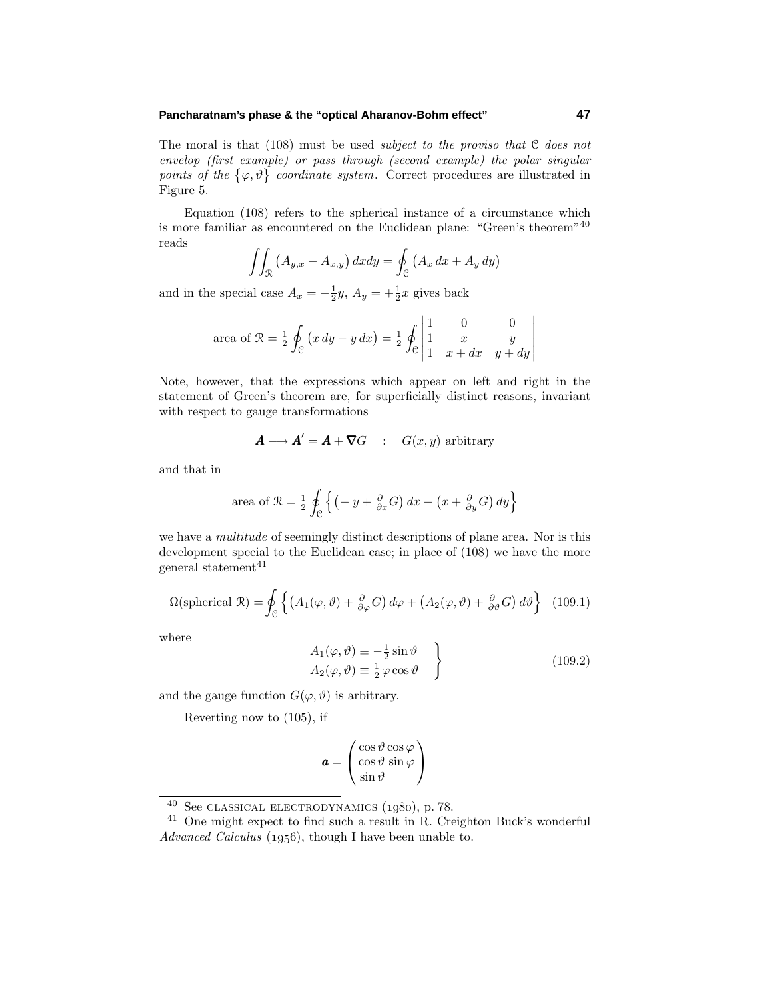#### **Pancharatnam's phase & the "optical Aharanov-Bohm effect" 47**

The moral is that  $(108)$  must be used *subject to the proviso that*  $C$  *does not* envelop (first example) or pass through (second example) the polar singular points of the  $\{\varphi, \vartheta\}$  coordinate system. Correct procedures are illustrated in Figure 5.

Equation (108) refers to the spherical instance of a circumstance which is more familiar as encountered on the Euclidean plane: "Green's theorem"<sup>40</sup> reads

$$
\iint_{\mathcal{R}} \left( A_{y,x} - A_{x,y} \right) dx dy = \oint_{\mathcal{C}} \left( A_x \, dx + A_y \, dy \right)
$$

and in the special case  $A_x = -\frac{1}{2}y$ ,  $A_y = +\frac{1}{2}x$  gives back

area of 
$$
\mathcal{R} = \frac{1}{2} \oint_{\mathcal{C}} (x \, dy - y \, dx) = \frac{1}{2} \oint_{\mathcal{C}} \begin{vmatrix} 1 & 0 & 0 \\ 1 & x & y \\ 1 & x + dx & y + dy \end{vmatrix}
$$

Note, however, that the expressions which appear on left and right in the statement of Green's theorem are, for superficially distinct reasons, invariant with respect to gauge transformations

$$
\boldsymbol{A}\longrightarrow \boldsymbol{A}^{\prime}=\boldsymbol{A}+\boldsymbol{\nabla}G\quad :\quad G(x,y)\,\,{\rm arbitrary}\,\,
$$

and that in

area of 
$$
\mathcal{R} = \frac{1}{2} \oint_{\mathcal{C}} \left\{ \left( -y + \frac{\partial}{\partial x} G \right) dx + \left( x + \frac{\partial}{\partial y} G \right) dy \right\}
$$

we have a *multitude* of seemingly distinct descriptions of plane area. Nor is this development special to the Euclidean case; in place of (108) we have the more general statement<sup>41</sup>

$$
\Omega(\text{spherical } \mathcal{R}) = \oint_{\mathcal{C}} \left\{ \left( A_1(\varphi, \vartheta) + \frac{\partial}{\partial \varphi} G \right) d\varphi + \left( A_2(\varphi, \vartheta) + \frac{\partial}{\partial \vartheta} G \right) d\vartheta \right\} \tag{109.1}
$$

where

$$
A_1(\varphi, \vartheta) \equiv -\frac{1}{2}\sin\vartheta A_2(\varphi, \vartheta) \equiv \frac{1}{2}\varphi\cos\vartheta
$$
 (109.2)

and the gauge function  $G(\varphi, \vartheta)$  is arbitrary.

Reverting now to (105), if

$$
\mathbf{a} = \begin{pmatrix} \cos \vartheta \cos \varphi \\ \cos \vartheta \sin \varphi \\ \sin \vartheta \end{pmatrix}
$$

 $40$  See CLASSICAL ELECTRODYNAMICS  $(1980)$ , p. 78.

<sup>41</sup> One might expect to find such a result in R. Creighton Buck's wonderful Advanced Calculus  $(1956)$ , though I have been unable to.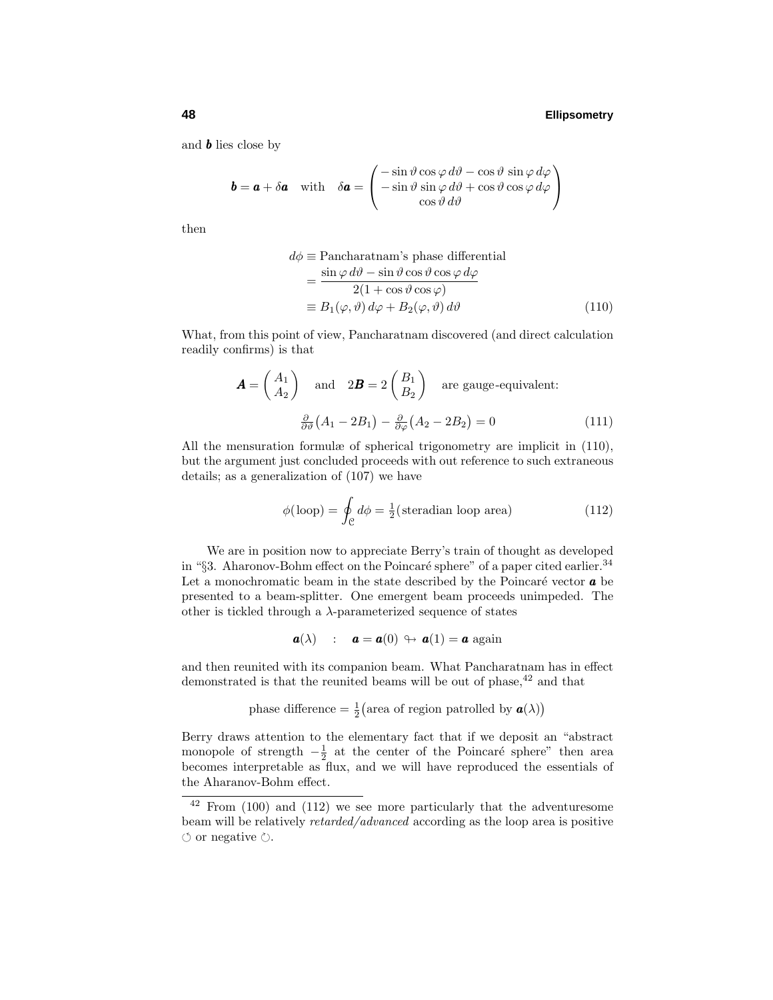and *b* lies close by

$$
\mathbf{b} = \mathbf{a} + \delta \mathbf{a} \quad \text{with} \quad \delta \mathbf{a} = \begin{pmatrix} -\sin \vartheta \cos \varphi \, d\vartheta - \cos \vartheta \, \sin \varphi \, d\varphi \\ -\sin \vartheta \sin \varphi \, d\vartheta + \cos \vartheta \cos \varphi \, d\varphi \\ \cos \vartheta \, d\vartheta \end{pmatrix}
$$

then

$$
d\phi \equiv \text{Pancharatnam's phase differential}
$$
  
= 
$$
\frac{\sin \varphi \, d\vartheta - \sin \vartheta \cos \vartheta \cos \varphi \, d\varphi}{2(1 + \cos \vartheta \cos \varphi)}
$$
  
\equiv 
$$
B_1(\varphi, \vartheta) \, d\varphi + B_2(\varphi, \vartheta) \, d\vartheta
$$
 (110)

What, from this point of view, Pancharatnam discovered (and direct calculation readily confirms) is that

$$
\mathbf{A} = \begin{pmatrix} A_1 \\ A_2 \end{pmatrix} \text{ and } 2\mathbf{B} = 2 \begin{pmatrix} B_1 \\ B_2 \end{pmatrix} \text{ are gauge-equivalent:}
$$

$$
\frac{\partial}{\partial \theta} (A_1 - 2B_1) - \frac{\partial}{\partial \varphi} (A_2 - 2B_2) = 0 \tag{111}
$$

All the mensuration formulæ of spherical trigonometry are implicit in (110), but the argument just concluded proceeds with out reference to such extraneous details; as a generalization of (107) we have

$$
\phi(\text{loop}) = \oint_{\mathcal{C}} d\phi = \frac{1}{2}(\text{steradian loop area})
$$
\n(112)

We are in position now to appreciate Berry's train of thought as developed in "§3. Aharonov-Bohm effect on the Poincaré sphere" of a paper cited earlier.<sup>34</sup> Let a monochromatic beam in the state described by the Poincaré vector  $\boldsymbol{a}$  be presented to a beam-splitter. One emergent beam proceeds unimpeded. The other is tickled through a *λ*-parameterized sequence of states

$$
\mathbf{a}(\lambda) \quad : \quad \mathbf{a} = \mathbf{a}(0) \, \looparrowright \, \mathbf{a}(1) = \mathbf{a} \text{ again}
$$

and then reunited with its companion beam. What Pancharatnam has in effect demonstrated is that the reunited beams will be out of phase,  $42$  and that

phase difference = 
$$
\frac{1}{2}
$$
(area of region patrolled by  $\mathbf{a}(\lambda)$ )

Berry draws attention to the elementary fact that if we deposit an "abstract monopole of strength  $-\frac{1}{2}$  at the center of the Poincaré sphere" then area becomes interpretable as flux, and we will have reproduced the essentials of the Aharanov-Bohm effect.

 $42$  From (100) and (112) we see more particularly that the adventuresome beam will be relatively retarded/advanced according as the loop area is positive  $\circlearrowleft$  or negative  $\circlearrowright$ .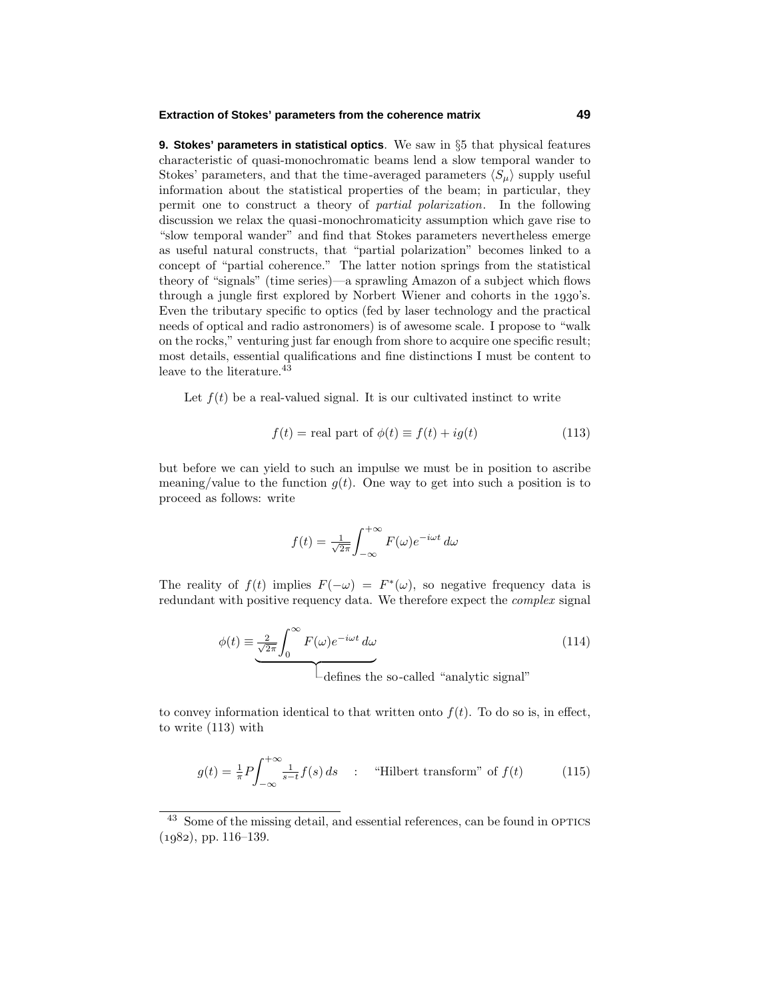#### **Extraction of Stokes' parameters from the coherence matrix 49**

**9. Stokes' parameters in statistical optics**. We saw in §5 that physical features characteristic of quasi-monochromatic beams lend a slow temporal wander to Stokes' parameters, and that the time-averaged parameters  $\langle S_\mu \rangle$  supply useful information about the statistical properties of the beam; in particular, they permit one to construct a theory of partial polarization. In the following discussion we relax the quasi-monochromaticity assumption which gave rise to "slow temporal wander" and find that Stokes parameters nevertheless emerge as useful natural constructs, that "partial polarization" becomes linked to a concept of "partial coherence." The latter notion springs from the statistical theory of "signals" (time series)—a sprawling Amazon of a subject which flows through a jungle first explored by Norbert Wiener and cohorts in the  $1930$ 's. Even the tributary specific to optics (fed by laser technology and the practical needs of optical and radio astronomers) is of awesome scale. I propose to "walk on the rocks," venturing just far enough from shore to acquire one specific result; most details, essential qualifications and fine distinctions I must be content to leave to the literature.<sup>43</sup>

Let  $f(t)$  be a real-valued signal. It is our cultivated instinct to write

$$
f(t) = \text{real part of } \phi(t) \equiv f(t) + ig(t) \tag{113}
$$

but before we can yield to such an impulse we must be in position to ascribe meaning/value to the function  $g(t)$ . One way to get into such a position is to proceed as follows: write

$$
f(t) = \frac{1}{\sqrt{2\pi}} \int_{-\infty}^{+\infty} F(\omega) e^{-i\omega t} d\omega
$$

The reality of  $f(t)$  implies  $F(-\omega) = F^*(\omega)$ , so negative frequency data is redundant with positive requency data. We therefore expect the *complex* signal

$$
\phi(t) \equiv \underbrace{\frac{2}{\sqrt{2\pi}} \int_0^\infty F(\omega) e^{-i\omega t} d\omega}_{\text{defines the so-called "analytic signal"}}
$$
\n(114)

to convey information identical to that written onto  $f(t)$ . To do so is, in effect, to write (113) with

$$
g(t) = \frac{1}{\pi} P \int_{-\infty}^{+\infty} \frac{1}{s-t} f(s) \, ds \quad : \quad \text{``Hilbert transform'' of } f(t) \tag{115}
$$

<sup>&</sup>lt;sup>43</sup> Some of the missing detail, and essential references, can be found in OPTICS  $(1982)$ , pp. 116–139.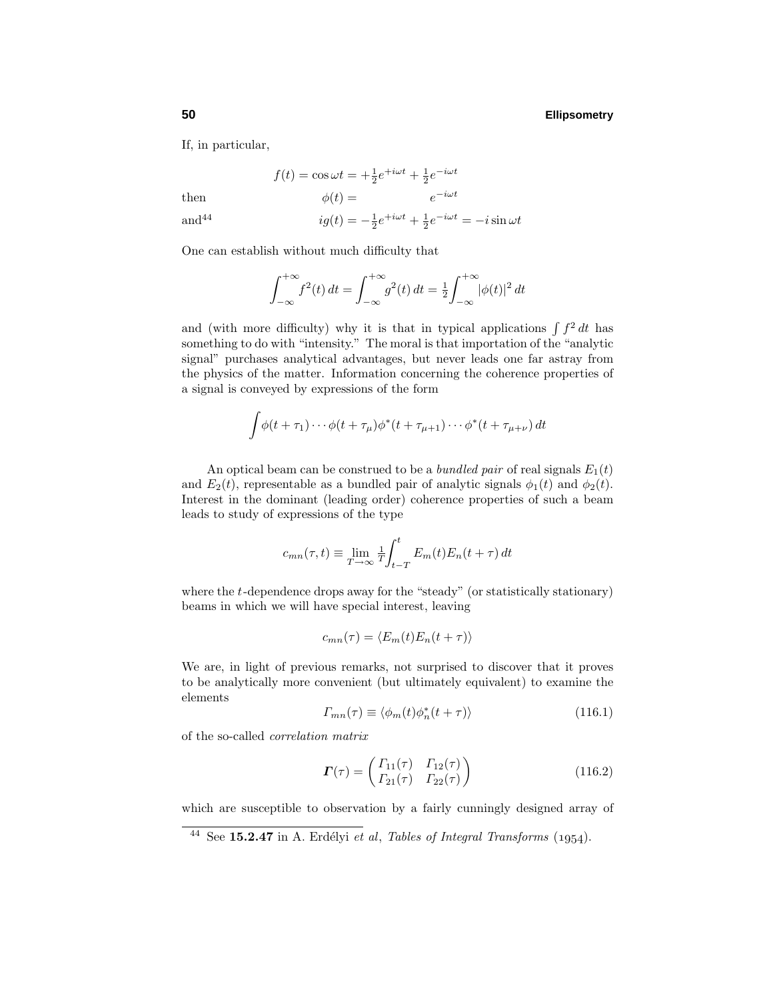If, in particular,

then  $\phi(t) = e^{-i\omega t}$ 

and<sup>44</sup> 
$$
ig(t) = -\frac{1}{2}e^{+i\omega t} + \frac{1}{2}e^{-i\omega t} = -i\sin \omega t
$$

 $f(t) = \cos \omega t = +\frac{1}{2}e^{+i\omega t} + \frac{1}{2}e^{-i\omega t}$ 

One can establish without much difficulty that

$$
\int_{-\infty}^{+\infty} f^{2}(t) dt = \int_{-\infty}^{+\infty} g^{2}(t) dt = \frac{1}{2} \int_{-\infty}^{+\infty} |\phi(t)|^{2} dt
$$

and (with more difficulty) why it is that in typical applications  $\int f^2 dt$  has something to do with "intensity." The moral is that importation of the "analytic signal" purchases analytical advantages, but never leads one far astray from the physics of the matter. Information concerning the coherence properties of a signal is conveyed by expressions of the form

$$
\int \phi(t+\tau_1)\cdots\phi(t+\tau_\mu)\phi^*(t+\tau_{\mu+1})\cdots\phi^*(t+\tau_{\mu+\nu}) dt
$$

An optical beam can be construed to be a *bundled pair* of real signals  $E_1(t)$ and  $E_2(t)$ , representable as a bundled pair of analytic signals  $\phi_1(t)$  and  $\phi_2(t)$ . Interest in the dominant (leading order) coherence properties of such a beam leads to study of expressions of the type

$$
c_{mn}(\tau, t) \equiv \lim_{T \to \infty} \frac{1}{T} \int_{t-T}^{t} E_m(t) E_n(t+\tau) dt
$$

where the *t*-dependence drops away for the "steady" (or statistically stationary) beams in which we will have special interest, leaving

$$
c_{mn}(\tau) = \langle E_m(t)E_n(t+\tau) \rangle
$$

We are, in light of previous remarks, not surprised to discover that it proves to be analytically more convenient (but ultimately equivalent) to examine the elements

$$
\Gamma_{mn}(\tau) \equiv \langle \phi_m(t) \phi_n^*(t+\tau) \rangle \tag{116.1}
$$

of the so-called correlation matrix

$$
\boldsymbol{\Gamma}(\tau) = \begin{pmatrix} \Gamma_{11}(\tau) & \Gamma_{12}(\tau) \\ \Gamma_{21}(\tau) & \Gamma_{22}(\tau) \end{pmatrix} \tag{116.2}
$$

which are susceptible to observation by a fairly cunningly designed array of

 $44$  See **15.2.47** in A. Erdélyi et al, Tables of Integral Transforms (1954).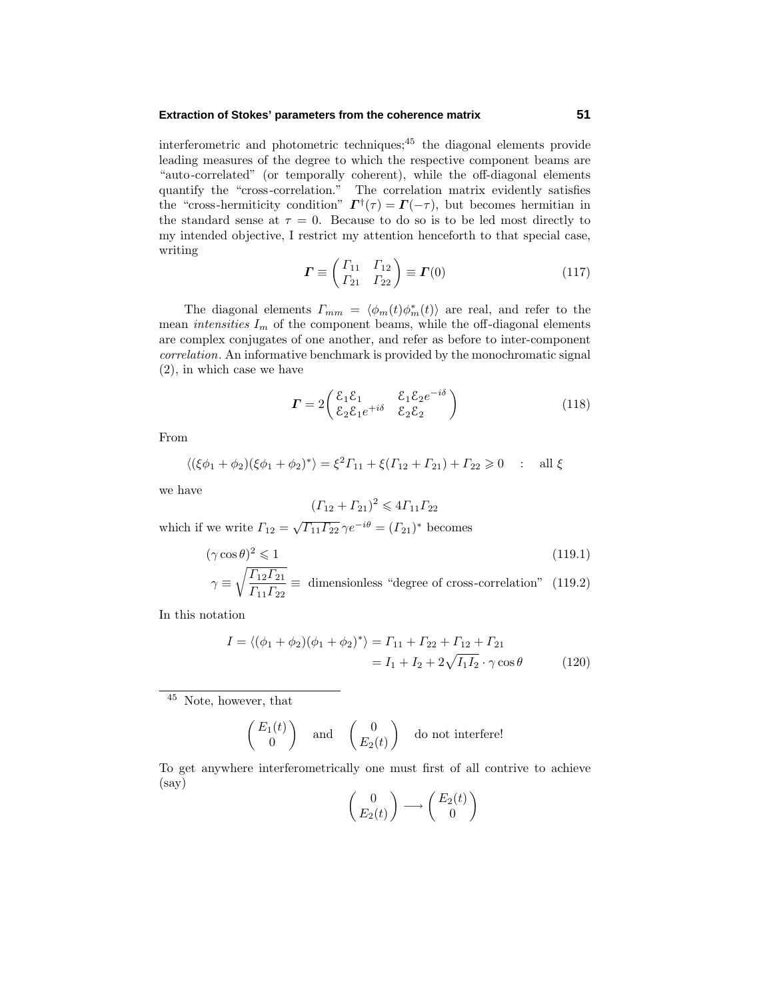#### **Extraction of Stokes' parameters from the coherence matrix 51**

interferometric and photometric techniques; $45$  the diagonal elements provide leading measures of the degree to which the respective component beams are "auto-correlated" (or temporally coherent), while the off-diagonal elements quantify the "cross-correlation." The correlation matrix evidently satisfies the "cross-hermiticity condition"  $\mathbf{\Gamma}^{\dagger}(\tau) = \mathbf{\Gamma}(-\tau)$ , but becomes hermitian in the standard sense at  $\tau = 0$ . Because to do so is to be led most directly to my intended objective, I restrict my attention henceforth to that special case, writing

$$
\boldsymbol{\Gamma} \equiv \begin{pmatrix} \Gamma_{11} & \Gamma_{12} \\ \Gamma_{21} & \Gamma_{22} \end{pmatrix} \equiv \boldsymbol{\Gamma}(0) \tag{117}
$$

The diagonal elements  $\Gamma_{mm} = \langle \phi_m(t) \phi_m^*(t) \rangle$  are real, and refer to the mean *intensities*  $I_m$  of the component beams, while the off-diagonal elements are complex conjugates of one another, and refer as before to inter-component correlation. An informative benchmark is provided by the monochromatic signal (2), in which case we have

$$
\boldsymbol{\Gamma} = 2 \begin{pmatrix} \mathcal{E}_1 \mathcal{E}_1 & \mathcal{E}_1 \mathcal{E}_2 e^{-i\delta} \\ \mathcal{E}_2 \mathcal{E}_1 e^{+i\delta} & \mathcal{E}_2 \mathcal{E}_2 \end{pmatrix}
$$
 (118)

From

$$
\langle (\xi \phi_1 + \phi_2)(\xi \phi_1 + \phi_2)^* \rangle = \xi^2 \Gamma_{11} + \xi (\Gamma_{12} + \Gamma_{21}) + \Gamma_{22} \ge 0 \quad : \text{ all } \xi
$$

we have

$$
(F_{12} + F_{21})^2 \leq 4F_{11}F_{22}
$$

which if we write  $\Gamma_{12} = \sqrt{\Gamma_{11}\Gamma_{22}} \gamma e^{-i\theta} = (\Gamma_{21})^*$  becomes

$$
(\gamma \cos \theta)^2 \leq 1\tag{119.1}
$$

$$
\gamma \equiv \sqrt{\frac{\Gamma_{12}\Gamma_{21}}{\Gamma_{11}\Gamma_{22}}} \equiv \text{ dimensionless \text{``degree of cross-correlation'' (119.2)}}
$$

In this notation

$$
I = \langle (\phi_1 + \phi_2)(\phi_1 + \phi_2)^* \rangle = \Gamma_{11} + \Gamma_{22} + \Gamma_{12} + \Gamma_{21}
$$
  
=  $I_1 + I_2 + 2\sqrt{I_1 I_2} \cdot \gamma \cos \theta$  (120)

 $^{45}\,$  Note, however, that

$$
\begin{pmatrix} E_1(t) \\ 0 \end{pmatrix} \quad \text{and} \quad \begin{pmatrix} 0 \\ E_2(t) \end{pmatrix} \quad \text{do not interfere!}
$$

To get anywhere interferometrically one must first of all contrive to achieve (say)

$$
\begin{pmatrix} 0 \ E_2(t) \end{pmatrix} \longrightarrow \begin{pmatrix} E_2(t) \ 0 \end{pmatrix}
$$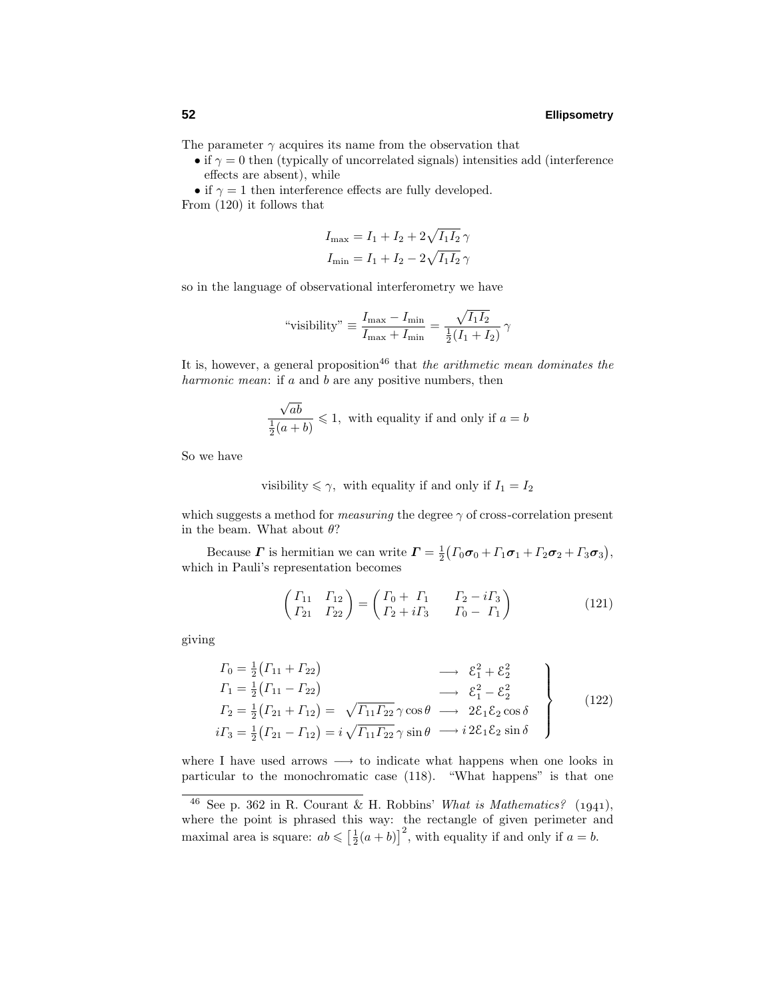The parameter  $\gamma$  acquires its name from the observation that

• if  $\gamma = 0$  then (typically of uncorrelated signals) intensities add (interference effects are absent), while

• if  $\gamma = 1$  then interference effects are fully developed. From (120) it follows that

$$
I_{\text{max}} = I_1 + I_2 + 2\sqrt{I_1 I_2} \gamma
$$
  

$$
I_{\text{min}} = I_1 + I_2 - 2\sqrt{I_1 I_2} \gamma
$$

so in the language of observational interferometry we have

" visibility" 
$$
\equiv \frac{I_{\text{max}} - I_{\text{min}}}{I_{\text{max}} + I_{\text{min}}} = \frac{\sqrt{I_1 I_2}}{\frac{1}{2}(I_1 + I_2)} \gamma
$$

It is, however, a general proposition<sup>46</sup> that the arithmetic mean dominates the harmonic mean: if *a* and *b* are any positive numbers, then

$$
\frac{\sqrt{ab}}{\frac{1}{2}(a+b)} \leq 1
$$
, with equality if and only if  $a = b$ 

So we have

$$
visibility \leq \gamma, \text{ with equality if and only if } I_1 = I_2
$$

which suggests a method for *measuring* the degree  $\gamma$  of cross-correlation present in the beam. What about *θ*?

Because *Γ* is hermitian we can write  $\mathbf{F} = \frac{1}{2} ( \Gamma_0 \boldsymbol{\sigma}_0 + \Gamma_1 \boldsymbol{\sigma}_1 + \Gamma_2 \boldsymbol{\sigma}_2 + \Gamma_3 \boldsymbol{\sigma}_3 ),$ which in Pauli's representation becomes

$$
\begin{pmatrix}\n\Gamma_{11} & \Gamma_{12} \\
\Gamma_{21} & \Gamma_{22}\n\end{pmatrix} = \begin{pmatrix}\n\Gamma_0 + \Gamma_1 & \Gamma_2 - i\Gamma_3 \\
\Gamma_2 + i\Gamma_3 & \Gamma_0 - \Gamma_1\n\end{pmatrix}
$$
\n(121)

giving

$$
T_0 = \frac{1}{2} (T_{11} + T_{22}) \longrightarrow \mathcal{E}_1^2 + \mathcal{E}_2^2
$$
  
\n
$$
T_1 = \frac{1}{2} (T_{11} - T_{22}) \longrightarrow \mathcal{E}_1^2 - \mathcal{E}_2^2
$$
  
\n
$$
T_2 = \frac{1}{2} (T_{21} + T_{12}) = \sqrt{T_{11} T_{22}} \gamma \cos \theta \longrightarrow 2\mathcal{E}_1 \mathcal{E}_2 \cos \delta
$$
  
\n
$$
i\Gamma_3 = \frac{1}{2} (T_{21} - T_{12}) = i\sqrt{T_{11} T_{22}} \gamma \sin \theta \longrightarrow i2\mathcal{E}_1 \mathcal{E}_2 \sin \delta
$$
\n(122)

where I have used arrows  $\longrightarrow$  to indicate what happens when one looks in particular to the monochromatic case (118). "What happens" is that one

<sup>&</sup>lt;sup>46</sup> See p. 362 in R. Courant & H. Robbins' What is Mathematics? (1941), where the point is phrased this way: the rectangle of given perimeter and maximal area is square:  $ab \leqslant \left[\frac{1}{2}(a+b)\right]^2$ , with equality if and only if  $a=b$ .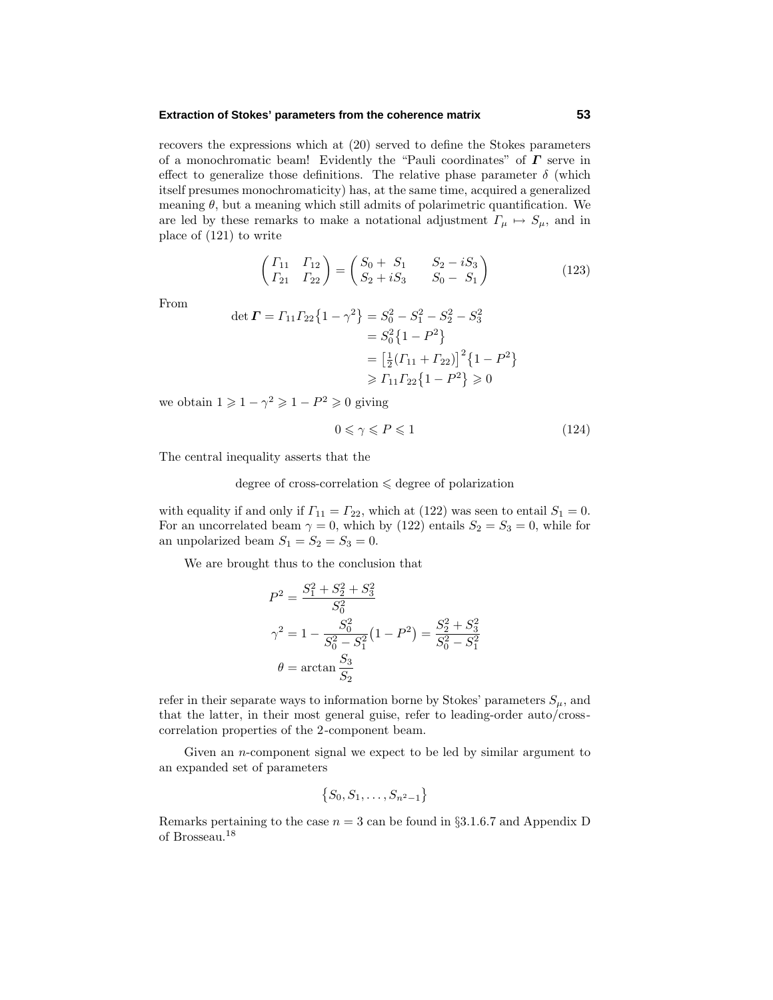#### **Extraction of Stokes' parameters from the coherence matrix 53**

recovers the expressions which at (20) served to define the Stokes parameters of a monochromatic beam! Evidently the "Pauli coordinates" of *Γ* serve in effect to generalize those definitions. The relative phase parameter  $\delta$  (which itself presumes monochromaticity) has, at the same time, acquired a generalized meaning  $\theta$ , but a meaning which still admits of polarimetric quantification. We are led by these remarks to make a notational adjustment  $\Gamma_{\mu} \mapsto S_{\mu}$ , and in place of (121) to write

$$
\begin{pmatrix}\n\Gamma_{11} & \Gamma_{12} \\
\Gamma_{21} & \Gamma_{22}\n\end{pmatrix} =\n\begin{pmatrix}\nS_0 + S_1 & S_2 - iS_3 \\
S_2 + iS_3 & S_0 - S_1\n\end{pmatrix}
$$
\n(123)

From

$$
\det \mathbf{\Gamma} = \Gamma_{11} \Gamma_{22} \{ 1 - \gamma^2 \} = S_0^2 - S_1^2 - S_2^2 - S_3^2
$$
  
=  $S_0^2 \{ 1 - P^2 \}$   
=  $\left[ \frac{1}{2} (\Gamma_{11} + \Gamma_{22}) \right]^2 \{ 1 - P^2 \}$   
 $\ge \Gamma_{11} \Gamma_{22} \{ 1 - P^2 \} \ge 0$ 

we obtain  $1 \geqslant 1 - \gamma^2 \geqslant 1 - P^2 \geqslant 0$  giving

$$
0 \leqslant \gamma \leqslant P \leqslant 1\tag{124}
$$

The central inequality asserts that the

degree of cross-correlation  $\leq$  degree of polarization

with equality if and only if  $\Gamma_{11} = \Gamma_{22}$ , which at (122) was seen to entail  $S_1 = 0$ . For an uncorrelated beam  $\gamma = 0$ , which by (122) entails  $S_2 = S_3 = 0$ , while for an unpolarized beam  $S_1 = S_2 = S_3 = 0$ .

We are brought thus to the conclusion that

$$
P^{2} = \frac{S_{1}^{2} + S_{2}^{2} + S_{3}^{2}}{S_{0}^{2}}
$$
  

$$
\gamma^{2} = 1 - \frac{S_{0}^{2}}{S_{0}^{2} - S_{1}^{2}} (1 - P^{2}) = \frac{S_{2}^{2} + S_{3}^{2}}{S_{0}^{2} - S_{1}^{2}}
$$
  

$$
\theta = \arctan \frac{S_{3}}{S_{2}}
$$

refer in their separate ways to information borne by Stokes' parameters  $S_{\mu}$ , and that the latter, in their most general guise, refer to leading-order auto/crosscorrelation properties of the 2-component beam.

Given an *n*-component signal we expect to be led by similar argument to an expanded set of parameters

$$
\{S_0, S_1, \ldots, S_{n^2-1}\}
$$

Remarks pertaining to the case  $n = 3$  can be found in  $\S 3.1.6.7$  and Appendix D of Brosseau.<sup>18</sup>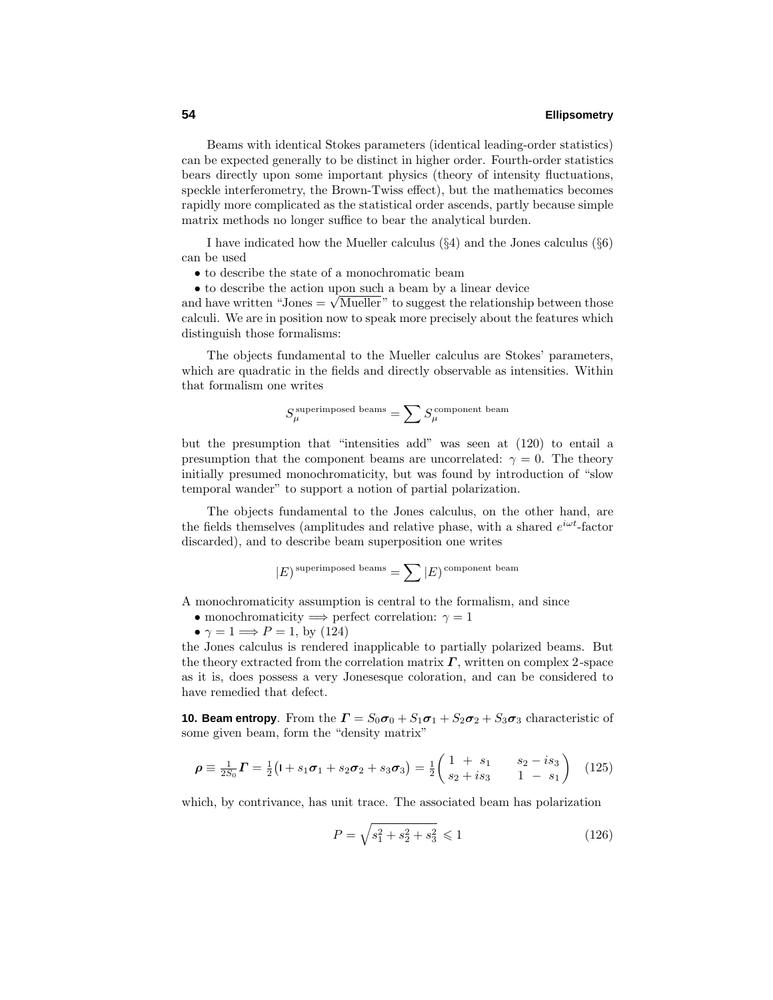Beams with identical Stokes parameters (identical leading-order statistics) can be expected generally to be distinct in higher order. Fourth-order statistics bears directly upon some important physics (theory of intensity fluctuations, speckle interferometry, the Brown-Twiss effect), but the mathematics becomes rapidly more complicated as the statistical order ascends, partly because simple matrix methods no longer suffice to bear the analytical burden.

I have indicated how the Mueller calculus (§4) and the Jones calculus (§6) can be used

- to describe the state of a monochromatic beam
- to describe the action upon such a beam by a linear device

• to describe the action upon such a beam by a linear device<br>and have written "Jones  $= \sqrt{\text{Mueller}}$ " to suggest the relationship between those calculi. We are in position now to speak more precisely about the features which distinguish those formalisms:

The objects fundamental to the Mueller calculus are Stokes' parameters, which are quadratic in the fields and directly observable as intensities. Within that formalism one writes

$$
S_\mu^{\rm superimposed\ beams} = \sum S_\mu^{\rm component\ beam}
$$

but the presumption that "intensities add" was seen at (120) to entail a presumption that the component beams are uncorrelated:  $\gamma = 0$ . The theory initially presumed monochromaticity, but was found by introduction of "slow temporal wander" to support a notion of partial polarization.

The objects fundamental to the Jones calculus, on the other hand, are the fields themselves (amplitudes and relative phase, with a shared *eiωt*-factor discarded), and to describe beam superposition one writes

$$
|E) superimposed beams = \sum |E) component beam
$$

A monochromaticity assumption is central to the formalism, and since

- monochromaticity  $\implies$  perfect correlation:  $\gamma = 1$
- $\gamma = 1 \Longrightarrow P = 1$ , by (124)

the Jones calculus is rendered inapplicable to partially polarized beams. But the theory extracted from the correlation matrix *Γ*, written on complex 2-space as it is, does possess a very Jonesesque coloration, and can be considered to have remedied that defect.

**10. Beam entropy**. From the  $\mathbf{\Gamma} = S_0 \boldsymbol{\sigma}_0 + S_1 \boldsymbol{\sigma}_1 + S_2 \boldsymbol{\sigma}_2 + S_3 \boldsymbol{\sigma}_3$  characteristic of some given beam, form the "density matrix"

$$
\rho \equiv \frac{1}{2S_0} \mathbf{\Gamma} = \frac{1}{2} \big( \mathbf{I} + s_1 \boldsymbol{\sigma}_1 + s_2 \boldsymbol{\sigma}_2 + s_3 \boldsymbol{\sigma}_3 \big) = \frac{1}{2} \begin{pmatrix} 1 + s_1 & s_2 - is_3 \\ s_2 + is_3 & 1 - s_1 \end{pmatrix}
$$
 (125)

which, by contrivance, has unit trace. The associated beam has polarization

$$
P = \sqrt{s_1^2 + s_2^2 + s_3^2} \leq 1\tag{126}
$$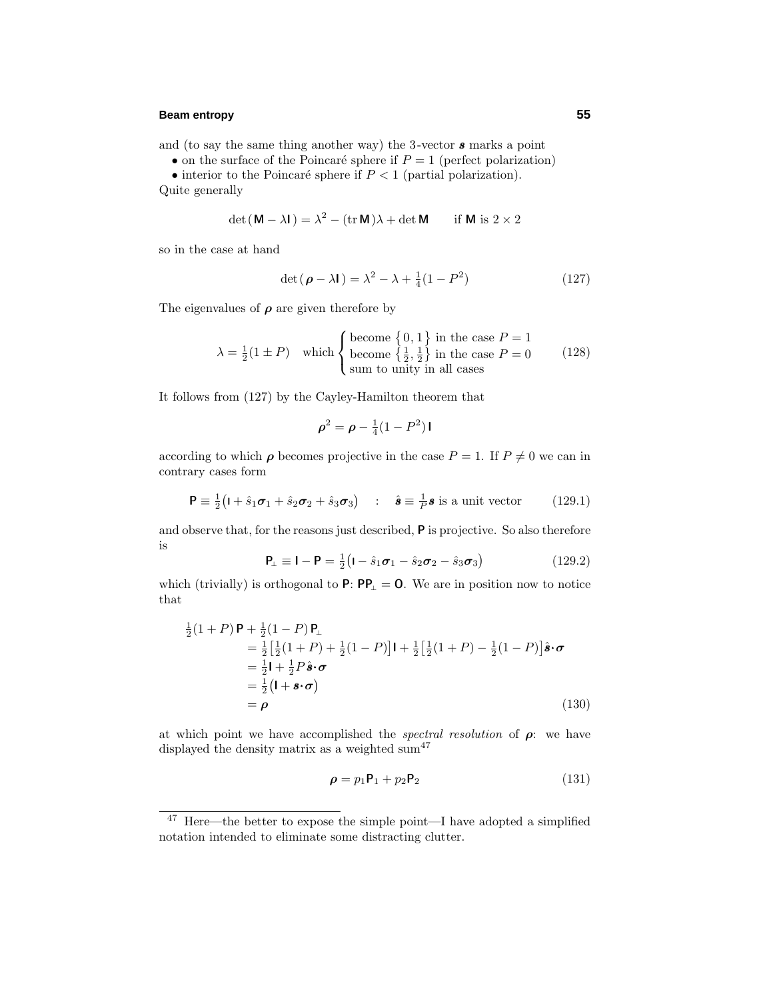## **Beam entropy 55**

and (to say the same thing another way) the 3-vector *s* marks a point

• on the surface of the Poincaré sphere if  $P = 1$  (perfect polarization)

• interior to the Poincaré sphere if  $P < 1$  (partial polarization). Quite generally

$$
\det(\mathbf{M} - \lambda \mathbf{I}) = \lambda^2 - (\text{tr}\,\mathbf{M})\lambda + \det \mathbf{M} \quad \text{if } \mathbf{M} \text{ is } 2 \times 2
$$

so in the case at hand

$$
\det(\boldsymbol{\rho} - \lambda \mathbf{I}) = \lambda^2 - \lambda + \frac{1}{4}(1 - P^2)
$$
 (127)

The eigenvalues of  $\rho$  are given therefore by

$$
\lambda = \frac{1}{2}(1 \pm P) \quad \text{which} \begin{cases} \text{become } \{0, 1\} \text{ in the case } P = 1\\ \text{become } \{\frac{1}{2}, \frac{1}{2}\} \text{ in the case } P = 0\\ \text{sum to unity in all cases} \end{cases} \tag{128}
$$

It follows from (127) by the Cayley-Hamilton theorem that

$$
\rho^2 = \rho - \frac{1}{4}(1 - P^2)\mathbf{I}
$$

according to which  $\rho$  becomes projective in the case  $P = 1$ . If  $P \neq 0$  we can in contrary cases form

$$
\mathbf{P} \equiv \frac{1}{2} \big( \mathbf{I} + \hat{s}_1 \boldsymbol{\sigma}_1 + \hat{s}_2 \boldsymbol{\sigma}_2 + \hat{s}_3 \boldsymbol{\sigma}_3 \big) \quad : \quad \hat{\boldsymbol{s}} \equiv \frac{1}{P} \boldsymbol{s} \text{ is a unit vector} \tag{129.1}
$$

and observe that, for the reasons just described, **P** is projective. So also therefore is

$$
\mathbf{P}_{\perp} \equiv \mathbf{I} - \mathbf{P} = \frac{1}{2} \left( \mathbf{I} - \hat{s}_1 \boldsymbol{\sigma}_1 - \hat{s}_2 \boldsymbol{\sigma}_2 - \hat{s}_3 \boldsymbol{\sigma}_3 \right) \tag{129.2}
$$

which (trivially) is orthogonal to  $P: PP_$  = 0. We are in position now to notice that

$$
\frac{1}{2}(1+P)\mathbf{P} + \frac{1}{2}(1-P)\mathbf{P}_{\perp}
$$
\n
$$
= \frac{1}{2} \left[ \frac{1}{2}(1+P) + \frac{1}{2}(1-P) \right] \mathbf{i} + \frac{1}{2} \left[ \frac{1}{2}(1+P) - \frac{1}{2}(1-P) \right] \hat{\mathbf{s}} \cdot \boldsymbol{\sigma}
$$
\n
$$
= \frac{1}{2} \mathbf{i} + \frac{1}{2} P \hat{\mathbf{s}} \cdot \boldsymbol{\sigma}
$$
\n
$$
= \frac{1}{2} (\mathbf{i} + \mathbf{s} \cdot \boldsymbol{\sigma})
$$
\n
$$
= \boldsymbol{\rho}
$$
\n(130)

at which point we have accomplished the *spectral resolution* of  $\rho$ : we have displayed the density matrix as a weighted sum<sup>47</sup>

$$
\rho = p_1 \mathsf{P}_1 + p_2 \mathsf{P}_2 \tag{131}
$$

<sup>47</sup> Here—the better to expose the simple point—I have adopted a simplified notation intended to eliminate some distracting clutter.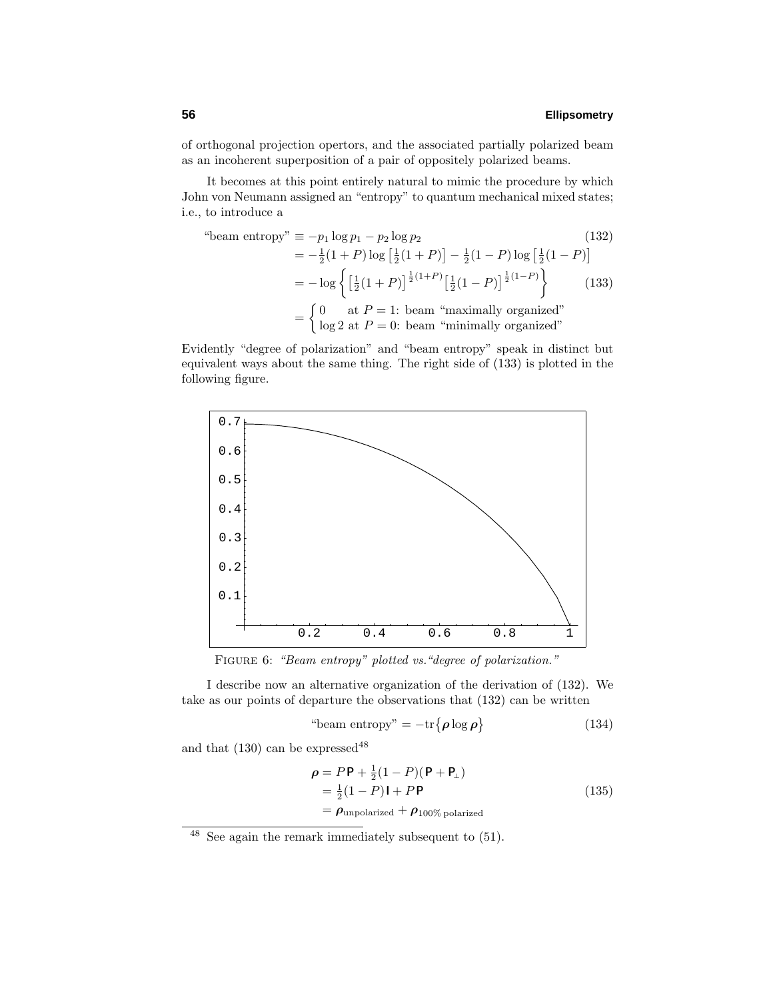of orthogonal projection opertors, and the associated partially polarized beam as an incoherent superposition of a pair of oppositely polarized beams.

It becomes at this point entirely natural to mimic the procedure by which John von Neumann assigned an "entropy" to quantum mechanical mixed states; i.e., to introduce a

"beam entropy" 
$$
\equiv -p_1 \log p_1 - p_2 \log p_2
$$
 (132)  
\n
$$
= -\frac{1}{2}(1+P) \log \left[\frac{1}{2}(1+P)\right] - \frac{1}{2}(1-P) \log \left[\frac{1}{2}(1-P)\right]
$$
\n
$$
= -\log \left\{ \left[\frac{1}{2}(1+P)\right]^{\frac{1}{2}(1+P)} \left[\frac{1}{2}(1-P)\right]^{\frac{1}{2}(1-P)} \right\} \qquad (133)
$$
\n
$$
= \begin{cases} 0 & \text{at } P = 1: \text{ beam "maximally organized"} \\ \log 2 & \text{at } P = 0: \text{ beam "minimally organized"} \end{cases}
$$

Evidently "degree of polarization" and "beam entropy" speak in distinct but equivalent ways about the same thing. The right side of (133) is plotted in the following figure.



FIGURE 6: "Beam entropy" plotted vs. "degree of polarization."

I describe now an alternative organization of the derivation of (132). We take as our points of departure the observations that (132) can be written

"beam entropy" = 
$$
-tr\{\rho \log \rho\}
$$
 (134)

and that  $(130)$  can be expressed<sup>48</sup>

$$
\rho = P \mathbf{P} + \frac{1}{2} (1 - P) (\mathbf{P} + \mathbf{P}_{\perp})
$$
  
=  $\frac{1}{2} (1 - P) \mathbf{I} + P \mathbf{P}$   
=  $\rho_{\text{unpolarized}} + \rho_{100\% \text{ polarized}}$  (135)

<sup>48</sup> See again the remark immediately subsequent to (51).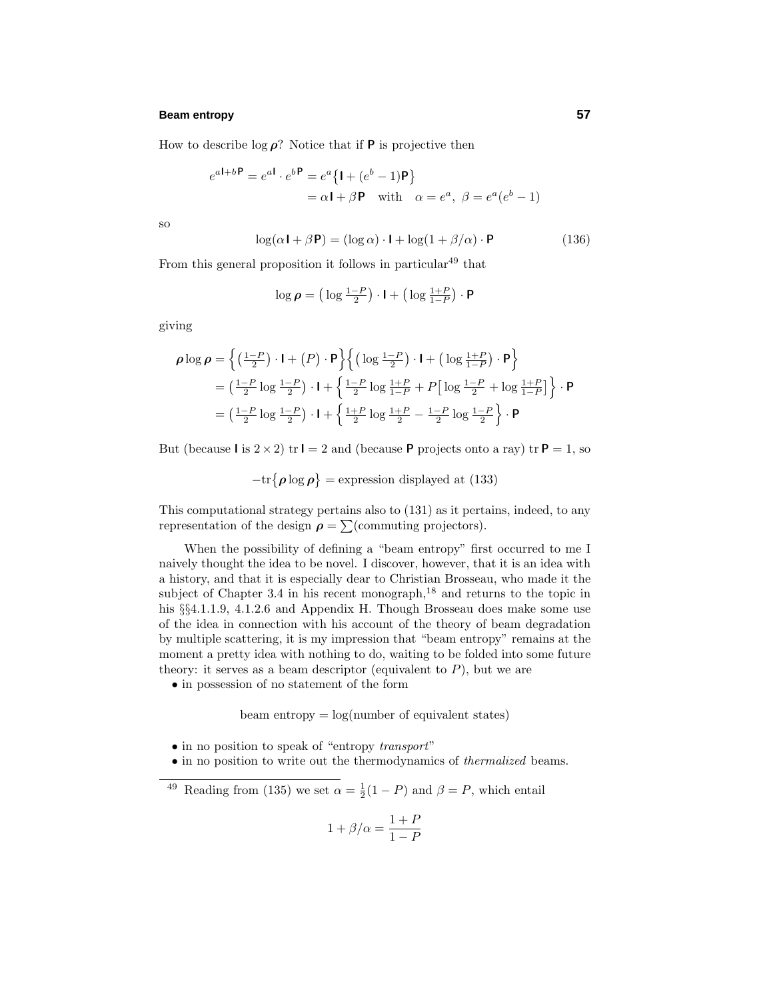## **Beam entropy 57**

How to describe  $\log \rho$ ? Notice that if **P** is projective then

$$
e^{a\mathbf{I} + b\mathbf{P}} = e^{a\mathbf{I}} \cdot e^{b\mathbf{P}} = e^a \{ \mathbf{I} + (e^b - 1)\mathbf{P} \}
$$
  
=  $\alpha \mathbf{I} + \beta \mathbf{P}$  with  $\alpha = e^a$ ,  $\beta = e^a(e^b - 1)$ 

so

$$
\log(\alpha \mathbf{I} + \beta \mathbf{P}) = (\log \alpha) \cdot \mathbf{I} + \log(1 + \beta/\alpha) \cdot \mathbf{P}
$$
 (136)

From this general proposition it follows in particular  $49$  that

$$
\log \boldsymbol{\rho} = \left(\log \frac{1-P}{2}\right) \cdot \mathbf{I} + \left(\log \frac{1+P}{1-P}\right) \cdot \mathbf{P}
$$

giving

$$
\rho \log \rho = \left\{ \left( \frac{1-P}{2} \right) \cdot \mathbf{I} + \left( P \right) \cdot \mathbf{P} \right\} \left\{ \left( \log \frac{1-P}{2} \right) \cdot \mathbf{I} + \left( \log \frac{1+P}{1-P} \right) \cdot \mathbf{P} \right\}
$$
  
=  $\left( \frac{1-P}{2} \log \frac{1-P}{2} \right) \cdot \mathbf{I} + \left\{ \frac{1-P}{2} \log \frac{1+P}{1-P} + P \left[ \log \frac{1-P}{2} + \log \frac{1+P}{1-P} \right] \right\} \cdot \mathbf{P}$   
=  $\left( \frac{1-P}{2} \log \frac{1-P}{2} \right) \cdot \mathbf{I} + \left\{ \frac{1+P}{2} \log \frac{1+P}{2} - \frac{1-P}{2} \log \frac{1-P}{2} \right\} \cdot \mathbf{P}$ 

But (because **I** is  $2 \times 2$ ) tr **I** = 2 and (because **P** projects onto a ray) tr **P** = 1, so

$$
-\text{tr}\{\rho \log \rho\} = \text{expression displayed at (133)}
$$

This computational strategy pertains also to (131) as it pertains, indeed, to any representation of the design  $\rho = \sum$  (commuting projectors).

When the possibility of defining a "beam entropy" first occurred to me I naively thought the idea to be novel. I discover, however, that it is an idea with a history, and that it is especially dear to Christian Brosseau, who made it the subject of Chapter 3.4 in his recent monograph, $^{18}$  and returns to the topic in his §§4.1.1.9, 4.1.2.6 and Appendix H. Though Brosseau does make some use of the idea in connection with his account of the theory of beam degradation by multiple scattering, it is my impression that "beam entropy" remains at the moment a pretty idea with nothing to do, waiting to be folded into some future theory: it serves as a beam descriptor (equivalent to  $P$ ), but we are

• in possession of no statement of the form

beam entropy  $= \log(n$ umber of equivalent states)

- in no position to speak of "entropy transport"
- in no position to write out the thermodynamics of thermalized beams.
- <sup>49</sup> Reading from (135) we set  $\alpha = \frac{1}{2}(1 P)$  and  $\beta = P$ , which entail

$$
1 + \beta/\alpha = \frac{1+P}{1-P}
$$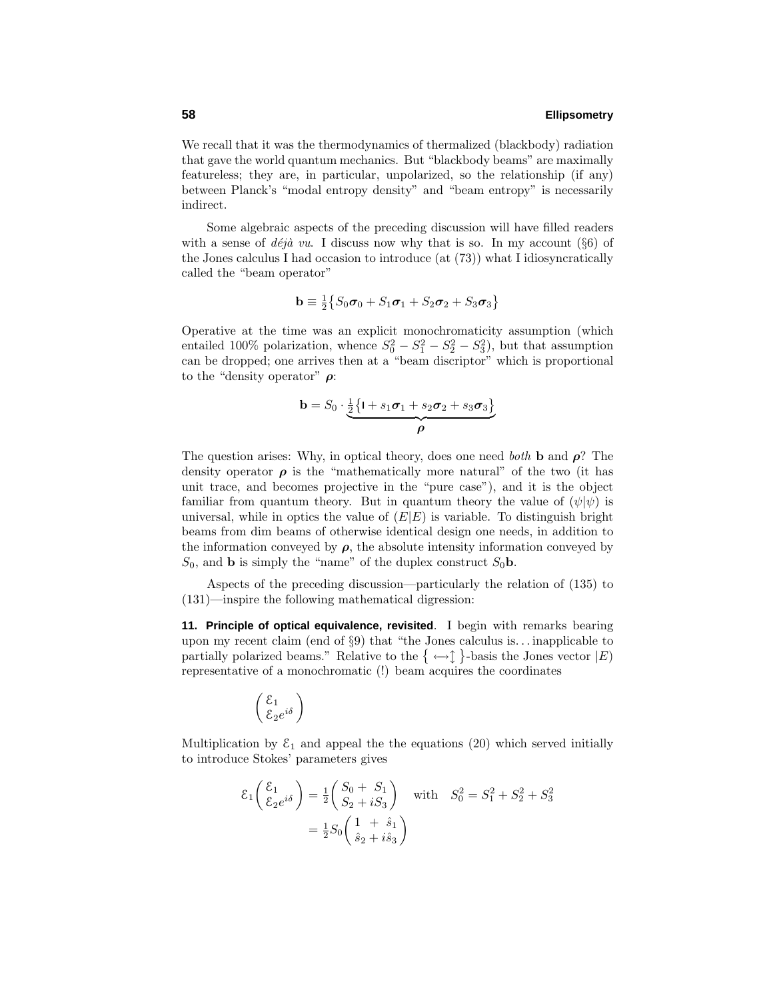We recall that it was the thermodynamics of thermalized (blackbody) radiation that gave the world quantum mechanics. But "blackbody beams" are maximally featureless; they are, in particular, unpolarized, so the relationship (if any) between Planck's "modal entropy density" and "beam entropy" is necessarily indirect.

Some algebraic aspects of the preceding discussion will have filled readers with a sense of  $d\acute{e}j\grave{a}$  vu. I discuss now why that is so. In my account (§6) of the Jones calculus I had occasion to introduce (at (73)) what I idiosyncratically called the "beam operator"

$$
\mathbf{b} \equiv \frac{1}{2} \{ S_0 \boldsymbol{\sigma}_0 + S_1 \boldsymbol{\sigma}_1 + S_2 \boldsymbol{\sigma}_2 + S_3 \boldsymbol{\sigma}_3 \}
$$

Operative at the time was an explicit monochromaticity assumption (which entailed 100% polarization, whence  $S_0^2 - S_1^2 - S_2^2 - S_3^2$ , but that assumption can be dropped; one arrives then at a "beam discriptor" which is proportional to the "density operator" *ρ*:

$$
\mathbf{b} = S_0 \cdot \underbrace{\frac{1}{2} \{1 + s_1 \sigma_1 + s_2 \sigma_2 + s_3 \sigma_3\}}_{\rho}
$$

The question arises: Why, in optical theory, does one need both **b** and *ρ*? The density operator  $\rho$  is the "mathematically more natural" of the two (it has unit trace, and becomes projective in the "pure case"), and it is the object familiar from quantum theory. But in quantum theory the value of  $(\psi|\psi)$  is universal, while in optics the value of  $(E|E)$  is variable. To distinguish bright beams from dim beams of otherwise identical design one needs, in addition to the information conveyed by  $\rho$ , the absolute intensity information conveyed by  $S_0$ , and **b** is simply the "name" of the duplex construct  $S_0$ **b**.

Aspects of the preceding discussion—particularly the relation of (135) to (131)—inspire the following mathematical digression:

**11. Principle of optical equivalence, revisited**. I begin with remarks bearing upon my recent claim (end of §9) that "the Jones calculus is*...* inapplicable to partially polarized beams." Relative to the  $\{\leftrightarrow \}$  }-basis the Jones vector  $|E\rangle$ representative of a monochromatic (!) beam acquires the coordinates

$$
\left(\frac{\varepsilon_1}{\varepsilon_2 e^{i\delta}}\right)
$$

Multiplication by  $\mathcal{E}_1$  and appeal the the equations (20) which served initially to introduce Stokes' parameters gives

$$
\mathcal{E}_1\left(\frac{\mathcal{E}_1}{\mathcal{E}_2 e^{i\delta}}\right) = \frac{1}{2}\left(\frac{S_0 + S_1}{S_2 + iS_3}\right) \quad \text{with} \quad S_0^2 = S_1^2 + S_2^2 + S_3^2
$$

$$
= \frac{1}{2}S_0\left(\frac{1 + \hat{s}_1}{\hat{s}_2 + i\hat{s}_3}\right)
$$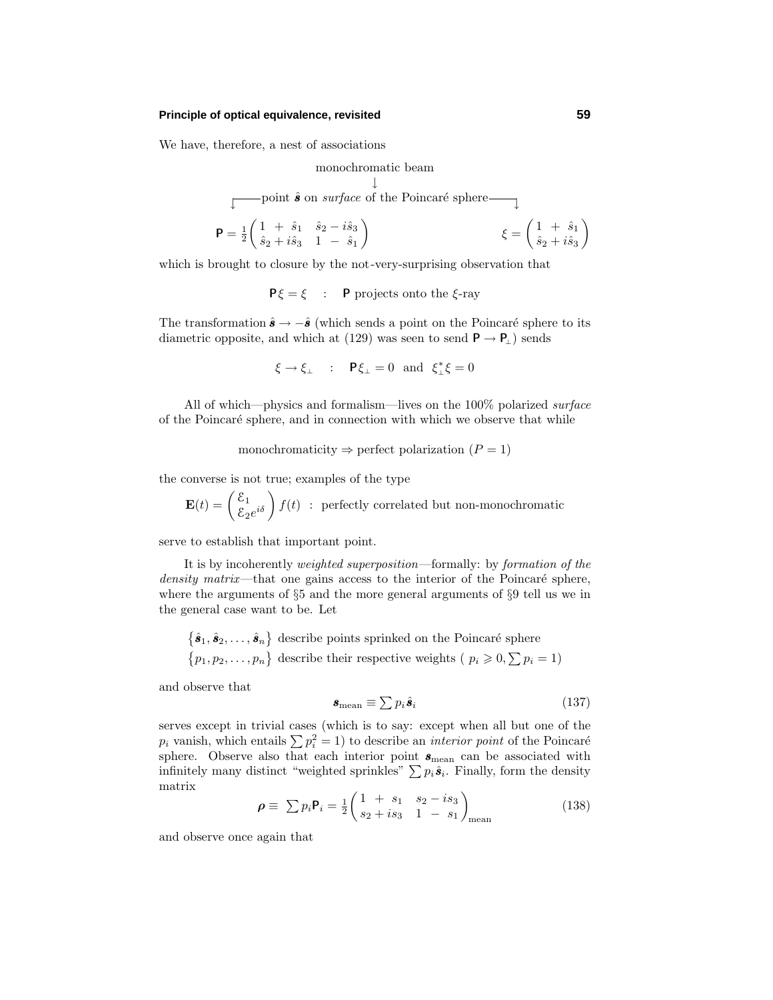#### **Principle of optical equivalence, revisited 59**

We have, therefore, a nest of associations

monochromatic beam ↓ point  $\hat{s}$  on *surface* of the Poincaré sphere  $\qquad \qquad$  $P = \frac{1}{2} \begin{pmatrix} 1 & + & \hat{s}_1 & \hat{s}_2 - i \hat{s}_3 \\ \hat{s} & + & \hat{s}^2 & 1 \end{pmatrix}$  $\xi = \begin{pmatrix} 1 & + & \hat{s}_1 \\ \hat{s} & + & \hat{s} \end{pmatrix}$ 

$$
\mathbf{r} = \frac{1}{2} \begin{pmatrix} \hat{s}_2 + i \hat{s}_3 & 1 - \hat{s}_1 \end{pmatrix} \qquad \qquad \xi = \begin{pmatrix} \hat{s}_2 + i \hat{s}_3 \end{pmatrix}
$$

which is brought to closure by the not-very-surprising observation that

**P***ξ* = *ξ* : **P** projects onto the *ξ*-ray

The transformation  $\hat{\mathbf{s}} \to -\hat{\mathbf{s}}$  (which sends a point on the Poincaré sphere to its diametric opposite, and which at (129) was seen to send  $P \rightarrow P_1$ ) sends

 $\xi \to \xi_{\perp}$  :  $\mathbf{P}\xi_{\perp} = 0$  and  $\xi_{\perp}^* \xi = 0$ 

All of which—physics and formalism—lives on the 100% polarized surface of the Poincar´e sphere, and in connection with which we observe that while

monochromaticity  $\Rightarrow$  perfect polarization ( $P = 1$ )

the converse is not true; examples of the type

 $\mathbf{E}(t) = \begin{pmatrix} \mathcal{E}_1 \\ \mathcal{E}_2 e^{i\delta} \end{pmatrix} f(t)$  : perfectly correlated but non-monochromatic

serve to establish that important point.

It is by incoherently weighted superposition—formally: by formation of the density matrix—that one gains access to the interior of the Poincaré sphere, where the arguments of §5 and the more general arguments of §9 tell us we in the general case want to be. Let

 $\{\hat{\bm{s}}_1, \hat{\bm{s}}_2, \ldots, \hat{\bm{s}}_n\}$  describe points sprinked on the Poincaré sphere  $\{p_1, p_2, \ldots, p_n\}$  describe their respective weights ( $p_i \geqslant 0, \sum p_i = 1$ )

and observe that

$$
\mathbf{s}_{\text{mean}} \equiv \sum p_i \hat{\mathbf{s}}_i \tag{137}
$$

serves except in trivial cases (which is to say: except when all but one of the  $p_i$  vanish, which entails  $\sum p_i^2 = 1$ ) to describe an *interior point* of the Poincaré sphere. Observe also that each interior point  $s_{\text{mean}}$  can be associated with infinitely many distinct "weighted sprinkles"  $\sum p_i \hat{\boldsymbol{s}}_i$ . Finally, form the density matrix

$$
\rho \equiv \sum p_i \mathbf{P}_i = \frac{1}{2} \begin{pmatrix} 1 & + & s_1 & s_2 - is_3 \\ s_2 + is_3 & 1 & - & s_1 \end{pmatrix}_{\text{mean}} \tag{138}
$$

and observe once again that

 $\setminus$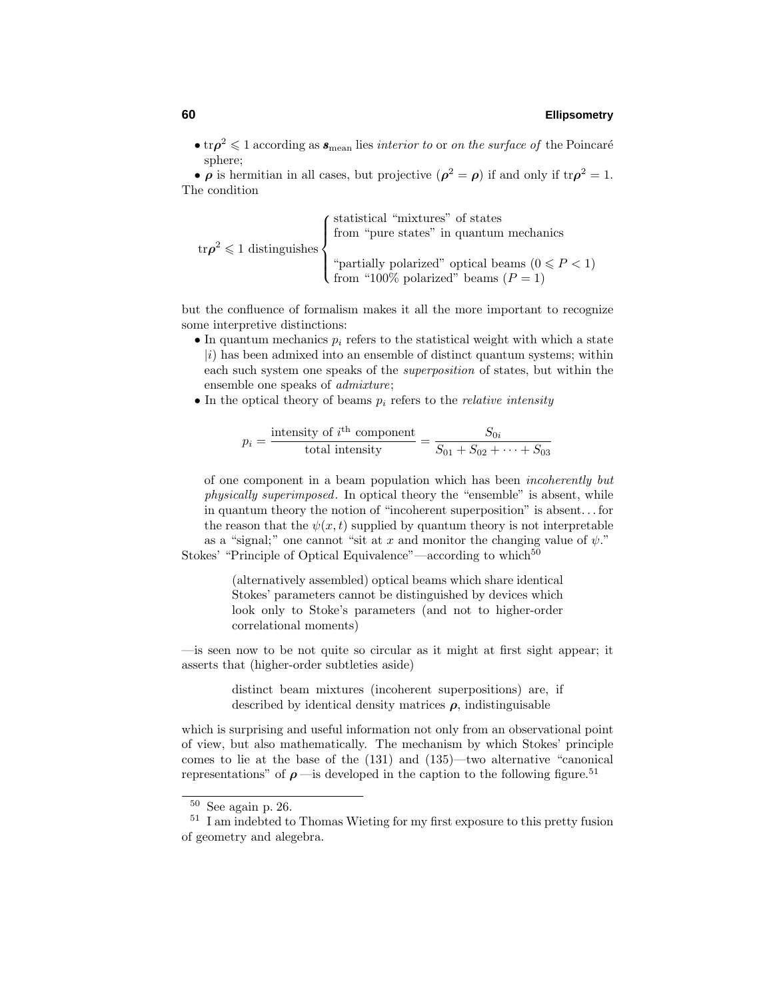• tr $\rho^2 \leq 1$  according as  $s_{\text{mean}}$  lies *interior to* or *on the surface of* the Poincaré sphere;

• *ρ* is hermitian in all cases, but projective  $(\rho^2 = \rho)$  if and only if  $\text{tr}\rho^2 = 1$ . The condition

 $\text{tr}\rho^2\leqslant1$  distinguishes  $\sqrt{ }$  $\int$  $\overline{\mathcal{L}}$ statistical "mixtures" of states from "pure states" in quantum mechanics "partially polarized" optical beams  $(0 \leq P < 1)$ from "100% polarized" beams  $(P = 1)$ 

but the confluence of formalism makes it all the more important to recognize some interpretive distinctions:

- In quantum mechanics  $p_i$  refers to the statistical weight with which a state  $|i\rangle$  has been admixed into an ensemble of distinct quantum systems; within each such system one speaks of the superposition of states, but within the ensemble one speaks of admixture;
- In the optical theory of beams  $p_i$  refers to the *relative intensity*

$$
p_i = \frac{\text{intensity of } i^{\text{th}} \text{ component}}{\text{total intensity}} = \frac{S_{0i}}{S_{01} + S_{02} + \dots + S_{03}}
$$

of one component in a beam population which has been incoherently but physically superimposed. In optical theory the "ensemble" is absent, while in quantum theory the notion of "incoherent superposition" is absent*...* for the reason that the  $\psi(x, t)$  supplied by quantum theory is not interpretable as a "signal;" one cannot "sit at x and monitor the changing value of  $\psi$ ." Stokes' "Principle of Optical Equivalence"—according to which<sup>50</sup>

> (alternatively assembled) optical beams which share identical Stokes' parameters cannot be distinguished by devices which look only to Stoke's parameters (and not to higher-order correlational moments)

—is seen now to be not quite so circular as it might at first sight appear; it asserts that (higher-order subtleties aside)

> distinct beam mixtures (incoherent superpositions) are, if described by identical density matrices  $\rho$ , indistinguisable

which is surprising and useful information not only from an observational point of view, but also mathematically. The mechanism by which Stokes' principle comes to lie at the base of the (131) and (135)—two alternative "canonical representations" of  $\rho$  —is developed in the caption to the following figure.<sup>51</sup>

<sup>50</sup> See again p. 26.

<sup>51</sup> I am indebted to Thomas Wieting for my first exposure to this pretty fusion of geometry and alegebra.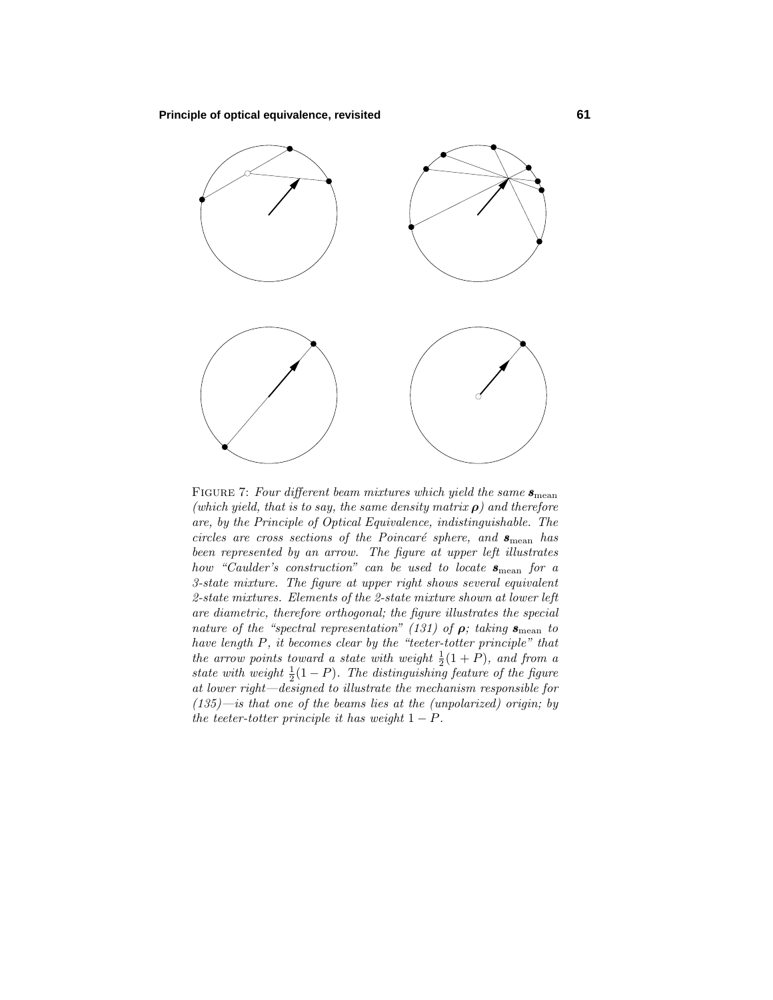

FIGURE 7: Four different beam mixtures which yield the same  $s_{\text{mean}}$ (which yield, that is to say, the same density matrix *ρ*) and therefore are, by the Principle of Optical Equivalence, indistinguishable. The circles are cross sections of the Poincaré sphere, and  $s_{\text{mean}}$  has been represented by an arrow. The figure at upper left illustrates how "Caulder's construction" can be used to locate  $s_{\text{mean}}$  for a 3-state mixture. The figure at upper right shows several equivalent 2-state mixtures. Elements of the 2-state mixture shown at lower left are diametric, therefore orthogonal; the figure illustrates the special nature of the "spectral representation" (131) of  $\rho$ ; taking  $s_{\text{mean}}$  to have length *P*, it becomes clear by the "teeter-totter principle" that the arrow points toward a state with weight  $\frac{1}{2}(1+P)$ , and from a state with weight  $\frac{1}{2}(1 - P)$ . The distinguishing feature of the figure at lower right—designed to illustrate the mechanism responsible for  $(135)$ —is that one of the beams lies at the (unpolarized) origin; by the teeter-totter principle it has weight  $1 - P$ .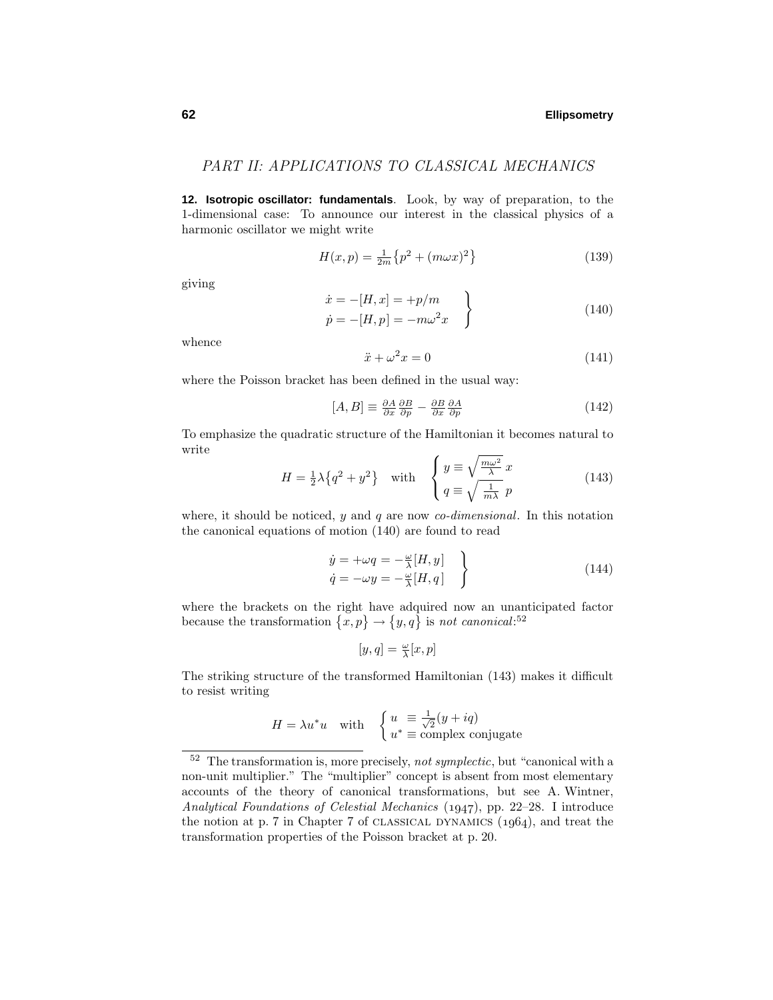# PART II: APPLICATIONS TO CLASSICAL MECHANICS

**12. Isotropic oscillator: fundamentals**. Look, by way of preparation, to the 1-dimensional case: To announce our interest in the classical physics of a harmonic oscillator we might write

$$
H(x,p) = \frac{1}{2m} \{p^2 + (m\omega x)^2\}
$$
 (139)

giving

$$
\begin{aligned}\n\dot{x} &= -[H, x] = +p/m \\
\dot{p} &= -[H, p] = -m\omega^2 x\n\end{aligned}
$$
\n(140)

whence

$$
\ddot{x} + \omega^2 x = 0 \tag{141}
$$

where the Poisson bracket has been defined in the usual way:

$$
[A,B] \equiv \frac{\partial A}{\partial x} \frac{\partial B}{\partial p} - \frac{\partial B}{\partial x} \frac{\partial A}{\partial p} \tag{142}
$$

To emphasize the quadratic structure of the Hamiltonian it becomes natural to write

$$
H = \frac{1}{2}\lambda \{q^2 + y^2\} \quad \text{with} \quad \begin{cases} y \equiv \sqrt{\frac{m\omega^2}{\lambda}} x \\ q \equiv \sqrt{\frac{1}{m\lambda}} p \end{cases}
$$
 (143)

where, it should be noticed, *y* and *q* are now *co-dimensional*. In this notation the canonical equations of motion (140) are found to read

$$
\begin{aligned}\n\dot{y} &= +\omega q = -\frac{\omega}{\lambda}[H, y] \\
\dot{q} &= -\omega y = -\frac{\omega}{\lambda}[H, q]\n\end{aligned}
$$
\n(144)

where the brackets on the right have adquired now an unanticipated factor because the transformation  $\{x, p\} \rightarrow \{y, q\}$  is not canonical:<sup>52</sup>

$$
[y,q] = \tfrac{\omega}{\lambda}[x,p]
$$

The striking structure of the transformed Hamiltonian (143) makes it difficult to resist writing

$$
H = \lambda u^* u \quad \text{with} \quad \begin{cases} u \equiv \frac{1}{\sqrt{2}}(y + iq) \\ u^* \equiv \text{complex conjugate} \end{cases}
$$

 $52$  The transformation is, more precisely, not symplectic, but "canonical with a non-unit multiplier." The "multiplier" concept is absent from most elementary accounts of the theory of canonical transformations, but see A. Wintner, Analytical Foundations of Celestial Mechanics  $(1947)$ , pp. 22–28. I introduce the notion at p. 7 in Chapter 7 of CLASSICAL DYNAMICS  $(1964)$ , and treat the transformation properties of the Poisson bracket at p. 20.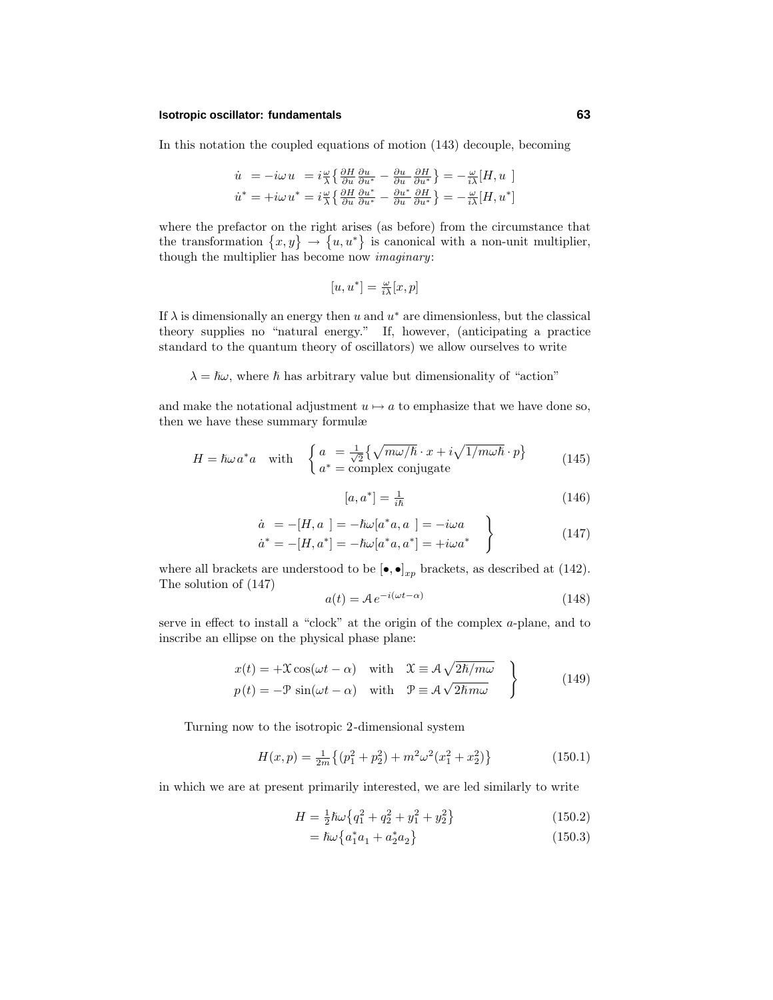#### **Isotropic oscillator: fundamentals 63**

In this notation the coupled equations of motion (143) decouple, becoming

$$
\dot{u} = -i\omega u = i\frac{\omega}{\lambda} \left\{ \frac{\partial H}{\partial u} \frac{\partial u}{\partial u^*} - \frac{\partial u}{\partial u} \frac{\partial H}{\partial u^*} \right\} = -\frac{\omega}{i\lambda} [H, u]
$$
\n
$$
\dot{u}^* = +i\omega u^* = i\frac{\omega}{\lambda} \left\{ \frac{\partial H}{\partial u} \frac{\partial u^*}{\partial u^*} - \frac{\partial u^*}{\partial u} \frac{\partial H}{\partial u^*} \right\} = -\frac{\omega}{i\lambda} [H, u^*]
$$

where the prefactor on the right arises (as before) from the circumstance that the transformation  $\{x, y\} \rightarrow \{u, u^*\}$  is canonical with a non-unit multiplier, though the multiplier has become now imaginary:

$$
[u, u^*] = \frac{\omega}{i\lambda}[x, p]
$$

If  $\lambda$  is dimensionally an energy then *u* and  $u^*$  are dimensionless, but the classical theory supplies no "natural energy." If, however, (anticipating a practice standard to the quantum theory of oscillators) we allow ourselves to write

 $\lambda = \hbar \omega$ , where  $\hbar$  has arbitrary value but dimensionality of "action"

and make the notational adjustment  $u \mapsto a$  to emphasize that we have done so, then we have these summary formulæ

$$
H = \hbar\omega a^* a \quad \text{with} \quad \begin{cases} a = \frac{1}{\sqrt{2}} \{ \sqrt{m\omega/\hbar} \cdot x + i\sqrt{1/m\omega\hbar} \cdot p \} \\ a^* = \text{complex conjugate} \end{cases}
$$
(145)

$$
[a, a^*] = \frac{1}{i\hbar} \tag{146}
$$

$$
\dot{a} = -[H, a] = -\hbar\omega[a^*a, a] = -i\omega a \n\dot{a}^* = -[H, a^*] = -\hbar\omega[a^*a, a^*] = +i\omega a^*
$$
\n(147)

where all brackets are understood to be  $[\bullet, \bullet]_{xp}$  brackets, as described at (142). The solution of (147)

$$
a(t) = A e^{-i(\omega t - \alpha)} \tag{148}
$$

serve in effect to install a "clock" at the origin of the complex *a*-plane, and to inscribe an ellipse on the physical phase plane:

$$
x(t) = +\mathcal{X}\cos(\omega t - \alpha) \quad \text{with} \quad \mathcal{X} \equiv \mathcal{A}\sqrt{2\hbar/m\omega} \}
$$
  
\n
$$
p(t) = -\mathcal{P}\sin(\omega t - \alpha) \quad \text{with} \quad \mathcal{P} \equiv \mathcal{A}\sqrt{2\hbar m\omega} \}
$$
 (149)

Turning now to the isotropic 2-dimensional system

$$
H(x,p) = \frac{1}{2m} \left\{ (p_1^2 + p_2^2) + m^2 \omega^2 (x_1^2 + x_2^2) \right\}
$$
 (150.1)

in which we are at present primarily interested, we are led similarly to write

$$
H = \frac{1}{2}\hbar\omega\left\{q_1^2 + q_2^2 + y_1^2 + y_2^2\right\} \tag{150.2}
$$

$$
= \hbar\omega \left\{ a_1^* a_1 + a_2^* a_2 \right\} \tag{150.3}
$$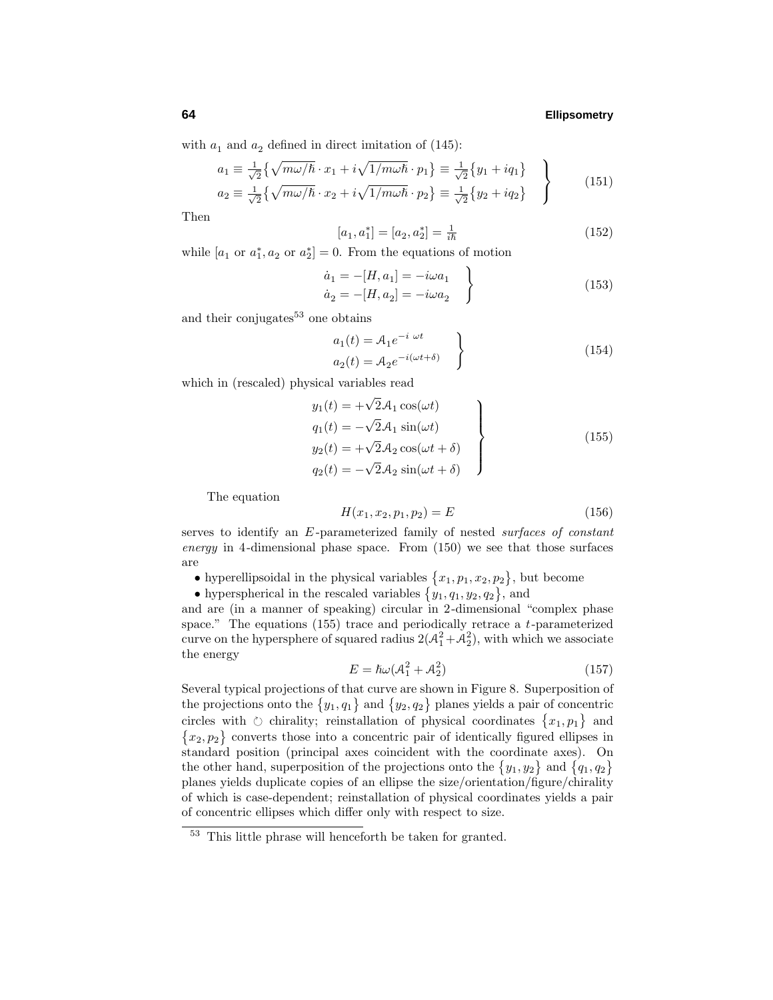with  $a_1$  and  $a_2$  defined in direct imitation of  $(145)$ :

$$
a_1 \equiv \frac{1}{\sqrt{2}} \left\{ \sqrt{m\omega/\hbar} \cdot x_1 + i\sqrt{1/m\omega\hbar} \cdot p_1 \right\} \equiv \frac{1}{\sqrt{2}} \left\{ y_1 + iq_1 \right\}
$$
  
\n
$$
a_2 \equiv \frac{1}{\sqrt{2}} \left\{ \sqrt{m\omega/\hbar} \cdot x_2 + i\sqrt{1/m\omega\hbar} \cdot p_2 \right\} \equiv \frac{1}{\sqrt{2}} \left\{ y_2 + iq_2 \right\}
$$
 (151)

Then

$$
[a_1, a_1^*] = [a_2, a_2^*] = \frac{1}{i\hbar} \tag{152}
$$

while  $[a_1 \text{ or } a_1^*, a_2 \text{ or } a_2^*]=0$ . From the equations of motion

$$
\dot{a}_1 = -[H, a_1] = -i\omega a_1 \n\dot{a}_2 = -[H, a_2] = -i\omega a_2
$$
\n(153)

and their conjugates $53$  one obtains

$$
a_1(t) = A_1 e^{-i \omega t}
$$
  
\n
$$
a_2(t) = A_2 e^{-i(\omega t + \delta)}
$$
\n
$$
(154)
$$

which in (rescaled) physical variables read

$$
y_1(t) = +\sqrt{2}A_1 \cos(\omega t)
$$
  
\n
$$
q_1(t) = -\sqrt{2}A_1 \sin(\omega t)
$$
  
\n
$$
y_2(t) = +\sqrt{2}A_2 \cos(\omega t + \delta)
$$
  
\n
$$
q_2(t) = -\sqrt{2}A_2 \sin(\omega t + \delta)
$$
\n(155)

The equation

$$
H(x_1, x_2, p_1, p_2) = E \tag{156}
$$

serves to identify an *E* -parameterized family of nested surfaces of constant energy in 4-dimensional phase space. From (150) we see that those surfaces are

- hyperellipsoidal in the physical variables  $\{x_1, p_1, x_2, p_2\}$ , but become
- hyperspherical in the rescaled variables  $\{y_1, q_1, y_2, q_2\}$ , and

and are (in a manner of speaking) circular in 2-dimensional "complex phase space." The equations (155) trace and periodically retrace a *t*-parameterized curve on the hypersphere of squared radius  $2(\mathcal{A}_1^2 + \mathcal{A}_2^2)$ , with which we associate the energy

$$
E = \hbar\omega(\mathcal{A}_1^2 + \mathcal{A}_2^2) \tag{157}
$$

Several typical projections of that curve are shown in Figure 8. Superposition of the projections onto the  $\{y_1, q_1\}$  and  $\{y_2, q_2\}$  planes yields a pair of concentric circles with  $\circlearrowright$  chirality; reinstallation of physical coordinates  $\{x_1, p_1\}$  and  ${x_2, p_2}$  converts those into a concentric pair of identically figured ellipses in standard position (principal axes coincident with the coordinate axes). On the other hand, superposition of the projections onto the  $\{y_1, y_2\}$  and  $\{q_1, q_2\}$ planes yields duplicate copies of an ellipse the size/orientation/figure/chirality of which is case-dependent; reinstallation of physical coordinates yields a pair of concentric ellipses which differ only with respect to size.

<sup>53</sup> This little phrase will henceforth be taken for granted.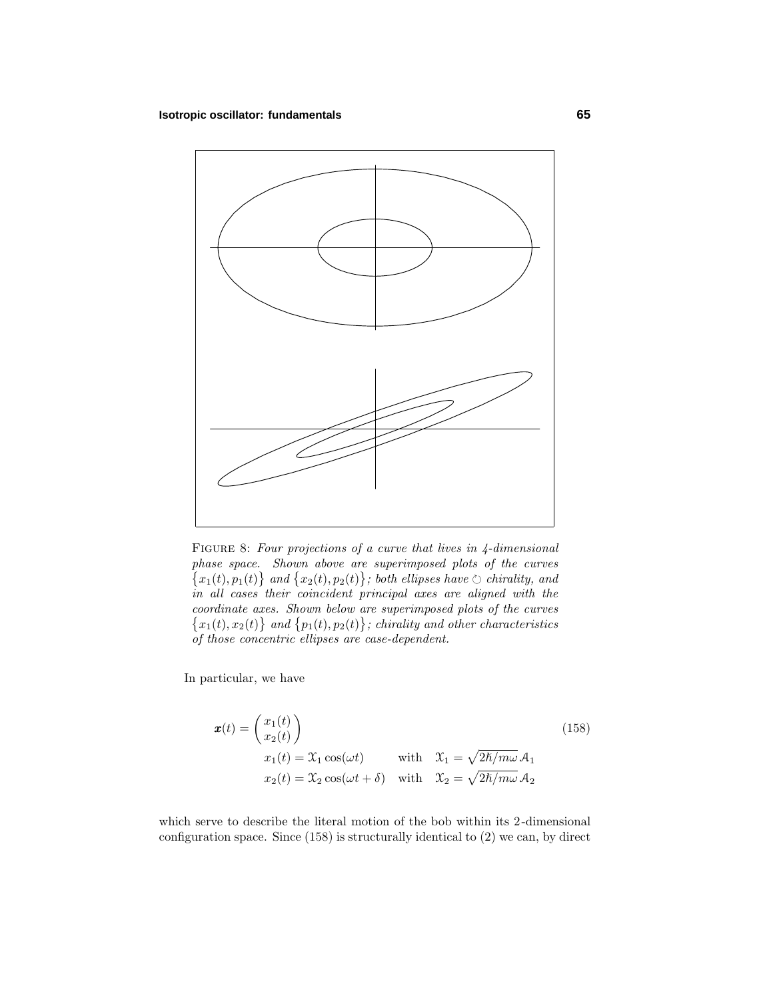

FIGURE 8: Four projections of a curve that lives in 4-dimensional phase space. Shown above are superimposed plots of the curves  $\{x_1(t), p_1(t)\}\$ and  $\{x_2(t), p_2(t)\}\$ ; both ellipses have  $\circlearrowright$  chirality, and in all cases their coincident principal axes are aligned with the coordinate axes. Shown below are superimposed plots of the curves  $\{x_1(t), x_2(t)\}\$ and  $\{p_1(t), p_2(t)\}\$ ; chirality and other characteristics of those concentric ellipses are case-dependent.

In particular, we have

$$
\mathbf{x}(t) = \begin{pmatrix} x_1(t) \\ x_2(t) \end{pmatrix}
$$
  
\n
$$
x_1(t) = \mathcal{X}_1 \cos(\omega t)
$$
 with  $\mathcal{X}_1 = \sqrt{2\hbar/m\omega} \mathcal{A}_1$   
\n
$$
x_2(t) = \mathcal{X}_2 \cos(\omega t + \delta)
$$
 with  $\mathcal{X}_2 = \sqrt{2\hbar/m\omega} \mathcal{A}_2$  (158)

which serve to describe the literal motion of the bob within its 2-dimensional configuration space. Since (158) is structurally identical to (2) we can, by direct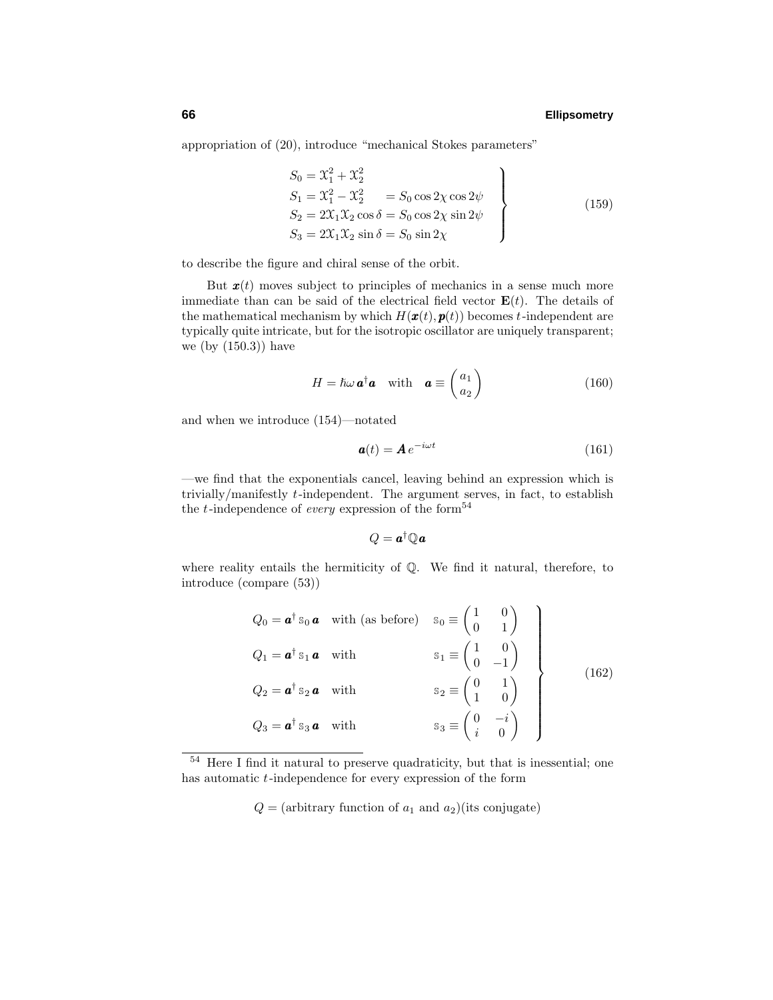appropriation of (20), introduce "mechanical Stokes parameters"

$$
S_0 = \mathcal{X}_1^2 + \mathcal{X}_2^2
$$
  
\n
$$
S_1 = \mathcal{X}_1^2 - \mathcal{X}_2^2 = S_0 \cos 2\chi \cos 2\psi
$$
  
\n
$$
S_2 = 2\mathcal{X}_1 \mathcal{X}_2 \cos \delta = S_0 \cos 2\chi \sin 2\psi
$$
  
\n
$$
S_3 = 2\mathcal{X}_1 \mathcal{X}_2 \sin \delta = S_0 \sin 2\chi
$$
\n(159)

to describe the figure and chiral sense of the orbit.

But  $\mathbf{x}(t)$  moves subject to principles of mechanics in a sense much more immediate than can be said of the electrical field vector  $\mathbf{E}(t)$ . The details of the mathematical mechanism by which  $H(\mathbf{x}(t), \mathbf{p}(t))$  becomes *t*-independent are typically quite intricate, but for the isotropic oscillator are uniquely transparent; we (by (150.3)) have

$$
H = \hbar\omega \mathbf{a}^\dagger \mathbf{a} \quad \text{with} \quad \mathbf{a} \equiv \begin{pmatrix} a_1 \\ a_2 \end{pmatrix} \tag{160}
$$

and when we introduce (154)—notated

$$
\mathbf{a}(t) = \mathbf{A} e^{-i\omega t} \tag{161}
$$

—we find that the exponentials cancel, leaving behind an expression which is trivially/manifestly *t*-independent. The argument serves, in fact, to establish the *t*-independence of *every* expression of the form<sup>54</sup>

$$
Q = \boldsymbol{a}^\dagger \mathbb{Q} \, \boldsymbol{a}
$$

where reality entails the hermiticity of Q. We find it natural, therefore, to introduce (compare (53))

$$
Q_0 = \mathbf{a}^\dagger s_0 \mathbf{a} \quad \text{with (as before)} \quad s_0 \equiv \begin{pmatrix} 1 & 0 \\ 0 & 1 \end{pmatrix}
$$
  
\n
$$
Q_1 = \mathbf{a}^\dagger s_1 \mathbf{a} \quad \text{with} \qquad s_1 \equiv \begin{pmatrix} 1 & 0 \\ 0 & -1 \end{pmatrix}
$$
  
\n
$$
Q_2 = \mathbf{a}^\dagger s_2 \mathbf{a} \quad \text{with} \qquad s_2 \equiv \begin{pmatrix} 0 & 1 \\ 1 & 0 \end{pmatrix}
$$
  
\n
$$
Q_3 = \mathbf{a}^\dagger s_3 \mathbf{a} \quad \text{with} \qquad s_3 \equiv \begin{pmatrix} 0 & -i \\ i & 0 \end{pmatrix}
$$
  
\n(162)

 $Q = (arbitrary function of  $a_1$  and  $a_2$ )(its conjugate)$ 

<sup>54</sup> Here I find it natural to preserve quadraticity, but that is inessential; one has automatic *t*-independence for every expression of the form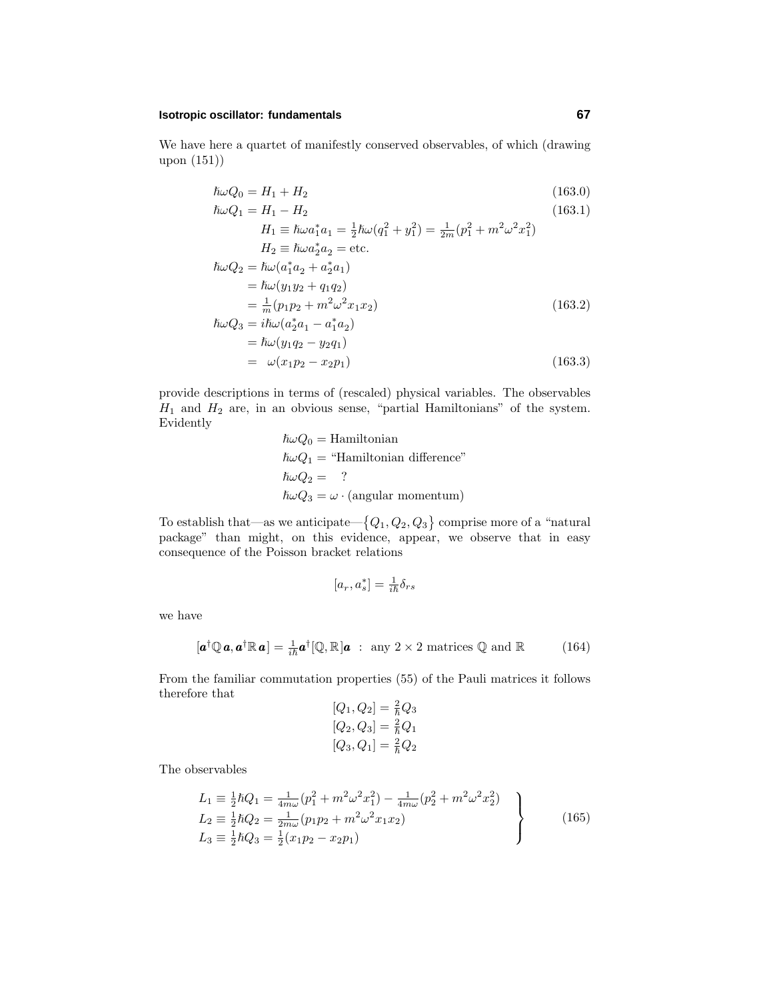#### **Isotropic oscillator: fundamentals 67**

We have here a quartet of manifestly conserved observables, of which (drawing upon (151))

$$
\hbar\omega Q_0 = H_1 + H_2 \tag{163.0}
$$

$$
\hbar\omega Q_1 = H_1 - H_2
$$
\n
$$
H_1 \equiv \hbar\omega a_1^* a_1 = \frac{1}{2}\hbar\omega (q_1^2 + y_1^2) = \frac{1}{2m}(p_1^2 + m^2\omega^2 x_1^2)
$$
\n
$$
H_2 \equiv \hbar\omega a_2^* a_2 = \text{etc.}
$$
\n
$$
\hbar\omega Q_2 = \hbar\omega (a_1^* a_2 + a_2^* a_1)
$$
\n
$$
= \hbar\omega (y_1 y_2 + q_1 q_2)
$$
\n
$$
= \frac{1}{m}(p_1 p_2 + m^2\omega^2 x_1 x_2)
$$
\n
$$
\hbar\omega Q_3 = i\hbar\omega (a_2^* a_1 - a_1^* a_2)
$$
\n
$$
= \hbar\omega (y_1 q_2 - y_2 q_1)
$$
\n
$$
= \omega (x_1 p_2 - x_2 p_1)
$$
\n(163.3)

provide descriptions in terms of (rescaled) physical variables. The observables *H*<sup>1</sup> and *H*<sup>2</sup> are, in an obvious sense, "partial Hamiltonians" of the system. Evidently

$$
\hbar\omega Q_0 = \text{Hamiltonian}
$$
  
\n
$$
\hbar\omega Q_1 = \text{"Hamiltonian difference"}
$$
  
\n
$$
\hbar\omega Q_2 = ?
$$
  
\n
$$
\hbar\omega Q_3 = \omega \cdot (\text{angular momentum})
$$

To establish that—as we anticipate— $\{Q_1, Q_2, Q_3\}$  comprise more of a "natural package" than might, on this evidence, appear, we observe that in easy consequence of the Poisson bracket relations

$$
[a_r,a_s^*]=\tfrac{1}{i\hbar}\delta_{rs}
$$

we have

$$
[\boldsymbol{a}^{\dagger} \mathbb{Q} \boldsymbol{a}, \boldsymbol{a}^{\dagger} \mathbb{R} \boldsymbol{a}] = \frac{1}{i\hbar} \boldsymbol{a}^{\dagger} [\mathbb{Q}, \mathbb{R}] \boldsymbol{a} \; : \; \text{any } 2 \times 2 \text{ matrices } \mathbb{Q} \text{ and } \mathbb{R} \tag{164}
$$

From the familiar commutation properties (55) of the Pauli matrices it follows therefore that

$$
[Q_1, Q_2] = \frac{2}{\hbar} Q_3
$$
  

$$
[Q_2, Q_3] = \frac{2}{\hbar} Q_1
$$
  

$$
[Q_3, Q_1] = \frac{2}{\hbar} Q_2
$$

The observables

$$
L_1 \equiv \frac{1}{2}\hbar Q_1 = \frac{1}{4m\omega}(p_1^2 + m^2\omega^2 x_1^2) - \frac{1}{4m\omega}(p_2^2 + m^2\omega^2 x_2^2)
$$
  
\n
$$
L_2 \equiv \frac{1}{2}\hbar Q_2 = \frac{1}{2m\omega}(p_1 p_2 + m^2\omega^2 x_1 x_2)
$$
  
\n
$$
L_3 \equiv \frac{1}{2}\hbar Q_3 = \frac{1}{2}(x_1 p_2 - x_2 p_1)
$$
\n(165)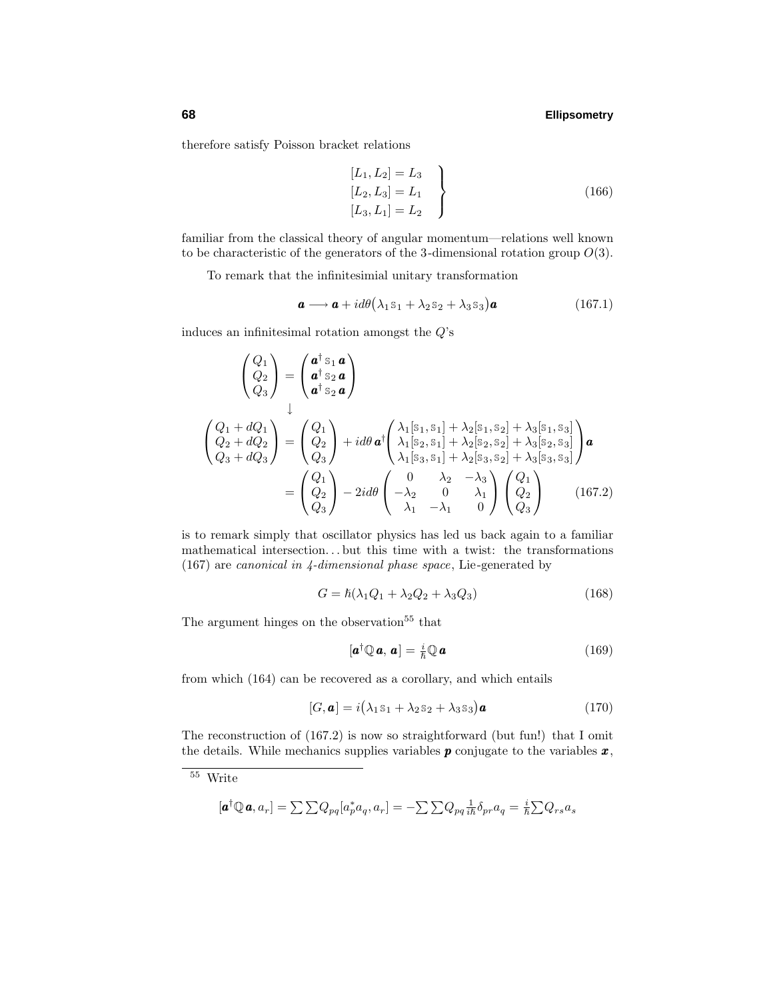therefore satisfy Poisson bracket relations

$$
\begin{aligned}\n[L_1, L_2] &= L_3 \\
[L_2, L_3] &= L_1 \\
[L_3, L_1] &= L_2\n\end{aligned}
$$
\n(166)

familiar from the classical theory of angular momentum—relations well known to be characteristic of the generators of the 3-dimensional rotation group *O*(3).

To remark that the infinitesimial unitary transformation

$$
\mathbf{a} \longrightarrow \mathbf{a} + id\theta \left( \lambda_1 \mathbf{s}_1 + \lambda_2 \mathbf{s}_2 + \lambda_3 \mathbf{s}_3 \right) \mathbf{a} \tag{167.1}
$$

induces an infinitesimal rotation amongst the *Q*'s

$$
\begin{pmatrix}\nQ_1 \\
Q_2 \\
Q_3\n\end{pmatrix} = \begin{pmatrix}\na^{\dagger} s_1 \mathbf{a} \\
a^{\dagger} s_2 \mathbf{a} \\
a^{\dagger} s_2 \mathbf{a}\n\end{pmatrix}
$$
\n
$$
\begin{pmatrix}\nQ_1 + dQ_1 \\
Q_2 + dQ_2 \\
Q_3 + dQ_3\n\end{pmatrix} = \begin{pmatrix}\nQ_1 \\
Q_2\n\end{pmatrix} + id\theta \mathbf{a}^{\dagger} \begin{pmatrix}\n\lambda_1[s_1, s_1] + \lambda_2[s_1, s_2] + \lambda_3[s_1, s_3] \\
\lambda_1[s_2, s_1] + \lambda_2[s_2, s_2] + \lambda_3[s_2, s_3]\n\end{pmatrix} \mathbf{a}
$$
\n
$$
= \begin{pmatrix}\nQ_1 \\
Q_2 \\
Q_3\n\end{pmatrix} - 2id\theta \begin{pmatrix}\n0 & \lambda_2 & -\lambda_3 \\
-\lambda_2 & 0 & \lambda_1 \\
\lambda_1 & -\lambda_1 & 0\n\end{pmatrix} \begin{pmatrix}\nQ_1 \\
Q_2 \\
Q_3\n\end{pmatrix}
$$
\n(167.2)

is to remark simply that oscillator physics has led us back again to a familiar mathematical intersection*...* but this time with a twist: the transformations (167) are canonical in 4-dimensional phase space, Lie-generated by

$$
G = \hbar(\lambda_1 Q_1 + \lambda_2 Q_2 + \lambda_3 Q_3) \tag{168}
$$

The argument hinges on the observation<sup>55</sup> that

$$
[\boldsymbol{a}^{\dagger}\mathbb{Q}\,\boldsymbol{a},\,\boldsymbol{a}]=\tfrac{i}{\hbar}\mathbb{Q}\,\boldsymbol{a}\tag{169}
$$

from which (164) can be recovered as a corollary, and which entails

$$
[G, \mathbf{a}] = i(\lambda_1 s_1 + \lambda_2 s_2 + \lambda_3 s_3) \mathbf{a}
$$
\n(170)

The reconstruction of (167.2) is now so straightforward (but fun!) that I omit the details. While mechanics supplies variables *p* conjugate to the variables *x*,

$$
[\mathbf{a}^\dagger \mathbb{Q} \mathbf{a}, a_r] = \sum \sum Q_{pq} [a_p^* a_q, a_r] = -\sum \sum Q_{pq} \frac{1}{i\hbar} \delta_{pr} a_q = \frac{i}{\hbar} \sum Q_{rs} a_s
$$

 $\overline{\phantom{1}55\,}$  Write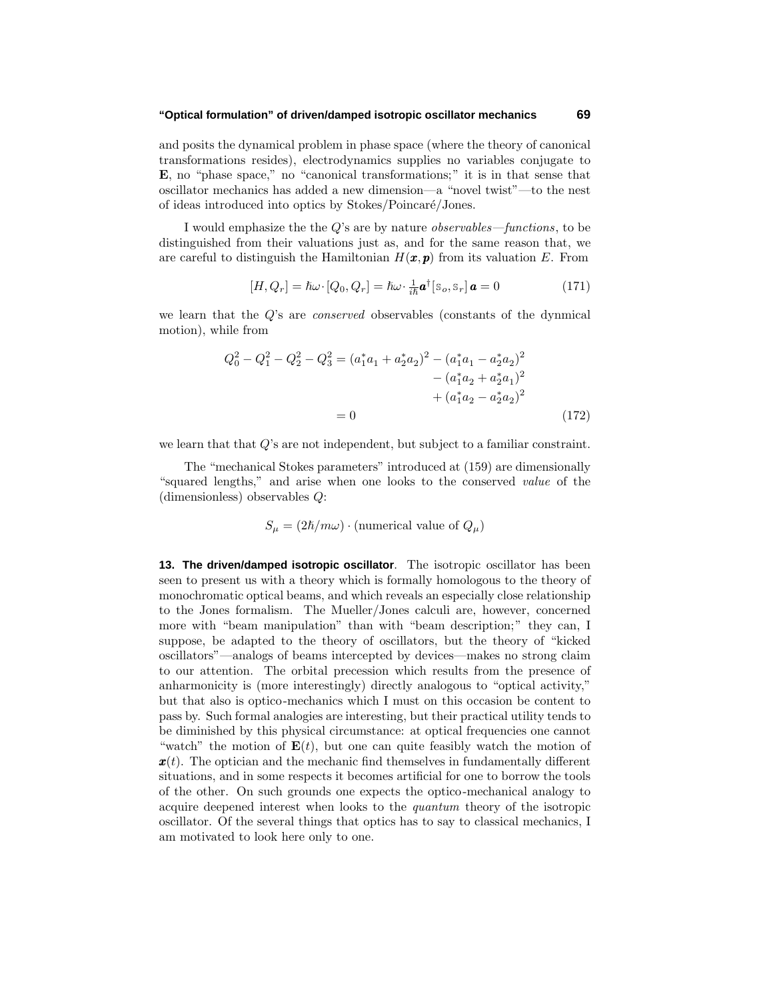#### **"Optical formulation" of driven/damped isotropic oscillator mechanics 69**

and posits the dynamical problem in phase space (where the theory of canonical transformations resides), electrodynamics supplies no variables conjugate to **E**, no "phase space," no "canonical transformations;" it is in that sense that oscillator mechanics has added a new dimension—a "novel twist"—to the nest of ideas introduced into optics by Stokes/Poincaré/Jones.

I would emphasize the the *Q*'s are by nature observables—functions, to be distinguished from their valuations just as, and for the same reason that, we are careful to distinguish the Hamiltonian  $H(\mathbf{x}, \mathbf{p})$  from its valuation *E*. From

$$
[H, Q_r] = \hbar \omega \cdot [Q_0, Q_r] = \hbar \omega \cdot \frac{1}{i\hbar} \mathbf{a}^\dagger [\mathbf{s}_o, \mathbf{s}_r] \mathbf{a} = 0 \tag{171}
$$

we learn that the *Q*'s are conserved observables (constants of the dynmical motion), while from

$$
Q_0^2 - Q_1^2 - Q_2^2 - Q_3^2 = (a_1^* a_1 + a_2^* a_2)^2 - (a_1^* a_1 - a_2^* a_2)^2
$$
  

$$
- (a_1^* a_2 + a_2^* a_1)^2
$$
  

$$
+ (a_1^* a_2 - a_2^* a_2)^2
$$
  

$$
= 0
$$
 (172)

we learn that that *Q*'s are not independent, but subject to a familiar constraint.

The "mechanical Stokes parameters" introduced at (159) are dimensionally "squared lengths," and arise when one looks to the conserved value of the (dimensionless) observables *Q*:

$$
S_{\mu} = (2\hbar/m\omega) \cdot (\text{numerical value of } Q_{\mu})
$$

**13. The driven/damped isotropic oscillator**. The isotropic oscillator has been seen to present us with a theory which is formally homologous to the theory of monochromatic optical beams, and which reveals an especially close relationship to the Jones formalism. The Mueller/Jones calculi are, however, concerned more with "beam manipulation" than with "beam description;" they can, I suppose, be adapted to the theory of oscillators, but the theory of "kicked oscillators"—analogs of beams intercepted by devices—makes no strong claim to our attention. The orbital precession which results from the presence of anharmonicity is (more interestingly) directly analogous to "optical activity," but that also is optico-mechanics which I must on this occasion be content to pass by. Such formal analogies are interesting, but their practical utility tends to be diminished by this physical circumstance: at optical frequencies one cannot "watch" the motion of  $E(t)$ , but one can quite feasibly watch the motion of *x*(*t*). The optician and the mechanic find themselves in fundamentally different situations, and in some respects it becomes artificial for one to borrow the tools of the other. On such grounds one expects the optico-mechanical analogy to acquire deepened interest when looks to the quantum theory of the isotropic oscillator. Of the several things that optics has to say to classical mechanics, I am motivated to look here only to one.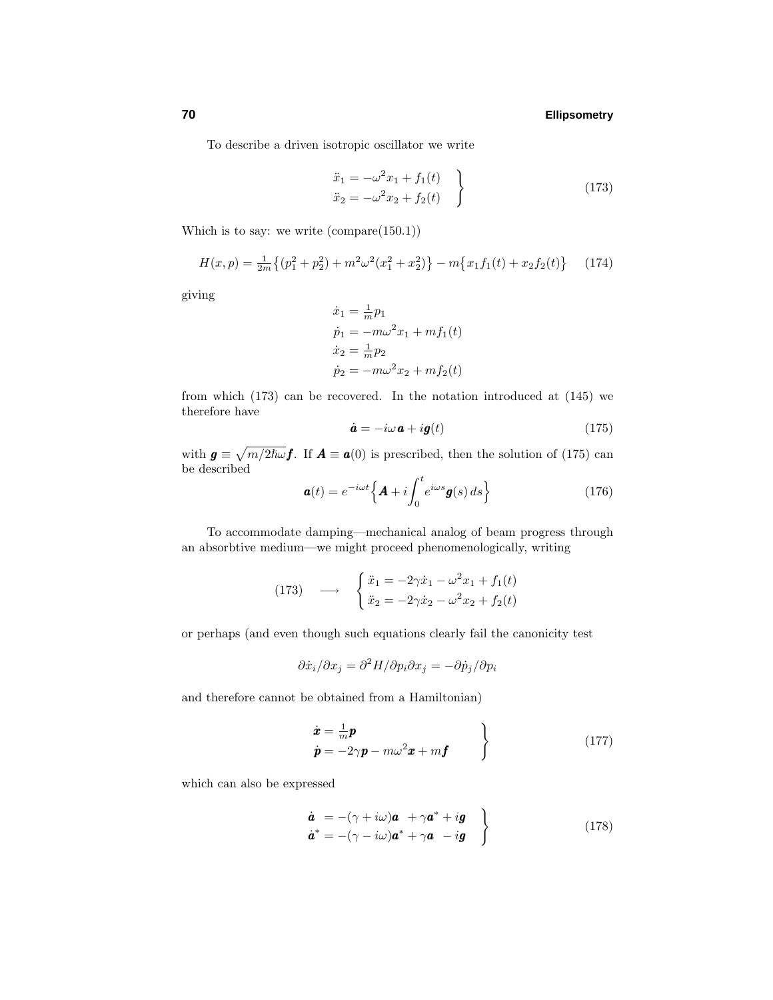To describe a driven isotropic oscillator we write

$$
\ddot{x}_1 = -\omega^2 x_1 + f_1(t) \n\ddot{x}_2 = -\omega^2 x_2 + f_2(t) \qquad (173)
$$

Which is to say: we write (compare(150.1))

$$
H(x,p) = \frac{1}{2m} \{ (p_1^2 + p_2^2) + m^2 \omega^2 (x_1^2 + x_2^2) \} - m \{ x_1 f_1(t) + x_2 f_2(t) \}
$$
 (174)

giving

$$
\dot{x}_1 = \frac{1}{m}p_1
$$
  
\n
$$
\dot{p}_1 = -m\omega^2 x_1 + mf_1(t)
$$
  
\n
$$
\dot{x}_2 = \frac{1}{m}p_2
$$
  
\n
$$
\dot{p}_2 = -m\omega^2 x_2 + mf_2(t)
$$

from which (173) can be recovered. In the notation introduced at (145) we therefore have

$$
\dot{\mathbf{a}} = -i\omega \mathbf{a} + i\mathbf{g}(t) \tag{175}
$$

with  $g \equiv \sqrt{m/2\hslash \omega} f$ . If  $A \equiv a(0)$  is prescribed, then the solution of (175) can be described

$$
\boldsymbol{a}(t) = e^{-i\omega t} \Big\{ \boldsymbol{A} + i \int_0^t e^{i\omega s} \boldsymbol{g}(s) \, ds \Big\} \tag{176}
$$

To accommodate damping—mechanical analog of beam progress through an absorbtive medium—we might proceed phenomenologically, writing

(173) 
$$
\longrightarrow \begin{cases} \ddot{x}_1 = -2\gamma \dot{x}_1 - \omega^2 x_1 + f_1(t) \\ \ddot{x}_2 = -2\gamma \dot{x}_2 - \omega^2 x_2 + f_2(t) \end{cases}
$$

or perhaps (and even though such equations clearly fail the canonicity test

$$
\partial \dot{x}_i / \partial x_j = \partial^2 H / \partial p_i \partial x_j = -\partial \dot{p}_j / \partial p_i
$$

and therefore cannot be obtained from a Hamiltonian)

$$
\begin{aligned}\n\dot{\boldsymbol{x}} &= \frac{1}{m}\boldsymbol{p} \\
\dot{\boldsymbol{p}} &= -2\gamma \boldsymbol{p} - m\omega^2 \boldsymbol{x} + m\boldsymbol{f}\n\end{aligned}
$$
\n(177)

which can also be expressed

$$
\dot{a} = -(\gamma + i\omega)a + \gamma a^* + ig \n\dot{a}^* = -(\gamma - i\omega)a^* + \gamma a - ig
$$
\n(178)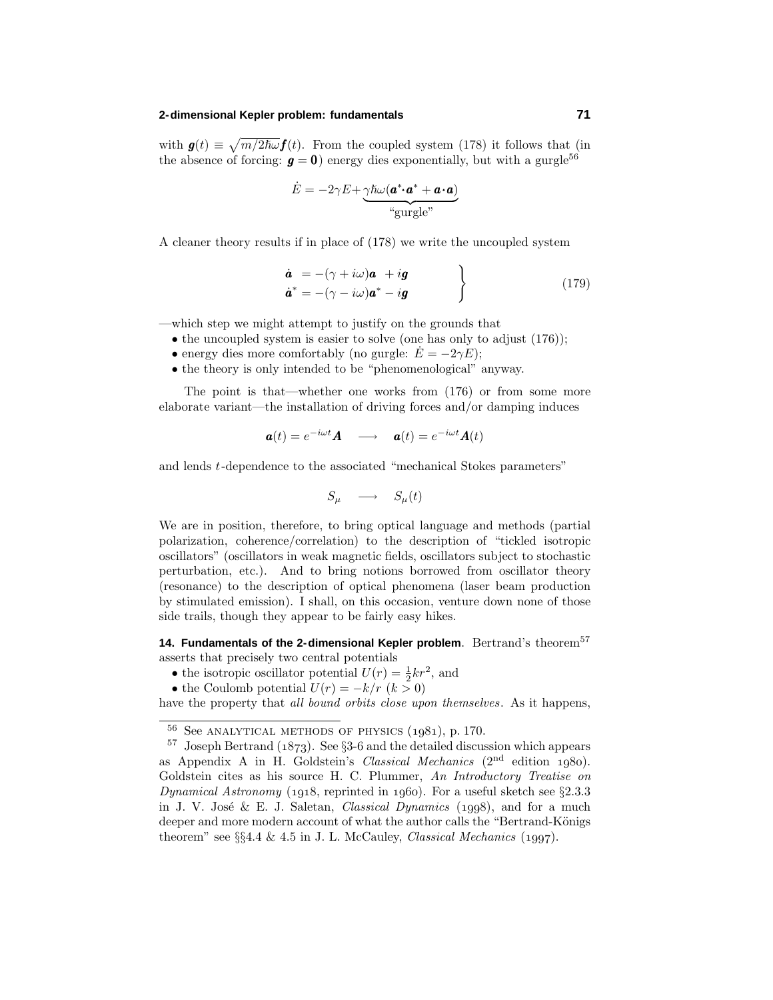#### **2-dimensional Kepler problem: fundamentals 71**

with  $g(t) \equiv \sqrt{m/2\hslash \omega} f(t)$ . From the coupled system (178) it follows that (in the absence of forcing:  $g = 0$ ) energy dies exponentially, but with a gurgle<sup>56</sup>

$$
\dot{E} = -2\gamma E + \underbrace{\gamma \hbar \omega (\mathbf{a}^* \mathbf{\cdot} \mathbf{a}^* + \mathbf{a} \mathbf{\cdot} \mathbf{a})}_{\text{``gurgle''}}
$$

A cleaner theory results if in place of (178) we write the uncoupled system

$$
\dot{a} = -(\gamma + i\omega)a + ig \n\dot{a}^* = -(\gamma - i\omega)a^* - ig
$$
\n(179)

—which step we might attempt to justify on the grounds that

- the uncoupled system is easier to solve (one has only to adjust  $(176)$ );
- energy dies more comfortably (no gurgle:  $\dot{E} = -2\gamma E$ );
- the theory is only intended to be "phenomenological" anyway.

The point is that—whether one works from (176) or from some more elaborate variant—the installation of driving forces and/or damping induces

$$
\mathbf{a}(t) = e^{-i\omega t} \mathbf{A} \quad \longrightarrow \quad \mathbf{a}(t) = e^{-i\omega t} \mathbf{A}(t)
$$

and lends *t*-dependence to the associated "mechanical Stokes parameters"

$$
S_{\mu} \quad \longrightarrow \quad S_{\mu}(t)
$$

We are in position, therefore, to bring optical language and methods (partial polarization, coherence/correlation) to the description of "tickled isotropic oscillators" (oscillators in weak magnetic fields, oscillators subject to stochastic perturbation, etc.). And to bring notions borrowed from oscillator theory (resonance) to the description of optical phenomena (laser beam production by stimulated emission). I shall, on this occasion, venture down none of those side trails, though they appear to be fairly easy hikes.

**14. Fundamentals of the 2-dimensional Kepler problem.** Bertrand's theorem<sup>57</sup> asserts that precisely two central potentials

- the isotropic oscillator potential  $U(r) = \frac{1}{2}kr^2$ , and
- the Coulomb potential  $U(r) = -k/r$  ( $k > 0$ )

have the property that all bound orbits close upon themselves. As it happens,

 $56$  See ANALYTICAL METHODS OF PHYSICS  $(1981)$ , p. 170.

<sup>&</sup>lt;sup>57</sup> Joseph Bertrand ( $1873$ ). See §3-6 and the detailed discussion which appears as Appendix A in H. Goldstein's *Classical Mechanics*  $(2<sup>nd</sup>$  edition 1980). Goldstein cites as his source H. C. Plummer, An Introductory Treatise on Dynamical Astronomy (1918, reprinted in 1960). For a useful sketch see  $\S 2.3.3$ in J. V. José & E. J. Saletan, *Classical Dynamics* (1998), and for a much deeper and more modern account of what the author calls the "Bertrand-Königs" theorem" see  $\S$ §4.4 & 4.5 in J. L. McCauley, Classical Mechanics (1997).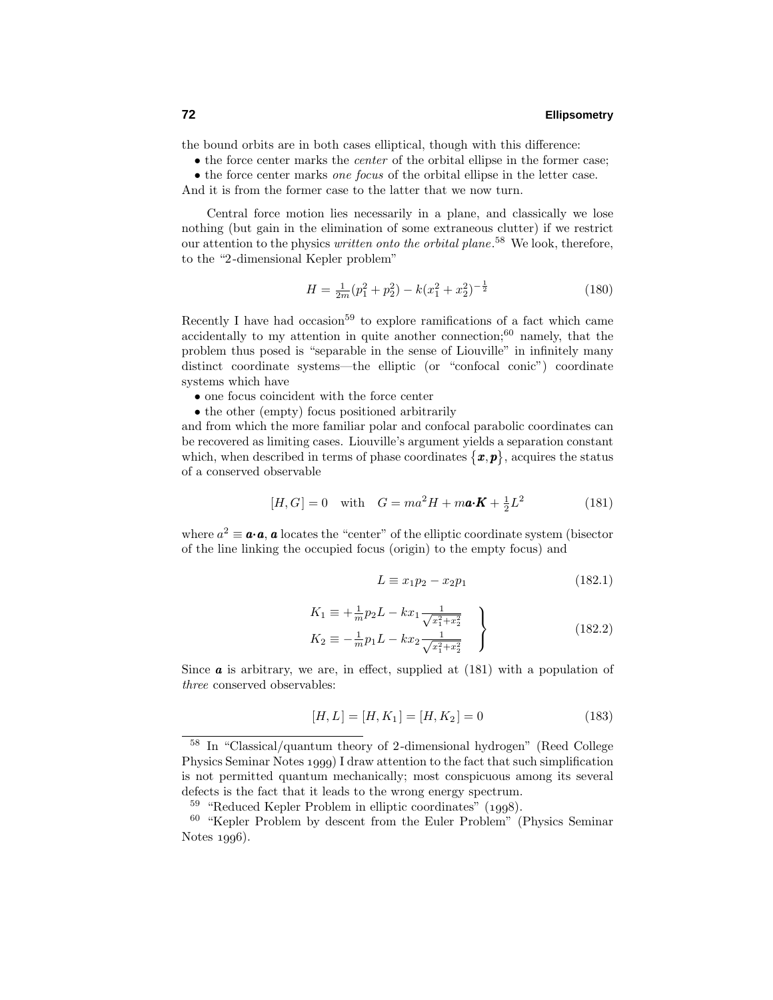the bound orbits are in both cases elliptical, though with this difference:

• the force center marks the center of the orbital ellipse in the former case;

• the force center marks one focus of the orbital ellipse in the letter case.

And it is from the former case to the latter that we now turn.

Central force motion lies necessarily in a plane, and classically we lose nothing (but gain in the elimination of some extraneous clutter) if we restrict our attention to the physics *written onto the orbital plane*.<sup>58</sup> We look, therefore, to the "2-dimensional Kepler problem"

$$
H = \frac{1}{2m}(p_1^2 + p_2^2) - k(x_1^2 + x_2^2)^{-\frac{1}{2}}
$$
\n(180)

Recently I have had occasion<sup>59</sup> to explore ramifications of a fact which came accidentally to my attention in quite another connection; $60$  namely, that the problem thus posed is "separable in the sense of Liouville" in infinitely many distinct coordinate systems—the elliptic (or "confocal conic") coordinate systems which have

- one focus coincident with the force center
- the other (empty) focus positioned arbitrarily

and from which the more familiar polar and confocal parabolic coordinates can be recovered as limiting cases. Liouville's argument yields a separation constant which, when described in terms of phase coordinates  $\{\boldsymbol{x}, \boldsymbol{p}\}\,$ , acquires the status of a conserved observable

$$
[H, G] = 0 \quad \text{with} \quad G = ma^2H + m\mathbf{a} \cdot \mathbf{K} + \frac{1}{2}L^2 \tag{181}
$$

where  $a^2 \equiv \mathbf{a} \cdot \mathbf{a}$ ,  $\mathbf{a}$  locates the "center" of the elliptic coordinate system (bisector of the line linking the occupied focus (origin) to the empty focus) and

$$
L \equiv x_1 p_2 - x_2 p_1 \tag{182.1}
$$

$$
K_1 \equiv +\frac{1}{m}p_2L - kx_1 \frac{1}{\sqrt{x_1^2 + x_2^2}}
$$
  
\n
$$
K_2 \equiv -\frac{1}{m}p_1L - kx_2 \frac{1}{\sqrt{x_1^2 + x_2^2}}
$$
\n(182.2)

Since **a** is arbitrary, we are, in effect, supplied at  $(181)$  with a population of three conserved observables:

$$
[H, L] = [H, K_1] = [H, K_2] = 0 \tag{183}
$$

<sup>58</sup> In "Classical/quantum theory of 2-dimensional hydrogen" (Reed College Physics Seminar Notes 1999) I draw attention to the fact that such simplification is not permitted quantum mechanically; most conspicuous among its several defects is the fact that it leads to the wrong energy spectrum.

 $59$  "Reduced Kepler Problem in elliptic coordinates" (1998).

<sup>60</sup> "Kepler Problem by descent from the Euler Problem" (Physics Seminar Notes  $1996$ .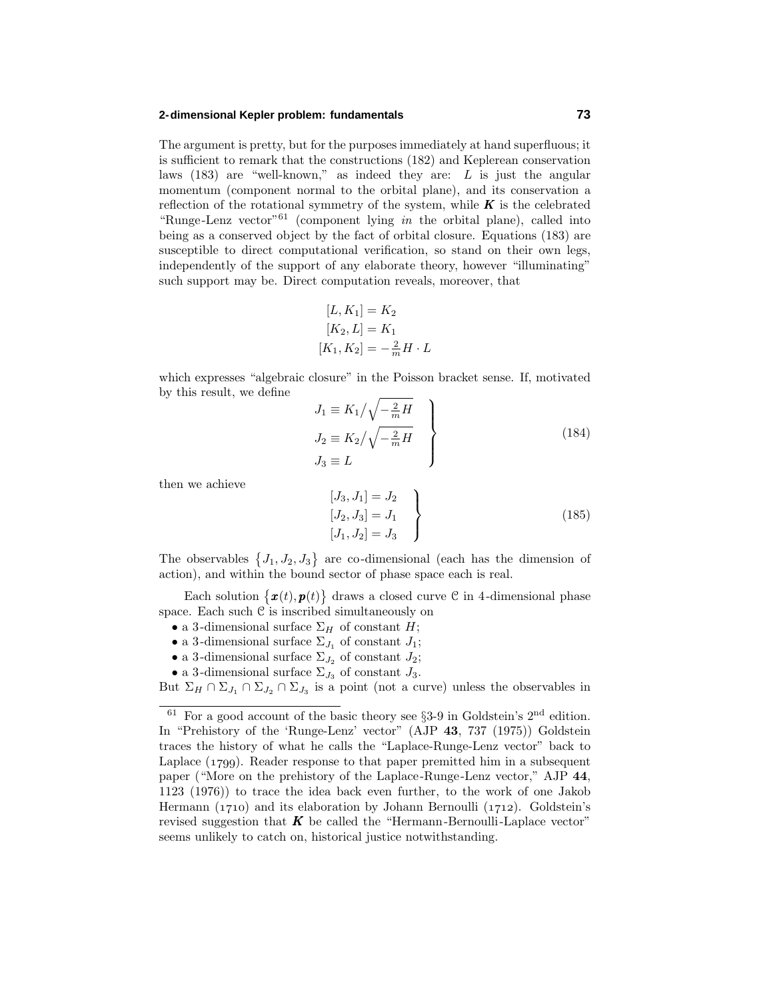#### **2-dimensional Kepler problem: fundamentals 73**

The argument is pretty, but for the purposes immediately at hand superfluous; it is sufficient to remark that the constructions (182) and Keplerean conservation laws (183) are "well-known," as indeed they are: *L* is just the angular momentum (component normal to the orbital plane), and its conservation a reflection of the rotational symmetry of the system, while  $K$  is the celebrated "Runge-Lenz vector"<sup>61</sup> (component lying in the orbital plane), called into being as a conserved object by the fact of orbital closure. Equations (183) are susceptible to direct computational verification, so stand on their own legs, independently of the support of any elaborate theory, however "illuminating" such support may be. Direct computation reveals, moreover, that

$$
[L, K_1] = K_2
$$
  
\n
$$
[K_2, L] = K_1
$$
  
\n
$$
[K_1, K_2] = -\frac{2}{m}H \cdot L
$$

which expresses "algebraic closure" in the Poisson bracket sense. If, motivated by this result, we define

$$
J_1 \equiv K_1 / \sqrt{-\frac{2}{m}H}
$$
  
\n
$$
J_2 \equiv K_2 / \sqrt{-\frac{2}{m}H}
$$
  
\n
$$
J_3 \equiv L
$$
\n(184)

then we achieve

$$
\begin{aligned}\n[J_3, J_1] &= J_2 \\
[J_2, J_3] &= J_1 \\
[J_1, J_2] &= J_3\n\end{aligned}
$$
\n(185)

The observables  $\{J_1, J_2, J_3\}$  are co-dimensional (each has the dimension of action), and within the bound sector of phase space each is real.

Each solution  $\{\boldsymbol{x}(t),\boldsymbol{p}(t)\}\)$  draws a closed curve C in 4-dimensional phase space. Each such  $C$  is inscribed simultaneously on

- a 3-dimensional surface  $\Sigma_H$  of constant *H*;
- a 3-dimensional surface  $\Sigma_{J_1}$  of constant  $J_1$ ;
- a 3-dimensional surface  $\Sigma_{J_2}$  of constant  $J_2$ ;
- a 3-dimensional surface  $\Sigma_{J_3}$  of constant  $J_3$ .

But  $\Sigma_H \cap \Sigma_{J_1} \cap \Sigma_{J_2} \cap \Sigma_{J_3}$  is a point (not a curve) unless the observables in

 $61$  For a good account of the basic theory see §3-9 in Goldstein's  $2<sup>nd</sup>$  edition. In "Prehistory of the 'Runge-Lenz' vector" (AJP **43**, 737 (1975)) Goldstein traces the history of what he calls the "Laplace-Runge-Lenz vector" back to Laplace  $(1799)$ . Reader response to that paper premitted him in a subsequent paper ("More on the prehistory of the Laplace-Runge-Lenz vector," AJP **44**, 1123 (1976)) to trace the idea back even further, to the work of one Jakob Hermann (1710) and its elaboration by Johann Bernoulli (1712). Goldstein's revised suggestion that  $K$  be called the "Hermann-Bernoulli-Laplace vector" seems unlikely to catch on, historical justice notwithstanding.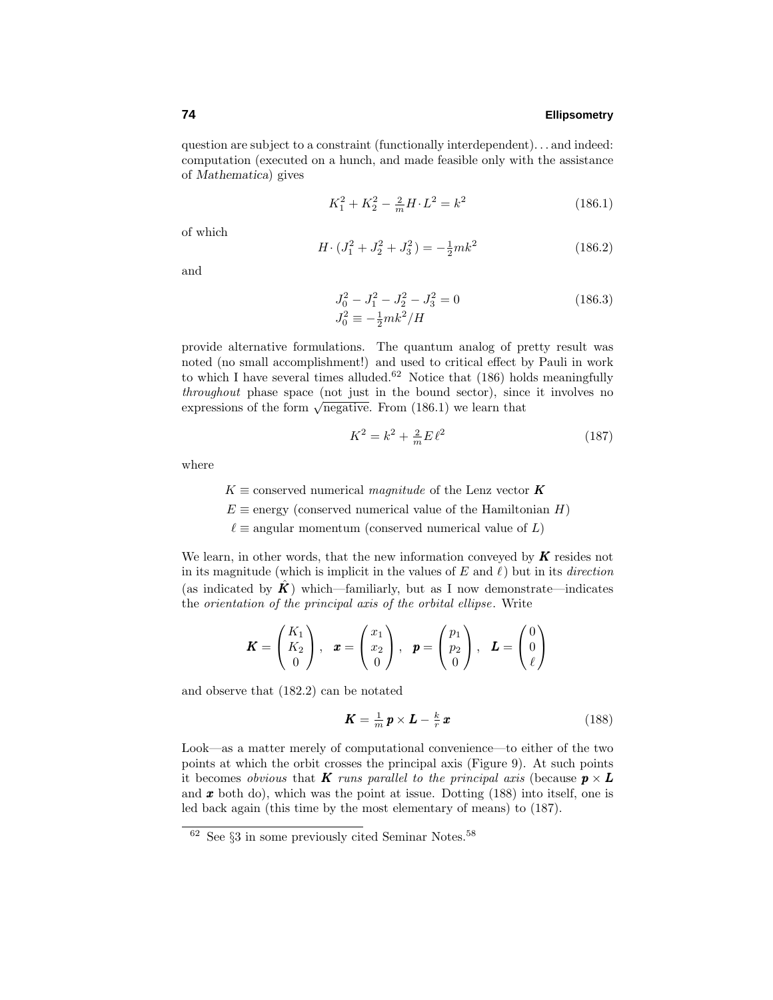question are subject to a constraint (functionally interdependent)*...* and indeed: computation (executed on a hunch, and made feasible only with the assistance of *Mathematica*) gives

$$
K_1^2 + K_2^2 - \frac{2}{m}H \cdot L^2 = k^2 \tag{186.1}
$$

of which

$$
H \cdot (J_1^2 + J_2^2 + J_3^2) = -\frac{1}{2} m k^2 \tag{186.2}
$$

and

$$
J_0^2 - J_1^2 - J_2^2 - J_3^2 = 0
$$
\n
$$
J_0^2 \equiv -\frac{1}{2} m k^2 / H
$$
\n(186.3)

provide alternative formulations. The quantum analog of pretty result was noted (no small accomplishment!) and used to critical effect by Pauli in work to which I have several times alluded.<sup>62</sup> Notice that  $(186)$  holds meaningfully throughout phase space (not just in the bound sector), since it involves no expressions of the form  $\sqrt{\text{negative}}$ . From (186.1) we learn that

$$
K^2 = k^2 + \frac{2}{m} E \ell^2
$$
 (187)

where

 $K \equiv$  conserved numerical *magnitude* of the Lenz vector **K**  $E \equiv$  energy (conserved numerical value of the Hamiltonian *H*)  $\ell \equiv$  angular momentum (conserved numerical value of *L*)

We learn, in other words, that the new information conveyed by *K* resides not in its magnitude (which is implicit in the values of  $E$  and  $\ell$ ) but in its *direction* (as indicated by  $\hat{K}$ ) which—familiarly, but as I now demonstrate—indicates the orientation of the principal axis of the orbital ellipse. Write

$$
\boldsymbol{K} = \begin{pmatrix} K_1 \\ K_2 \\ 0 \end{pmatrix}, \quad \boldsymbol{x} = \begin{pmatrix} x_1 \\ x_2 \\ 0 \end{pmatrix}, \quad \boldsymbol{p} = \begin{pmatrix} p_1 \\ p_2 \\ 0 \end{pmatrix}, \quad \boldsymbol{L} = \begin{pmatrix} 0 \\ 0 \\ \ell \end{pmatrix}
$$

and observe that (182.2) can be notated

$$
\boldsymbol{K} = \frac{1}{m}\,\boldsymbol{p} \times \boldsymbol{L} - \frac{k}{r}\,\boldsymbol{x} \tag{188}
$$

Look—as a matter merely of computational convenience—to either of the two points at which the orbit crosses the principal axis (Figure 9). At such points it becomes *obvious* that *K runs parallel to the principal axis (because*  $p \times L$ *)* and *x* both do), which was the point at issue. Dotting (188) into itself, one is led back again (this time by the most elementary of means) to (187).

 $\frac{62}{10}$  See §3 in some previously cited Seminar Notes.<sup>58</sup>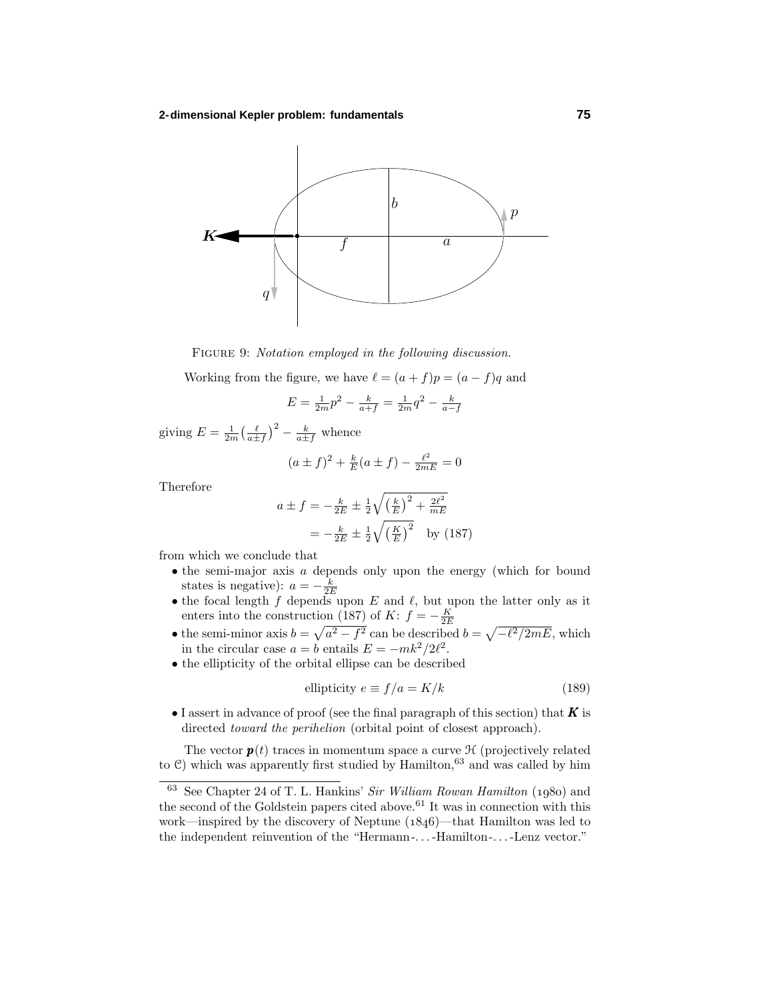

FIGURE 9: Notation employed in the following discussion.

Working from the figure, we have  $\ell = (a + f)p = (a - f)q$  and

$$
E = \frac{1}{2m}p^2 - \frac{k}{a+f} = \frac{1}{2m}q^2 - \frac{k}{a-f}
$$

giving  $E = \frac{1}{2m} \left(\frac{\ell}{a \pm f}\right)^2 - \frac{k}{a \pm f}$  whence

$$
(a \pm f)^2 + \frac{k}{E}(a \pm f) - \frac{\ell^2}{2mE} = 0
$$

Therefore

$$
a \pm f = -\frac{k}{2E} \pm \frac{1}{2} \sqrt{\left(\frac{k}{E}\right)^2 + \frac{2\ell^2}{mE}}
$$
  
=  $-\frac{k}{2E} \pm \frac{1}{2} \sqrt{\left(\frac{K}{E}\right)^2}$  by (187)

from which we conclude that

- the semi-major axis *a* depends only upon the energy (which for bound states is negative):  $a = -\frac{k}{2E}$
- the focal length  $f$  depends upon  $E$  and  $\ell$ , but upon the latter only as it enters into the construction (187) of *K*:  $f = -\frac{K}{2E}$
- the semi-minor axis  $b = \sqrt{a^2 f^2}$  can be described  $b = \sqrt{-\ell^2/2mE}$ , which in the circular case  $a = b$  entails  $E = -mk^2/2\ell^2$ .
- the ellipticity of the orbital ellipse can be described

$$
ellipticity e \equiv f/a = K/k \tag{189}
$$

• I assert in advance of proof (see the final paragraph of this section) that *K* is directed *toward the perihelion* (orbital point of closest approach).

The vector  $p(t)$  traces in momentum space a curve  $\mathcal H$  (projectively related to  $\mathcal{C}$ ) which was apparently first studied by Hamilton,<sup>63</sup> and was called by him

 $63$  See Chapter 24 of T. L. Hankins' Sir William Rowan Hamilton (1980) and the second of the Goldstein papers cited above.<sup>61</sup> It was in connection with this work—inspired by the discovery of Neptune  $(1846)$ —that Hamilton was led to the independent reinvention of the "Hermann-*...*-Hamilton-*...*-Lenz vector."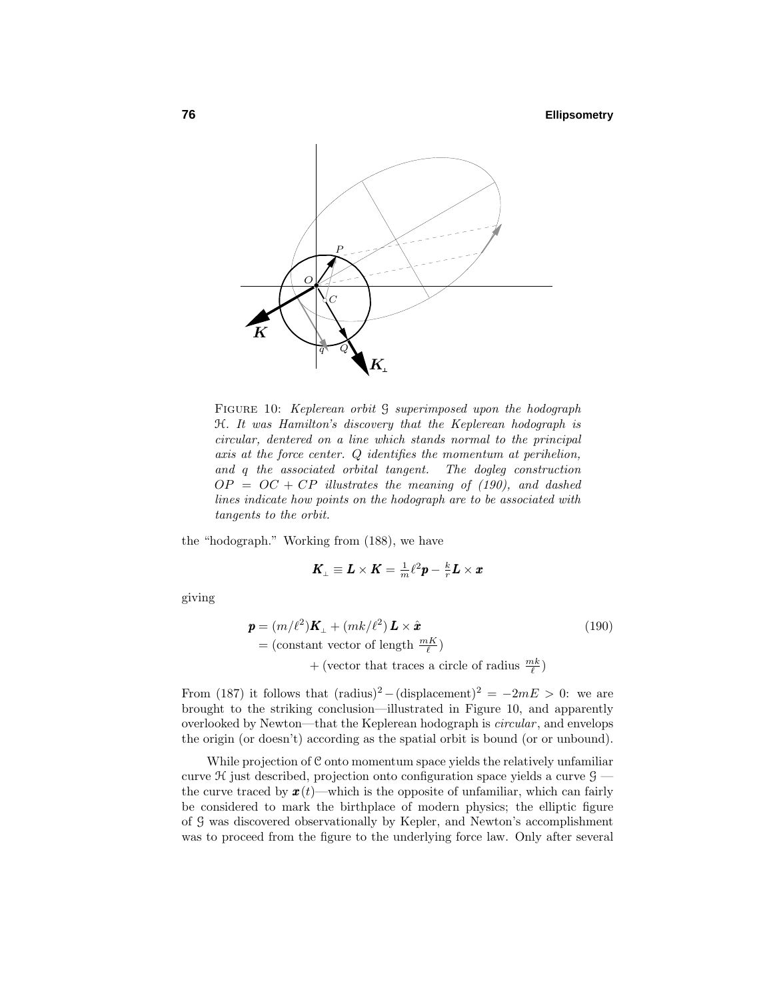

FIGURE 10: Keplerean orbit  $\mathcal G$  superimposed upon the hodograph H. It was Hamilton's discovery that the Keplerean hodograph is circular, dentered on a line which stands normal to the principal axis at the force center. *Q* identifies the momentum at perihelion, and *q* the associated orbital tangent. The dogleg construction  $OP = OC + CP$  illustrates the meaning of (190), and dashed lines indicate how points on the hodograph are to be associated with tangents to the orbit.

the "hodograph." Working from (188), we have

$$
\pmb{K}_{\! \perp} \equiv \pmb{L} \times \pmb{K} = \tfrac{1}{m} \ell^2 \pmb{p} - \tfrac{k}{r} \pmb{L} \times \pmb{x}
$$

giving

$$
\mathbf{p} = (m/\ell^2)\mathbf{K}_{\perp} + (mk/\ell^2)\mathbf{L} \times \hat{\mathbf{x}} \tag{190}
$$
  
= (constant vector of length  $\frac{mK}{\ell}$ )  
+ (vector that traces a circle of radius  $\frac{mk}{\ell}$ )

From (187) it follows that  $(\text{radius})^2 - (\text{displacement})^2 = -2mE > 0$ : we are brought to the striking conclusion—illustrated in Figure 10, and apparently overlooked by Newton—that the Keplerean hodograph is *circular*, and envelops the origin (or doesn't) according as the spatial orbit is bound (or or unbound).

While projection of C onto momentum space yields the relatively unfamiliar curve  $\mathcal H$  just described, projection onto configuration space yields a curve  $\mathcal G$  the curve traced by  $\mathbf{x}(t)$ —which is the opposite of unfamiliar, which can fairly be considered to mark the birthplace of modern physics; the elliptic figure of G was discovered observationally by Kepler, and Newton's accomplishment was to proceed from the figure to the underlying force law. Only after several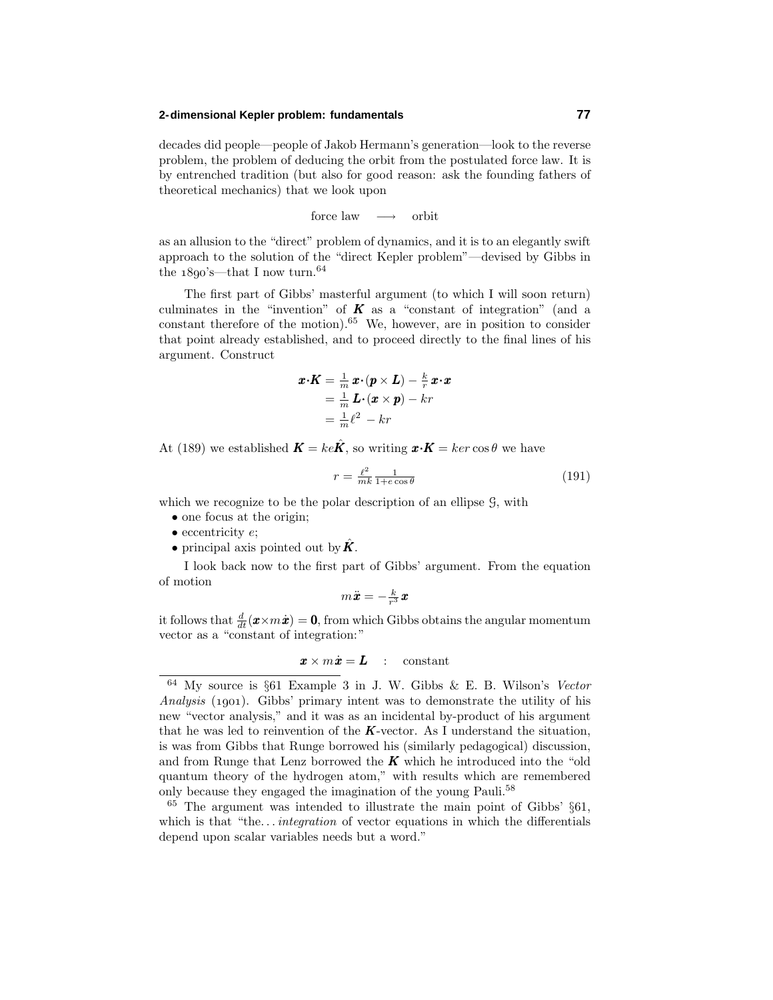### **2-dimensional Kepler problem: fundamentals 77**

decades did people—people of Jakob Hermann's generation—look to the reverse problem, the problem of deducing the orbit from the postulated force law. It is by entrenched tradition (but also for good reason: ask the founding fathers of theoretical mechanics) that we look upon

force law → orbit

as an allusion to the "direct" problem of dynamics, and it is to an elegantly swift approach to the solution of the "direct Kepler problem"—devised by Gibbs in the  $1890'$ s—that I now turn.<sup>64</sup>

The first part of Gibbs' masterful argument (to which I will soon return) culminates in the "invention" of  $\boldsymbol{K}$  as a "constant of integration" (and a constant therefore of the motion).<sup>65</sup> We, however, are in position to consider that point already established, and to proceed directly to the final lines of his argument. Construct

$$
\begin{aligned} \boldsymbol{x} \cdot \boldsymbol{K} &= \frac{1}{m} \, \boldsymbol{x} \cdot (\boldsymbol{p} \times \boldsymbol{L}) - \frac{k}{r} \, \boldsymbol{x} \cdot \boldsymbol{x} \\ &= \frac{1}{m} \, \boldsymbol{L} \cdot (\boldsymbol{x} \times \boldsymbol{p}) - kr \\ &= \frac{1}{m} \ell^2 - kr \end{aligned}
$$

At (189) we established  $\mathbf{K} = ke\hat{\mathbf{K}}$ , so writing  $\mathbf{x} \cdot \mathbf{K} = ker \cos \theta$  we have

$$
r = \frac{\ell^2}{mk} \frac{1}{1 + e \cos \theta} \tag{191}
$$

which we recognize to be the polar description of an ellipse  $\mathcal{G}$ , with

- one focus at the origin;
- eccentricity *e*;
- principal axis pointed out by  $\hat{K}$ .

I look back now to the first part of Gibbs' argument. From the equation of motion

$$
m\ddot{\bm{x}}=-\tfrac{k}{r^3}\bm{x}
$$

it follows that  $\frac{d}{dt}(\boldsymbol{x} \times m\dot{\boldsymbol{x}}) = \mathbf{0}$ , from which Gibbs obtains the angular momentum vector as a "constant of integration:"

$$
\pmb{x}\times m\dot{\pmb{x}} = \pmb{L} \quad : \quad \text{constant}
$$

<sup>64</sup> My source is §61 Example 3 in J. W. Gibbs & E. B. Wilson's Vector Analysis (1901). Gibbs' primary intent was to demonstrate the utility of his new "vector analysis," and it was as an incidental by-product of his argument that he was led to reinvention of the  $K$ -vector. As I understand the situation, is was from Gibbs that Runge borrowed his (similarly pedagogical) discussion, and from Runge that Lenz borrowed the  $K$  which he introduced into the "old" quantum theory of the hydrogen atom," with results which are remembered only because they engaged the imagination of the young Pauli.<sup>58</sup>

 $65$  The argument was intended to illustrate the main point of Gibbs'  $§61$ , which is that "the...*integration* of vector equations in which the differentials depend upon scalar variables needs but a word."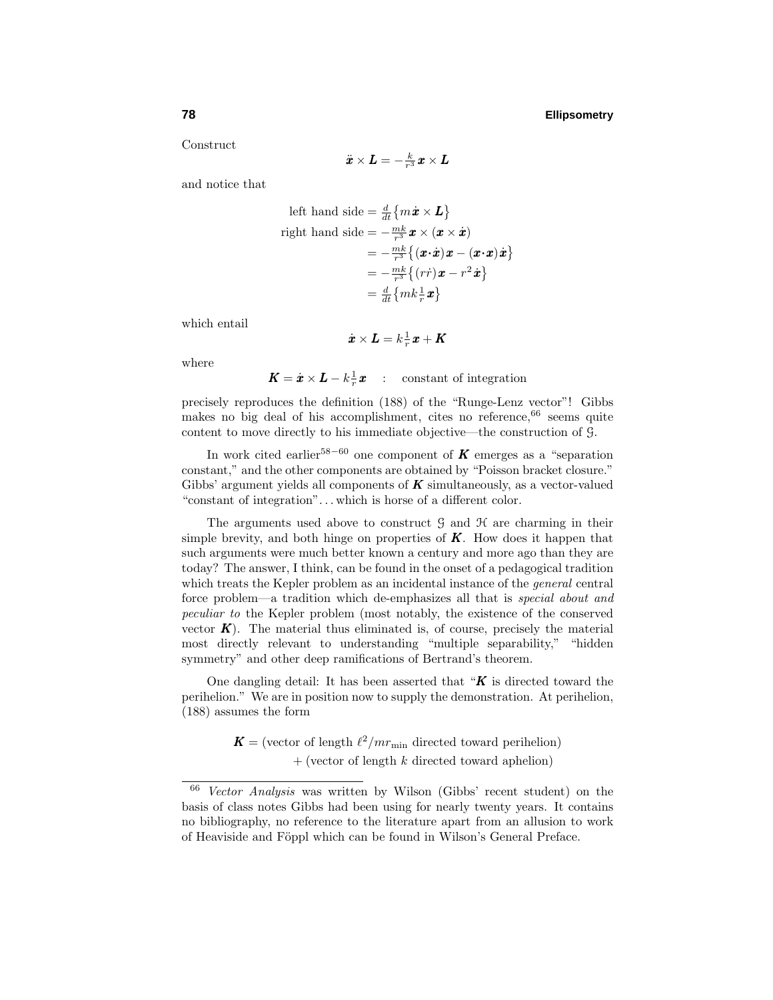Construct

$$
\ddot{\bm{x}}\times\bm{L}=-\tfrac{k}{r^3}\bm{x}\times\bm{L}
$$

and notice that

left hand side = 
$$
\frac{d}{dt} \{ m\dot{x} \times L \}
$$
  
right hand side =  $-\frac{m k}{r^3} x \times (x \times \dot{x})$   
=  $-\frac{m k}{r^3} \{ (\dot{x} \cdot \dot{x}) \dot{x} - (\dot{x} \cdot \dot{x}) \dot{x} \}$   
=  $-\frac{m k}{r^3} \{ (r \dot{r}) \dot{x} - r^2 \dot{x} \}$   
=  $\frac{d}{dt} \{ m k \frac{1}{r} \dot{x} \}$ 

which entail

$$
\dot{\bm x}\times\bm L=k\textstyle{\frac{1}{r}}\bm x+\bm K
$$

where

 $\boldsymbol{K} = \dot{\boldsymbol{x}} \times \boldsymbol{L} - k \frac{1}{r} \boldsymbol{x}$  : constant of integration

precisely reproduces the definition (188) of the "Runge-Lenz vector"! Gibbs makes no big deal of his accomplishment, cites no reference,  $66$  seems quite content to move directly to his immediate objective—the construction of G.

In work cited earlier<sup>58−60</sup> one component of **K** emerges as a "separation" constant," and the other components are obtained by "Poisson bracket closure." Gibbs' argument yields all components of *K* simultaneously, as a vector-valued "constant of integration"*...* which is horse of a different color.

The arguments used above to construct  $\mathcal{G}$  and  $\mathcal{H}$  are charming in their simple brevity, and both hinge on properties of *K*. How does it happen that such arguments were much better known a century and more ago than they are today? The answer, I think, can be found in the onset of a pedagogical tradition which treats the Kepler problem as an incidental instance of the *general* central force problem—a tradition which de-emphasizes all that is special about and peculiar to the Kepler problem (most notably, the existence of the conserved vector  $K$ ). The material thus eliminated is, of course, precisely the material most directly relevant to understanding "multiple separability," "hidden symmetry" and other deep ramifications of Bertrand's theorem.

One dangling detail: It has been asserted that "*K* is directed toward the perihelion." We are in position now to supply the demonstration. At perihelion, (188) assumes the form

> $\mathbf{K} =$  (vector of length  $\ell^2/mr_{\text{min}}$  directed toward perihelion) + (vector of length *k* directed toward aphelion)

<sup>66</sup> Vector Analysis was written by Wilson (Gibbs' recent student) on the basis of class notes Gibbs had been using for nearly twenty years. It contains no bibliography, no reference to the literature apart from an allusion to work of Heaviside and Föppl which can be found in Wilson's General Preface.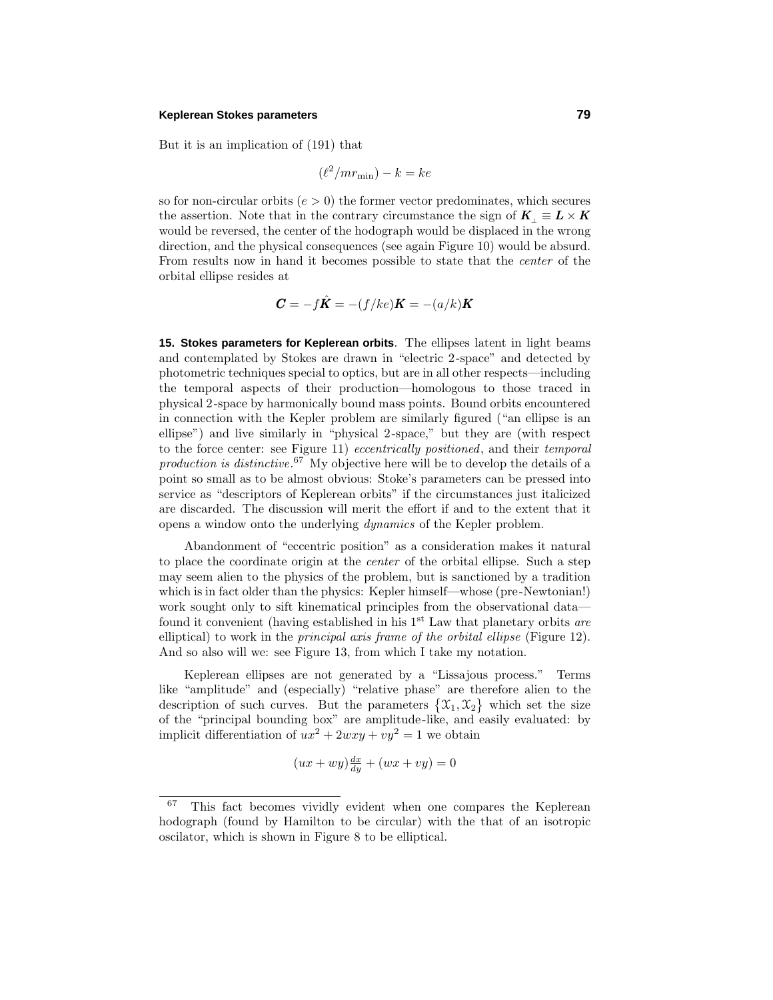#### **Keplerean Stokes parameters 79**

But it is an implication of (191) that

$$
(\ell^2/mr_{\min})-k=ke
$$

so for non-circular orbits  $(e > 0)$  the former vector predominates, which secures the assertion. Note that in the contrary circumstance the sign of  $K_1 \equiv L \times K$ would be reversed, the center of the hodograph would be displaced in the wrong direction, and the physical consequences (see again Figure 10) would be absurd. From results now in hand it becomes possible to state that the center of the orbital ellipse resides at

$$
\boldsymbol{C}=-f\hat{\boldsymbol{K}}=-(f/ke)\boldsymbol{K}=-(a/k)\boldsymbol{K}
$$

**15. Stokes parameters for Keplerean orbits**. The ellipses latent in light beams and contemplated by Stokes are drawn in "electric 2-space" and detected by photometric techniques special to optics, but are in all other respects—including the temporal aspects of their production—homologous to those traced in physical 2-space by harmonically bound mass points. Bound orbits encountered in connection with the Kepler problem are similarly figured ("an ellipse is an ellipse") and live similarly in "physical 2-space," but they are (with respect to the force center: see Figure 11) *eccentrically positioned*, and their *temporal* production is distinctive.<sup>67</sup> My objective here will be to develop the details of a point so small as to be almost obvious: Stoke's parameters can be pressed into service as "descriptors of Keplerean orbits" if the circumstances just italicized are discarded. The discussion will merit the effort if and to the extent that it opens a window onto the underlying dynamics of the Kepler problem.

Abandonment of "eccentric position" as a consideration makes it natural to place the coordinate origin at the center of the orbital ellipse. Such a step may seem alien to the physics of the problem, but is sanctioned by a tradition which is in fact older than the physics: Kepler himself—whose (pre-Newtonian!) work sought only to sift kinematical principles from the observational data found it convenient (having established in his  $1<sup>st</sup>$  Law that planetary orbits are elliptical) to work in the *principal axis frame of the orbital ellipse* (Figure 12). And so also will we: see Figure 13, from which I take my notation.

Keplerean ellipses are not generated by a "Lissajous process." Terms like "amplitude" and (especially) "relative phase" are therefore alien to the description of such curves. But the parameters  $\{\mathfrak{X}_1, \mathfrak{X}_2\}$  which set the size of the "principal bounding box" are amplitude-like, and easily evaluated: by implicit differentiation of  $ux^2 + 2wxy + vy^2 = 1$  we obtain

$$
(ux + wy)\frac{dx}{dy} + (wx + vy) = 0
$$

<sup>67</sup> This fact becomes vividly evident when one compares the Keplerean hodograph (found by Hamilton to be circular) with the that of an isotropic oscilator, which is shown in Figure 8 to be elliptical.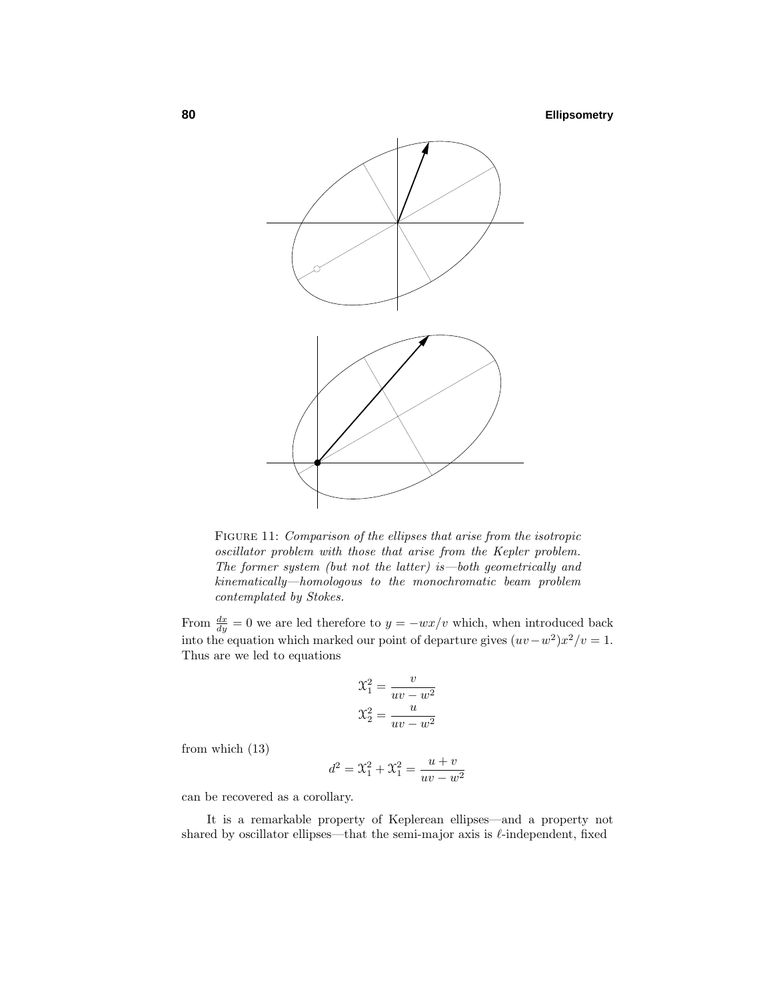

FIGURE 11: Comparison of the ellipses that arise from the isotropic oscillator problem with those that arise from the Kepler problem. The former system (but not the latter) is—both geometrically and kinematically—homologous to the monochromatic beam problem contemplated by Stokes.

From  $\frac{dx}{dy} = 0$  we are led therefore to  $y = -wx/v$  which, when introduced back into the equation which marked our point of departure gives  $(uv-w^2)x^2/v=1$ . Thus are we led to equations

$$
\mathcal{X}_1^2 = \frac{v}{uv - w^2}
$$

$$
\mathcal{X}_2^2 = \frac{u}{uv - w^2}
$$

from which (13)

$$
d^{2} = \mathfrak{X}_{1}^{2} + \mathfrak{X}_{1}^{2} = \frac{u+v}{uv - w^{2}}
$$

can be recovered as a corollary.

It is a remarkable property of Keplerean ellipses—and a property not shared by oscillator ellipses—that the semi-major axis is  $\ell$ -independent, fixed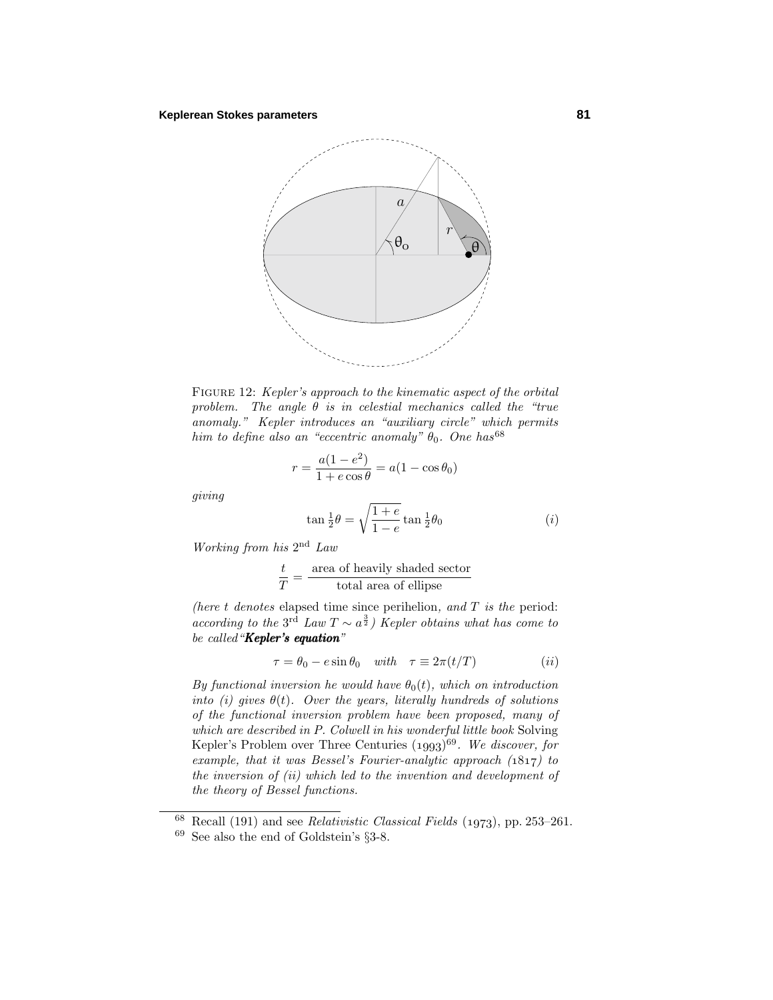

FIGURE 12: Kepler's approach to the kinematic aspect of the orbital problem. The angle  $\theta$  is in celestial mechanics called the "true" anomaly." Kepler introduces an "auxiliary circle" which permits him to define also an "eccentric anomaly"  $\theta_0$ . One has<sup>68</sup>

$$
r = \frac{a(1 - e^2)}{1 + e \cos \theta} = a(1 - \cos \theta_0)
$$

giving

$$
\tan \frac{1}{2}\theta = \sqrt{\frac{1+e}{1-e}} \tan \frac{1}{2}\theta_0
$$
 (i)

Working from his  $2<sup>nd</sup> Law$ 

$$
\frac{t}{T} = \frac{\text{area of heavily shaded sector}}{\text{total area of ellipse}}
$$

(here  $t$  denotes elapsed time since perihelion, and  $T$  is the period: according to the 3<sup>rd</sup> Law  $T \sim a^{\frac{3}{2}}$ ) Kepler obtains what has come to be called "Kepler's equation"

$$
\tau = \theta_0 - e \sin \theta_0 \quad \text{with} \quad \tau \equiv 2\pi (t/T) \tag{ii}
$$

By functional inversion he would have  $\theta_0(t)$ , which on introduction into (i) gives  $\theta(t)$ . Over the years, literally hundreds of solutions of the functional inversion problem have been proposed, many of which are described in P. Colwell in his wonderful little book Solving Kepler's Problem over Three Centuries  $(1993)^{69}$ . We discover, for example, that it was Bessel's Fourier-analytic approach  $(1817)$  to the inversion of (ii) which led to the invention and development of the theory of Bessel functions.

Recall (191) and see *Relativistic Classical Fields* (1973), pp. 253–261.  $^{69}$  See also the end of Goldstein's  $\S 3\text{-}8.$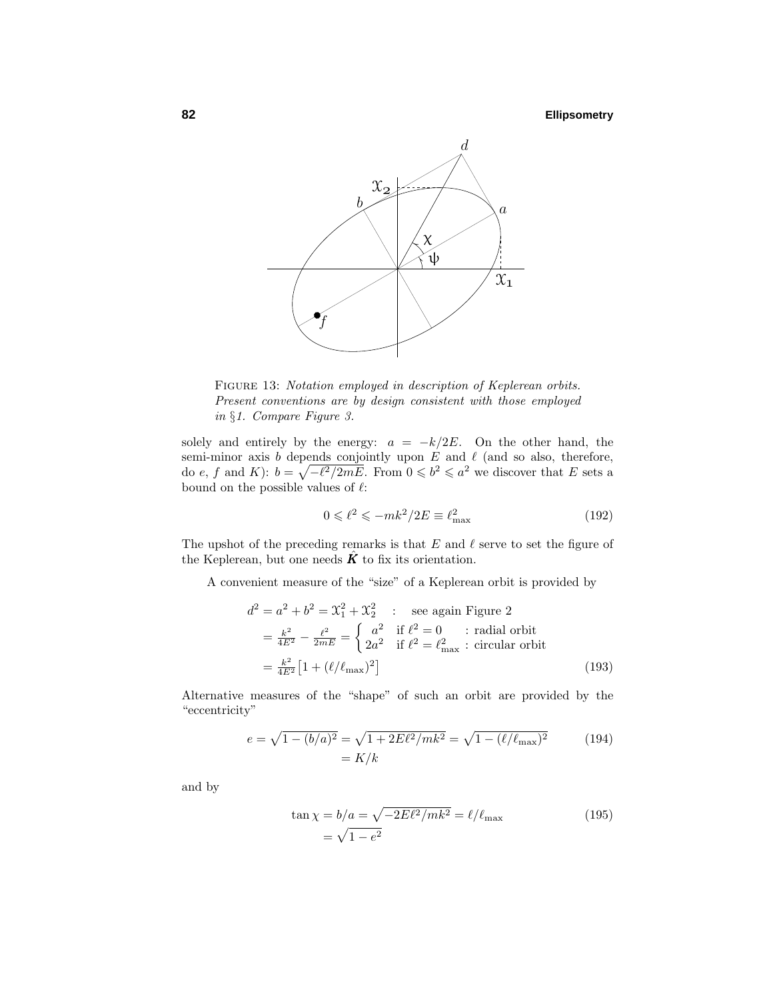

FIGURE 13: Notation employed in description of Keplerean orbits. Present conventions are by design consistent with those employed in §1. Compare Figure 3.

solely and entirely by the energy:  $a = -k/2E$ . On the other hand, the semi-minor axis  $b$  depends conjointly upon  $E$  and  $\ell$  (and so also, therefore, do *e*, *f* and *K*):  $b = \sqrt{-\ell^2/2mE}$ . From  $0 \leq b^2 \leq a^2$  we discover that *E* sets a bound on the possible values of  $\ell$ :

$$
0 \leqslant \ell^2 \leqslant -mk^2/2E \equiv \ell_{\text{max}}^2 \tag{192}
$$

The upshot of the preceding remarks is that  $E$  and  $\ell$  serve to set the figure of the Keplerean, but one needs  $\vec{K}$  to fix its orientation.

A convenient measure of the "size" of a Keplerean orbit is provided by

$$
d^2 = a^2 + b^2 = \mathcal{X}_1^2 + \mathcal{X}_2^2 \qquad \text{see again Figure 2}
$$
\n
$$
= \frac{k^2}{4E^2} - \frac{\ell^2}{2mE} = \begin{cases} a^2 & \text{if } \ell^2 = 0 \\ 2a^2 & \text{if } \ell^2 = \ell_{\text{max}}^2 \end{cases} \text{:\text{radial orbit}}
$$
\n
$$
= \frac{k^2}{4E^2} \left[ 1 + (\ell/\ell_{\text{max}})^2 \right] \tag{193}
$$

Alternative measures of the "shape" of such an orbit are provided by the "eccentricity"

$$
e = \sqrt{1 - (b/a)^2} = \sqrt{1 + 2E\ell^2/mk^2} = \sqrt{1 - (\ell/\ell_{\text{max}})^2}
$$
(194)  
=  $K/k$ 

and by

$$
\tan \chi = b/a = \sqrt{-2E\ell^2/mk^2} = \ell/\ell_{\text{max}} \tag{195}
$$

$$
= \sqrt{1 - e^2}
$$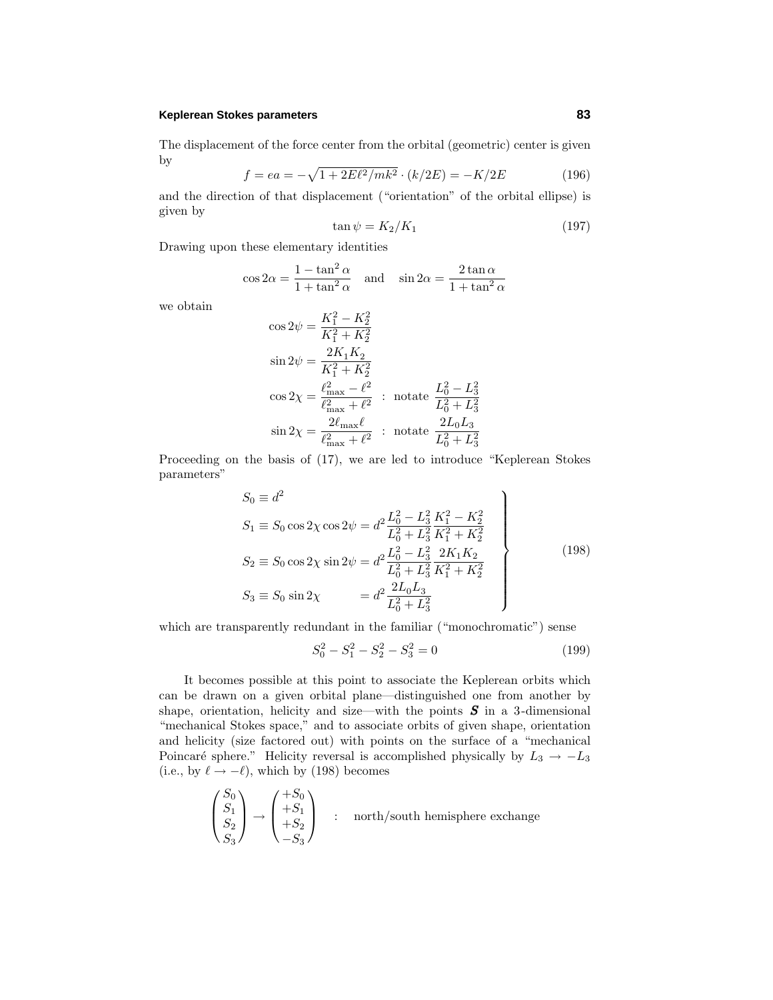### **Keplerean Stokes parameters 83**

The displacement of the force center from the orbital (geometric) center is given by

$$
f = ea = -\sqrt{1 + 2E\ell^2/mk^2} \cdot (k/2E) = -K/2E \tag{196}
$$

and the direction of that displacement ("orientation" of the orbital ellipse) is given by

$$
\tan \psi = K_2/K_1 \tag{197}
$$

Drawing upon these elementary identities

$$
\cos 2\alpha = \frac{1 - \tan^2 \alpha}{1 + \tan^2 \alpha} \quad \text{and} \quad \sin 2\alpha = \frac{2 \tan \alpha}{1 + \tan^2 \alpha}
$$

we obtain

$$
\cos 2\psi = \frac{K_1^2 - K_2^2}{K_1^2 + K_2^2}
$$
  
\n
$$
\sin 2\psi = \frac{2K_1K_2}{K_1^2 + K_2^2}
$$
  
\n
$$
\cos 2\chi = \frac{\ell_{\text{max}}^2 - \ell^2}{\ell_{\text{max}}^2 + \ell^2} : \text{ notate } \frac{L_0^2 - L_3^2}{L_0^2 + L_3^2}
$$
  
\n
$$
\sin 2\chi = \frac{2\ell_{\text{max}}\ell}{\ell_{\text{max}}^2 + \ell^2} : \text{ notate } \frac{2L_0L_3}{L_0^2 + L_3^2}
$$

Proceeding on the basis of (17), we are led to introduce "Keplerean Stokes parameters"

$$
S_0 \equiv d^2
$$
  
\n
$$
S_1 \equiv S_0 \cos 2\chi \cos 2\psi = d^2 \frac{L_0^2 - L_3^2}{L_0^2 + L_3^2} \frac{K_1^2 - K_2^2}{K_1^2 + K_2^2}
$$
  
\n
$$
S_2 \equiv S_0 \cos 2\chi \sin 2\psi = d^2 \frac{L_0^2 - L_3^2}{L_0^2 + L_3^2} \frac{2K_1K_2}{K_1^2 + K_2^2}
$$
  
\n
$$
S_3 \equiv S_0 \sin 2\chi = d^2 \frac{2L_0L_3}{L_0^2 + L_3^2}
$$
\n(198)

which are transparently redundant in the familiar ("monochromatic") sense

$$
S_0^2 - S_1^2 - S_2^2 - S_3^2 = 0 \tag{199}
$$

It becomes possible at this point to associate the Keplerean orbits which can be drawn on a given orbital plane—distinguished one from another by shape, orientation, helicity and size—with the points *S* in a 3-dimensional "mechanical Stokes space," and to associate orbits of given shape, orientation and helicity (size factored out) with points on the surface of a "mechanical Poincaré sphere." Helicity reversal is accomplished physically by  $L_3 \rightarrow -L_3$ (i.e., by  $\ell \rightarrow -\ell$ ), which by (198) becomes

$$
\begin{pmatrix} S_0 \\ S_1 \\ S_2 \\ S_3 \end{pmatrix} \rightarrow \begin{pmatrix} +S_0 \\ +S_1 \\ +S_2 \\ -S_3 \end{pmatrix} \quad : \quad \text{north/south hemisphere exchange}
$$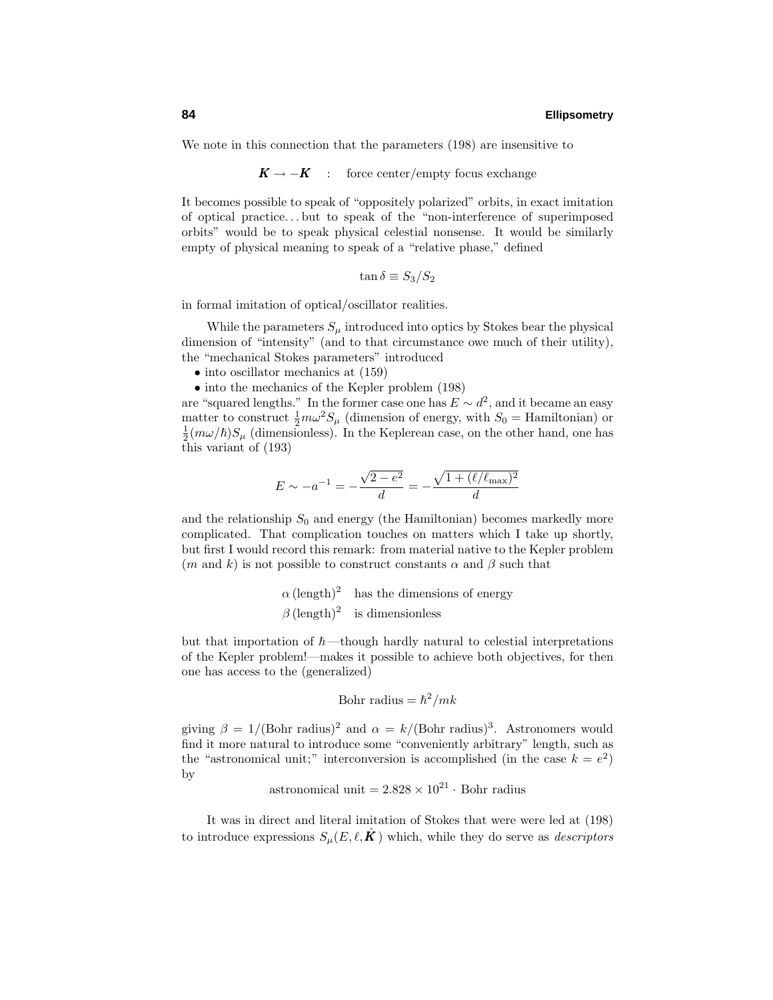We note in this connection that the parameters (198) are insensitive to

 $K \rightarrow -K$  : force center/empty focus exchange

It becomes possible to speak of "oppositely polarized" orbits, in exact imitation of optical practice*...* but to speak of the "non-interference of superimposed orbits" would be to speak physical celestial nonsense. It would be similarly empty of physical meaning to speak of a "relative phase," defined

$$
\tan \delta \equiv S_3/S_2
$$

in formal imitation of optical/oscillator realities.

While the parameters  $S_\mu$  introduced into optics by Stokes bear the physical dimension of "intensity" (and to that circumstance owe much of their utility), the "mechanical Stokes parameters" introduced

- into oscillator mechanics at  $(159)$
- into the mechanics of the Kepler problem (198)

are "squared lengths." In the former case one has  $E \sim d^2$ , and it became an easy matter to construct  $\frac{1}{2}m\omega^2 S_\mu$  (dimension of energy, with  $S_0 =$  Hamiltonian) or  $\frac{1}{2}(m\omega/\hbar)S_\mu$  (dimensionless). In the Keplerean case, on the other hand, one has this variant of (193)

$$
E \sim -a^{-1} = -\frac{\sqrt{2 - e^2}}{d} = -\frac{\sqrt{1 + (\ell/\ell_{\text{max}})^2}}{d}
$$

and the relationship  $S_0$  and energy (the Hamiltonian) becomes markedly more complicated. That complication touches on matters which I take up shortly, but first I would record this remark: from material native to the Kepler problem  $(m \text{ and } k)$  is not possible to construct constants  $\alpha$  and  $\beta$  such that

$$
\alpha
$$
 (length)<sup>2</sup> has the dimensions of energy  
\n $\beta$  (length)<sup>2</sup> is dimensionless

but that importation of  $\hbar$ —though hardly natural to celestial interpretations of the Kepler problem!—makes it possible to achieve both objectives, for then one has access to the (generalized)

Bohr radius = 
$$
\hbar^2/mk
$$

giving  $\beta = 1/(\text{Bohr radius})^2$  and  $\alpha = k/(\text{Bohr radius})^3$ . Astronomers would find it more natural to introduce some "conveniently arbitrary" length, such as the "astronomical unit;" interconversion is accomplished (in the case  $k = e^2$ ) by

astronomical unit = 
$$
2.828 \times 10^{21}
$$
 · Bohr radius

It was in direct and literal imitation of Stokes that were were led at (198) to introduce expressions  $S_{\mu}(E,\ell,\mathbf{K})$  which, while they do serve as *descriptors*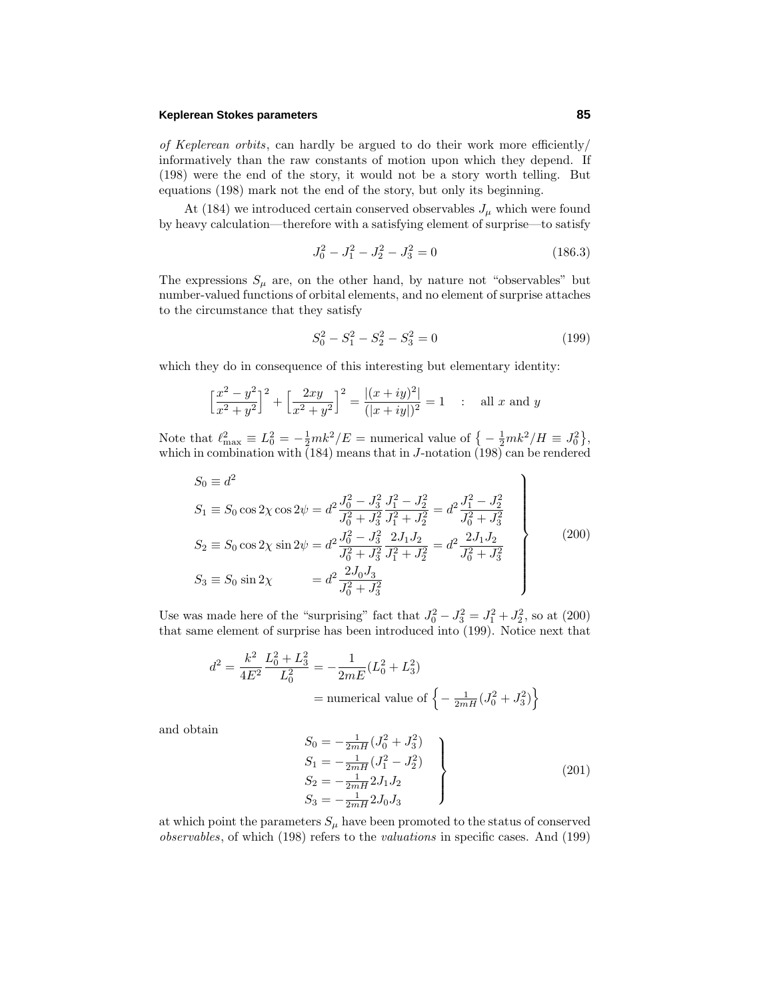### **Keplerean Stokes parameters 85**

of Keplerean orbits, can hardly be argued to do their work more efficiently/ informatively than the raw constants of motion upon which they depend. If (198) were the end of the story, it would not be a story worth telling. But equations (198) mark not the end of the story, but only its beginning.

At (184) we introduced certain conserved observables  $J_{\mu}$  which were found by heavy calculation—therefore with a satisfying element of surprise—to satisfy

$$
J_0^2 - J_1^2 - J_2^2 - J_3^2 = 0 \tag{186.3}
$$

The expressions  $S_{\mu}$  are, on the other hand, by nature not "observables" but number-valued functions of orbital elements, and no element of surprise attaches to the circumstance that they satisfy

$$
S_0^2 - S_1^2 - S_2^2 - S_3^2 = 0 \tag{199}
$$

which they do in consequence of this interesting but elementary identity:

$$
\Big[\frac{x^2-y^2}{x^2+y^2}\Big]^2+\Big[\frac{2xy}{x^2+y^2}\Big]^2=\frac{|(x+iy)^2|}{(|x+iy|)^2}=1\quad:\quad \text{all $x$ and $y$}
$$

Note that  $\ell_{\text{max}}^2 \equiv L_0^2 = -\frac{1}{2}mk^2/E = \text{numerical value of } \left\{-\frac{1}{2}mk^2/H \equiv J_0^2\right\},\$ which in combination with (184) means that in *J*-notation (198) can be rendered

$$
S_0 \equiv d^2
$$
  
\n
$$
S_1 \equiv S_0 \cos 2\chi \cos 2\psi = d^2 \frac{J_0^2 - J_3^2}{J_0^2 + J_3^2} \frac{J_1^2 - J_2^2}{J_1^2 + J_2^2} = d^2 \frac{J_1^2 - J_2^2}{J_0^2 + J_3^2}
$$
  
\n
$$
S_2 \equiv S_0 \cos 2\chi \sin 2\psi = d^2 \frac{J_0^2 - J_3^2}{J_0^2 + J_3^2} \frac{2J_1J_2}{J_1^2 + J_2^2} = d^2 \frac{2J_1J_2}{J_0^2 + J_3^2}
$$
  
\n
$$
S_3 \equiv S_0 \sin 2\chi = d^2 \frac{2J_0J_3}{J_0^2 + J_3^2}
$$
\n(200)

Use was made here of the "surprising" fact that  $J_0^2 - J_3^2 = J_1^2 + J_2^2$ , so at (200) that same element of surprise has been introduced into (199). Notice next that

$$
d^{2} = \frac{k^{2}}{4E^{2}} \frac{L_{0}^{2} + L_{3}^{2}}{L_{0}^{2}} = -\frac{1}{2mE} (L_{0}^{2} + L_{3}^{2})
$$
  
= numerical value of  $\left\{-\frac{1}{2mH} (J_{0}^{2} + J_{3}^{2})\right\}$ 

and obtain

$$
S_0 = -\frac{1}{2mH} (J_0^2 + J_3^2)
$$
  
\n
$$
S_1 = -\frac{1}{2mH} (J_1^2 - J_2^2)
$$
  
\n
$$
S_2 = -\frac{1}{2mH} 2J_1 J_2
$$
  
\n
$$
S_3 = -\frac{1}{2mH} 2J_0 J_3
$$
\n(201)

at which point the parameters  $S_\mu$  have been promoted to the status of conserved observables, of which (198) refers to the valuations in specific cases. And (199)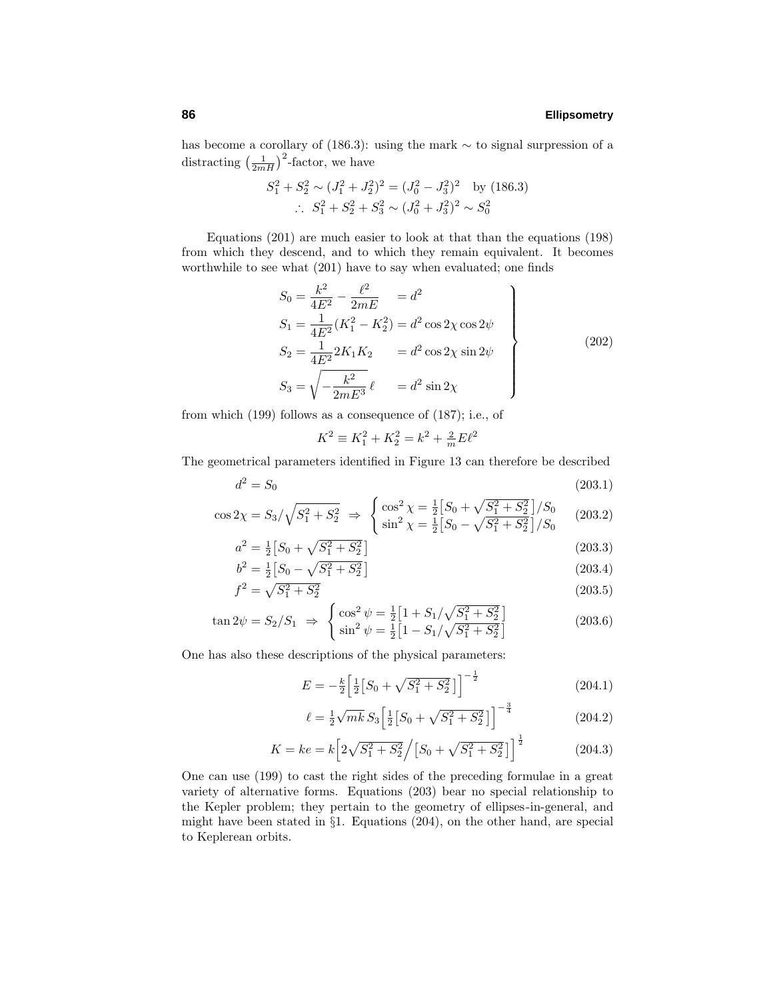has become a corollary of (186.3): using the mark ∼ to signal surpression of a distracting  $\left(\frac{1}{2mH}\right)^2$ -factor, we have

$$
S_1^2 + S_2^2 \sim (J_1^2 + J_2^2)^2 = (J_0^2 - J_3^2)^2 \text{ by (186.3)}
$$
  
 
$$
\therefore S_1^2 + S_2^2 + S_3^2 \sim (J_0^2 + J_3^2)^2 \sim S_0^2
$$

Equations (201) are much easier to look at that than the equations (198) from which they descend, and to which they remain equivalent. It becomes worthwhile to see what (201) have to say when evaluated; one finds

$$
S_0 = \frac{k^2}{4E^2} - \frac{\ell^2}{2mE} = d^2
$$
  
\n
$$
S_1 = \frac{1}{4E^2}(K_1^2 - K_2^2) = d^2 \cos 2\chi \cos 2\psi
$$
  
\n
$$
S_2 = \frac{1}{4E^2} 2K_1 K_2 = d^2 \cos 2\chi \sin 2\psi
$$
  
\n
$$
S_3 = \sqrt{-\frac{k^2}{2mE^3}} \ell = d^2 \sin 2\chi
$$
\n(202)

from which (199) follows as a consequence of (187); i.e., of

$$
K^2 \equiv K_1^2 + K_2^2 = k^2 + \frac{2}{m} E \ell^2
$$

The geometrical parameters identified in Figure 13 can therefore be described

$$
d^2 = S_0 \tag{203.1}
$$

$$
\cos 2\chi = S_3 / \sqrt{S_1^2 + S_2^2} \implies \begin{cases} \cos^2 \chi = \frac{1}{2} \left[ S_0 + \sqrt{S_1^2 + S_2^2} \right] / S_0 \\ \sin^2 \chi = \frac{1}{2} \left[ S_0 - \sqrt{S_1^2 + S_2^2} \right] / S_0 \end{cases} (203.2)
$$

$$
a^2 = \frac{1}{2} \left[ S_0 + \sqrt{S_1^2 + S_2^2} \right]
$$
\n(203.3)

$$
b^2 = \frac{1}{2} \left[ S_0 - \sqrt{S_1^2 + S_2^2} \right]
$$
\n
$$
c^2 = \sqrt{S_1^2 + S_2^2}
$$
\n(203.4)

$$
f^2 = \sqrt{S_1^2 + S_2^2} \tag{203.5}
$$

$$
\tan 2\psi = S_2/S_1 \Rightarrow \begin{cases} \cos^2 \psi = \frac{1}{2} \left[ 1 + S_1/\sqrt{S_1^2 + S_2^2} \right] \\ \sin^2 \psi = \frac{1}{2} \left[ 1 - S_1/\sqrt{S_1^2 + S_2^2} \right] \end{cases}
$$
(203.6)

One has also these descriptions of the physical parameters:

$$
E = -\frac{k}{2} \left[ \frac{1}{2} \left[ S_0 + \sqrt{S_1^2 + S_2^2} \right] \right]^{-\frac{1}{2}}
$$
 (204.1)

$$
\ell = \frac{1}{2}\sqrt{mk}S_3 \left[\frac{1}{2}\left[S_0 + \sqrt{S_1^2 + S_2^2}\right]\right]^{-\frac{3}{4}}
$$
\n(204.2)

$$
K = ke = k \left[ 2\sqrt{S_1^2 + S_2^2} / \left[ S_0 + \sqrt{S_1^2 + S_2^2} \right] \right]^{\frac{1}{2}}
$$
(204.3)

One can use (199) to cast the right sides of the preceding formulae in a great variety of alternative forms. Equations (203) bear no special relationship to the Kepler problem; they pertain to the geometry of ellipses-in-general, and might have been stated in §1. Equations (204), on the other hand, are special to Keplerean orbits.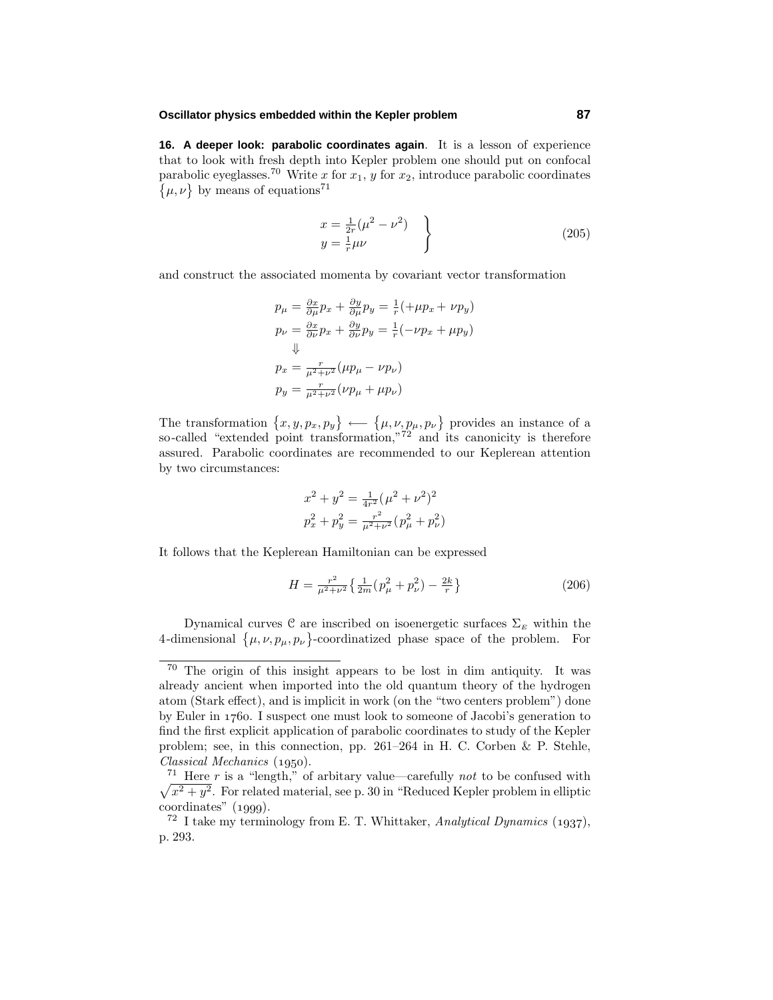### **Oscillator physics embedded within the Kepler problem 87**

**16. A deeper look: parabolic coordinates again**. It is a lesson of experience that to look with fresh depth into Kepler problem one should put on confocal parabolic eyeglasses.<sup>70</sup> Write *x* for  $x_1$ , *y* for  $x_2$ , introduce parabolic coordinates  $\{\mu, \nu\}$  by means of equations<sup>71</sup>

$$
x = \frac{1}{2r}(\mu^2 - \nu^2)
$$
  
\n
$$
y = \frac{1}{r}\mu\nu
$$
\n(205)

and construct the associated momenta by covariant vector transformation

$$
p_{\mu} = \frac{\partial x}{\partial \mu} p_x + \frac{\partial y}{\partial \mu} p_y = \frac{1}{r} (+\mu p_x + \nu p_y)
$$
  
\n
$$
p_{\nu} = \frac{\partial x}{\partial \nu} p_x + \frac{\partial y}{\partial \nu} p_y = \frac{1}{r} (-\nu p_x + \mu p_y)
$$
  
\n
$$
\Downarrow
$$
  
\n
$$
p_x = \frac{r}{\mu^2 + \nu^2} (\mu p_{\mu} - \nu p_{\nu})
$$
  
\n
$$
p_y = \frac{r}{\mu^2 + \nu^2} (\nu p_{\mu} + \mu p_{\nu})
$$

The transformation  $\{x, y, p_x, p_y\} \leftarrow \{\mu, \nu, p_\mu, p_\nu\}$  provides an instance of a so-called "extended point transformation,"<sup>72</sup> and its canonicity is therefore assured. Parabolic coordinates are recommended to our Keplerean attention by two circumstances:

$$
\begin{split} x^2 + y^2 &= \tfrac{1}{4r^2}(\mu^2 + \nu^2)^2 \\ p_x^2 + p_y^2 &= \tfrac{r^2}{\mu^2 + \nu^2} (p_\mu^2 + p_\nu^2) \end{split}
$$

It follows that the Keplerean Hamiltonian can be expressed

$$
H = \frac{r^2}{\mu^2 + \nu^2} \left\{ \frac{1}{2m} (p_\mu^2 + p_\nu^2) - \frac{2k}{r} \right\} \tag{206}
$$

Dynamical curves  $\mathcal C$  are inscribed on isoenergetic surfaces  $\Sigma_E$  within the 4-dimensional  $\{\mu, \nu, p_\mu, p_\nu\}$ -coordinatized phase space of the problem. For

<sup>70</sup> The origin of this insight appears to be lost in dim antiquity. It was already ancient when imported into the old quantum theory of the hydrogen atom (Stark effect), and is implicit in work (on the "two centers problem") done by Euler in  $1760$ . I suspect one must look to someone of Jacobi's generation to find the first explicit application of parabolic coordinates to study of the Kepler problem; see, in this connection, pp. 261–264 in H. C. Corben & P. Stehle,  $Classical Mechanics (1950).$ 

 $\sqrt{x^2 + y^2}$ . For related material, see p. 30 in "Reduced Kepler problem in elliptic <sup>71</sup> Here  $r$  is a "length," of arbitary value—carefully not to be confused with  $coordinates'' (1999).$ 

<sup>&</sup>lt;sup>72</sup> I take my terminology from E. T. Whittaker, Analytical Dynamics (1937), p. 293.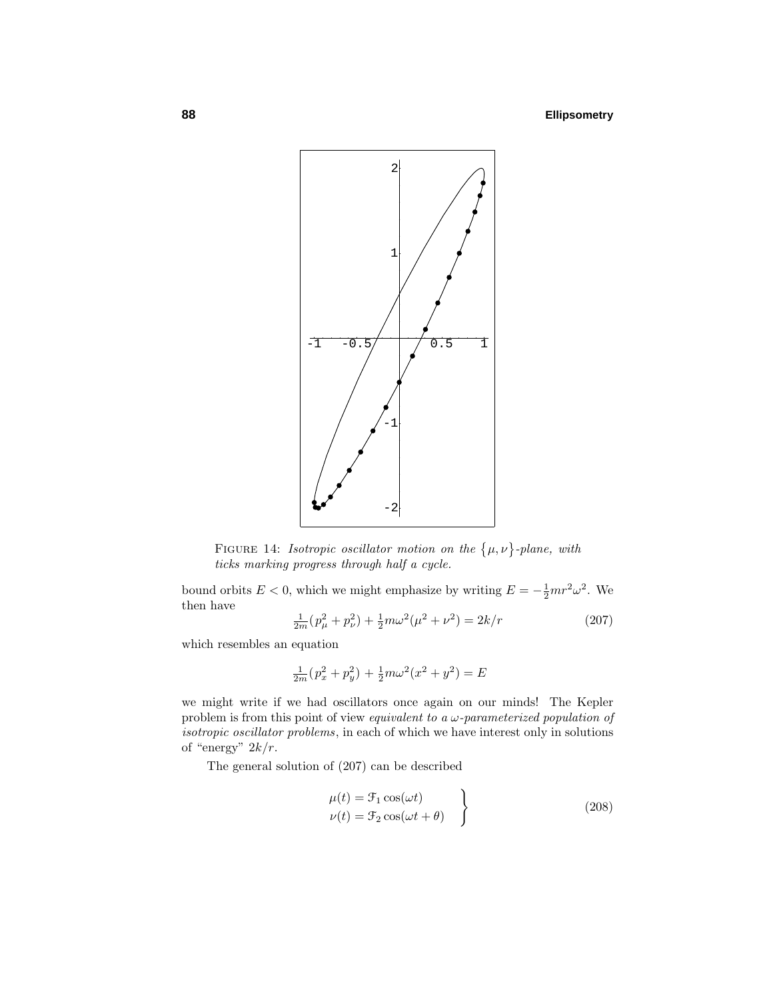

FIGURE 14: *Isotropic oscillator motion on the*  $\{\mu, \nu\}$ -plane, with ticks marking progress through half a cycle.

bound orbits  $E < 0$ , which we might emphasize by writing  $E = -\frac{1}{2}mr^2\omega^2$ . We then have

$$
\frac{1}{2m}(p_{\mu}^{2} + p_{\nu}^{2}) + \frac{1}{2}m\omega^{2}(\mu^{2} + \nu^{2}) = 2k/r
$$
 (207)

which resembles an equation

$$
\frac{1}{2m}(p_x^2 + p_y^2) + \frac{1}{2}m\omega^2(x^2 + y^2) = E
$$

we might write if we had oscillators once again on our minds! The Kepler problem is from this point of view equivalent to a *ω*-parameterized population of isotropic oscillator problems, in each of which we have interest only in solutions of "energy"  $2k/r$ .

The general solution of (207) can be described

$$
\mu(t) = \mathcal{F}_1 \cos(\omega t) \n\nu(t) = \mathcal{F}_2 \cos(\omega t + \theta)
$$
\n(208)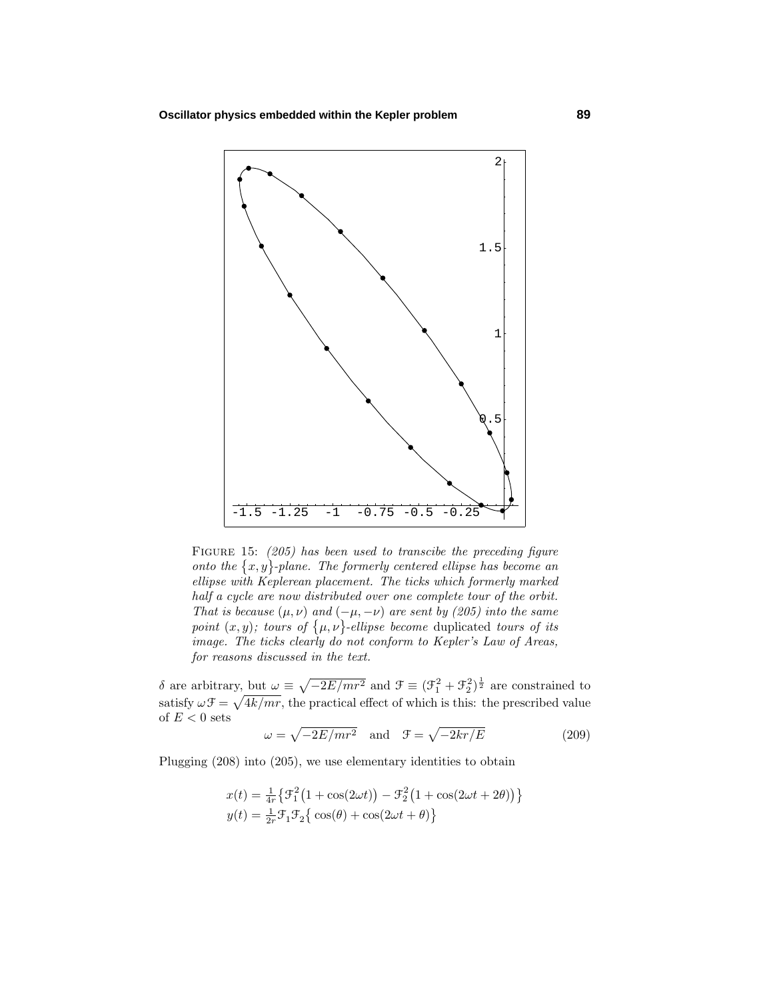

FIGURE 15: (205) has been used to transcibe the preceding figure onto the  $\{x, y\}$ -plane. The formerly centered ellipse has become an ellipse with Keplerean placement. The ticks which formerly marked half a cycle are now distributed over one complete tour of the orbit. That is because  $(\mu, \nu)$  and  $(-\mu, -\nu)$  are sent by (205) into the same point  $(x, y)$ ; tours of  $\{\mu, \nu\}$ -ellipse become duplicated tours of its image. The ticks clearly do not conform to Kepler's Law of Areas, for reasons discussed in the text.

*δ* are arbitrary, but  $ω ≡ √{-2E/mr^2}$  and  $\mathcal{F} ≡ (\mathcal{F}_1^2 + \mathcal{F}_2^2)^{\frac{1}{2}}$  are constrained to satisfy  $\omega \mathcal{F} = \sqrt{4k/mr}$ , the practical effect of which is this: the prescribed value of  ${\cal E}<0$  sets

$$
\omega = \sqrt{-2E/mr^2} \quad \text{and} \quad \mathcal{F} = \sqrt{-2kr/E} \tag{209}
$$

Plugging (208) into (205), we use elementary identities to obtain

$$
x(t) = \frac{1}{4r} \left\{ \mathcal{F}_1^2 \left( 1 + \cos(2\omega t) \right) - \mathcal{F}_2^2 \left( 1 + \cos(2\omega t + 2\theta) \right) \right\}
$$
  

$$
y(t) = \frac{1}{2r} \mathcal{F}_1 \mathcal{F}_2 \left\{ \cos(\theta) + \cos(2\omega t + \theta) \right\}
$$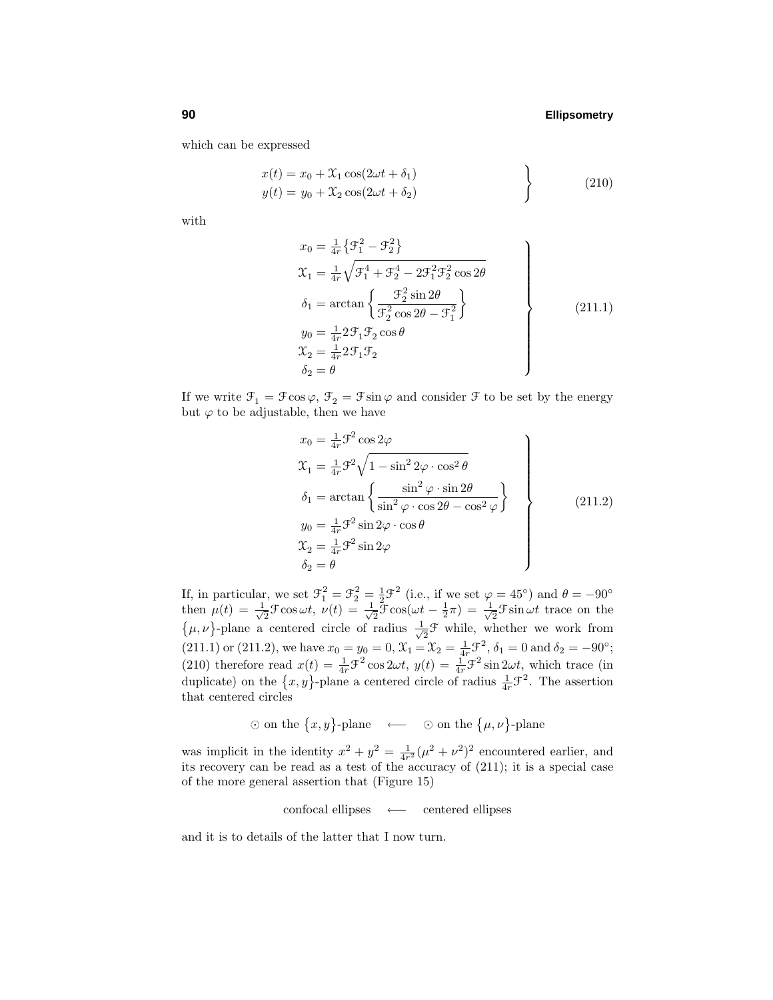which can be expressed

$$
x(t) = x_0 + \mathcal{X}_1 \cos(2\omega t + \delta_1)
$$
  
\n
$$
y(t) = y_0 + \mathcal{X}_2 \cos(2\omega t + \delta_2)
$$
\n(210)

with

$$
x_0 = \frac{1}{4r} \{ \mathcal{F}_1^2 - \mathcal{F}_2^2 \}
$$
  
\n
$$
\mathcal{X}_1 = \frac{1}{4r} \sqrt{\mathcal{F}_1^4 + \mathcal{F}_2^4 - 2\mathcal{F}_1^2 \mathcal{F}_2^2 \cos 2\theta}
$$
  
\n
$$
\delta_1 = \arctan \left\{ \frac{\mathcal{F}_2^2 \sin 2\theta}{\mathcal{F}_2^2 \cos 2\theta - \mathcal{F}_1^2} \right\}
$$
  
\n
$$
y_0 = \frac{1}{4r} 2\mathcal{F}_1 \mathcal{F}_2 \cos \theta
$$
  
\n
$$
\mathcal{X}_2 = \frac{1}{4r} 2\mathcal{F}_1 \mathcal{F}_2
$$
  
\n
$$
\delta_2 = \theta
$$
\n(211.1)

If we write  $\mathcal{F}_1 = \mathcal{F} \cos \varphi$ ,  $\mathcal{F}_2 = \mathcal{F} \sin \varphi$  and consider  $\mathcal{F}$  to be set by the energy but  $\varphi$  to be adjustable, then we have

$$
x_0 = \frac{1}{4r} \mathcal{F}^2 \cos 2\varphi
$$
  
\n
$$
\mathcal{X}_1 = \frac{1}{4r} \mathcal{F}^2 \sqrt{1 - \sin^2 2\varphi \cdot \cos^2 \theta}
$$
  
\n
$$
\delta_1 = \arctan \left\{ \frac{\sin^2 \varphi \cdot \sin 2\theta}{\sin^2 \varphi \cdot \cos 2\theta - \cos^2 \varphi} \right\}
$$
  
\n
$$
y_0 = \frac{1}{4r} \mathcal{F}^2 \sin 2\varphi \cdot \cos \theta
$$
  
\n
$$
\mathcal{X}_2 = \frac{1}{4r} \mathcal{F}^2 \sin 2\varphi
$$
  
\n
$$
\delta_2 = \theta
$$
\n(211.2)

If, in particular, we set  $\mathcal{F}_1^2 = \mathcal{F}_2^2 = \frac{1}{2}\mathcal{F}^2$  (i.e., if we set  $\varphi = 45^\circ$ ) and  $\theta = -90^\circ$ then  $\mu(t) = \frac{1}{\sqrt{2}}\mathcal{F}\cos\omega t$ ,  $\nu(t) = \frac{1}{\sqrt{2}}\mathcal{F}\cos(\omega t - \frac{1}{2}\pi) = \frac{1}{\sqrt{2}}\mathcal{F}\sin\omega t$  trace on the  $\{\mu, \nu\}$ -plane a centered circle of radius  $\frac{1}{\sqrt{2}}\mathcal{F}$  while, whether we work from (211.1) or (211.2), we have  $x_0 = y_0 = 0$ ,  $\mathcal{X}_1 = \mathcal{X}_2 = \frac{1}{4r}\mathcal{F}^2$ ,  $\delta_1 = 0$  and  $\delta_2 = -90^\circ$ ; (210) therefore read  $x(t) = \frac{1}{4r}\mathcal{F}^2 \cos 2\omega t$ ,  $y(t) = \frac{1}{4r}\mathcal{F}^2 \sin 2\omega t$ , which trace (in duplicate) on the  $\{x, y\}$ -plane a centered circle of radius  $\frac{1}{4r}\mathcal{F}^2$ . The assertion that centered circles

 $\odot$  on the  $\{x, y\}$ -plane ←  $\odot$  on the  $\{\mu, \nu\}$ -plane

was implicit in the identity  $x^2 + y^2 = \frac{1}{4r^2}(\mu^2 + \nu^2)^2$  encountered earlier, and its recovery can be read as a test of the accuracy of (211); it is a special case of the more general assertion that (Figure 15)

confocal ellipses ←− centered ellipses

and it is to details of the latter that I now turn.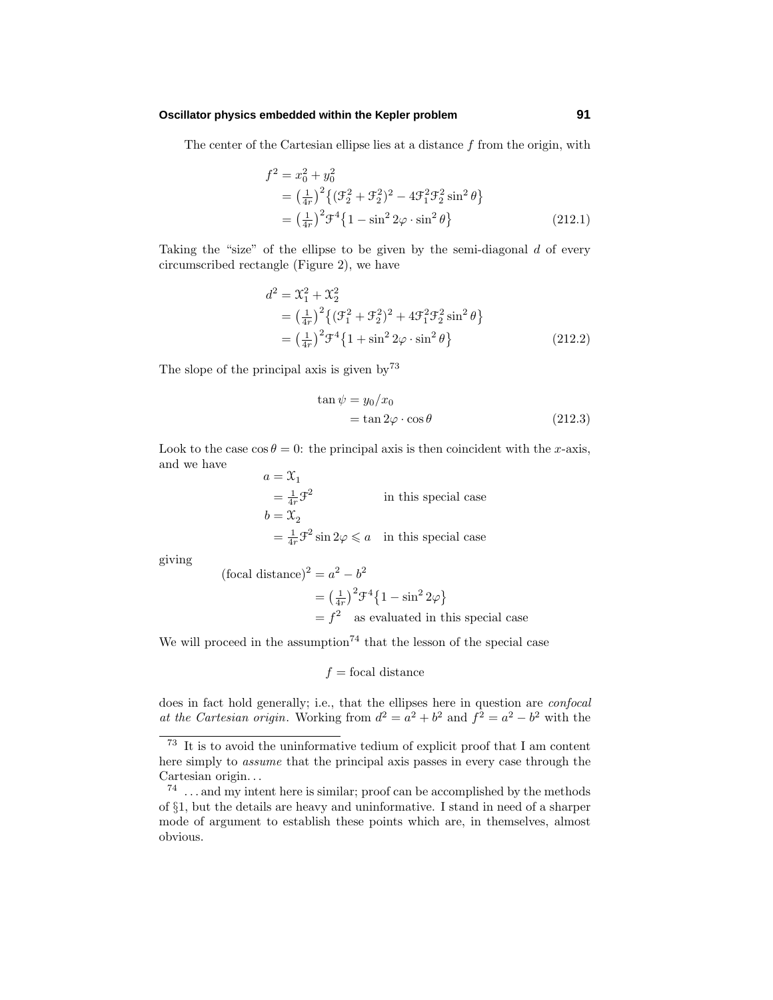# **Oscillator physics embedded within the Kepler problem 91**

The center of the Cartesian ellipse lies at a distance *f* from the origin, with

$$
f^{2} = x_{0}^{2} + y_{0}^{2}
$$
  
=  $\left(\frac{1}{4r}\right)^{2} \{ (\mathcal{F}_{2}^{2} + \mathcal{F}_{2}^{2})^{2} - 4\mathcal{F}_{1}^{2} \mathcal{F}_{2}^{2} \sin^{2} \theta \}$   
=  $\left(\frac{1}{4r}\right)^{2} \mathcal{F}^{4} \{ 1 - \sin^{2} 2\varphi \cdot \sin^{2} \theta \}$  (212.1)

Taking the "size" of the ellipse to be given by the semi-diagonal *d* of every circumscribed rectangle (Figure 2), we have

$$
d^{2} = \mathcal{X}_{1}^{2} + \mathcal{X}_{2}^{2}
$$
  
=  $\left(\frac{1}{4r}\right)^{2} \{ (\mathcal{F}_{1}^{2} + \mathcal{F}_{2}^{2})^{2} + 4\mathcal{F}_{1}^{2}\mathcal{F}_{2}^{2} \sin^{2} \theta \}$   
=  $\left(\frac{1}{4r}\right)^{2} \mathcal{F}^{4} \{ 1 + \sin^{2} 2\varphi \cdot \sin^{2} \theta \}$  (212.2)

The slope of the principal axis is given by  $73$ 

$$
\tan \psi = y_0/x_0
$$
  
=  $\tan 2\varphi \cdot \cos \theta$  (212.3)

Look to the case  $\cos \theta = 0$ : the principal axis is then coincident with the *x*-axis, and we have  $a = \mathfrak{X}$ 

$$
u = x_1
$$
  
=  $\frac{1}{4r} \mathcal{F}^2$  in this special case  

$$
b = \mathcal{X}_2
$$
  
=  $\frac{1}{4r} \mathcal{F}^2 \sin 2\varphi \le a$  in this special case

giving

 $(\text{focal distance})^2 = a^2 - b^2$ 

$$
= \left(\frac{1}{4r}\right)^2 \mathcal{F}^4 \{1 - \sin^2 2\varphi\}
$$
  
=  $f^2$  as evaluated in this special case

We will proceed in the assumption<sup>74</sup> that the lesson of the special case

$$
f = \text{focal distance}
$$

does in fact hold generally; i.e., that the ellipses here in question are *confocal* at the Cartesian origin. Working from  $d^2 = a^2 + b^2$  and  $f^2 = a^2 - b^2$  with the

<sup>73</sup> It is to avoid the uninformative tedium of explicit proof that I am content here simply to assume that the principal axis passes in every case through the Cartesian origin*...*

<sup>74</sup> *...* and my intent here is similar; proof can be accomplished by the methods of §1, but the details are heavy and uninformative. I stand in need of a sharper mode of argument to establish these points which are, in themselves, almost obvious.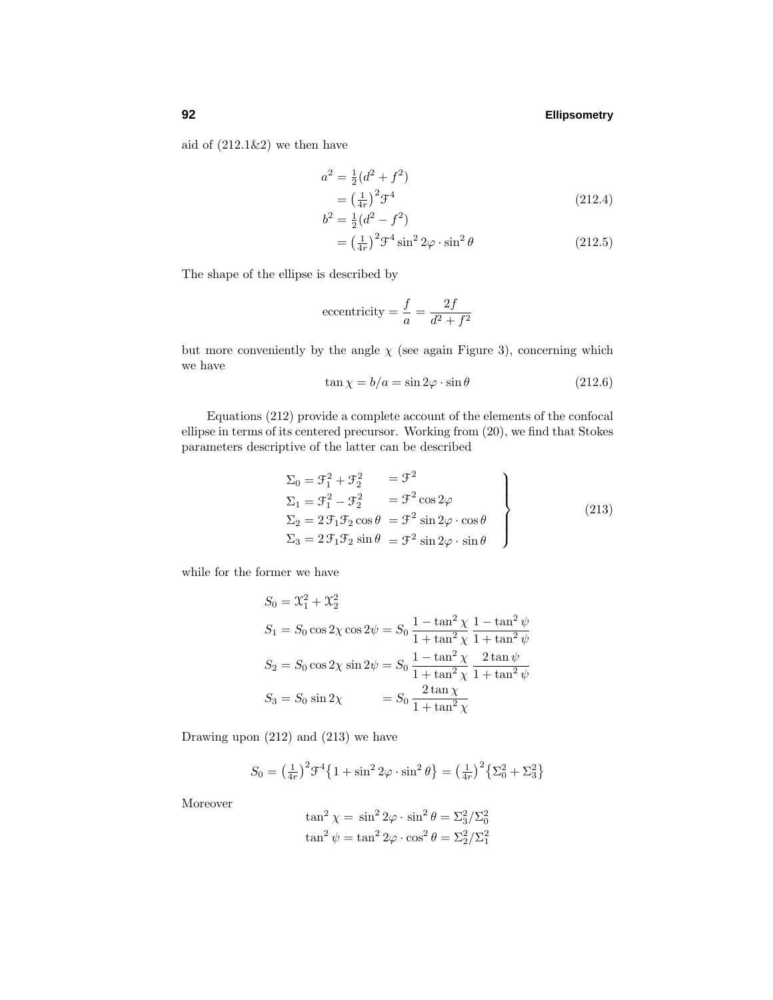aid of  $(212.1\&2)$  we then have

$$
a^{2} = \frac{1}{2}(d^{2} + f^{2})
$$
  
=  $\left(\frac{1}{4r}\right)^{2} \mathcal{F}^{4}$  (212.4)

$$
b^{2} = \frac{1}{2}(d^{2} - f^{2})
$$
  
=  $\left(\frac{1}{4r}\right)^{2} \mathcal{F}^{4} \sin^{2} 2\varphi \cdot \sin^{2} \theta$  (212.5)

The shape of the ellipse is described by

eccentricity 
$$
=
$$
  $\frac{f}{a} = \frac{2f}{d^2 + f^2}$ 

but more conveniently by the angle  $\chi$  (see again Figure 3), concerning which we have

$$
\tan \chi = b/a = \sin 2\varphi \cdot \sin \theta \tag{212.6}
$$

Equations (212) provide a complete account of the elements of the confocal ellipse in terms of its centered precursor. Working from (20), we find that Stokes parameters descriptive of the latter can be described

$$
\Sigma_0 = \mathcal{F}_1^2 + \mathcal{F}_2^2 = \mathcal{F}^2
$$
\n
$$
\Sigma_1 = \mathcal{F}_1^2 - \mathcal{F}_2^2 = \mathcal{F}^2 \cos 2\varphi
$$
\n
$$
\Sigma_2 = 2 \mathcal{F}_1 \mathcal{F}_2 \cos \theta = \mathcal{F}^2 \sin 2\varphi \cdot \cos \theta
$$
\n
$$
\Sigma_3 = 2 \mathcal{F}_1 \mathcal{F}_2 \sin \theta = \mathcal{F}^2 \sin 2\varphi \cdot \sin \theta
$$
\n(213)

while for the former we have

$$
S_0 = \mathcal{X}_1^2 + \mathcal{X}_2^2
$$
  
\n
$$
S_1 = S_0 \cos 2\chi \cos 2\psi = S_0 \frac{1 - \tan^2 \chi}{1 + \tan^2 \chi} \frac{1 - \tan^2 \psi}{1 + \tan^2 \psi}
$$
  
\n
$$
S_2 = S_0 \cos 2\chi \sin 2\psi = S_0 \frac{1 - \tan^2 \chi}{1 + \tan^2 \chi} \frac{2 \tan \psi}{1 + \tan^2 \psi}
$$
  
\n
$$
S_3 = S_0 \sin 2\chi = S_0 \frac{2 \tan \chi}{1 + \tan^2 \chi}
$$

Drawing upon (212) and (213) we have

$$
S_0 = \left(\frac{1}{4r}\right)^2 \mathcal{F}^4 \left\{ 1 + \sin^2 2\varphi \cdot \sin^2 \theta \right\} = \left(\frac{1}{4r}\right)^2 \left\{ \Sigma_0^2 + \Sigma_3^2 \right\}
$$

Moreover

$$
\tan^2 \chi = \sin^2 2\varphi \cdot \sin^2 \theta = \sum_{3}^{2} / \sum_{0}^{2}
$$

$$
\tan^2 \psi = \tan^2 2\varphi \cdot \cos^2 \theta = \sum_{2}^{2} / \sum_{1}^{2}
$$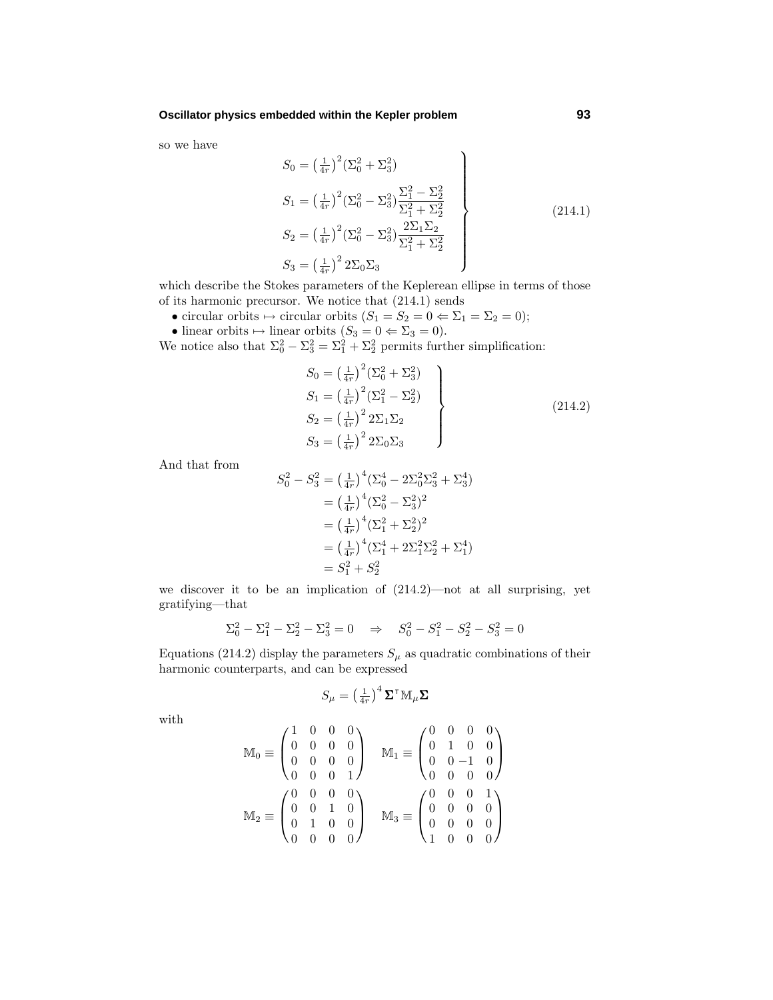so we have

$$
S_0 = \left(\frac{1}{4r}\right)^2 \left(\Sigma_0^2 + \Sigma_3^2\right)
$$
  
\n
$$
S_1 = \left(\frac{1}{4r}\right)^2 \left(\Sigma_0^2 - \Sigma_3^2\right) \frac{\Sigma_1^2 - \Sigma_2^2}{\Sigma_1^2 + \Sigma_2^2}
$$
  
\n
$$
S_2 = \left(\frac{1}{4r}\right)^2 \left(\Sigma_0^2 - \Sigma_3^2\right) \frac{2\Sigma_1 \Sigma_2}{\Sigma_1^2 + \Sigma_2^2}
$$
  
\n
$$
S_3 = \left(\frac{1}{4r}\right)^2 2\Sigma_0 \Sigma_3
$$
\n(214.1)

which describe the Stokes parameters of the Keplerean ellipse in terms of those of its harmonic precursor. We notice that (214.1) sends

- circular orbits  $\mapsto$  circular orbits  $(S_1 = S_2 = 0 \Leftrightarrow \Sigma_1 = \Sigma_2 = 0);$
- linear orbits  $\mapsto$  linear orbits  $(S_3 = 0 \Leftrightarrow \Sigma_3 = 0)$ .

We notice also that  $\Sigma_0^2 - \Sigma_3^2 = \Sigma_1^2 + \Sigma_2^2$  permits further simplification:

$$
S_0 = \left(\frac{1}{4r}\right)^2 (\Sigma_0^2 + \Sigma_3^2)
$$
  
\n
$$
S_1 = \left(\frac{1}{4r}\right)^2 (\Sigma_1^2 - \Sigma_2^2)
$$
  
\n
$$
S_2 = \left(\frac{1}{4r}\right)^2 2\Sigma_1 \Sigma_2
$$
  
\n
$$
S_3 = \left(\frac{1}{4r}\right)^2 2\Sigma_0 \Sigma_3
$$
\n(214.2)

And that from

$$
S_0^2 - S_3^2 = \left(\frac{1}{4r}\right)^4 \left(\Sigma_0^4 - 2\Sigma_0^2 \Sigma_3^2 + \Sigma_3^4\right)
$$
  
=  $\left(\frac{1}{4r}\right)^4 \left(\Sigma_0^2 - \Sigma_3^2\right)^2$   
=  $\left(\frac{1}{4r}\right)^4 \left(\Sigma_1^2 + \Sigma_2^2\right)^2$   
=  $\left(\frac{1}{4r}\right)^4 \left(\Sigma_1^4 + 2\Sigma_1^2 \Sigma_2^2 + \Sigma_1^4\right)$   
=  $S_1^2 + S_2^2$ 

we discover it to be an implication of (214.2)—not at all surprising, yet gratifying—that

$$
\Sigma_0^2 - \Sigma_1^2 - \Sigma_2^2 - \Sigma_3^2 = 0 \quad \Rightarrow \quad S_0^2 - S_1^2 - S_2^2 - S_3^2 = 0
$$

Equations (214.2) display the parameters  $S_\mu$  as quadratic combinations of their harmonic counterparts, and can be expressed

$$
S_{\mu} = \left(\tfrac{1}{4r}\right)^4 \mathbf{\Sigma}^\intercal \mathbb{M}_{\mu} \mathbf{\Sigma}
$$

with

$$
\mathbb{M}_0 \equiv \begin{pmatrix} 1 & 0 & 0 & 0 \\ 0 & 0 & 0 & 0 \\ 0 & 0 & 0 & 0 \\ 0 & 0 & 0 & 1 \end{pmatrix} \quad \mathbb{M}_1 \equiv \begin{pmatrix} 0 & 0 & 0 & 0 \\ 0 & 1 & 0 & 0 \\ 0 & 0 & -1 & 0 \\ 0 & 0 & 0 & 0 \end{pmatrix}
$$

$$
\mathbb{M}_2 \equiv \begin{pmatrix} 0 & 0 & 0 & 0 \\ 0 & 0 & 1 & 0 \\ 0 & 1 & 0 & 0 \\ 0 & 0 & 0 & 0 \end{pmatrix} \quad \mathbb{M}_3 \equiv \begin{pmatrix} 0 & 0 & 0 & 1 \\ 0 & 0 & 0 & 0 \\ 0 & 0 & 0 & 0 \\ 1 & 0 & 0 & 0 \end{pmatrix}
$$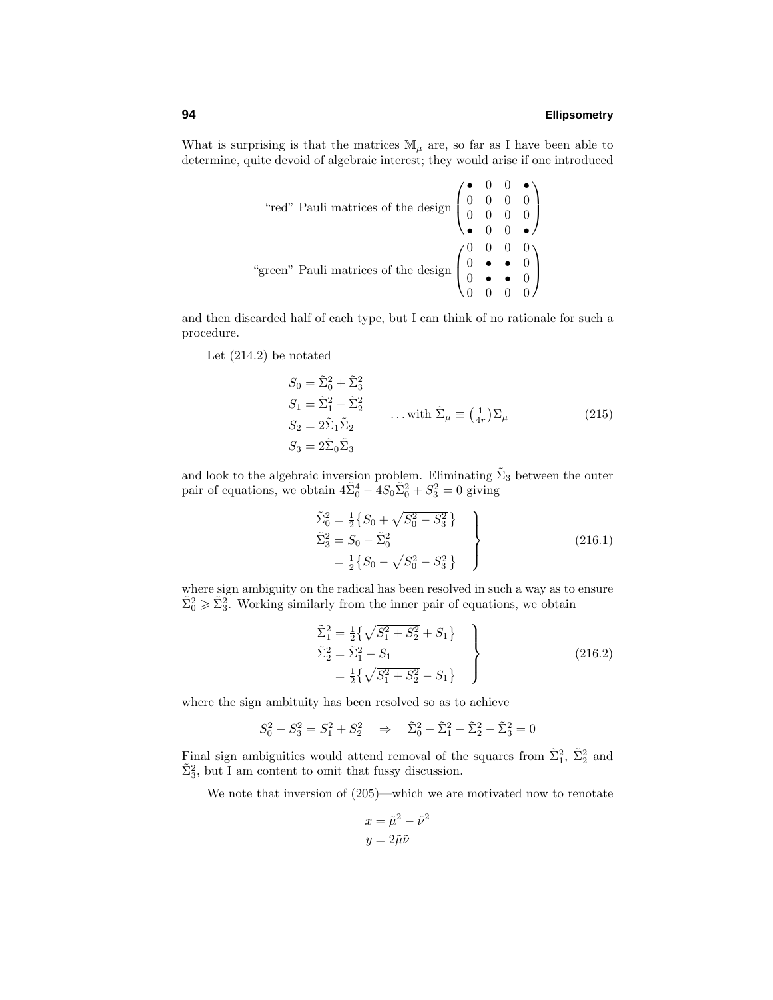What is surprising is that the matrices  $\mathbb{M}_{\mu}$  are, so far as I have been able to determine, quite devoid of algebraic interest; they would arise if one introduced

"red" Pauli matrices of the design 
$$
\begin{pmatrix} \bullet & 0 & 0 & \bullet \\ 0 & 0 & 0 & 0 \\ 0 & 0 & 0 & 0 \end{pmatrix}
$$
  
"green" Pauli matrices of the design 
$$
\begin{pmatrix} 0 & 0 & 0 & 0 \\ 0 & \bullet & \bullet & 0 \\ 0 & \bullet & \bullet & 0 \\ 0 & 0 & 0 & 0 \end{pmatrix}
$$

and then discarded half of each type, but I can think of no rationale for such a procedure.

Let (214.2) be notated

$$
S_0 = \tilde{\Sigma}_0^2 + \tilde{\Sigma}_3^2
$$
  
\n
$$
S_1 = \tilde{\Sigma}_1^2 - \tilde{\Sigma}_2^2
$$
  
\n
$$
S_2 = 2\tilde{\Sigma}_1 \tilde{\Sigma}_2
$$
  
\n
$$
S_3 = 2\tilde{\Sigma}_0 \tilde{\Sigma}_3
$$
\n
$$
(215)
$$

and look to the algebraic inversion problem. Eliminating  $\tilde{\Sigma}_3$  between the outer pair of equations, we obtain  $4\tilde{\Sigma}_0^4 - 4S_0\tilde{\Sigma}_0^2 + S_3^2 = 0$  giving

$$
\tilde{\Sigma}_0^2 = \frac{1}{2} \{ S_0 + \sqrt{S_0^2 - S_3^2} \}
$$
\n
$$
\tilde{\Sigma}_3^2 = S_0 - \tilde{\Sigma}_0^2
$$
\n
$$
= \frac{1}{2} \{ S_0 - \sqrt{S_0^2 - S_3^2} \}
$$
\n(216.1)

where sign ambiguity on the radical has been resolved in such a way as to ensure  $\tilde{\Sigma}_0^2 \ge \tilde{\Sigma}_3^2$ . Working similarly from the inner pair of equations, we obtain

$$
\tilde{\Sigma}_1^2 = \frac{1}{2} \{ \sqrt{S_1^2 + S_2^2} + S_1 \}
$$
\n
$$
\tilde{\Sigma}_2^2 = \tilde{\Sigma}_1^2 - S_1
$$
\n
$$
= \frac{1}{2} \{ \sqrt{S_1^2 + S_2^2} - S_1 \}
$$
\n(216.2)

where the sign ambituity has been resolved so as to achieve

$$
S_0^2 - S_3^2 = S_1^2 + S_2^2 \Rightarrow \tilde{\Sigma}_0^2 - \tilde{\Sigma}_1^2 - \tilde{\Sigma}_2^2 - \tilde{\Sigma}_3^2 = 0
$$

Final sign ambiguities would attend removal of the squares from  $\tilde{\Sigma}_1^2$ ,  $\tilde{\Sigma}_2^2$  and  $\tilde{\Sigma}_3^2$ , but I am content to omit that fussy discussion.

We note that inversion of  $(205)$ —which we are motivated now to renotate

$$
x = \tilde{\mu}^2 - \tilde{\nu}^2
$$

$$
y = 2\tilde{\mu}\tilde{\nu}
$$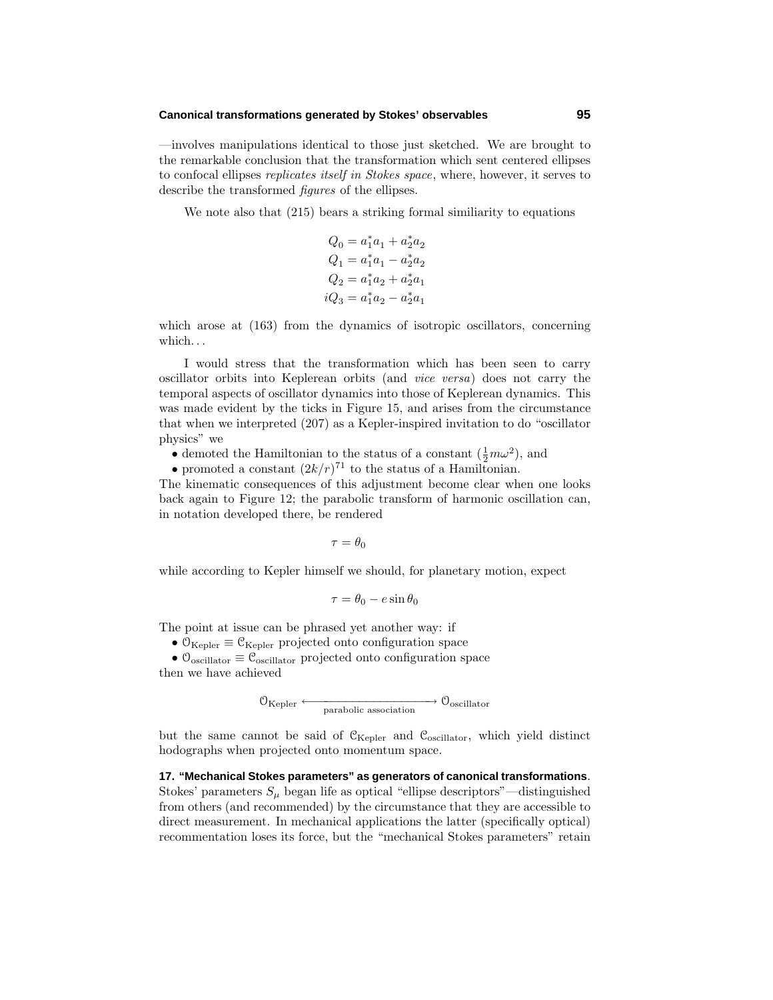#### **Canonical transformations generated by Stokes' observables 95**

—involves manipulations identical to those just sketched. We are brought to the remarkable conclusion that the transformation which sent centered ellipses to confocal ellipses replicates itself in Stokes space, where, however, it serves to describe the transformed figures of the ellipses.

We note also that (215) bears a striking formal similiarity to equations

$$
Q_0 = a_1^* a_1 + a_2^* a_2
$$
  
\n
$$
Q_1 = a_1^* a_1 - a_2^* a_2
$$
  
\n
$$
Q_2 = a_1^* a_2 + a_2^* a_1
$$
  
\n
$$
iQ_3 = a_1^* a_2 - a_2^* a_1
$$

which arose at  $(163)$  from the dynamics of isotropic oscillators, concerning which*...*

I would stress that the transformation which has been seen to carry oscillator orbits into Keplerean orbits (and vice versa) does not carry the temporal aspects of oscillator dynamics into those of Keplerean dynamics. This was made evident by the ticks in Figure 15, and arises from the circumstance that when we interpreted (207) as a Kepler-inspired invitation to do "oscillator physics" we

• demoted the Hamiltonian to the status of a constant  $(\frac{1}{2}m\omega^2)$ , and

• promoted a constant  $(2k/r)^{71}$  to the status of a Hamiltonian.

The kinematic consequences of this adjustment become clear when one looks back again to Figure 12; the parabolic transform of harmonic oscillation can, in notation developed there, be rendered

 $\tau = \theta_0$ 

while according to Kepler himself we should, for planetary motion, expect

$$
\tau = \theta_0 - e \sin \theta_0
$$

The point at issue can be phrased yet another way: if

•  $\mathcal{O}_{\text{Kepler}} \equiv \mathcal{C}_{\text{Kepler}}$  projected onto configuration space

•  $\mathcal{O}_{\text{oscillator}} \equiv \mathcal{C}_{\text{oscillator}}$  projected onto configuration space then we have achieved

$$
\textcircled{1}_{\text{Kepler}} \longleftrightarrow \textcircled{1}_{\text{parabolic association}} \longrightarrow \textcircled{1}_{\text{oscillator}}
$$

but the same cannot be said of  $\mathcal{C}_{\text{Kepler}}$  and  $\mathcal{C}_{\text{oscillator}}$ , which yield distinct hodographs when projected onto momentum space.

**17. "Mechanical Stokes parameters" as generators of canonical transformations**. Stokes' parameters  $S_\mu$  began life as optical "ellipse descriptors"—distinguished from others (and recommended) by the circumstance that they are accessible to direct measurement. In mechanical applications the latter (specifically optical) recommentation loses its force, but the "mechanical Stokes parameters" retain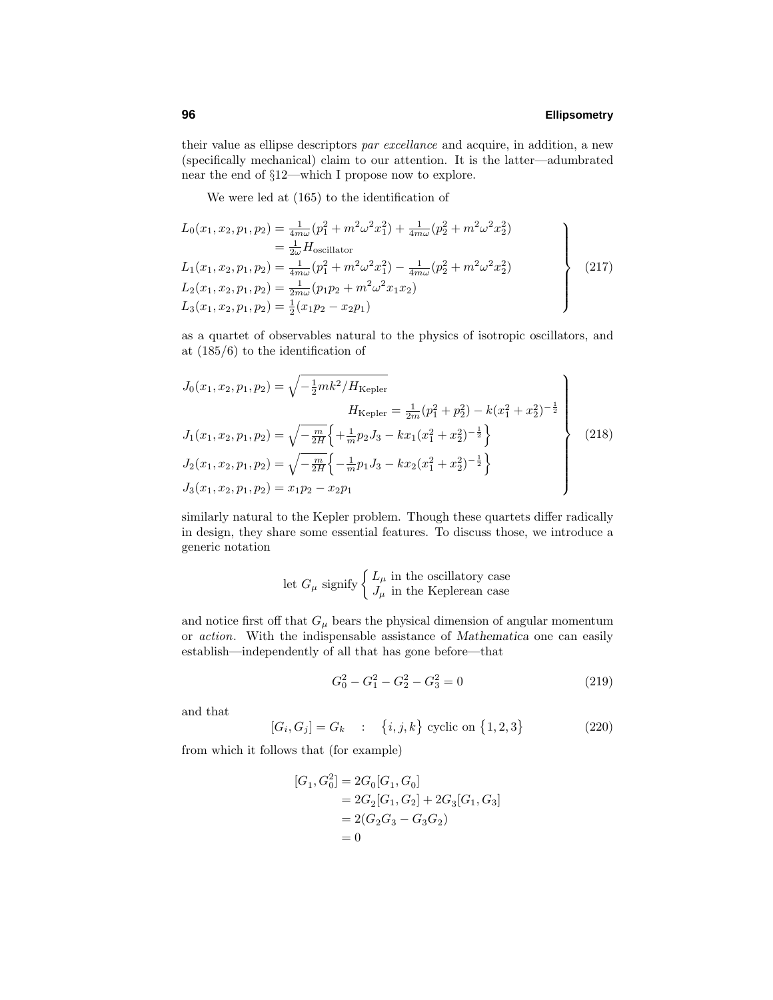their value as ellipse descriptors par excellance and acquire, in addition, a new (specifically mechanical) claim to our attention. It is the latter—adumbrated near the end of §12—which I propose now to explore.

We were led at (165) to the identification of

$$
L_0(x_1, x_2, p_1, p_2) = \frac{1}{4m\omega} (p_1^2 + m^2 \omega^2 x_1^2) + \frac{1}{4m\omega} (p_2^2 + m^2 \omega^2 x_2^2)
$$
  
\n
$$
= \frac{1}{2\omega} H_{\text{oscillator}}
$$
  
\n
$$
L_1(x_1, x_2, p_1, p_2) = \frac{1}{4m\omega} (p_1^2 + m^2 \omega^2 x_1^2) - \frac{1}{4m\omega} (p_2^2 + m^2 \omega^2 x_2^2)
$$
  
\n
$$
L_2(x_1, x_2, p_1, p_2) = \frac{1}{2m\omega} (p_1 p_2 + m^2 \omega^2 x_1 x_2)
$$
  
\n
$$
L_3(x_1, x_2, p_1, p_2) = \frac{1}{2} (x_1 p_2 - x_2 p_1)
$$
\n(217)

as a quartet of observables natural to the physics of isotropic oscillators, and at (185/6) to the identification of

$$
J_0(x_1, x_2, p_1, p_2) = \sqrt{-\frac{1}{2}mk^2/H_{\text{Kepler}}}
$$
  
\n
$$
H_{\text{Kepler}} = \frac{1}{2m}(p_1^2 + p_2^2) - k(x_1^2 + x_2^2)^{-\frac{1}{2}}
$$
  
\n
$$
J_1(x_1, x_2, p_1, p_2) = \sqrt{-\frac{m}{2H}} \left\{ +\frac{1}{m}p_2J_3 - kx_1(x_1^2 + x_2^2)^{-\frac{1}{2}} \right\}
$$
  
\n
$$
J_2(x_1, x_2, p_1, p_2) = \sqrt{-\frac{m}{2H}} \left\{ -\frac{1}{m}p_1J_3 - kx_2(x_1^2 + x_2^2)^{-\frac{1}{2}} \right\}
$$
  
\n
$$
J_3(x_1, x_2, p_1, p_2) = x_1p_2 - x_2p_1
$$
\n(218)

similarly natural to the Kepler problem. Though these quartets differ radically in design, they share some essential features. To discuss those, we introduce a generic notation

let 
$$
G_{\mu}
$$
 signify  $\begin{cases} L_{\mu} & \text{in the oscillatory case} \\ J_{\mu} & \text{in the Keplerean case} \end{cases}$ 

and notice first off that  $G_\mu$  bears the physical dimension of angular momentum or action. With the indispensable assistance of *Mathematica* one can easily establish—independently of all that has gone before—that

$$
G_0^2 - G_1^2 - G_2^2 - G_3^2 = 0 \tag{219}
$$

and that

$$
[G_i, G_j] = G_k \quad : \quad \{i, j, k\} \text{ cyclic on } \{1, 2, 3\} \tag{220}
$$

from which it follows that (for example)

$$
[G_1, G_0^2] = 2G_0[G_1, G_0]
$$
  
= 2G<sub>2</sub>[G<sub>1</sub>, G<sub>2</sub>] + 2G<sub>3</sub>[G<sub>1</sub>, G<sub>3</sub>]  
= 2(G<sub>2</sub>G<sub>3</sub> - G<sub>3</sub>G<sub>2</sub>)  
= 0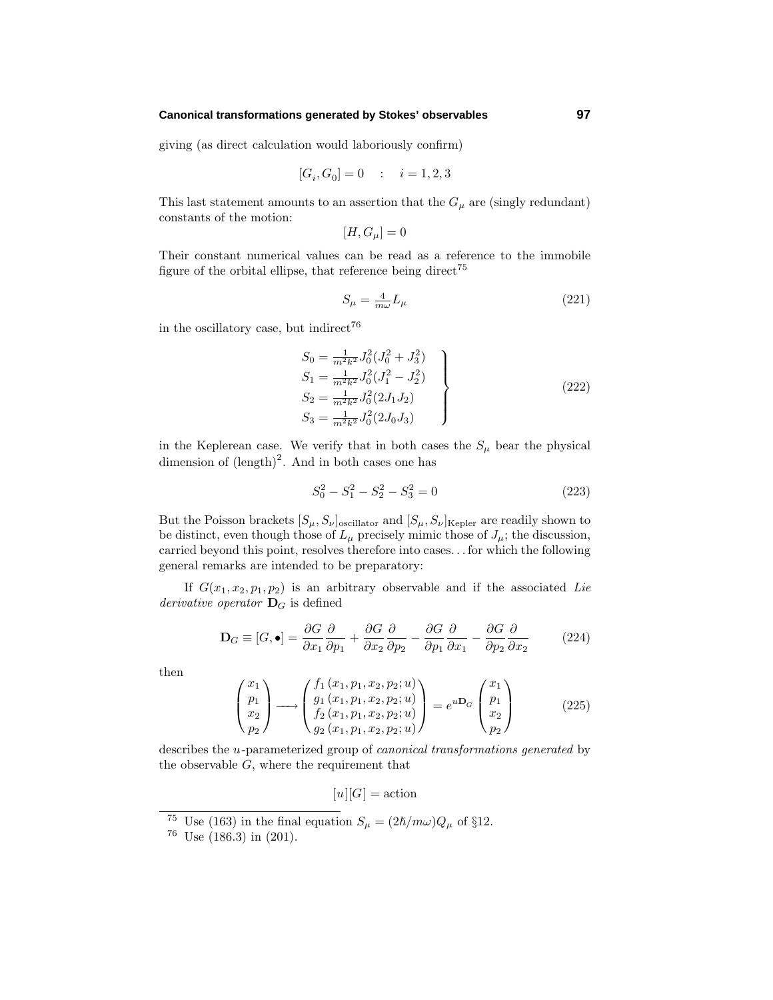### **Canonical transformations generated by Stokes' observables 97**

giving (as direct calculation would laboriously confirm)

$$
[G_i,G_0]=0\quad :\quad i=1,2,3
$$

This last statement amounts to an assertion that the  $G_{\mu}$  are (singly redundant) constants of the motion:

$$
[H, G_{\mu}] = 0
$$

Their constant numerical values can be read as a reference to the immobile figure of the orbital ellipse, that reference being direct<sup>75</sup>

$$
S_{\mu} = \frac{4}{m\omega} L_{\mu} \tag{221}
$$

in the oscillatory case, but indirect<sup>76</sup>

$$
S_0 = \frac{1}{m^2 k^2} J_0^2 (J_0^2 + J_3^2)
$$
  
\n
$$
S_1 = \frac{1}{m^2 k^2} J_0^2 (J_1^2 - J_2^2)
$$
  
\n
$$
S_2 = \frac{1}{m^2 k^2} J_0^2 (2J_1 J_2)
$$
  
\n
$$
S_3 = \frac{1}{m^2 k^2} J_0^2 (2J_0 J_3)
$$
\n(222)

in the Keplerean case. We verify that in both cases the  $S_\mu$  bear the physical dimension of  $(\text{length})^2$ . And in both cases one has

$$
S_0^2 - S_1^2 - S_2^2 - S_3^2 = 0 \tag{223}
$$

But the Poisson brackets  $[S_\mu, S_\nu]_{\text{oscillator}}$  and  $[S_\mu, S_\nu]_{\text{Kepler}}$  are readily shown to be distinct, even though those of  $L_\mu$  precisely mimic those of  $J_\mu$ ; the discussion, carried beyond this point, resolves therefore into cases*...* for which the following general remarks are intended to be preparatory:

If  $G(x_1, x_2, p_1, p_2)$  is an arbitrary observable and if the associated Lie derivative operator **D***<sup>G</sup>* is defined

$$
\mathbf{D}_G \equiv [G, \bullet] = \frac{\partial G}{\partial x_1} \frac{\partial}{\partial p_1} + \frac{\partial G}{\partial x_2} \frac{\partial}{\partial p_2} - \frac{\partial G}{\partial p_1} \frac{\partial}{\partial x_1} - \frac{\partial G}{\partial p_2} \frac{\partial}{\partial x_2}
$$
(224)

then

$$
\begin{pmatrix} x_1 \\ p_1 \\ x_2 \\ p_2 \end{pmatrix} \longrightarrow \begin{pmatrix} f_1(x_1, p_1, x_2, p_2; u) \\ g_1(x_1, p_1, x_2, p_2; u) \\ f_2(x_1, p_1, x_2, p_2; u) \\ g_2(x_1, p_1, x_2, p_2; u) \end{pmatrix} = e^{u \mathbf{D}_G} \begin{pmatrix} x_1 \\ p_1 \\ x_2 \\ p_2 \end{pmatrix}
$$
 (225)

describes the *u*-parameterized group of canonical transformations generated by the observable *G*, where the requirement that

 $[u][G] = \text{action}$ 

<sup>&</sup>lt;sup>75</sup> Use (163) in the final equation  $S_{\mu} = (2\hbar/m\omega)Q_{\mu}$  of §12.

 $76$  Use (186.3) in (201).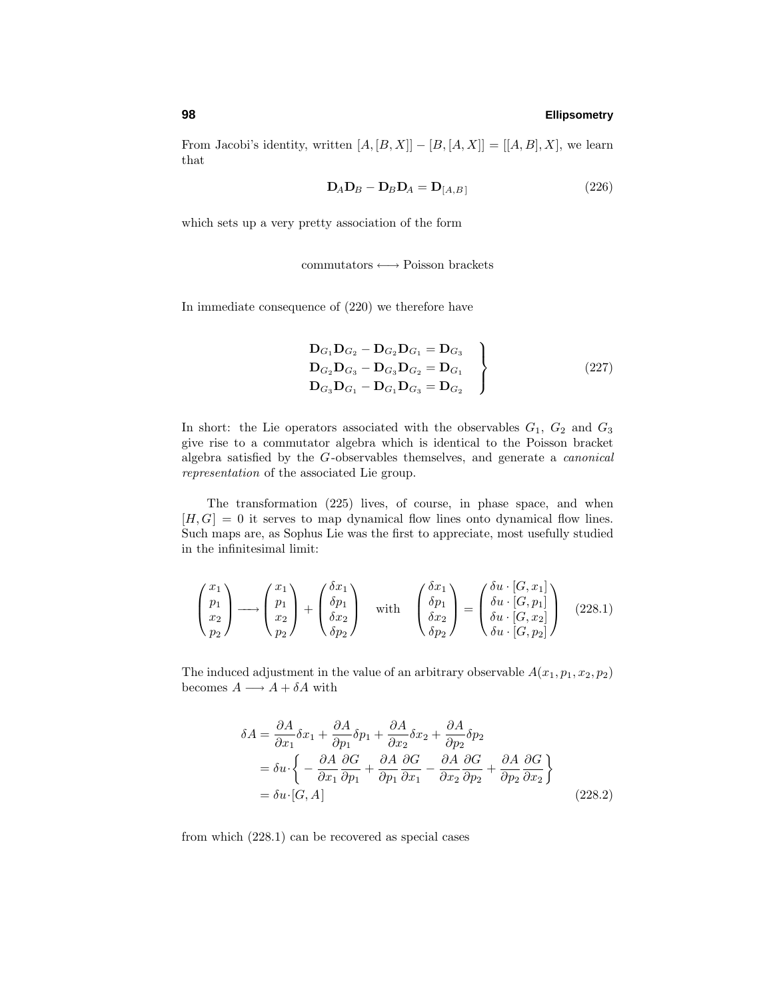From Jacobi's identity, written  $[A, [B, X]] - [B, [A, X]] = [[A, B], X]$ , we learn that

$$
\mathbf{D}_A \mathbf{D}_B - \mathbf{D}_B \mathbf{D}_A = \mathbf{D}_{[A,B]}
$$
 (226)

which sets up a very pretty association of the form

commutators ←→ Poisson brackets

In immediate consequence of (220) we therefore have

$$
\left\{\n\begin{aligned}\n\mathbf{D}_{G_1}\mathbf{D}_{G_2} - \mathbf{D}_{G_2}\mathbf{D}_{G_1} &= \mathbf{D}_{G_3} \\
\mathbf{D}_{G_2}\mathbf{D}_{G_3} - \mathbf{D}_{G_3}\mathbf{D}_{G_2} &= \mathbf{D}_{G_1} \\
\mathbf{D}_{G_3}\mathbf{D}_{G_1} - \mathbf{D}_{G_1}\mathbf{D}_{G_3} &= \mathbf{D}_{G_2}\n\end{aligned}\n\right\} \tag{227}
$$

In short: the Lie operators associated with the observables  $G_1$ ,  $G_2$  and  $G_3$ give rise to a commutator algebra which is identical to the Poisson bracket algebra satisfied by the *G*-observables themselves, and generate a canonical representation of the associated Lie group.

The transformation (225) lives, of course, in phase space, and when  $[H, G] = 0$  it serves to map dynamical flow lines onto dynamical flow lines. Such maps are, as Sophus Lie was the first to appreciate, most usefully studied in the infinitesimal limit:

$$
\begin{pmatrix} x_1 \\ p_1 \\ x_2 \\ p_2 \end{pmatrix} \longrightarrow \begin{pmatrix} x_1 \\ p_1 \\ x_2 \\ p_2 \end{pmatrix} + \begin{pmatrix} \delta x_1 \\ \delta p_1 \\ \delta x_2 \\ \delta p_2 \end{pmatrix} \quad \text{with} \quad \begin{pmatrix} \delta x_1 \\ \delta p_1 \\ \delta x_2 \\ \delta p_2 \end{pmatrix} = \begin{pmatrix} \delta u \cdot [G, x_1] \\ \delta u \cdot [G, p_1] \\ \delta u \cdot [G, x_2] \\ \delta u \cdot [G, p_2] \end{pmatrix} \quad (228.1)
$$

The induced adjustment in the value of an arbitrary observable  $A(x_1, p_1, x_2, p_2)$ becomes  $A \longrightarrow A + \delta A$  with

$$
\delta A = \frac{\partial A}{\partial x_1} \delta x_1 + \frac{\partial A}{\partial p_1} \delta p_1 + \frac{\partial A}{\partial x_2} \delta x_2 + \frac{\partial A}{\partial p_2} \delta p_2
$$
  
=  $\delta u \cdot \left\{ -\frac{\partial A}{\partial x_1} \frac{\partial G}{\partial p_1} + \frac{\partial A}{\partial p_1} \frac{\partial G}{\partial x_1} - \frac{\partial A}{\partial x_2} \frac{\partial G}{\partial p_2} + \frac{\partial A}{\partial p_2} \frac{\partial G}{\partial x_2} \right\}$   
=  $\delta u \cdot [G, A]$  (228.2)

from which (228.1) can be recovered as special cases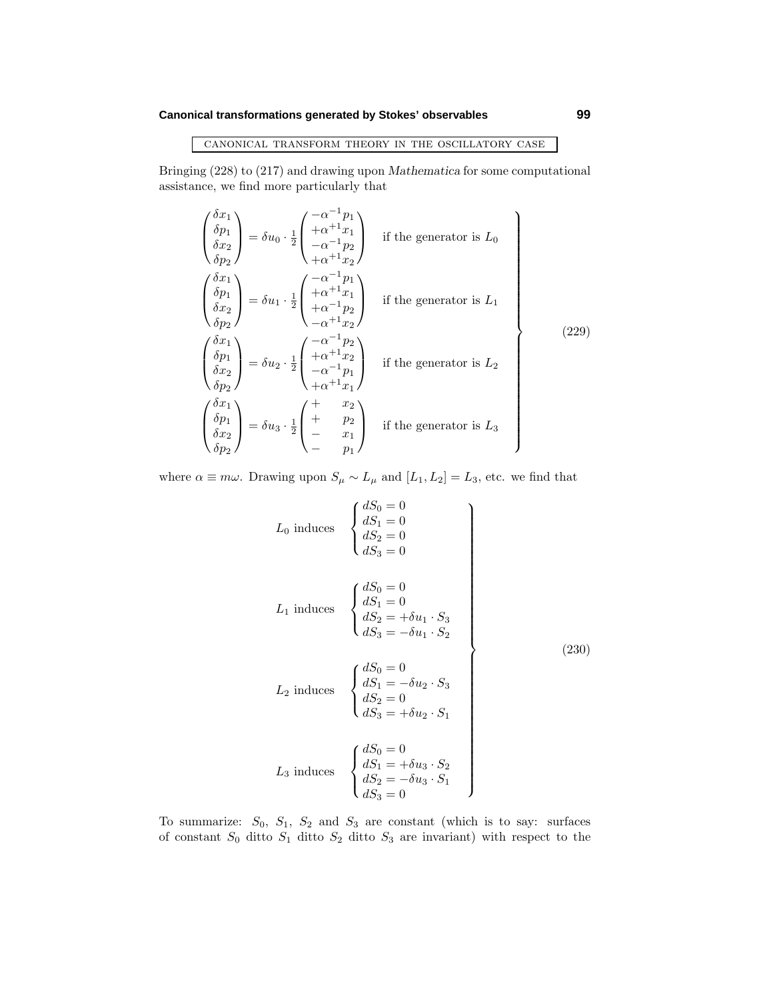# **Canonical transformations generated by Stokes' observables 99**

# canonical transform theory in the oscillatory case

Bringing (228) to (217) and drawing upon *Mathematica* for some computational assistance, we find more particularly that

$$
\begin{pmatrix}\n\delta x_1 \\
\delta p_1 \\
\delta x_2 \\
\delta p_2\n\end{pmatrix} = \delta u_0 \cdot \frac{1}{2} \begin{pmatrix}\n-\alpha^{-1}p_1 \\
+\alpha^{+1}x_1 \\
-\alpha^{-1}p_2 \\
+\alpha^{+1}x_2\n\end{pmatrix} \quad \text{if the generator is } L_0
$$
\n
$$
\begin{pmatrix}\n\delta x_1 \\
\delta p_1 \\
\delta x_2 \\
\delta p_2\n\end{pmatrix} = \delta u_1 \cdot \frac{1}{2} \begin{pmatrix}\n-\alpha^{-1}p_1 \\
+\alpha^{+1}x_1 \\
+\alpha^{-1}p_2 \\
-\alpha^{+1}x_2\n\end{pmatrix} \quad \text{if the generator is } L_1
$$
\n
$$
\begin{pmatrix}\n\delta x_1 \\
\delta x_2 \\
\delta x_2 \\
\delta p_2\n\end{pmatrix} = \delta u_2 \cdot \frac{1}{2} \begin{pmatrix}\n-\alpha^{-1}p_2 \\
+\alpha^{+1}x_2 \\
-\alpha^{-1}p_1 \\
+\alpha^{+1}x_1\n\end{pmatrix} \quad \text{if the generator is } L_2
$$
\n
$$
\begin{pmatrix}\n\delta x_1 \\
\delta p_1 \\
\delta x_2 \\
\delta x_2 \\
\delta p_2\n\end{pmatrix} = \delta u_3 \cdot \frac{1}{2} \begin{pmatrix}\n+ & x_2 \\
+ & p_2 \\
- & x_1 \\
- & p_1\n\end{pmatrix} \quad \text{if the generator is } L_3
$$
\n
$$
\begin{pmatrix}\n\delta x_1 \\
\delta p_2\n\end{pmatrix} = \delta u_3 \cdot \frac{1}{2} \begin{pmatrix}\n+ & x_2 \\
+ & p_2 \\
- & x_1 \\
- & p_1\n\end{pmatrix} \quad \text{if the generator is } L_3
$$

where  $\alpha \equiv m\omega$ . Drawing upon  $S_{\mu} \sim L_{\mu}$  and  $[L_1, L_2] = L_3$ , etc. we find that

$$
L_{0} \text{ induces } \begin{cases} dS_{0} = 0 \\ dS_{1} = 0 \\ dS_{2} = 0 \\ dS_{3} = 0 \end{cases}
$$
  
\n
$$
L_{1} \text{ induces } \begin{cases} dS_{0} = 0 \\ dS_{1} = 0 \\ dS_{2} = +\delta u_{1} \cdot S_{3} \\ dS_{3} = -\delta u_{1} \cdot S_{2} \\ dS_{4} = -\delta u_{2} \cdot S_{3} \end{cases}
$$
  
\n
$$
L_{2} \text{ induces } \begin{cases} dS_{0} = 0 \\ dS_{1} = -\delta u_{2} \cdot S_{3} \\ dS_{2} = 0 \\ dS_{3} = +\delta u_{2} \cdot S_{1} \end{cases}
$$
  
\n
$$
L_{3} \text{ induces } \begin{cases} dS_{0} = 0 \\ dS_{1} = +\delta u_{3} \cdot S_{2} \\ dS_{2} = -\delta u_{3} \cdot S_{1} \\ dS_{3} = 0 \end{cases}
$$
  
\n(230)

To summarize: *S*0, *S*1, *S*<sup>2</sup> and *S*<sup>3</sup> are constant (which is to say: surfaces of constant *S*<sup>0</sup> ditto *S*<sup>1</sup> ditto *S*<sup>2</sup> ditto *S*<sup>3</sup> are invariant) with respect to the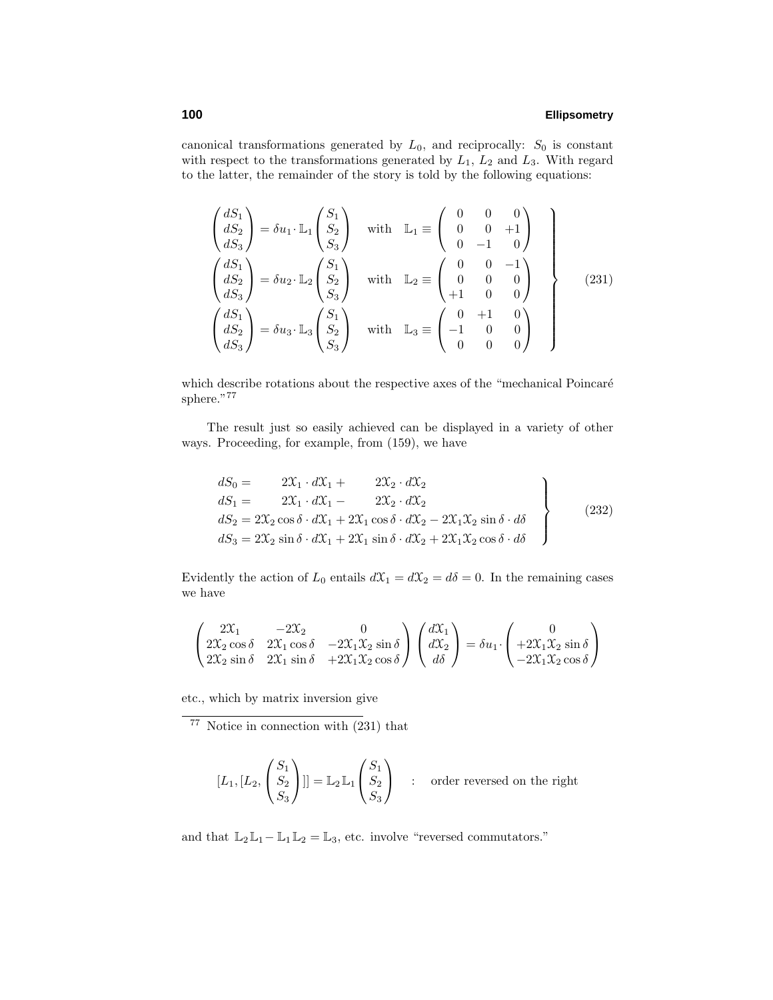canonical transformations generated by  $L_0$ , and reciprocally:  $S_0$  is constant with respect to the transformations generated by *L*1, *L*<sup>2</sup> and *L*3. With regard to the latter, the remainder of the story is told by the following equations:

$$
\begin{pmatrix}\ndS_1 \\
dS_2 \\
dS_3\n\end{pmatrix} = \delta u_1 \cdot \mathbb{L}_1 \begin{pmatrix} S_1 \\ S_2 \\ S_3 \end{pmatrix} \quad \text{with} \quad \mathbb{L}_1 \equiv \begin{pmatrix} 0 & 0 & 0 \\ 0 & 0 & +1 \\ 0 & -1 & 0 \end{pmatrix}
$$
\n
$$
\begin{pmatrix} dS_1 \\ dS_2 \\ dS_3 \end{pmatrix} = \delta u_2 \cdot \mathbb{L}_2 \begin{pmatrix} S_1 \\ S_2 \\ S_3 \end{pmatrix} \quad \text{with} \quad \mathbb{L}_2 \equiv \begin{pmatrix} 0 & 0 & -1 \\ 0 & 0 & 0 \\ +1 & 0 & 0 \end{pmatrix}
$$
\n
$$
\begin{pmatrix} dS_1 \\ dS_2 \\ dS_3 \end{pmatrix} = \delta u_3 \cdot \mathbb{L}_3 \begin{pmatrix} S_1 \\ S_2 \\ S_3 \end{pmatrix} \quad \text{with} \quad \mathbb{L}_3 \equiv \begin{pmatrix} 0 & +1 & 0 \\ -1 & 0 & 0 \\ 0 & 0 & 0 \end{pmatrix}
$$
\n(231)

which describe rotations about the respective axes of the "mechanical Poincaré sphere."77

The result just so easily achieved can be displayed in a variety of other ways. Proceeding, for example, from (159), we have

$$
dS_0 = 2X_1 \cdot dX_1 + 2X_2 \cdot dX_2
$$
  
\n
$$
dS_1 = 2X_1 \cdot dX_1 - 2X_2 \cdot dX_2
$$
  
\n
$$
dS_2 = 2X_2 \cos \delta \cdot dX_1 + 2X_1 \cos \delta \cdot dX_2 - 2X_1 X_2 \sin \delta \cdot d\delta
$$
  
\n
$$
dS_3 = 2X_2 \sin \delta \cdot dX_1 + 2X_1 \sin \delta \cdot dX_2 + 2X_1 X_2 \cos \delta \cdot d\delta
$$
\n(232)

Evidently the action of  $L_0$  entails  $dX_1 = dX_2 = d\delta = 0$ . In the remaining cases we have

$$
\begin{pmatrix}\n2\mathcal{X}_1 & -2\mathcal{X}_2 & 0 \\
2\mathcal{X}_2 \cos\delta & 2\mathcal{X}_1 \cos\delta & -2\mathcal{X}_1 \mathcal{X}_2 \sin\delta \\
2\mathcal{X}_2 \sin\delta & 2\mathcal{X}_1 \sin\delta & +2\mathcal{X}_1 \mathcal{X}_2 \cos\delta\n\end{pmatrix}\n\begin{pmatrix}\nd\mathcal{X}_1 \\
d\mathcal{X}_2 \\
d\delta\n\end{pmatrix} = \delta u_1 \cdot \begin{pmatrix}\n0 \\
+2\mathcal{X}_1 \mathcal{X}_2 \sin\delta \\
-2\mathcal{X}_1 \mathcal{X}_2 \cos\delta\n\end{pmatrix}
$$

etc., which by matrix inversion give

 $77$  Notice in connection with  $(231)$  that

$$
[L_1, [L_2, \begin{pmatrix} S_1 \\ S_2 \\ S_3 \end{pmatrix}]] = \mathbb{L}_2 \mathbb{L}_1 \begin{pmatrix} S_1 \\ S_2 \\ S_3 \end{pmatrix} \quad : \quad \text{order reversed on the right}
$$

and that  $\mathbb{L}_2\mathbb{L}_1 - \mathbb{L}_1\mathbb{L}_2 = \mathbb{L}_3$ , etc. involve "reversed commutators."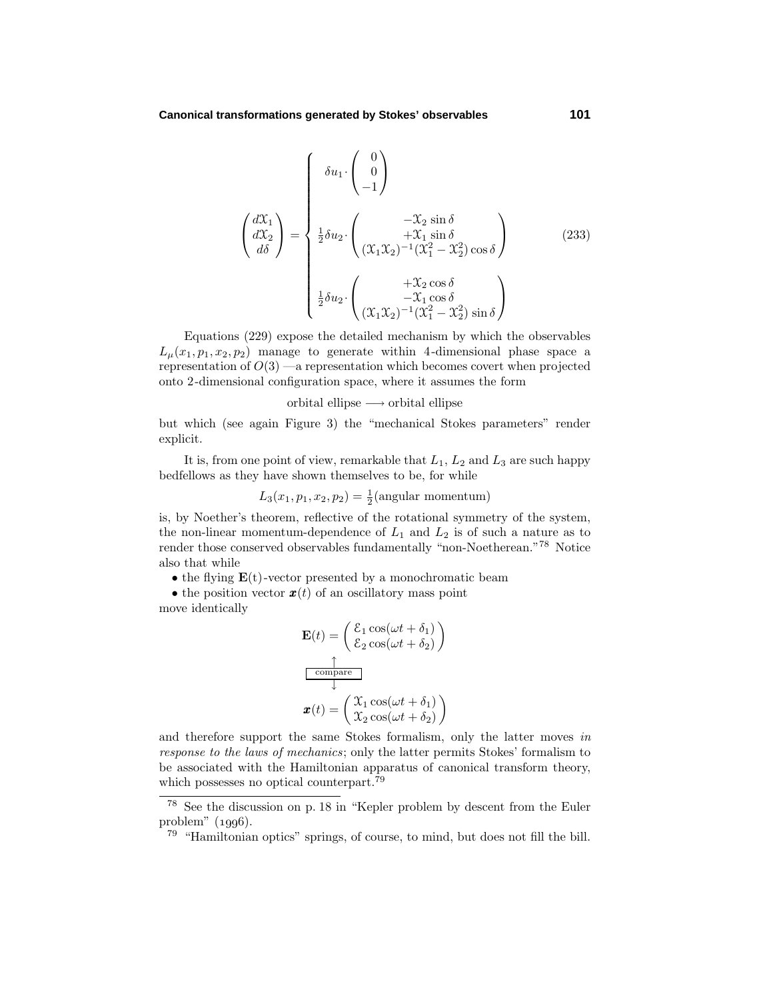$$
\begin{pmatrix}\n d\mathfrak{X}_1 \\
 d\mathfrak{X}_2 \\
 d\delta\n\end{pmatrix} = \begin{cases}\n \delta u_1 \cdot \begin{pmatrix} 0 \\
 0 \\
 -1 \end{pmatrix} \\
 \frac{1}{2}\delta u_2 \cdot \begin{pmatrix} -\mathfrak{X}_2 \sin \delta \\
 +\mathfrak{X}_1 \sin \delta \\
 (\mathfrak{X}_1 \mathfrak{X}_2)^{-1} (\mathfrak{X}_1^2 - \mathfrak{X}_2^2) \cos \delta\n\end{pmatrix} \\
 \frac{1}{2}\delta u_2 \cdot \begin{pmatrix} +\mathfrak{X}_2 \cos \delta \\
 -\mathfrak{X}_1 \cos \delta \\
 (\mathfrak{X}_1 \mathfrak{X}_2)^{-1} (\mathfrak{X}_1^2 - \mathfrak{X}_2^2) \sin \delta\n\end{pmatrix}\n\end{cases}
$$
\n(233)

Equations (229) expose the detailed mechanism by which the observables  $L_u(x_1, p_1, x_2, p_2)$  manage to generate within 4-dimensional phase space a representation of  $O(3)$  —a representation which becomes covert when projected onto 2-dimensional configuration space, where it assumes the form

orbital ellipse  $\longrightarrow$  orbital ellipse

but which (see again Figure 3) the "mechanical Stokes parameters" render explicit.

It is, from one point of view, remarkable that  $L_1$ ,  $L_2$  and  $L_3$  are such happy bedfellows as they have shown themselves to be, for while

$$
L_3(x_1, p_1, x_2, p_2) = \frac{1}{2}(\text{angular momentum})
$$

is, by Noether's theorem, reflective of the rotational symmetry of the system, the non-linear momentum-dependence of  $L_1$  and  $L_2$  is of such a nature as to render those conserved observables fundamentally "non-Noetherean."<br> $^{78}\,$  Notice also that while

• the flying  $\mathbf{E}(t)$ -vector presented by a monochromatic beam

• the position vector  $\mathbf{x}(t)$  of an oscillatory mass point move identically

$$
\mathbf{E}(t) = \begin{pmatrix} \mathcal{E}_1 \cos(\omega t + \delta_1) \\ \mathcal{E}_2 \cos(\omega t + \delta_2) \end{pmatrix}
$$

$$
\frac{\uparrow}{\frac{\text{compare}}{\downarrow}}
$$

$$
\mathbf{x}(t) = \begin{pmatrix} \mathcal{X}_1 \cos(\omega t + \delta_1) \\ \mathcal{X}_2 \cos(\omega t + \delta_2) \end{pmatrix}
$$

and therefore support the same Stokes formalism, only the latter moves in response to the laws of mechanics; only the latter permits Stokes' formalism to be associated with the Hamiltonian apparatus of canonical transform theory, which possesses no optical counterpart.<sup>79</sup>

<sup>78</sup> See the discussion on p. 18 in "Kepler problem by descent from the Euler problem"  $(1996)$ .

<sup>79</sup> "Hamiltonian optics" springs, of course, to mind, but does not fill the bill.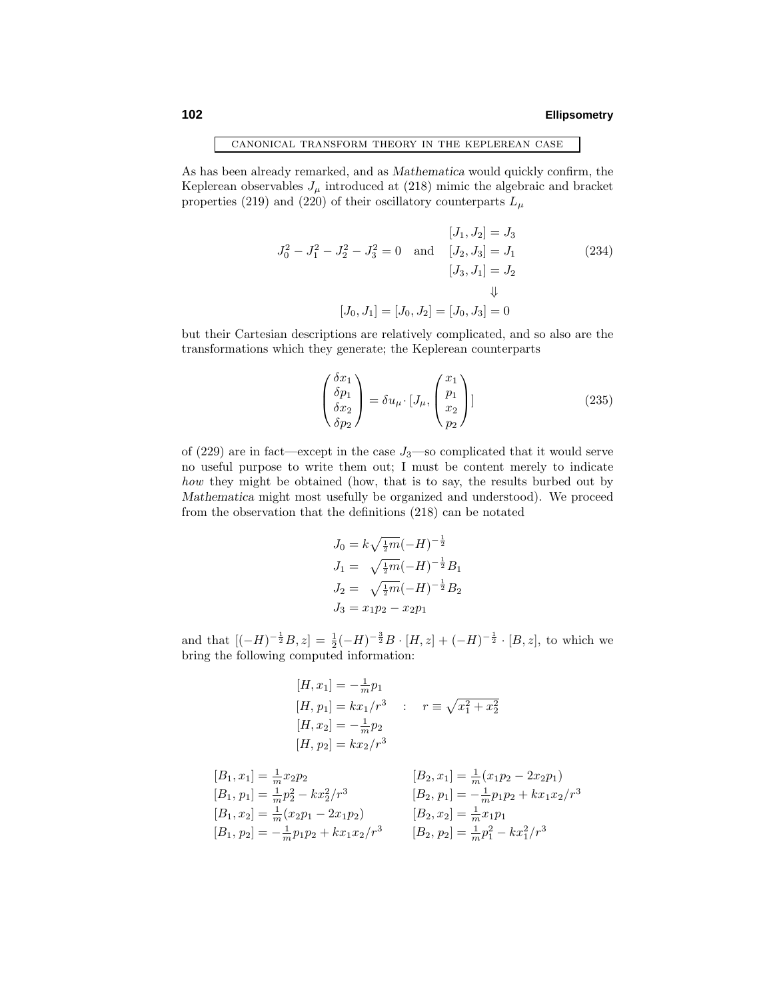canonical transform theory in the keplerean case

As has been already remarked, and as *Mathematica* would quickly confirm, the Keplerean observables  $J_{\mu}$  introduced at (218) mimic the algebraic and bracket properties (219) and (220) of their oscillatory counterparts  $L_{\mu}$ 

$$
[J_1, J_2] = J_3
$$
  
\n
$$
J_0^2 - J_1^2 - J_2^2 - J_3^2 = 0 \text{ and } [J_2, J_3] = J_1
$$
  
\n
$$
[J_3, J_1] = J_2
$$
  
\n
$$
\downarrow
$$
  
\n
$$
[J_0, J_1] = [J_0, J_2] = [J_0, J_3] = 0
$$
\n(234)

but their Cartesian descriptions are relatively complicated, and so also are the transformations which they generate; the Keplerean counterparts

$$
\begin{pmatrix}\n\delta x_1 \\
\delta p_1 \\
\delta x_2 \\
\delta p_2\n\end{pmatrix} = \delta u_\mu \cdot [J_\mu, \begin{pmatrix} x_1 \\ p_1 \\ x_2 \\ p_2 \end{pmatrix}]\n\tag{235}
$$

of  $(229)$  are in fact—except in the case  $J_3$ —so complicated that it would serve no useful purpose to write them out; I must be content merely to indicate how they might be obtained (how, that is to say, the results burbed out by *Mathematica* might most usefully be organized and understood). We proceed from the observation that the definitions (218) can be notated

$$
J_0 = k\sqrt{\frac{1}{2}m}(-H)^{-\frac{1}{2}}
$$
  
\n
$$
J_1 = \sqrt{\frac{1}{2}m}(-H)^{-\frac{1}{2}}B_1
$$
  
\n
$$
J_2 = \sqrt{\frac{1}{2}m}(-H)^{-\frac{1}{2}}B_2
$$
  
\n
$$
J_3 = x_1p_2 - x_2p_1
$$

and that  $[(-H)^{-\frac{1}{2}}B, z] = \frac{1}{2}(-H)^{-\frac{3}{2}}B \cdot [H, z] + (-H)^{-\frac{1}{2}} \cdot [B, z]$ , to which we bring the following computed information:

$$
[H, x_1] = -\frac{1}{m}p_1
$$
  
\n
$$
[H, p_1] = kx_1/r^3 : r \equiv \sqrt{x_1^2 + x_2^2}
$$
  
\n
$$
[H, x_2] = -\frac{1}{m}p_2
$$
  
\n
$$
[H, p_2] = kx_2/r^3
$$

$$
[B_1, x_1] = \frac{1}{m} x_2 p_2
$$
  
\n
$$
[B_1, p_1] = \frac{1}{m} p_2^2 - k x_2^2 / r^3
$$
  
\n
$$
[B_1, p_2] = \frac{1}{m} (x_2 p_1 - 2x_1 p_2)
$$
  
\n
$$
[B_2, p_1] = -\frac{1}{m} p_1 p_2 + k x_1 x_2 / r^3
$$
  
\n
$$
[B_2, p_1] = -\frac{1}{m} p_1 p_2 + k x_1 x_2 / r^3
$$
  
\n
$$
[B_2, p_2] = \frac{1}{m} x_1 p_1
$$
  
\n
$$
[B_2, p_2] = \frac{1}{m} p_1^2 - k x_1^2 / r^3
$$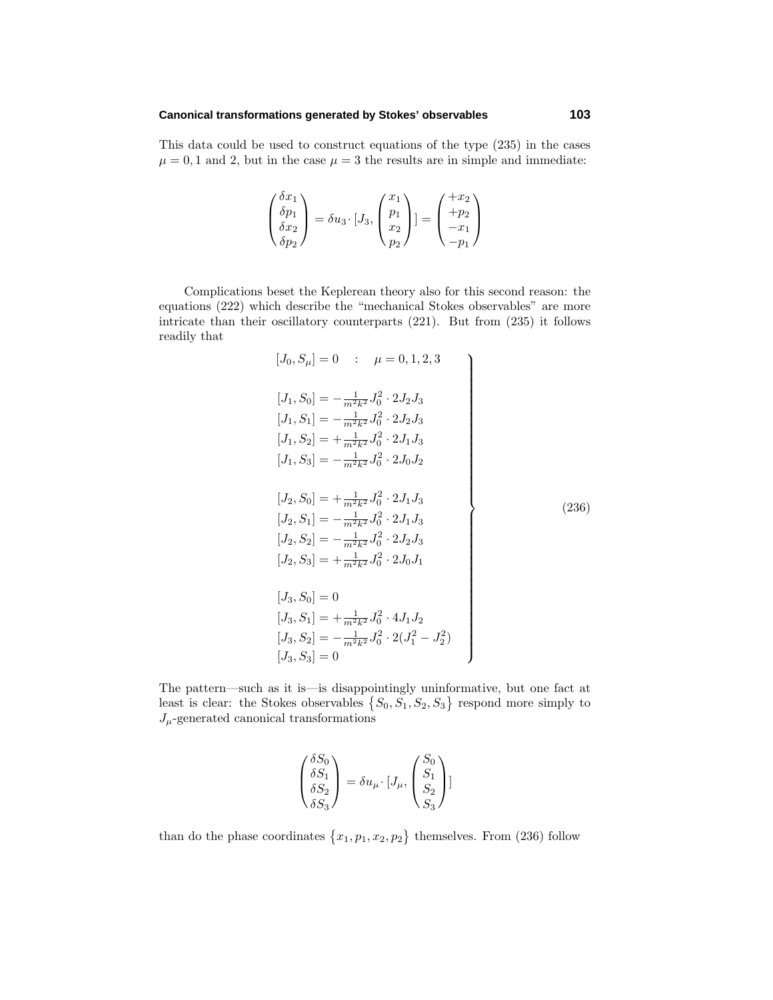### **Canonical transformations generated by Stokes' observables 103**

This data could be used to construct equations of the type (235) in the cases  $\mu = 0, 1$  and 2, but in the case  $\mu = 3$  the results are in simple and immediate:

$$
\begin{pmatrix}\n\delta x_1 \\
\delta p_1 \\
\delta x_2 \\
\delta p_2\n\end{pmatrix} = \delta u_3 \cdot [J_3, \begin{pmatrix} x_1 \\ p_1 \\ x_2 \\ p_2 \end{pmatrix}] = \begin{pmatrix} +x_2 \\ +p_2 \\ -x_1 \\ -p_1 \end{pmatrix}
$$

Complications beset the Keplerean theory also for this second reason: the equations (222) which describe the "mechanical Stokes observables" are more intricate than their oscillatory counterparts (221). But from (235) it follows readily that

$$
[J_0, S_\mu] = 0 \quad : \quad \mu = 0, 1, 2, 3
$$
\n
$$
[J_1, S_0] = -\frac{1}{m^2 k^2} J_0^2 \cdot 2 J_2 J_3
$$
\n
$$
[J_1, S_1] = -\frac{1}{m^2 k^2} J_0^2 \cdot 2 J_2 J_3
$$
\n
$$
[J_1, S_2] = +\frac{1}{m^2 k^2} J_0^2 \cdot 2 J_1 J_3
$$
\n
$$
[J_1, S_3] = -\frac{1}{m^2 k^2} J_0^2 \cdot 2 J_1 J_3
$$
\n
$$
[J_2, S_0] = +\frac{1}{m^2 k^2} J_0^2 \cdot 2 J_1 J_3
$$
\n
$$
[J_2, S_1] = -\frac{1}{m^2 k^2} J_0^2 \cdot 2 J_1 J_3
$$
\n
$$
[J_2, S_2] = -\frac{1}{m^2 k^2} J_0^2 \cdot 2 J_2 J_3
$$
\n
$$
[J_2, S_3] = +\frac{1}{m^2 k^2} J_0^2 \cdot 2 J_0 J_1
$$
\n
$$
[J_3, S_0] = 0
$$
\n
$$
[J_3, S_1] = +\frac{1}{m^2 k^2} J_0^2 \cdot 4 J_1 J_2
$$
\n
$$
[J_3, S_2] = -\frac{1}{m^2 k^2} J_0^2 \cdot 2 (J_1^2 - J_2^2)
$$
\n
$$
[J_3, S_3] = 0
$$

The pattern—such as it is—is disappointingly uninformative, but one fact at least is clear: the Stokes observables  $\{S_0, S_1, S_2, S_3\}$  respond more simply to  $J_{\mu}$ -generated canonical transformations

$$
\begin{pmatrix} \delta S_0 \\ \delta S_1 \\ \delta S_2 \\ \delta S_3 \end{pmatrix} = \delta u_\mu \cdot [J_\mu, \begin{pmatrix} S_0 \\ S_1 \\ S_2 \\ S_3 \end{pmatrix}]
$$

than do the phase coordinates  $\{x_1, p_1, x_2, p_2\}$  themselves. From (236) follow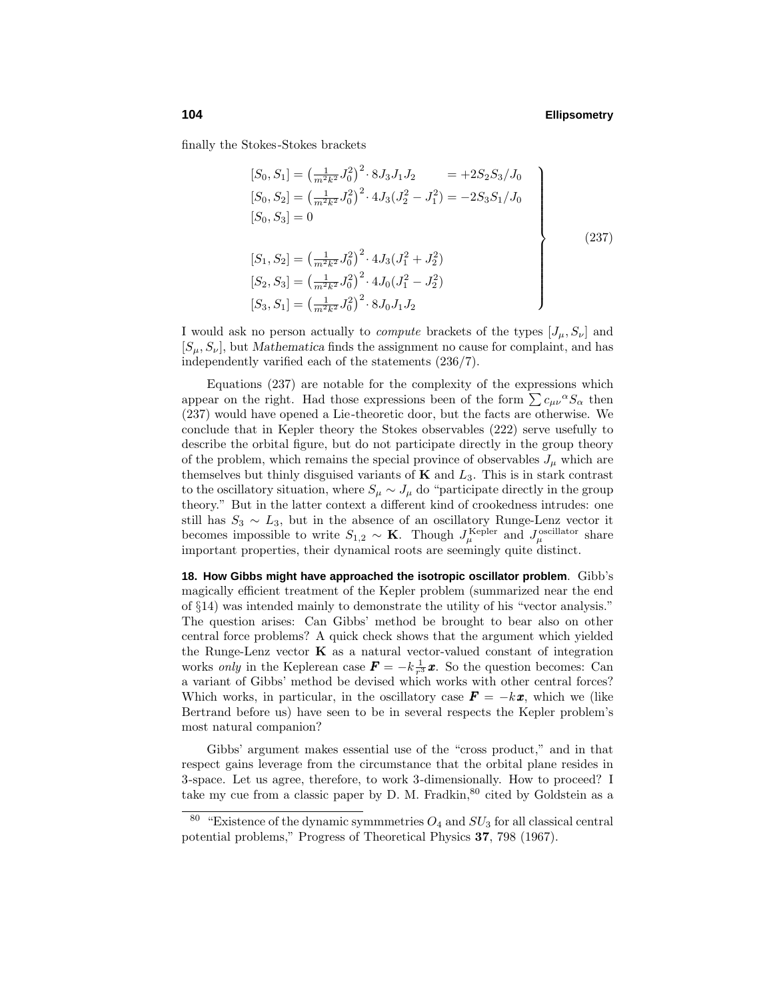finally the Stokes-Stokes brackets

$$
[S_0, S_1] = \left(\frac{1}{m^2 k^2} J_0^2\right)^2 \cdot 8 J_3 J_1 J_2 = +2 S_2 S_3 / J_0
$$
  
\n
$$
[S_0, S_2] = \left(\frac{1}{m^2 k^2} J_0^2\right)^2 \cdot 4 J_3 (J_2^2 - J_1^2) = -2 S_3 S_1 / J_0
$$
  
\n
$$
[S_0, S_3] = 0
$$
  
\n
$$
[S_1, S_2] = \left(\frac{1}{m^2 k^2} J_0^2\right)^2 \cdot 4 J_3 (J_1^2 + J_2^2)
$$
  
\n
$$
[S_2, S_3] = \left(\frac{1}{m^2 k^2} J_0^2\right)^2 \cdot 4 J_0 (J_1^2 - J_2^2)
$$
  
\n
$$
[S_3, S_1] = \left(\frac{1}{m^2 k^2} J_0^2\right)^2 \cdot 8 J_0 J_1 J_2
$$
\n(237)

I would ask no person actually to *compute* brackets of the types  $[J_\mu, S_\nu]$  and  $[S_\mu, S_\nu]$ , but *Mathematica* finds the assignment no cause for complaint, and has independently varified each of the statements (236/7).

Equations (237) are notable for the complexity of the expressions which appear on the right. Had those expressions been of the form  $\sum c_{\mu\nu}{}^{\alpha}S_{\alpha}$  then (237) would have opened a Lie-theoretic door, but the facts are otherwise. We conclude that in Kepler theory the Stokes observables (222) serve usefully to describe the orbital figure, but do not participate directly in the group theory of the problem, which remains the special province of observables  $J_{\mu}$  which are themselves but thinly disguised variants of **K** and *L*3. This is in stark contrast to the oscillatory situation, where  $S_{\mu} \sim J_{\mu}$  do "participate directly in the group theory." But in the latter context a different kind of crookedness intrudes: one still has  $S_3 \sim L_3$ , but in the absence of an oscillatory Runge-Lenz vector it becomes impossible to write  $S_{1,2} \sim \mathbf{K}$ . Though  $J_{\mu}^{\text{Kepler}}$  and  $J_{\mu}^{\text{oscillator}}$  share important properties, their dynamical roots are seemingly quite distinct.

**18. How Gibbs might have approached the isotropic oscillator problem**. Gibb's magically efficient treatment of the Kepler problem (summarized near the end of §14) was intended mainly to demonstrate the utility of his "vector analysis." The question arises: Can Gibbs' method be brought to bear also on other central force problems? A quick check shows that the argument which yielded the Runge-Lenz vector **K** as a natural vector-valued constant of integration works *only* in the Keplerean case  $\mathbf{F} = -k\frac{1}{r^3}\mathbf{x}$ . So the question becomes: Can a variant of Gibbs' method be devised which works with other central forces? Which works, in particular, in the oscillatory case  $\mathbf{F} = -k\mathbf{x}$ , which we (like Bertrand before us) have seen to be in several respects the Kepler problem's most natural companion?

Gibbs' argument makes essential use of the "cross product," and in that respect gains leverage from the circumstance that the orbital plane resides in 3-space. Let us agree, therefore, to work 3-dimensionally. How to proceed? I take my cue from a classic paper by D. M. Fradkin,  $80$  cited by Goldstein as a

<sup>&</sup>quot;Existence of the dynamic symmmetries  $O_4$  and  $SU_3$  for all classical central potential problems," Progress of Theoretical Physics **37**, 798 (1967).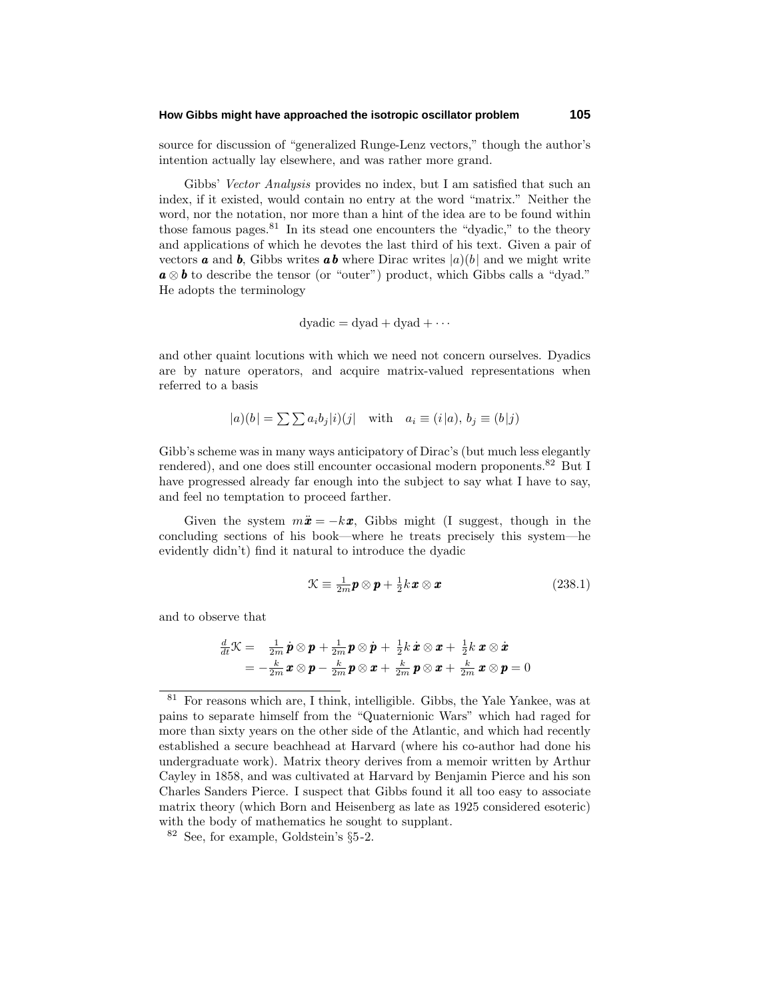### **How Gibbs might have approached the isotropic oscillator problem 105**

source for discussion of "generalized Runge-Lenz vectors," though the author's intention actually lay elsewhere, and was rather more grand.

Gibbs' Vector Analysis provides no index, but I am satisfied that such an index, if it existed, would contain no entry at the word "matrix." Neither the word, nor the notation, nor more than a hint of the idea are to be found within those famous pages.  $81$  In its stead one encounters the "dyadic," to the theory and applications of which he devotes the last third of his text. Given a pair of vectors **a** and **b**, Gibbs writes **ab** where Dirac writes  $|a|(b)$  and we might write *a* ⊗ *b* to describe the tensor (or "outer") product, which Gibbs calls a "dyad." He adopts the terminology

$$
dyadic = dyad + dyad + \cdots
$$

and other quaint locutions with which we need not concern ourselves. Dyadics are by nature operators, and acquire matrix-valued representations when referred to a basis

$$
|a)(b| = \sum \sum a_i b_j |i)(j| \quad \text{with} \quad a_i \equiv (i|a), \, b_j \equiv (b|j)
$$

Gibb's scheme was in many ways anticipatory of Dirac's (but much less elegantly rendered), and one does still encounter occasional modern proponents.<sup>82</sup> But I have progressed already far enough into the subject to say what I have to say, and feel no temptation to proceed farther.

Given the system  $m\ddot{x} = -kx$ , Gibbs might (I suggest, though in the concluding sections of his book—where he treats precisely this system—he evidently didn't) find it natural to introduce the dyadic

$$
\mathcal{K} \equiv \frac{1}{2m}\mathbf{p} \otimes \mathbf{p} + \frac{1}{2}k\mathbf{x} \otimes \mathbf{x} \tag{238.1}
$$

and to observe that

$$
\frac{d}{dt}\mathcal{K} = \frac{1}{2m}\dot{\mathbf{p}}\otimes\mathbf{p} + \frac{1}{2m}\mathbf{p}\otimes\dot{\mathbf{p}} + \frac{1}{2}k\dot{\mathbf{x}}\otimes\mathbf{x} + \frac{1}{2}k\mathbf{x}\otimes\dot{\mathbf{x}} \n= -\frac{k}{2m}\mathbf{x}\otimes\mathbf{p} - \frac{k}{2m}\mathbf{p}\otimes\mathbf{x} + \frac{k}{2m}\mathbf{p}\otimes\mathbf{x} + \frac{k}{2m}\mathbf{x}\otimes\mathbf{p} = 0
$$

 $81$  For reasons which are, I think, intelligible. Gibbs, the Yale Yankee, was at pains to separate himself from the "Quaternionic Wars" which had raged for more than sixty years on the other side of the Atlantic, and which had recently established a secure beachhead at Harvard (where his co-author had done his undergraduate work). Matrix theory derives from a memoir written by Arthur Cayley in 1858, and was cultivated at Harvard by Benjamin Pierce and his son Charles Sanders Pierce. I suspect that Gibbs found it all too easy to associate matrix theory (which Born and Heisenberg as late as 1925 considered esoteric) with the body of mathematics he sought to supplant.

<sup>82</sup> See, for example, Goldstein's §5-2.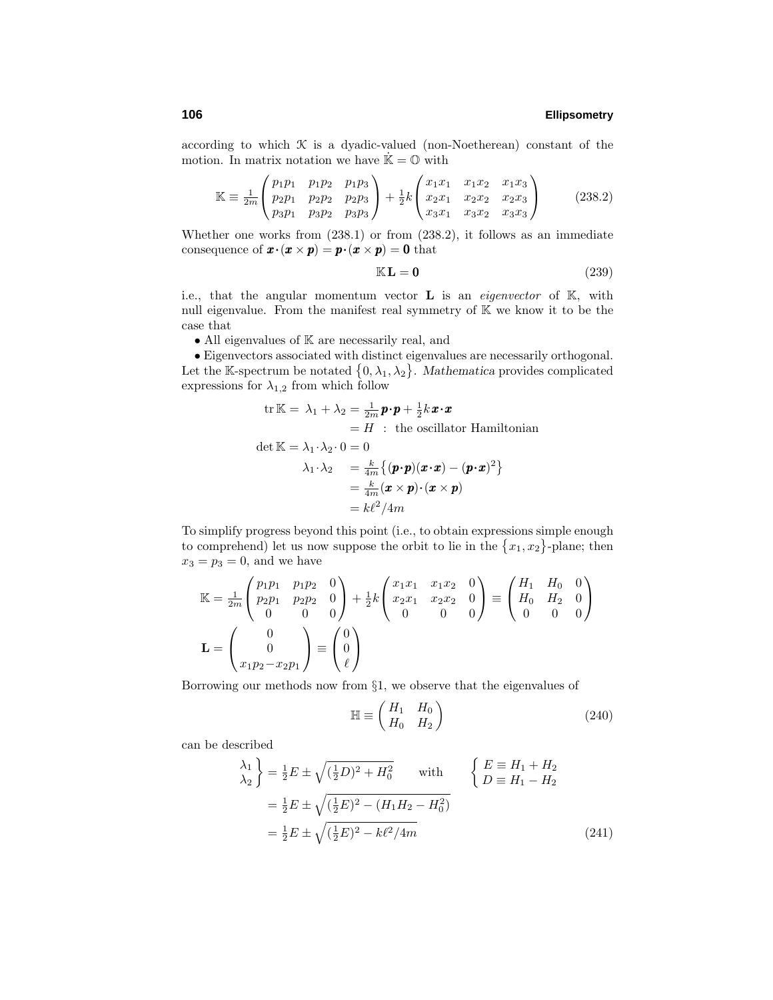according to which  $K$  is a dyadic-valued (non-Noetherean) constant of the motion. In matrix notation we have  $\dot{\mathbb{K}} = \mathbb{O}$  with

$$
\mathbb{K} \equiv \frac{1}{2m} \begin{pmatrix} p_1 p_1 & p_1 p_2 & p_1 p_3 \\ p_2 p_1 & p_2 p_2 & p_2 p_3 \\ p_3 p_1 & p_3 p_2 & p_3 p_3 \end{pmatrix} + \frac{1}{2} k \begin{pmatrix} x_1 x_1 & x_1 x_2 & x_1 x_3 \\ x_2 x_1 & x_2 x_2 & x_2 x_3 \\ x_3 x_1 & x_3 x_2 & x_3 x_3 \end{pmatrix}
$$
(238.2)

Whether one works from (238.1) or from (238.2), it follows as an immediate consequence of  $\mathbf{x} \cdot (\mathbf{x} \times \mathbf{p}) = \mathbf{p} \cdot (\mathbf{x} \times \mathbf{p}) = \mathbf{0}$  that

$$
\mathbb{K}\mathbf{L}=\mathbf{0} \tag{239}
$$

i.e., that the angular momentum vector  $\bf{L}$  is an *eigenvector* of  $\mathbb{K}$ , with null eigenvalue. From the manifest real symmetry of K we know it to be the case that

 $\bullet$  All eigenvalues of  $\mathbb K$  are necessarily real, and

• Eigenvectors associated with distinct eigenvalues are necessarily orthogonal. Let the K-spectrum be notated  $\{0, \lambda_1, \lambda_2\}$ . *Mathematica* provides complicated expressions for  $\lambda_{1,2}$  from which follow

tr K = 
$$
\lambda_1 + \lambda_2 = \frac{1}{2m} \mathbf{p} \cdot \mathbf{p} + \frac{1}{2} k \mathbf{x} \cdot \mathbf{x}
$$
  
\n=  $H$ : the oscillator Hamiltonian  
\ndet K =  $\lambda_1 \cdot \lambda_2 \cdot 0 = 0$   
\n $\lambda_1 \cdot \lambda_2 = \frac{k}{4m} \{ (\mathbf{p} \cdot \mathbf{p}) (\mathbf{x} \cdot \mathbf{x}) - (\mathbf{p} \cdot \mathbf{x})^2 \}$   
\n=  $\frac{k}{4m} (\mathbf{x} \times \mathbf{p}) \cdot (\mathbf{x} \times \mathbf{p})$   
\n=  $k\ell^2 / 4m$ 

To simplify progress beyond this point (i.e., to obtain expressions simple enough to comprehend) let us now suppose the orbit to lie in the  $\{x_1, x_2\}$ -plane; then  $x_3 = p_3 = 0$ , and we have

$$
\mathbb{K} = \frac{1}{2m} \begin{pmatrix} p_1 p_1 & p_1 p_2 & 0 \\ p_2 p_1 & p_2 p_2 & 0 \\ 0 & 0 & 0 \end{pmatrix} + \frac{1}{2} k \begin{pmatrix} x_1 x_1 & x_1 x_2 & 0 \\ x_2 x_1 & x_2 x_2 & 0 \\ 0 & 0 & 0 \end{pmatrix} \equiv \begin{pmatrix} H_1 & H_0 & 0 \\ H_0 & H_2 & 0 \\ 0 & 0 & 0 \end{pmatrix}
$$

$$
\mathbf{L} = \begin{pmatrix} 0 \\ 0 \\ x_1 p_2 - x_2 p_1 \end{pmatrix} \equiv \begin{pmatrix} 0 \\ 0 \\ \ell \end{pmatrix}
$$

Borrowing our methods now from §1, we observe that the eigenvalues of

$$
\mathbb{H} \equiv \begin{pmatrix} H_1 & H_0 \\ H_0 & H_2 \end{pmatrix} \tag{240}
$$

can be described

$$
\begin{aligned}\n\lambda_1 \\
\lambda_2\n\end{aligned}\n\bigg\} = \frac{1}{2}E \pm \sqrt{(\frac{1}{2}D)^2 + H_0^2} \quad \text{with} \quad \begin{cases}\nE \equiv H_1 + H_2 \\
D \equiv H_1 - H_2\n\end{cases} \\
= \frac{1}{2}E \pm \sqrt{(\frac{1}{2}E)^2 - (H_1H_2 - H_0^2)} \\
= \frac{1}{2}E \pm \sqrt{(\frac{1}{2}E)^2 - k\ell^2/4m}\n\end{aligned} \tag{241}
$$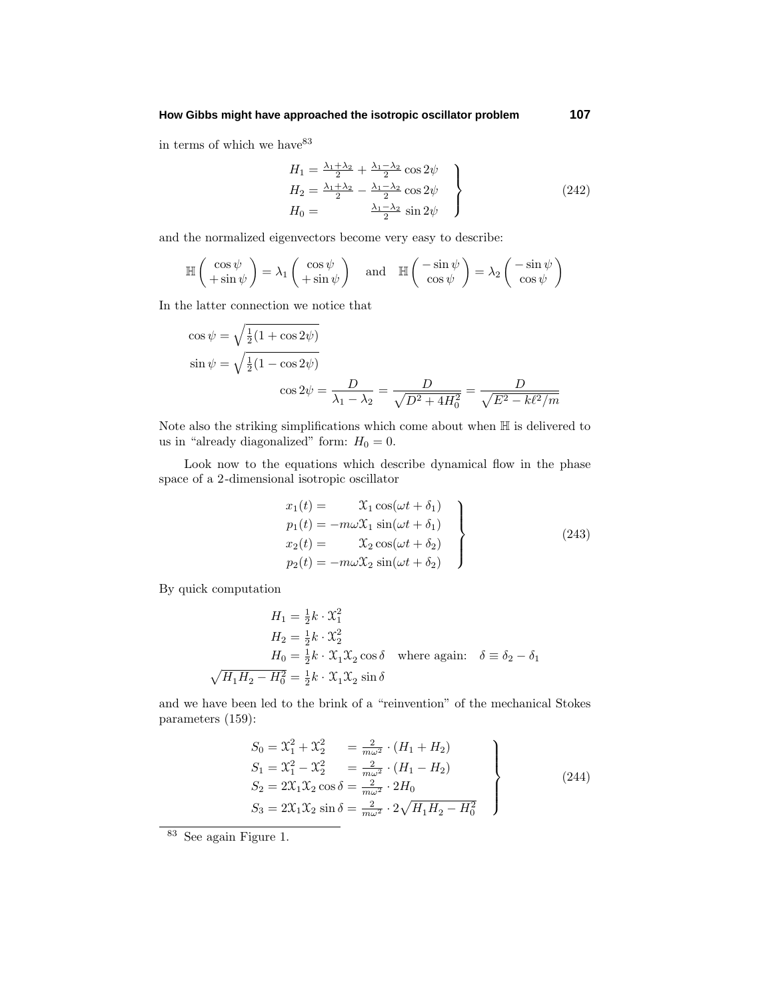### **How Gibbs might have approached the isotropic oscillator problem 107**

in terms of which we have  $^{83}$ 

$$
H_1 = \frac{\lambda_1 + \lambda_2}{2} + \frac{\lambda_1 - \lambda_2}{2} \cos 2\psi
$$
  
\n
$$
H_2 = \frac{\lambda_1 + \lambda_2}{2} - \frac{\lambda_1 - \lambda_2}{2} \cos 2\psi
$$
  
\n
$$
H_0 = \frac{\lambda_1 - \lambda_2}{2} \sin 2\psi
$$
\n(242)

and the normalized eigenvectors become very easy to describe:

$$
\mathbb{H}\left(\begin{array}{c}\cos\psi\\+\sin\psi\end{array}\right) = \lambda_1 \left(\begin{array}{c}\cos\psi\\+\sin\psi\end{array}\right) \quad \text{and} \quad \mathbb{H}\left(\begin{array}{c}-\sin\psi\\ \cos\psi\end{array}\right) = \lambda_2 \left(\begin{array}{c}-\sin\psi\\ \cos\psi\end{array}\right)
$$

In the latter connection we notice that

$$
\cos \psi = \sqrt{\frac{1}{2}(1 + \cos 2\psi)}
$$
  
\n
$$
\sin \psi = \sqrt{\frac{1}{2}(1 - \cos 2\psi)}
$$
  
\n
$$
\cos 2\psi = \frac{D}{\lambda_1 - \lambda_2} = \frac{D}{\sqrt{D^2 + 4H_0^2}} = \frac{D}{\sqrt{E^2 - k\ell^2/m}}
$$

Note also the striking simplifications which come about when  $\mathbb H$  is delivered to us in "already diagonalized" form:  $H_0 = 0$ .

Look now to the equations which describe dynamical flow in the phase space of a 2-dimensional isotropic oscillator

$$
x_1(t) = \mathcal{X}_1 \cos(\omega t + \delta_1)
$$
  
\n
$$
p_1(t) = -m\omega \mathcal{X}_1 \sin(\omega t + \delta_1)
$$
  
\n
$$
x_2(t) = \mathcal{X}_2 \cos(\omega t + \delta_2)
$$
  
\n
$$
p_2(t) = -m\omega \mathcal{X}_2 \sin(\omega t + \delta_2)
$$
\n(243)

By quick computation

$$
H_1 = \frac{1}{2}k \cdot \mathfrak{X}_1^2
$$
  
\n
$$
H_2 = \frac{1}{2}k \cdot \mathfrak{X}_2^2
$$
  
\n
$$
H_0 = \frac{1}{2}k \cdot \mathfrak{X}_1 \mathfrak{X}_2 \cos \delta \quad \text{where again:} \quad \delta \equiv \delta_2 - \delta_1
$$
  
\n
$$
\sqrt{H_1 H_2 - H_0^2} = \frac{1}{2}k \cdot \mathfrak{X}_1 \mathfrak{X}_2 \sin \delta
$$

and we have been led to the brink of a "reinvention" of the mechanical Stokes parameters (159):

$$
S_0 = \mathcal{X}_1^2 + \mathcal{X}_2^2 = \frac{2}{m\omega^2} \cdot (H_1 + H_2)
$$
  
\n
$$
S_1 = \mathcal{X}_1^2 - \mathcal{X}_2^2 = \frac{2}{m\omega^2} \cdot (H_1 - H_2)
$$
  
\n
$$
S_2 = 2\mathcal{X}_1 \mathcal{X}_2 \cos \delta = \frac{2}{m\omega^2} \cdot 2H_0
$$
  
\n
$$
S_3 = 2\mathcal{X}_1 \mathcal{X}_2 \sin \delta = \frac{2}{m\omega^2} \cdot 2\sqrt{H_1 H_2 - H_0^2}
$$
\n(244)

<sup>83</sup> See again Figure 1.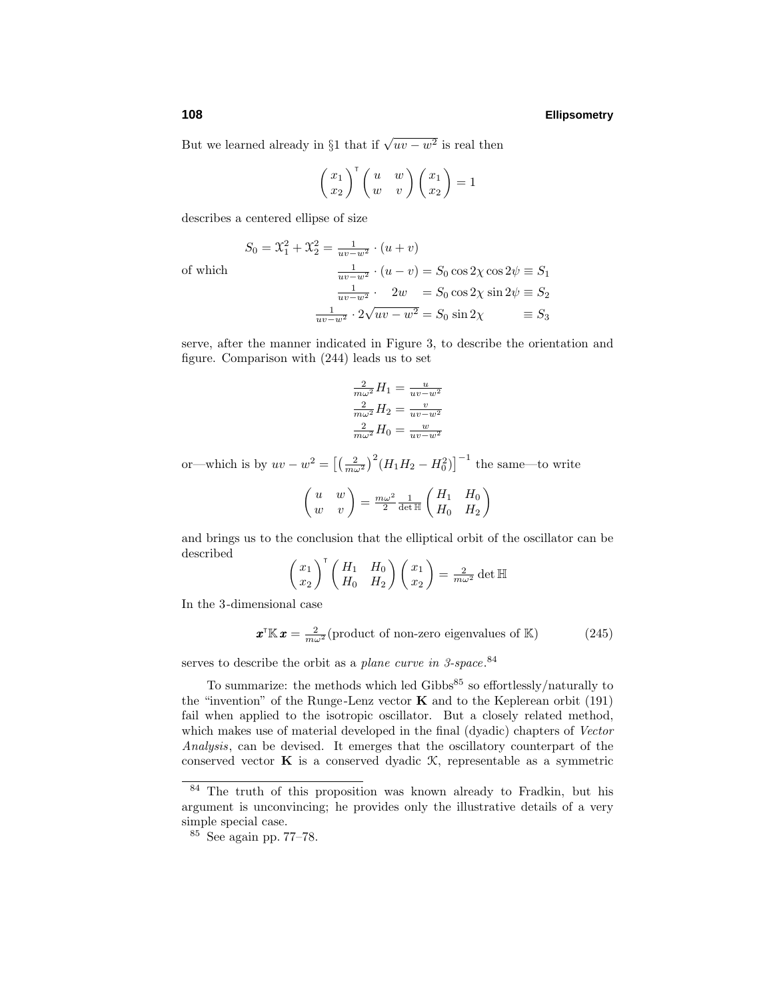But we learned already in §1 that if  $\sqrt{uv - w^2}$  is real then

$$
\begin{pmatrix} x_1 \\ x_2 \end{pmatrix}^\mathsf{T} \begin{pmatrix} u & w \\ w & v \end{pmatrix} \begin{pmatrix} x_1 \\ x_2 \end{pmatrix} = 1
$$

describes a centered ellipse of size

of which <sup>1</sup>

$$
S_0 = \mathcal{X}_1^2 + \mathcal{X}_2^2 = \frac{1}{uv - w^2} \cdot (u + v)
$$
  

$$
\frac{1}{uv - w^2} \cdot (u - v) = S_0 \cos 2\chi \cos 2\psi \equiv S_1
$$
  

$$
\frac{1}{uv - w^2} \cdot 2w = S_0 \cos 2\chi \sin 2\psi \equiv S_2
$$
  

$$
\frac{1}{uv - w^2} \cdot 2\sqrt{uv - w^2} = S_0 \sin 2\chi \equiv S_3
$$

serve, after the manner indicated in Figure 3, to describe the orientation and figure. Comparison with (244) leads us to set

$$
\frac{2}{m\omega^2}H_1 = \frac{u}{uv - w^2}
$$

$$
\frac{2}{m\omega^2}H_2 = \frac{v}{uv - w^2}
$$

$$
\frac{2}{m\omega^2}H_0 = \frac{w}{uv - w^2}
$$

or—which is by  $uv - w^2 = \left[ \left( \frac{2}{m\omega^2} \right)^2 (H_1 H_2 - H_0^2) \right]^{-1}$  the same—to write

$$
\begin{pmatrix} u & w \\ w & v \end{pmatrix} = \frac{m\omega^2}{2} \frac{1}{\det \mathbb{H}} \begin{pmatrix} H_1 & H_0 \\ H_0 & H_2 \end{pmatrix}
$$

and brings us to the conclusion that the elliptical orbit of the oscillator can be described

$$
\begin{pmatrix} x_1 \\ x_2 \end{pmatrix}^\mathsf{T} \begin{pmatrix} H_1 & H_0 \\ H_0 & H_2 \end{pmatrix} \begin{pmatrix} x_1 \\ x_2 \end{pmatrix} = \frac{2}{m\omega^2} \det \mathbb{H}
$$

In the 3-dimensional case

$$
\boldsymbol{x}^{\mathsf{T}}\mathbb{K}\,\boldsymbol{x} = \frac{2}{m\omega^2}(\text{product of non-zero eigenvalues of } \mathbb{K})\tag{245}
$$

serves to describe the orbit as a plane curve in 3-space.<sup>84</sup>

To summarize: the methods which led Gibbs $85$  so effortlessly/naturally to the "invention" of the Runge-Lenz vector  $\bf{K}$  and to the Keplerean orbit (191) fail when applied to the isotropic oscillator. But a closely related method, which makes use of material developed in the final (dyadic) chapters of Vector Analysis, can be devised. It emerges that the oscillatory counterpart of the conserved vector **K** is a conserved dyadic  $K$ , representable as a symmetric

<sup>84</sup> The truth of this proposition was known already to Fradkin, but his argument is unconvincing; he provides only the illustrative details of a very simple special case.

<sup>85</sup> See again pp. 77–78.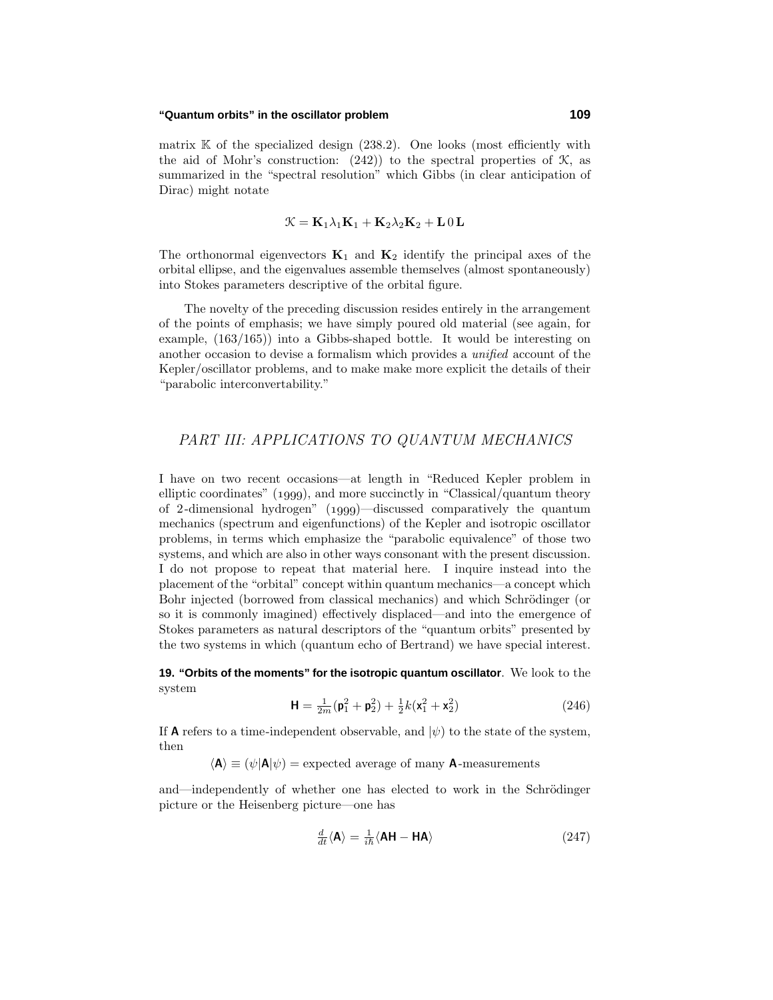matrix  $K$  of the specialized design  $(238.2)$ . One looks (most efficiently with the aid of Mohr's construction:  $(242)$  to the spectral properties of  $\mathcal{K}$ , as summarized in the "spectral resolution" which Gibbs (in clear anticipation of Dirac) might notate

$$
\mathcal{K} = \mathbf{K}_1 \lambda_1 \mathbf{K}_1 + \mathbf{K}_2 \lambda_2 \mathbf{K}_2 + \mathbf{L} \mathbf{0} \mathbf{L}
$$

The orthonormal eigenvectors  $\mathbf{K}_1$  and  $\mathbf{K}_2$  identify the principal axes of the orbital ellipse, and the eigenvalues assemble themselves (almost spontaneously) into Stokes parameters descriptive of the orbital figure.

The novelty of the preceding discussion resides entirely in the arrangement of the points of emphasis; we have simply poured old material (see again, for example, (163/165)) into a Gibbs-shaped bottle. It would be interesting on another occasion to devise a formalism which provides a unified account of the Kepler/oscillator problems, and to make make more explicit the details of their "parabolic interconvertability."

# PART III: APPLICATIONS TO QUANTUM MECHANICS

I have on two recent occasions—at length in "Reduced Kepler problem in elliptic coordinates"  $(1999)$ , and more succinctly in "Classical/quantum theory of 2-dimensional hydrogen"  $(1999)$ —discussed comparatively the quantum mechanics (spectrum and eigenfunctions) of the Kepler and isotropic oscillator problems, in terms which emphasize the "parabolic equivalence" of those two systems, and which are also in other ways consonant with the present discussion. I do not propose to repeat that material here. I inquire instead into the placement of the "orbital" concept within quantum mechanics—a concept which Bohr injected (borrowed from classical mechanics) and which Schrödinger (or so it is commonly imagined) effectively displaced—and into the emergence of Stokes parameters as natural descriptors of the "quantum orbits" presented by the two systems in which (quantum echo of Bertrand) we have special interest.

**19. "Orbits of the moments" for the isotropic quantum oscillator**. We look to the system

$$
\mathbf{H} = \frac{1}{2m}(\mathbf{p}_1^2 + \mathbf{p}_2^2) + \frac{1}{2}k(\mathbf{x}_1^2 + \mathbf{x}_2^2)
$$
 (246)

If **A** refers to a time-independent observable, and  $|\psi\rangle$  to the state of the system, then

 $\langle \mathbf{A} \rangle \equiv (\psi | \mathbf{A} | \psi)$  = expected average of many **A**-measurements

and—independently of whether one has elected to work in the Schrödinger picture or the Heisenberg picture—one has

$$
\frac{d}{dt}\langle \mathbf{A} \rangle = \frac{1}{i\hbar} \langle \mathbf{A} \mathbf{H} - \mathbf{H} \mathbf{A} \rangle \tag{247}
$$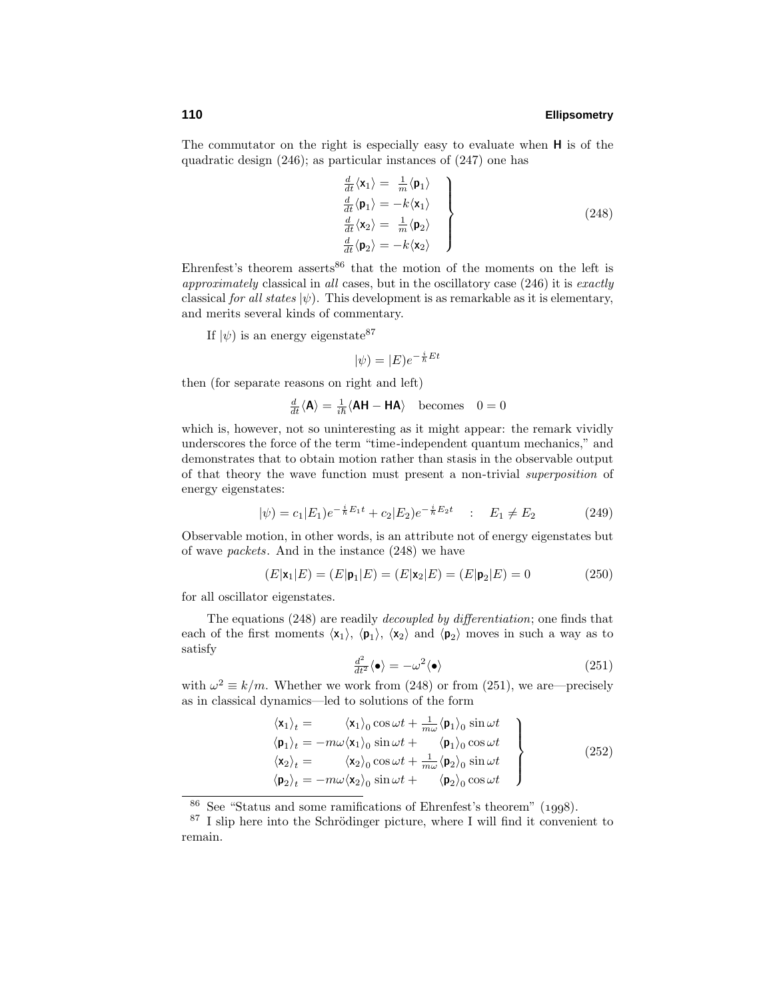The commutator on the right is especially easy to evaluate when **H** is of the quadratic design (246); as particular instances of (247) one has

*d*

$$
\begin{array}{l}\n\frac{d}{dt}\langle \mathbf{x}_1 \rangle = \frac{1}{m} \langle \mathbf{p}_1 \rangle \\
\frac{d}{dt}\langle \mathbf{p}_1 \rangle = -k \langle \mathbf{x}_1 \rangle \\
\frac{d}{dt}\langle \mathbf{x}_2 \rangle = \frac{1}{m} \langle \mathbf{p}_2 \rangle \\
\frac{d}{dt}\langle \mathbf{p}_2 \rangle = -k \langle \mathbf{x}_2 \rangle\n\end{array}
$$
\n(248)

Ehrenfest's theorem asserts<sup>86</sup> that the motion of the moments on the left is approximately classical in all cases, but in the oscillatory case (246) it is exactly classical for all states  $|\psi\rangle$ . This development is as remarkable as it is elementary, and merits several kinds of commentary.

If  $|\psi\rangle$  is an energy eigenstate<sup>87</sup>

$$
|\psi) = |E)e^{-\frac{i}{\hbar}Et}
$$

then (for separate reasons on right and left)

$$
\frac{d}{dt}\langle \mathbf{A} \rangle = \frac{1}{i\hbar} \langle \mathbf{A} \mathbf{H} - \mathbf{H} \mathbf{A} \rangle \quad \text{becomes} \quad 0 = 0
$$

which is, however, not so uninteresting as it might appear: the remark vividly underscores the force of the term "time-independent quantum mechanics," and demonstrates that to obtain motion rather than stasis in the observable output of that theory the wave function must present a non-trivial superposition of energy eigenstates:

$$
|\psi) = c_1|E_1)e^{-\frac{i}{\hbar}E_1t} + c_2|E_2)e^{-\frac{i}{\hbar}E_2t} \quad : \quad E_1 \neq E_2 \tag{249}
$$

Observable motion, in other words, is an attribute not of energy eigenstates but of wave packets. And in the instance (248) we have

$$
(E|\mathbf{x}_1|E) = (E|\mathbf{p}_1|E) = (E|\mathbf{x}_2|E) = (E|\mathbf{p}_2|E) = 0
$$
\n(250)

for all oscillator eigenstates.

The equations (248) are readily decoupled by differentiation; one finds that each of the first moments  $\langle x_1 \rangle$ ,  $\langle p_1 \rangle$ ,  $\langle x_2 \rangle$  and  $\langle p_2 \rangle$  moves in such a way as to satisfy

$$
\frac{d^2}{dt^2} \langle \bullet \rangle = -\omega^2 \langle \bullet \rangle \tag{251}
$$

with  $\omega^2 \equiv k/m$ . Whether we work from (248) or from (251), we are—precisely as in classical dynamics—led to solutions of the form

$$
\langle \mathbf{x}_1 \rangle_t = \langle \mathbf{x}_1 \rangle_0 \cos \omega t + \frac{1}{m\omega} \langle \mathbf{p}_1 \rangle_0 \sin \omega t \n\langle \mathbf{p}_1 \rangle_t = -m\omega \langle \mathbf{x}_1 \rangle_0 \sin \omega t + \langle \mathbf{p}_1 \rangle_0 \cos \omega t \n\langle \mathbf{x}_2 \rangle_t = \langle \mathbf{x}_2 \rangle_0 \cos \omega t + \frac{1}{m\omega} \langle \mathbf{p}_2 \rangle_0 \sin \omega t \n\langle \mathbf{p}_2 \rangle_t = -m\omega \langle \mathbf{x}_2 \rangle_0 \sin \omega t + \langle \mathbf{p}_2 \rangle_0 \cos \omega t
$$
\n(252)

 $86$  See "Status and some ramifications of Ehrenfest's theorem" (1998).

 $87$  I slip here into the Schrödinger picture, where I will find it convenient to remain.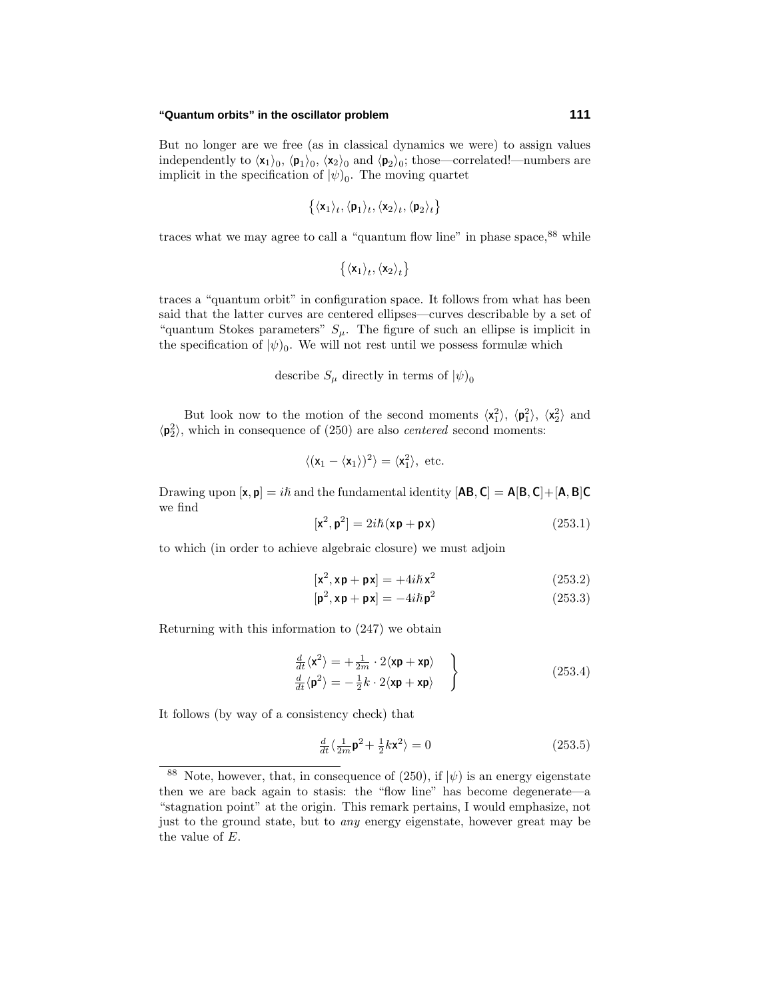But no longer are we free (as in classical dynamics we were) to assign values independently to  $\langle x_1 \rangle_0$ ,  $\langle p_1 \rangle_0$ ,  $\langle x_2 \rangle_0$  and  $\langle p_2 \rangle_0$ ; those—correlated!—numbers are implicit in the specification of  $|\psi|_0$ . The moving quartet

$$
\{\langle \mathbf{x}_1 \rangle_t, \langle \mathbf{p}_1 \rangle_t, \langle \mathbf{x}_2 \rangle_t, \langle \mathbf{p}_2 \rangle_t\}
$$

traces what we may agree to call a "quantum flow line" in phase space,  $88$  while

$$
\left\{\langle \mathbf{x}_1 \rangle_t, \langle \mathbf{x}_2 \rangle_t \right\}
$$

traces a "quantum orbit" in configuration space. It follows from what has been said that the latter curves are centered ellipses—curves describable by a set of "quantum Stokes parameters"  $S_\mu$ . The figure of such an ellipse is implicit in the specification of  $|\psi\rangle_0$ . We will not rest until we possess formulæ which

describe  $S_\mu$  directly in terms of  $|\psi\rangle_0$ 

But look now to the motion of the second moments  $\langle x_1^2 \rangle$ ,  $\langle p_1^2 \rangle$ ,  $\langle x_2^2 \rangle$  and  $\langle \mathbf{p}_2^2 \rangle$ , which in consequence of (250) are also *centered* second moments:

$$
\langle (\mathbf{x}_1 - \langle \mathbf{x}_1 \rangle)^2 \rangle = \langle \mathbf{x}_1^2 \rangle, \text{ etc.}
$$

Drawing upon  $[\mathbf{x}, \mathbf{p}] = i\hbar$  and the fundamental identity  $[\mathbf{AB}, \mathbf{C}] = \mathbf{A}[\mathbf{B}, \mathbf{C}] + [\mathbf{A}, \mathbf{B}]\mathbf{C}$ we find

$$
[\mathbf{x}^2, \mathbf{p}^2] = 2i\hbar(\mathbf{x}\mathbf{p} + \mathbf{p}\mathbf{x})\tag{253.1}
$$

to which (in order to achieve algebraic closure) we must adjoin

$$
[\mathbf{x}^2, \mathbf{x}\mathbf{p} + \mathbf{p}\mathbf{x}] = +4i\hbar\mathbf{x}^2
$$
 (253.2)

$$
[\mathbf{p}^2, \mathbf{x}\mathbf{p} + \mathbf{p}\mathbf{x}] = -4i\hbar \mathbf{p}^2
$$
 (253.3)

Returning with this information to (247) we obtain

$$
\frac{\frac{d}{dt}\langle \mathbf{x}^2 \rangle = +\frac{1}{2m} \cdot 2 \langle \mathbf{x} \mathbf{p} + \mathbf{x} \mathbf{p} \rangle \}
$$
\n
$$
\frac{\frac{d}{dt}\langle \mathbf{p}^2 \rangle = -\frac{1}{2}k \cdot 2 \langle \mathbf{x} \mathbf{p} + \mathbf{x} \mathbf{p} \rangle \}
$$
\n(253.4)

It follows (by way of a consistency check) that

$$
\frac{d}{dt}\langle \frac{1}{2m}\mathbf{p}^2 + \frac{1}{2}k\mathbf{x}^2 \rangle = 0
$$
\n(253.5)

<sup>&</sup>lt;sup>88</sup> Note, however, that, in consequence of (250), if  $|\psi\rangle$  is an energy eigenstate then we are back again to stasis: the "flow line" has become degenerate—a "stagnation point" at the origin. This remark pertains, I would emphasize, not just to the ground state, but to any energy eigenstate, however great may be the value of *E*.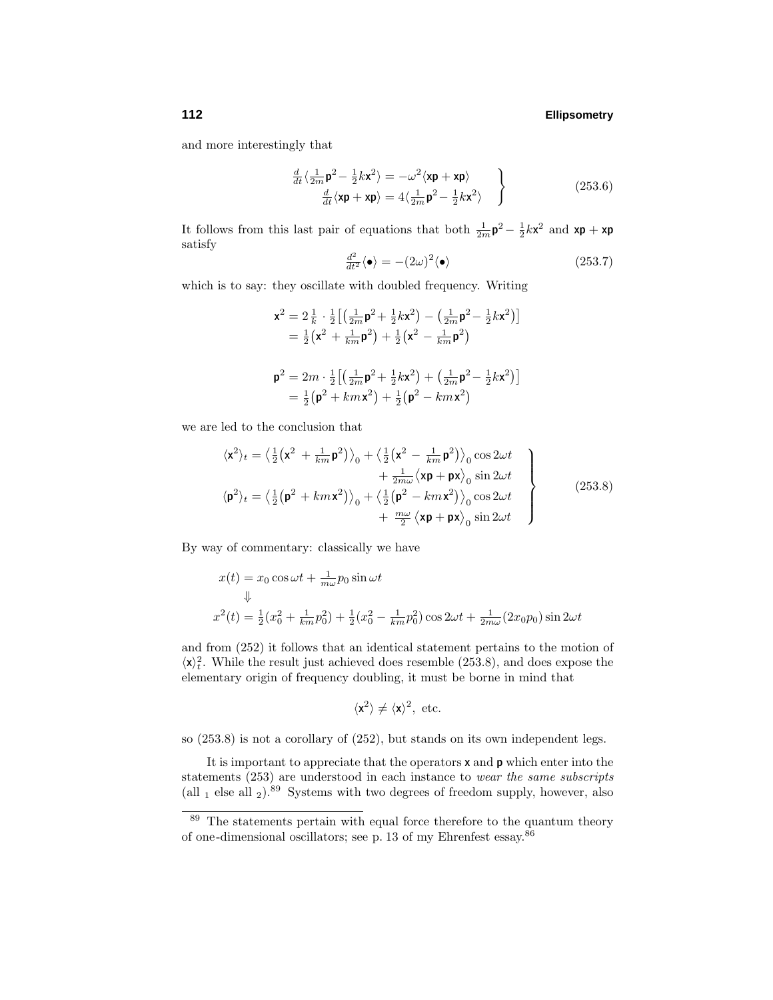and more interestingly that

$$
\frac{d}{dt}\langle \frac{1}{2m}\mathbf{p}^2 - \frac{1}{2}k\mathbf{x}^2 \rangle = -\omega^2 \langle \mathbf{x}\mathbf{p} + \mathbf{x}\mathbf{p} \rangle
$$
\n
$$
\frac{d}{dt}\langle \mathbf{x}\mathbf{p} + \mathbf{x}\mathbf{p} \rangle = 4\langle \frac{1}{2m}\mathbf{p}^2 - \frac{1}{2}k\mathbf{x}^2 \rangle
$$
\n(253.6)

It follows from this last pair of equations that both  $\frac{1}{2m} \mathbf{p}^2 - \frac{1}{2} k \mathbf{x}^2$  and  $\mathbf{x} \mathbf{p} + \mathbf{x} \mathbf{p}$ satisfy

$$
\frac{d^2}{dt^2} \langle \bullet \rangle = -(2\omega)^2 \langle \bullet \rangle \tag{253.7}
$$

which is to say: they oscillate with doubled frequency. Writing

$$
\mathbf{x}^2 = 2\frac{1}{k} \cdot \frac{1}{2} \Big[ \Big( \frac{1}{2m} \mathbf{p}^2 + \frac{1}{2} k \mathbf{x}^2 \Big) - \Big( \frac{1}{2m} \mathbf{p}^2 - \frac{1}{2} k \mathbf{x}^2 \Big) \Big]
$$
  
=  $\frac{1}{2} \Big( \mathbf{x}^2 + \frac{1}{km} \mathbf{p}^2 \Big) + \frac{1}{2} \Big( \mathbf{x}^2 - \frac{1}{km} \mathbf{p}^2 \Big)$   

$$
\mathbf{p}^2 = 2m \cdot \frac{1}{2} \Big[ \Big( \frac{1}{2m} \mathbf{p}^2 + \frac{1}{2} k \mathbf{x}^2 \Big) + \Big( \frac{1}{2m} \mathbf{p}^2 - \frac{1}{2} k \mathbf{x}^2 \Big) \Big]
$$
  
=  $\frac{1}{2} \Big( \mathbf{p}^2 + km \mathbf{x}^2 \Big) + \frac{1}{2} \Big( \mathbf{p}^2 - km \mathbf{x}^2 \Big)$ 

we are led to the conclusion that

$$
\langle \mathbf{x}^2 \rangle_t = \left\langle \frac{1}{2} \left( \mathbf{x}^2 + \frac{1}{km} \mathbf{p}^2 \right) \right\rangle_0 + \left\langle \frac{1}{2} \left( \mathbf{x}^2 - \frac{1}{km} \mathbf{p}^2 \right) \right\rangle_0 \cos 2\omega t + \frac{1}{2m\omega} \langle \mathbf{x} \mathbf{p} + \mathbf{p} \mathbf{x} \rangle_0 \sin 2\omega t \n\langle \mathbf{p}^2 \rangle_t = \left\langle \frac{1}{2} \left( \mathbf{p}^2 + km\mathbf{x}^2 \right) \right\rangle_0 + \left\langle \frac{1}{2} \left( \mathbf{p}^2 - km\mathbf{x}^2 \right) \right\rangle_0 \cos 2\omega t + \frac{m\omega}{2} \langle \mathbf{x} \mathbf{p} + \mathbf{p} \mathbf{x} \rangle_0 \sin 2\omega t \right]
$$
\n(253.8)

By way of commentary: classically we have

$$
x(t) = x_0 \cos \omega t + \frac{1}{m\omega} p_0 \sin \omega t
$$
  

$$
\Downarrow
$$
  

$$
x^2(t) = \frac{1}{2} (x_0^2 + \frac{1}{km} p_0^2) + \frac{1}{2} (x_0^2 - \frac{1}{km} p_0^2) \cos 2\omega t + \frac{1}{2m\omega} (2x_0 p_0) \sin 2\omega t
$$

and from (252) it follows that an identical statement pertains to the motion of  $\langle x \rangle_t^2$ . While the result just achieved does resemble (253.8), and does expose the elementary origin of frequency doubling, it must be borne in mind that

$$
\langle \mathbf{x}^2 \rangle \neq \langle \mathbf{x} \rangle^2, \text{ etc.}
$$

so (253.8) is not a corollary of (252), but stands on its own independent legs.

It is important to appreciate that the operators **x** and **p** which enter into the statements (253) are understood in each instance to wear the same subscripts (all  $_1$  else all  $_2$ ).<sup>89</sup> Systems with two degrees of freedom supply, however, also

<sup>&</sup>lt;sup>89</sup> The statements pertain with equal force therefore to the quantum theory of one-dimensional oscillators; see p. 13 of my Ehrenfest essay.<sup>86</sup>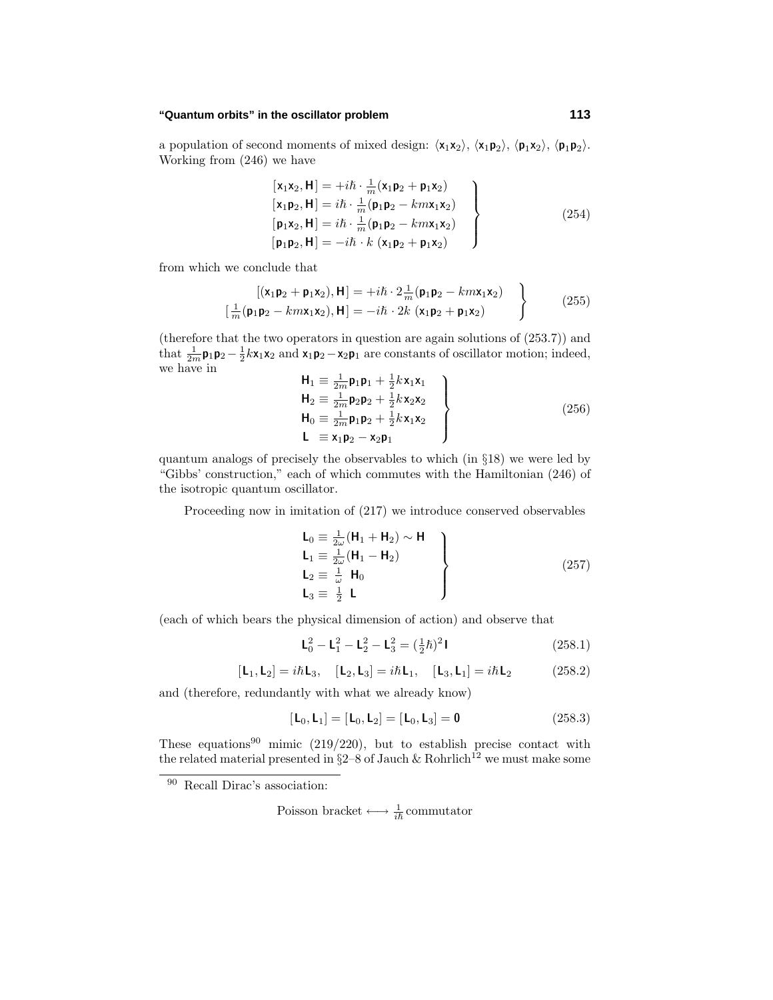a population of second moments of mixed design:  $\langle x_1x_2 \rangle$ ,  $\langle x_1p_2 \rangle$ ,  $\langle p_1x_2 \rangle$ ,  $\langle p_1p_2 \rangle$ . Working from (246) we have

$$
\begin{aligned}\n[\mathbf{x}_1 \mathbf{x}_2, \mathbf{H}] &= +i\hbar \cdot \frac{1}{m} (\mathbf{x}_1 \mathbf{p}_2 + \mathbf{p}_1 \mathbf{x}_2) \\
[\mathbf{x}_1 \mathbf{p}_2, \mathbf{H}] &= i\hbar \cdot \frac{1}{m} (\mathbf{p}_1 \mathbf{p}_2 - k m \mathbf{x}_1 \mathbf{x}_2) \\
[\mathbf{p}_1 \mathbf{x}_2, \mathbf{H}] &= i\hbar \cdot \frac{1}{m} (\mathbf{p}_1 \mathbf{p}_2 - k m \mathbf{x}_1 \mathbf{x}_2) \\
[\mathbf{p}_1 \mathbf{p}_2, \mathbf{H}] &= -i\hbar \cdot k (\mathbf{x}_1 \mathbf{p}_2 + \mathbf{p}_1 \mathbf{x}_2)\n\end{aligned}
$$
\n(254)

from which we conclude that

$$
\begin{bmatrix}\n\left[\left(\mathbf{x}_1 \mathbf{p}_2 + \mathbf{p}_1 \mathbf{x}_2\right), \mathbf{H}\right] = +i\hbar \cdot 2\frac{1}{m}(\mathbf{p}_1 \mathbf{p}_2 - km\mathbf{x}_1 \mathbf{x}_2) \\
\left[\frac{1}{m}(\mathbf{p}_1 \mathbf{p}_2 - km\mathbf{x}_1 \mathbf{x}_2), \mathbf{H}\right] = -i\hbar \cdot 2k \left(\mathbf{x}_1 \mathbf{p}_2 + \mathbf{p}_1 \mathbf{x}_2\right)\n\end{bmatrix}
$$
\n(255)

(therefore that the two operators in question are again solutions of (253.7)) and that  $\frac{1}{2m}$ **p**<sub>1</sub>**p**<sub>2</sub> -  $\frac{1}{2}k$ **x**<sub>1</sub>**x**<sub>2</sub> and **x**<sub>1</sub>**p**<sub>2</sub> - **x**<sub>2</sub>**p**<sub>1</sub> are constants of oscillator motion; indeed, we have in

$$
\left\{\n\begin{aligned}\n\mathbf{H}_1 &\equiv \frac{1}{2m} \mathbf{p}_1 \mathbf{p}_1 + \frac{1}{2} k \mathbf{x}_1 \mathbf{x}_1 \\
\mathbf{H}_2 &\equiv \frac{1}{2m} \mathbf{p}_2 \mathbf{p}_2 + \frac{1}{2} k \mathbf{x}_2 \mathbf{x}_2 \\
\mathbf{H}_0 &\equiv \frac{1}{2m} \mathbf{p}_1 \mathbf{p}_2 + \frac{1}{2} k \mathbf{x}_1 \mathbf{x}_2 \\
\mathbf{L} &\equiv \mathbf{x}_1 \mathbf{p}_2 - \mathbf{x}_2 \mathbf{p}_1\n\end{aligned}\n\right\}
$$
\n(256)

quantum analogs of precisely the observables to which (in §18) we were led by "Gibbs' construction," each of which commutes with the Hamiltonian (246) of the isotropic quantum oscillator.

Proceeding now in imitation of (217) we introduce conserved observables

$$
\begin{array}{l}\n\mathsf{L}_0 \equiv \frac{1}{2\omega} (\mathsf{H}_1 + \mathsf{H}_2) \sim \mathsf{H} \\
\mathsf{L}_1 \equiv \frac{1}{2\omega} (\mathsf{H}_1 - \mathsf{H}_2) \\
\mathsf{L}_2 \equiv \frac{1}{\omega} \mathsf{H}_0 \\
\mathsf{L}_3 \equiv \frac{1}{2} \mathsf{L}\n\end{array}\n\right\} \tag{257}
$$

(each of which bears the physical dimension of action) and observe that

$$
\mathbf{L}_0^2 - \mathbf{L}_1^2 - \mathbf{L}_2^2 - \mathbf{L}_3^2 = (\frac{1}{2}\hbar)^2 \mathbf{I}
$$
 (258.1)

$$
[L_1, L_2] = i\hbar L_3, \quad [L_2, L_3] = i\hbar L_1, \quad [L_3, L_1] = i\hbar L_2 \tag{258.2}
$$

and (therefore, redundantly with what we already know)

$$
[\mathsf{L}_0, \mathsf{L}_1] = [\mathsf{L}_0, \mathsf{L}_2] = [\mathsf{L}_0, \mathsf{L}_3] = \mathbf{0} \tag{258.3}
$$

These equations<sup>90</sup> mimic (219/220), but to establish precise contact with the related material presented in  $\S 2-8$  of Jauch & Rohrlich<sup>12</sup> we must make some

<sup>90</sup> Recall Dirac's association:

Poisson bracket  $\longleftrightarrow \frac{1}{i\hbar}$  commutator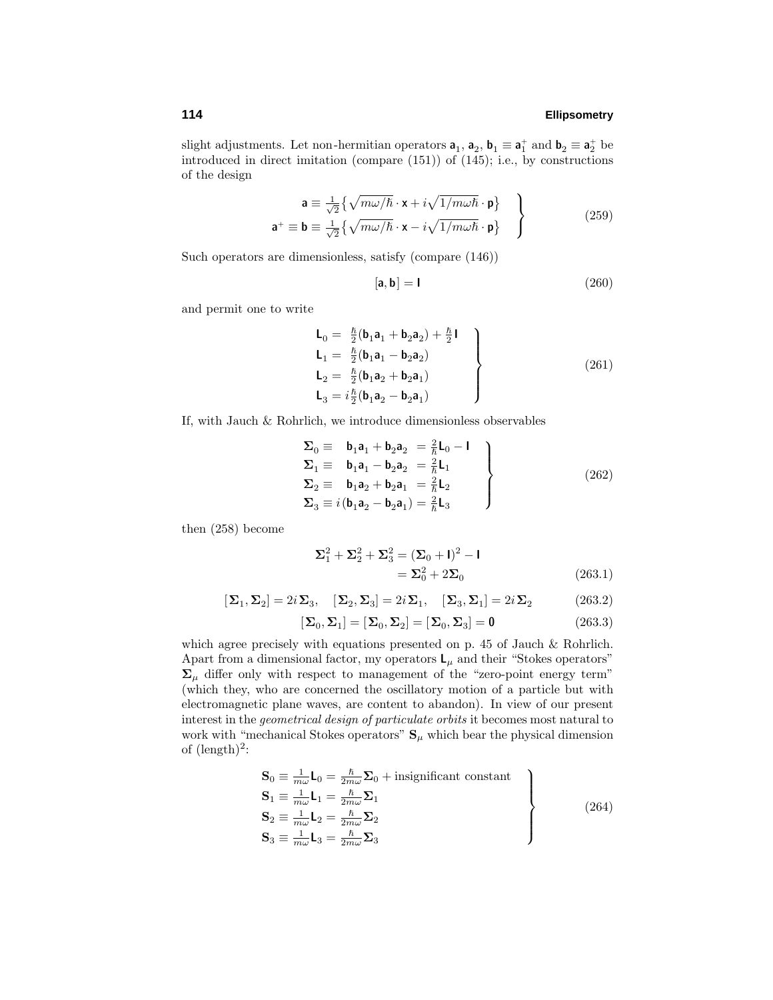slight adjustments. Let non-hermitian operators  $\mathbf{a}_1$ ,  $\mathbf{a}_2$ ,  $\mathbf{b}_1 \equiv \mathbf{a}_1^+$  and  $\mathbf{b}_2 \equiv \mathbf{a}_2^+$  be introduced in direct imitation (compare (151)) of (145); i.e., by constructions of the design

$$
\mathbf{a} \equiv \frac{1}{\sqrt{2}} \left\{ \sqrt{m\omega/\hbar} \cdot \mathbf{x} + i\sqrt{1/m\omega\hbar} \cdot \mathbf{p} \right\}
$$
  

$$
\mathbf{a}^+ \equiv \mathbf{b} \equiv \frac{1}{\sqrt{2}} \left\{ \sqrt{m\omega/\hbar} \cdot \mathbf{x} - i\sqrt{1/m\omega\hbar} \cdot \mathbf{p} \right\}
$$
 (259)

Such operators are dimensionless, satisfy (compare (146))

$$
[\mathbf{a}, \mathbf{b}] = \mathbf{I} \tag{260}
$$

and permit one to write

$$
\begin{aligned}\n\mathbf{L}_0 &= \frac{\hbar}{2} (\mathbf{b}_1 \mathbf{a}_1 + \mathbf{b}_2 \mathbf{a}_2) + \frac{\hbar}{2} \mathbf{I} \\
\mathbf{L}_1 &= \frac{\hbar}{2} (\mathbf{b}_1 \mathbf{a}_1 - \mathbf{b}_2 \mathbf{a}_2) \\
\mathbf{L}_2 &= \frac{\hbar}{2} (\mathbf{b}_1 \mathbf{a}_2 + \mathbf{b}_2 \mathbf{a}_1) \\
\mathbf{L}_3 &= i \frac{\hbar}{2} (\mathbf{b}_1 \mathbf{a}_2 - \mathbf{b}_2 \mathbf{a}_1)\n\end{aligned}
$$
\n(261)

If, with Jauch & Rohrlich, we introduce dimensionless observables

$$
\Sigma_0 \equiv \mathbf{b}_1 \mathbf{a}_1 + \mathbf{b}_2 \mathbf{a}_2 = \frac{2}{\hbar} \mathbf{L}_0 - \mathbf{I}
$$
\n
$$
\Sigma_1 \equiv \mathbf{b}_1 \mathbf{a}_1 - \mathbf{b}_2 \mathbf{a}_2 = \frac{2}{\hbar} \mathbf{L}_1
$$
\n
$$
\Sigma_2 \equiv \mathbf{b}_1 \mathbf{a}_2 + \mathbf{b}_2 \mathbf{a}_1 = \frac{2}{\hbar} \mathbf{L}_2
$$
\n
$$
\Sigma_3 \equiv i(\mathbf{b}_1 \mathbf{a}_2 - \mathbf{b}_2 \mathbf{a}_1) = \frac{2}{\hbar} \mathbf{L}_3
$$
\n(262)

then (258) become

$$
\Sigma_1^2 + \Sigma_2^2 + \Sigma_3^2 = (\Sigma_0 + I)^2 - I
$$
  
=  $\Sigma_0^2 + 2\Sigma_0$  (263.1)

$$
[\boldsymbol{\Sigma}_1,\boldsymbol{\Sigma}_2]=2i\boldsymbol{\Sigma}_3,\quad [\boldsymbol{\Sigma}_2,\boldsymbol{\Sigma}_3]=2i\boldsymbol{\Sigma}_1,\quad [\boldsymbol{\Sigma}_3,\boldsymbol{\Sigma}_1]=2i\boldsymbol{\Sigma}_2 \qquad \qquad (263.2)
$$

$$
[\Sigma_0, \Sigma_1] = [\Sigma_0, \Sigma_2] = [\Sigma_0, \Sigma_3] = \mathbf{0}
$$
\n(263.3)

which agree precisely with equations presented on p. 45 of Jauch & Rohrlich. Apart from a dimensional factor, my operators  $L_{\mu}$  and their "Stokes operators"  $\Sigma_{\mu}$  differ only with respect to management of the "zero-point energy term" (which they, who are concerned the oscillatory motion of a particle but with electromagnetic plane waves, are content to abandon). In view of our present interest in the geometrical design of particulate orbits it becomes most natural to work with "mechanical Stokes operators"  $S_\mu$  which bear the physical dimension of  $(\text{length})^2$ :

$$
\begin{aligned}\n\mathbf{S}_0 &\equiv \frac{1}{m\omega} \mathbf{L}_0 = \frac{\hbar}{2m\omega} \mathbf{\Sigma}_0 + \text{insignificant constant} \\
\mathbf{S}_1 &\equiv \frac{1}{m\omega} \mathbf{L}_1 = \frac{\hbar}{2m\omega} \mathbf{\Sigma}_1 \\
\mathbf{S}_2 &\equiv \frac{1}{m\omega} \mathbf{L}_2 = \frac{\hbar}{2m\omega} \mathbf{\Sigma}_2 \\
\mathbf{S}_3 &\equiv \frac{1}{m\omega} \mathbf{L}_3 = \frac{\hbar}{2m\omega} \mathbf{\Sigma}_3\n\end{aligned}
$$
\n(264)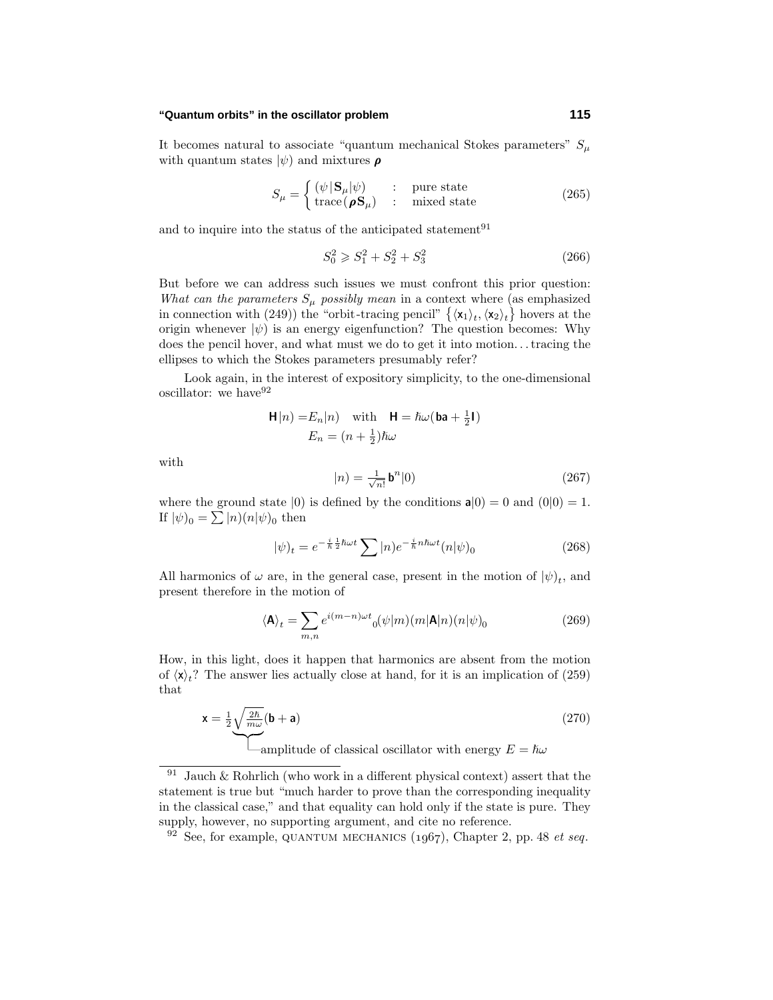It becomes natural to associate "quantum mechanical Stokes parameters"  $S_\mu$ with quantum states  $|\psi\rangle$  and mixtures  $\rho$ 

$$
S_{\mu} = \begin{cases} (\psi | \mathbf{S}_{\mu} | \psi) & \text{:} \quad \text{pure state} \\ \text{trace}(\boldsymbol{\rho} \mathbf{S}_{\mu}) & \text{:} \quad \text{mixed state} \end{cases} \tag{265}
$$

and to inquire into the status of the anticipated statement<sup>91</sup>

$$
S_0^2 \geqslant S_1^2 + S_2^2 + S_3^2 \tag{266}
$$

But before we can address such issues we must confront this prior question: What can the parameters  $S_\mu$  possibly mean in a context where (as emphasized in connection with (249)) the "orbit-tracing pencil"  $\{\langle x_1 \rangle_t, \langle x_2 \rangle_t\}$  hovers at the origin whenever  $|\psi\rangle$  is an energy eigenfunction? The question becomes: Why does the pencil hover, and what must we do to get it into motion*...*tracing the ellipses to which the Stokes parameters presumably refer?

Look again, in the interest of expository simplicity, to the one-dimensional oscillator: we have  $92$ 

$$
\mathbf{H}|n) = E_n|n) \quad \text{with} \quad \mathbf{H} = \hbar\omega(\mathbf{b}\mathbf{a} + \frac{1}{2}\mathbf{I})
$$

$$
E_n = (n + \frac{1}{2})\hbar\omega
$$

with

$$
|n\rangle = \frac{1}{\sqrt{n!}} \mathbf{b}^n |0\rangle \tag{267}
$$

where the ground state  $|0\rangle$  is defined by the conditions  $a|0\rangle = 0$  and  $(0|0\rangle = 1$ . If  $|\psi|_0 = \sum |n\rangle(n|\psi|_0)$  then

$$
|\psi\rangle_t = e^{-\frac{i}{\hbar}\frac{1}{2}\hbar\omega t} \sum |n\rangle e^{-\frac{i}{\hbar}n\hbar\omega t} (n|\psi\rangle_0 \tag{268}
$$

All harmonics of  $\omega$  are, in the general case, present in the motion of  $|\psi\rangle_t$ , and present therefore in the motion of

$$
\langle \mathbf{A} \rangle_t = \sum_{m,n} e^{i(m-n)\omega t} \rho(\psi|m)(m|\mathbf{A}|n)(n|\psi)_0 \tag{269}
$$

How, in this light, does it happen that harmonics are absent from the motion of  $\langle x \rangle_t$ ? The answer lies actually close at hand, for it is an implication of (259) that

$$
\mathbf{x} = \frac{1}{2} \sqrt{\frac{2\hbar}{m\omega}} (\mathbf{b} + \mathbf{a})
$$
\n(270)

 $\sum_{\text{amplitude of classical oscillator with energy } E = \hbar \omega$ 

<sup>&</sup>lt;sup>91</sup> Jauch & Rohrlich (who work in a different physical context) assert that the statement is true but "much harder to prove than the corresponding inequality in the classical case," and that equality can hold only if the state is pure. They supply, however, no supporting argument, and cite no reference.

 $92$  See, for example, QUANTUM MECHANICS (1967), Chapter 2, pp. 48 et seq.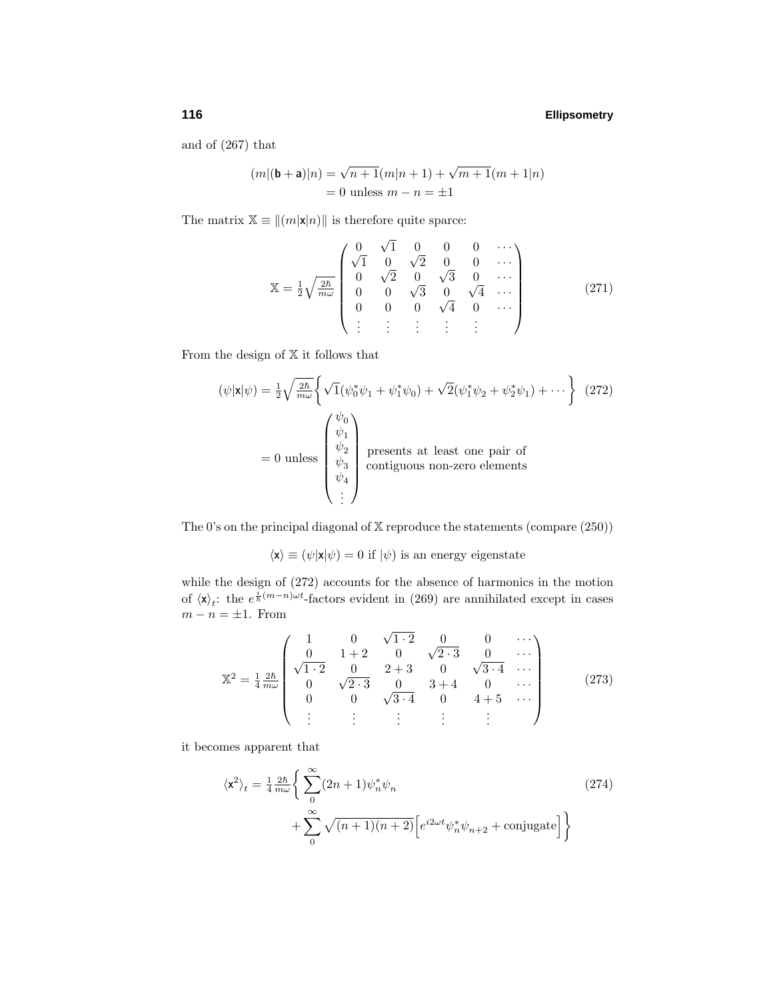and of (267) that

$$
(m|(b + a)|n) = \sqrt{n+1}(m|n+1) + \sqrt{m+1}(m+1|n)
$$
  
= 0 unless  $m - n = \pm 1$ 

The matrix  $\mathbb{X} \equiv ||(m|\mathbf{x}|n)||$  is therefore quite sparce:

$$
\mathbb{X} = \frac{1}{2} \sqrt{\frac{2\hbar}{m\omega}} \begin{pmatrix} 0 & \sqrt{1} & 0 & 0 & 0 & \cdots \\ \sqrt{1} & 0 & \sqrt{2} & 0 & 0 & \cdots \\ 0 & \sqrt{2} & 0 & \sqrt{3} & 0 & \cdots \\ 0 & 0 & \sqrt{3} & 0 & \sqrt{4} & \cdots \\ 0 & 0 & 0 & \sqrt{4} & 0 & \cdots \\ \vdots & \vdots & \vdots & \vdots & \vdots \end{pmatrix}
$$
(271)

From the design of  $X$  it follows that

$$
(\psi|\mathbf{x}|\psi) = \frac{1}{2}\sqrt{\frac{2\hbar}{m\omega}} \left\{ \sqrt{1}(\psi_0^*\psi_1 + \psi_1^*\psi_0) + \sqrt{2}(\psi_1^*\psi_2 + \psi_2^*\psi_1) + \cdots \right\}
$$
 (272)  
= 0 unless 
$$
\begin{pmatrix} \psi_0 \\ \psi_1 \\ \psi_2 \\ \psi_3 \\ \psi_4 \\ \vdots \end{pmatrix}
$$
 presents at least one pair of  
contiguous non-zero elements

The 0's on the principal diagonal of  $X$  reproduce the statements (compare  $(250)$ )

$$
\langle \mathbf{x} \rangle \equiv (\psi | \mathbf{x} | \psi) = 0
$$
 if  $|\psi)$  is an energy eigenstate

while the design of (272) accounts for the absence of harmonics in the motion of  $\langle \mathbf{x} \rangle_t$ : the  $e^{\frac{i}{\hbar}(m-n)\omega t}$ -factors evident in (269) are annihilated except in cases  $m - n = \pm 1$ . From

$$
\mathbb{X}^{2} = \frac{1}{4} \frac{2\hbar}{m\omega} \begin{pmatrix} 1 & 0 & \sqrt{1 \cdot 2} & 0 & 0 & \cdots \\ 0 & 1 + 2 & 0 & \sqrt{2 \cdot 3} & 0 & \cdots \\ \sqrt{1 \cdot 2} & 0 & 2 + 3 & 0 & \sqrt{3 \cdot 4} & \cdots \\ 0 & \sqrt{2 \cdot 3} & 0 & 3 + 4 & 0 & \cdots \\ 0 & 0 & \sqrt{3 \cdot 4} & 0 & 4 + 5 & \cdots \\ \vdots & \vdots & \vdots & \vdots & \vdots & \ddots \end{pmatrix}
$$
(273)

it becomes apparent that

$$
\langle \mathbf{x}^2 \rangle_t = \frac{1}{4} \frac{2\hbar}{m\omega} \Bigg\{ \sum_{0}^{\infty} (2n+1) \psi_n^* \psi_n + \sum_{0}^{\infty} \sqrt{(n+1)(n+2)} \Big[ e^{i2\omega t} \psi_n^* \psi_{n+2} + \text{conjugate} \Big] \Bigg\}
$$
(274)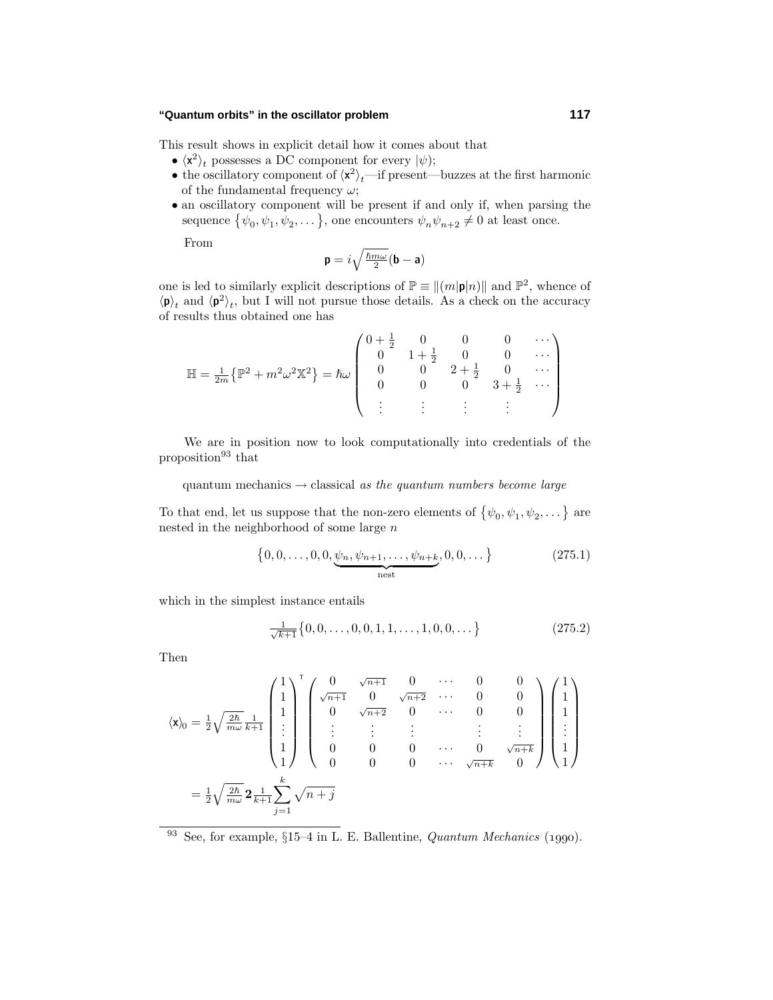This result shows in explicit detail how it comes about that

- $\langle x^2 \rangle_t$  possesses a DC component for every  $|\psi\rangle$ ;
- the oscillatory component of  $\langle x^2 \rangle_t$ —if present—buzzes at the first harmonic of the fundamental frequency *ω*;
- an oscillatory component will be present if and only if, when parsing the sequence  $\{\psi_0, \psi_1, \psi_2, \dots\}$ , one encounters  $\psi_n \psi_{n+2} \neq 0$  at least once.

From

$$
\mathbf{p}=i\sqrt{\tfrac{\hbar m\omega}{2}}(\mathbf{b}-\mathbf{a})
$$

one is led to similarly explicit descriptions of  $\mathbb{P} \equiv ||(m|\mathbf{p}|n)||$  and  $\mathbb{P}^2$ , whence of  $\langle \mathbf{p} \rangle_t$  and  $\langle \mathbf{p}^2 \rangle_t$ , but I will not pursue those details. As a check on the accuracy of results thus obtained one has

$$
\mathbb{H} = \frac{1}{2m} \{ \mathbb{P}^2 + m^2 \omega^2 \mathbb{X}^2 \} = \hbar \omega \begin{pmatrix} 0 + \frac{1}{2} & 0 & 0 & 0 & \cdots \\ 0 & 1 + \frac{1}{2} & 0 & 0 & \cdots \\ 0 & 0 & 2 + \frac{1}{2} & 0 & \cdots \\ 0 & 0 & 0 & 3 + \frac{1}{2} & \cdots \\ \vdots & \vdots & \vdots & \vdots & \ddots \end{pmatrix}
$$

We are in position now to look computationally into credentials of the proposition $93$  that

quantum mechanics  $\rightarrow$  classical as the quantum numbers become large

To that end, let us suppose that the non-zero elements of  $\{\psi_0, \psi_1, \psi_2, \dots\}$  are nested in the neighborhood of some large *n*

$$
\{0, 0, \dots, 0, 0, \underbrace{\psi_n, \psi_{n+1}, \dots, \psi_{n+k}}_{\text{nest}}, 0, 0, \dots\}
$$
 (275.1)

which in the simplest instance entails

$$
\frac{1}{\sqrt{k+1}}\{0,0,\ldots,0,0,1,1,\ldots,1,0,0,\ldots\}
$$
 (275.2)

Then

$$
\langle \mathbf{x} \rangle_0 = \frac{1}{2} \sqrt{\frac{2\hbar}{m\omega}} \frac{1}{k+1} \begin{pmatrix} 1 \\ 1 \\ 1 \\ \vdots \\ 1 \end{pmatrix}^{\mathrm{T}} \begin{pmatrix} 0 & \sqrt{n+1} & 0 & \cdots & 0 & 0 \\ \sqrt{n+1} & 0 & \sqrt{n+2} & \cdots & 0 & 0 \\ 0 & \sqrt{n+2} & 0 & \cdots & 0 & 0 \\ \vdots & \vdots & \vdots & \vdots & & \vdots & \vdots \\ 0 & 0 & 0 & \cdots & 0 & \sqrt{n+k} \\ 0 & 0 & 0 & \cdots & \sqrt{n+k} & 0 \end{pmatrix} \begin{pmatrix} 1 \\ 1 \\ 1 \\ \vdots \\ 1 \end{pmatrix}
$$

$$
= \frac{1}{2} \sqrt{\frac{2\hbar}{m\omega}} 2 \frac{1}{k+1} \sum_{j=1}^k \sqrt{n+j}
$$

<sup>93</sup> See, for example,  $\S15-4$  in L. E. Ballentine, *Quantum Mechanics* (1990).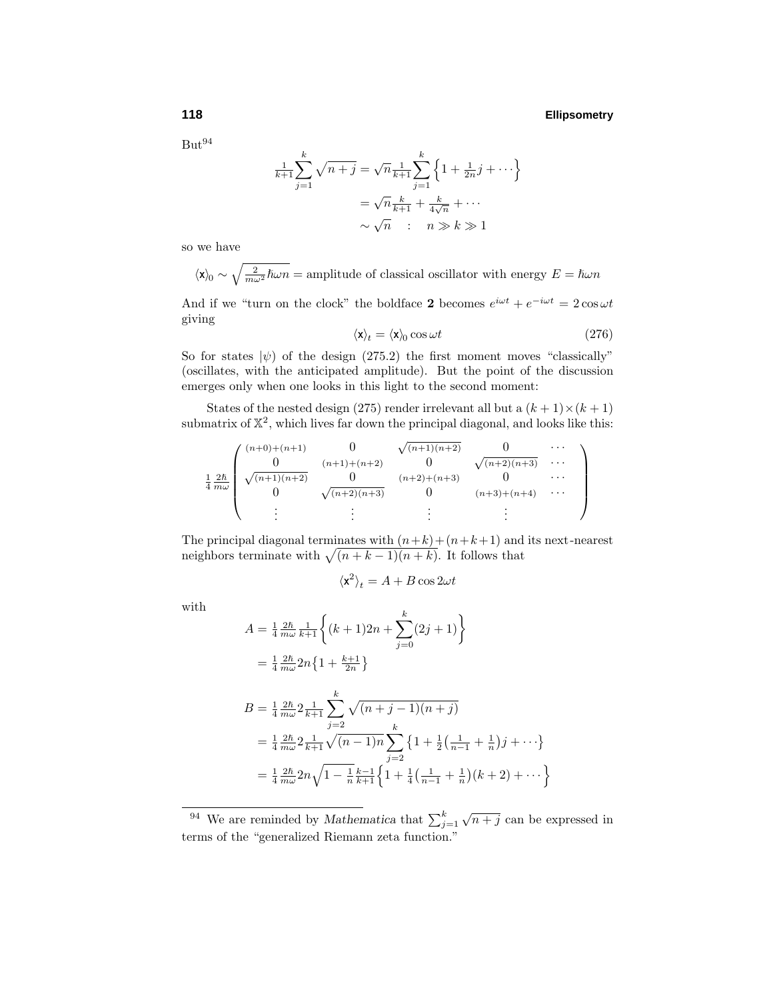$But<sup>94</sup>$ 

$$
\frac{1}{k+1} \sum_{j=1}^{k} \sqrt{n+j} = \sqrt{n} \frac{1}{k+1} \sum_{j=1}^{k} \left\{ 1 + \frac{1}{2n} j + \cdots \right\}
$$

$$
= \sqrt{n} \frac{k}{k+1} + \frac{k}{4\sqrt{n}} + \cdots
$$

$$
\sim \sqrt{n} \quad : \quad n \gg k \gg 1
$$

so we have

 $\langle x \rangle_0 \sim \sqrt{\frac{2}{m\omega^2} \hbar \omega n}$  = amplitude of classical oscillator with energy  $E = \hbar \omega n$ 

And if we "turn on the clock" the boldface **2** becomes  $e^{i\omega t} + e^{-i\omega t} = 2\cos\omega t$ giving

$$
\langle \mathbf{x} \rangle_t = \langle \mathbf{x} \rangle_0 \cos \omega t \tag{276}
$$

So for states  $|\psi\rangle$  of the design (275.2) the first moment moves "classically" (oscillates, with the anticipated amplitude). But the point of the discussion emerges only when one looks in this light to the second moment:

States of the nested design (275) render irrelevant all but a  $(k + 1) \times (k + 1)$ submatrix of  $\mathbb{X}^2$ , which lives far down the principal diagonal, and looks like this:

$$
\frac{1}{4} \frac{2\hbar}{m\omega} \begin{pmatrix}\n(n+0)+(n+1) & 0 & \sqrt{(n+1)(n+2)} & 0 & \cdots \\
0 & (n+1)+(n+2) & 0 & \sqrt{(n+2)(n+3)} & \cdots \\
0 & \sqrt{(n+2)(n+3)} & 0 & (n+2)+(n+3) & 0 \\
\vdots & \vdots & \vdots & \vdots & \vdots\n\end{pmatrix}
$$

The principal diagonal terminates with  $(n+k)+(n+k+1)$  and its next-nearest neighbors terminate with  $\sqrt{(n + k - 1)(n + k)}$ . It follows that

$$
\langle \mathbf{x}^2 \rangle_t = A + B \cos 2\omega t
$$

with

$$
A = \frac{1}{4} \frac{2\hbar}{m\omega} \frac{1}{k+1} \left\{ (k+1)2n + \sum_{j=0}^{k} (2j+1) \right\}
$$
  
\n
$$
= \frac{1}{4} \frac{2\hbar}{m\omega} 2n \left\{ 1 + \frac{k+1}{2n} \right\}
$$
  
\n
$$
B = \frac{1}{4} \frac{2\hbar}{m\omega} 2 \frac{1}{k+1} \sum_{j=2}^{k} \sqrt{(n+j-1)(n+j)}
$$
  
\n
$$
= \frac{1}{4} \frac{2\hbar}{m\omega} 2 \frac{1}{k+1} \sqrt{(n-1)n} \sum_{j=2}^{k} \left\{ 1 + \frac{1}{2} \left( \frac{1}{n-1} + \frac{1}{n} \right) j + \cdots \right\}
$$
  
\n
$$
= \frac{1}{4} \frac{2\hbar}{m\omega} 2n \sqrt{1 - \frac{1}{n}} \frac{k-1}{k+1} \left\{ 1 + \frac{1}{4} \left( \frac{1}{n-1} + \frac{1}{n} \right) (k+2) + \cdots \right\}
$$

<sup>&</sup>lt;sup>94</sup> We are reminded by *Mathematica* that  $\sum_{j=1}^{k} \sqrt{n+j}$  can be expressed in terms of the "generalized Riemann zeta function."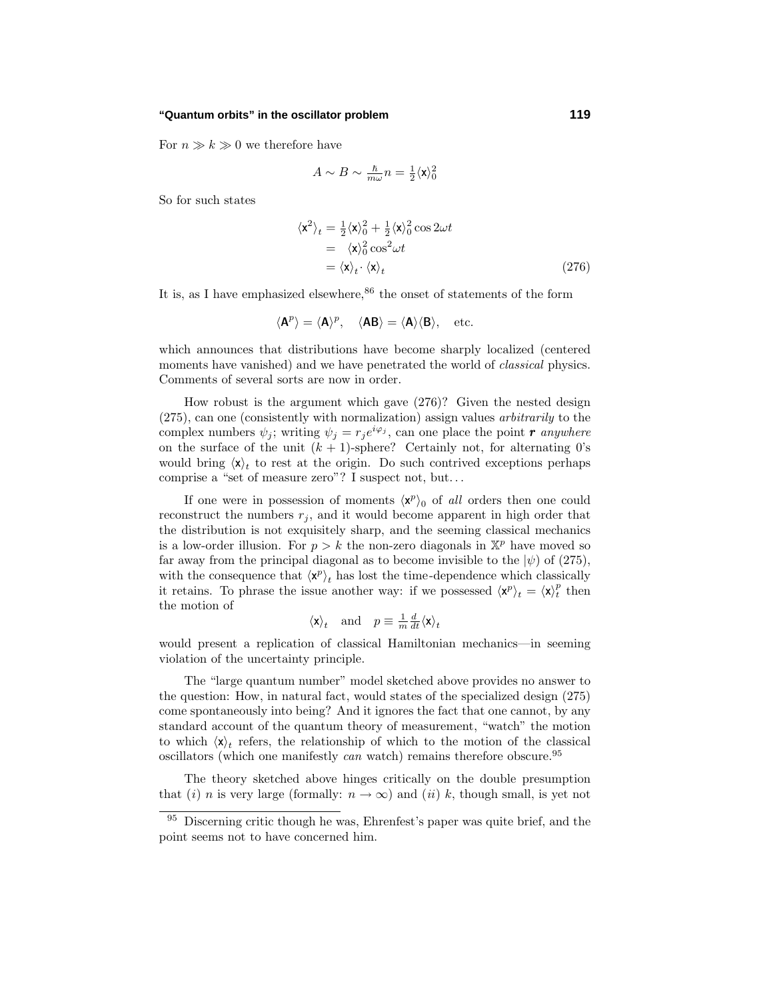For  $n \gg k \gg 0$  we therefore have

$$
A \sim B \sim \tfrac{\hbar}{m\omega}n = \tfrac{1}{2}\langle \mathbf{x} \rangle_0^2
$$

So for such states

$$
\langle \mathbf{x}^2 \rangle_t = \frac{1}{2} \langle \mathbf{x} \rangle_0^2 + \frac{1}{2} \langle \mathbf{x} \rangle_0^2 \cos 2\omega t \n= \langle \mathbf{x} \rangle_0^2 \cos^2 \omega t \n= \langle \mathbf{x} \rangle_t \cdot \langle \mathbf{x} \rangle_t
$$
\n(276)

It is, as I have emphasized elsewhere,  $86$  the onset of statements of the form

$$
\langle A^p \rangle = \langle A \rangle^p
$$
,  $\langle AB \rangle = \langle A \rangle \langle B \rangle$ , etc.

which announces that distributions have become sharply localized (centered moments have vanished) and we have penetrated the world of *classical* physics. Comments of several sorts are now in order.

How robust is the argument which gave (276)? Given the nested design (275), can one (consistently with normalization) assign values arbitrarily to the complex numbers  $\psi_j$ ; writing  $\psi_j = r_j e^{i\varphi_j}$ , can one place the point *r* anywhere on the surface of the unit  $(k + 1)$ -sphere? Certainly not, for alternating 0's would bring  $\langle \mathbf{x} \rangle_t$  to rest at the origin. Do such contrived exceptions perhaps comprise a "set of measure zero"? I suspect not, but*...*

If one were in possession of moments  $\langle x^p \rangle_0$  of all orders then one could reconstruct the numbers  $r_i$ , and it would become apparent in high order that the distribution is not exquisitely sharp, and the seeming classical mechanics is a low-order illusion. For  $p > k$  the non-zero diagonals in  $\mathbb{X}^p$  have moved so far away from the principal diagonal as to become invisible to the  $|\psi\rangle$  of (275), with the consequence that  $\langle \mathbf{x}^p \rangle_t$  has lost the time-dependence which classically it retains. To phrase the issue another way: if we possessed  $\langle \mathbf{x}^p \rangle_t = \langle \mathbf{x} \rangle_t^p$  then the motion of

$$
\langle \mathbf{x} \rangle_t
$$
 and  $p \equiv \frac{1}{m} \frac{d}{dt} \langle \mathbf{x} \rangle_t$ 

would present a replication of classical Hamiltonian mechanics—in seeming violation of the uncertainty principle.

The "large quantum number" model sketched above provides no answer to the question: How, in natural fact, would states of the specialized design (275) come spontaneously into being? And it ignores the fact that one cannot, by any standard account of the quantum theory of measurement, "watch" the motion to which  $\langle x \rangle_t$  refers, the relationship of which to the motion of the classical oscillators (which one manifestly  $can$  watch) remains therefore obscure.<sup>95</sup>

The theory sketched above hinges critically on the double presumption that (i) *n* is very large (formally:  $n \to \infty$ ) and (ii) *k*, though small, is yet not

<sup>&</sup>lt;sup>95</sup> Discerning critic though he was, Ehrenfest's paper was quite brief, and the point seems not to have concerned him.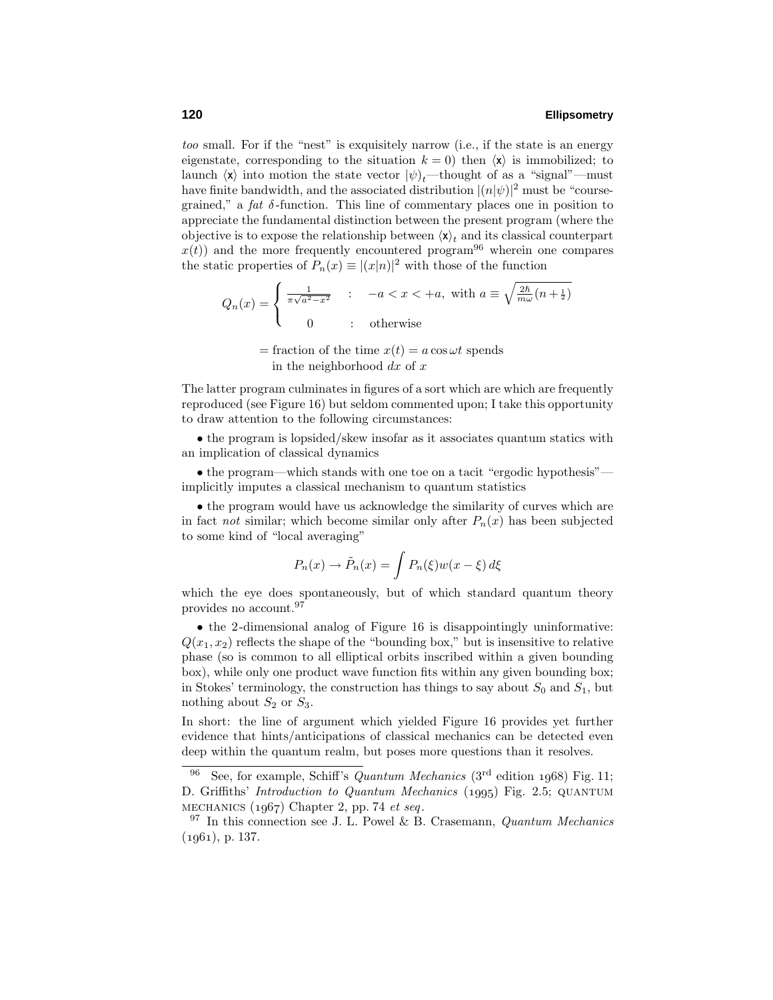too small. For if the "nest" is exquisitely narrow (i.e., if the state is an energy eigenstate, corresponding to the situation  $k = 0$ ) then  $\langle x \rangle$  is immobilized; to launch  $\langle x \rangle$  into motion the state vector  $|\psi\rangle_t$ —thought of as a "signal"—must have finite bandwidth, and the associated distribution  $|(n|\psi)|^2$  must be "coursegrained," a fat *δ* -function. This line of commentary places one in position to appreciate the fundamental distinction between the present program (where the objective is to expose the relationship between  $\langle \mathbf{x} \rangle_t$  and its classical counterpart  $x(t)$  and the more frequently encountered program<sup>96</sup> wherein one compares the static properties of  $P_n(x) \equiv |(x|n)|^2$  with those of the function

$$
Q_n(x) = \begin{cases} \frac{1}{\pi\sqrt{a^2 - x^2}} & \text{if } a \le x < +a, \text{ with } a \equiv \sqrt{\frac{2\hbar}{m\omega}(n + \frac{1}{2})} \\ 0 & \text{if } a \neq 0 \end{cases}
$$

 $=$  fraction of the time  $x(t) = a \cos \omega t$  spends in the neighborhood *dx* of *x*

The latter program culminates in figures of a sort which are which are frequently reproduced (see Figure 16) but seldom commented upon; I take this opportunity to draw attention to the following circumstances:

• the program is lopsided/skew insofar as it associates quantum statics with an implication of classical dynamics

• the program—which stands with one toe on a tacit "ergodic hypothesis" implicitly imputes a classical mechanism to quantum statistics

• the program would have us acknowledge the similarity of curves which are in fact *not* similar; which become similar only after  $P_n(x)$  has been subjected to some kind of "local averaging"

$$
P_n(x) \to \tilde{P}_n(x) = \int P_n(\xi) w(x - \xi) d\xi
$$

which the eye does spontaneously, but of which standard quantum theory provides no account.<sup>97</sup>

• the 2-dimensional analog of Figure 16 is disappointingly uninformative:  $Q(x_1, x_2)$  reflects the shape of the "bounding box," but is insensitive to relative phase (so is common to all elliptical orbits inscribed within a given bounding box), while only one product wave function fits within any given bounding box; in Stokes' terminology, the construction has things to say about  $S_0$  and  $S_1$ , but nothing about  $S_2$  or  $S_3$ .

In short: the line of argument which yielded Figure 16 provides yet further evidence that hints/anticipations of classical mechanics can be detected even deep within the quantum realm, but poses more questions than it resolves.

<sup>&</sup>lt;sup>96</sup> See, for example, Schiff's *Quantum Mechanics* ( $3<sup>rd</sup>$  edition 1968) Fig. 11; D. Griffiths' Introduction to Quantum Mechanics (1995) Fig. 2.5; QUANTUM MECHANICS  $(1967)$  Chapter 2, pp. 74 et seq.

 $97$  In this connection see J. L. Powel & B. Crasemann, Quantum Mechanics  $(1961), p. 137.$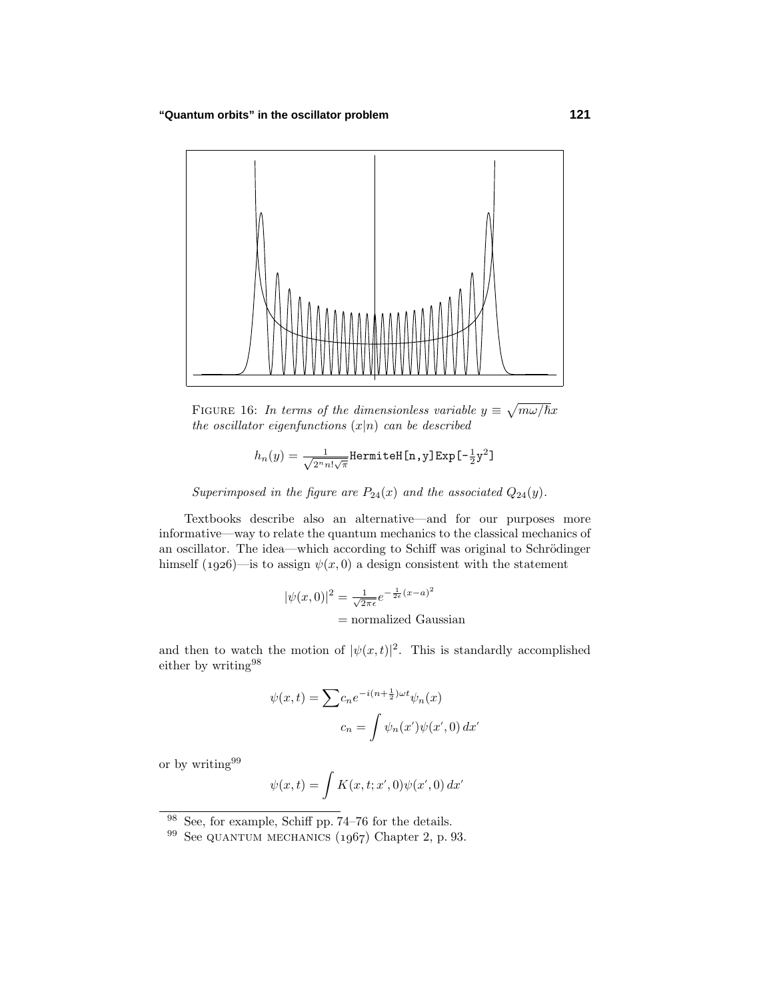

FIGURE 16: In terms of the dimensionless variable  $y \equiv \sqrt{m\omega/\hbar}x$ the oscillator eigenfunctions  $(x|n)$  can be described

$$
h_n(y) = \tfrac{1}{\sqrt{2^n n! \sqrt{\pi}}} \texttt{Hermitel}\{n,y\} \texttt{Exp}\hbox{[-}\tfrac{1}{2} y^2\}
$$

Superimposed in the figure are  $P_{24}(x)$  and the associated  $Q_{24}(y)$ .

Textbooks describe also an alternative—and for our purposes more informative—way to relate the quantum mechanics to the classical mechanics of an oscillator. The idea—which according to Schiff was original to Schrödinger himself (1926)—is to assign  $\psi(x,0)$  a design consistent with the statement

$$
|\psi(x,0)|^2 = \frac{1}{\sqrt{2\pi\epsilon}}e^{-\frac{1}{2\epsilon}(x-a)^2}
$$
  
= normalized Gaussian

and then to watch the motion of  $|\psi(x,t)|^2$ . This is standardly accomplished either by writing<br> $^{98}\,$ 

$$
\psi(x,t) = \sum c_n e^{-i(n+\frac{1}{2})\omega t} \psi_n(x)
$$

$$
c_n = \int \psi_n(x') \psi(x',0) dx'
$$

or by writing<sup>99</sup>

$$
\psi(x,t) = \int K(x,t;x',0)\psi(x',0) dx'
$$

<sup>98</sup> See, for example, Schiff pp. 74–76 for the details.

 $99$  See QUANTUM MECHANICS  $(1967)$  Chapter 2, p. 93.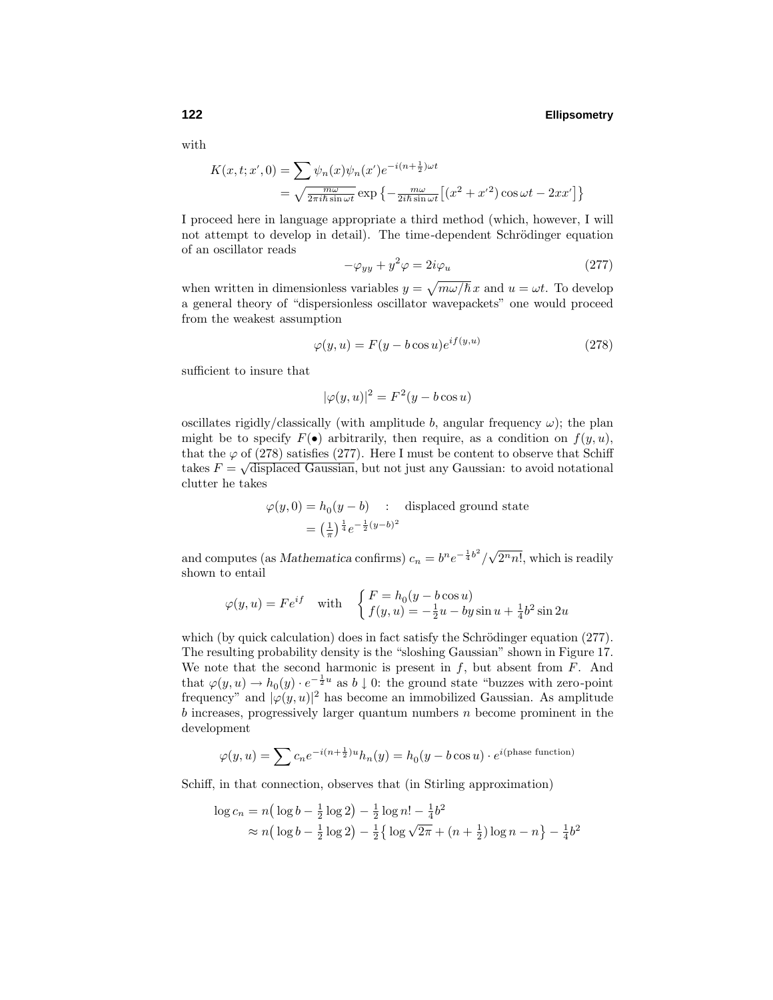with

$$
K(x, t; x', 0) = \sum \psi_n(x)\psi_n(x')e^{-i(n+\frac{1}{2})\omega t}
$$
  
=  $\sqrt{\frac{m\omega}{2\pi i\hbar \sin \omega t}} \exp \left\{-\frac{m\omega}{2i\hbar \sin \omega t} \left[ (x^2 + x'^2) \cos \omega t - 2xx' \right] \right\}$ 

I proceed here in language appropriate a third method (which, however, I will not attempt to develop in detail). The time-dependent Schrödinger equation of an oscillator reads

$$
-\varphi_{yy} + y^2 \varphi = 2i\varphi_u \tag{277}
$$

when written in dimensionless variables  $y = \sqrt{m\omega/\hbar} x$  and  $u = \omega t$ . To develop a general theory of "dispersionless oscillator wavepackets" one would proceed from the weakest assumption

$$
\varphi(y, u) = F(y - b \cos u)e^{if(y, u)}
$$
\n(278)

sufficient to insure that

$$
|\varphi(y, u)|^2 = F^2(y - b \cos u)
$$

oscillates rigidly/classically (with amplitude  $b$ , angular frequency  $\omega$ ); the plan might be to specify  $F(\bullet)$  arbitrarily, then require, as a condition on  $f(y, u)$ , that the  $\varphi$  of (278) satisfies (277). Here I must be content to observe that Schiff takes  $F = \sqrt{\text{displaced Gaussian}}$ , but not just any Gaussian: to avoid notational clutter he takes

$$
\varphi(y,0) = h_0(y-b) \quad : \quad \text{displaced ground state}
$$

$$
= \left(\frac{1}{\pi}\right)^{\frac{1}{4}} e^{-\frac{1}{2}(y-b)^2}
$$

and computes (as *Mathematica* confirms)  $c_n = b^n e^{-\frac{1}{4}b^2}/$  $\sqrt{2^n n!}$ , which is readily shown to entail

$$
\varphi(y, u) = Fe^{if} \quad \text{with} \quad \begin{cases} F = h_0(y - b \cos u) \\ f(y, u) = -\frac{1}{2}u - by \sin u + \frac{1}{4}b^2 \sin 2u \end{cases}
$$

which (by quick calculation) does in fact satisfy the Schrödinger equation  $(277)$ . The resulting probability density is the "sloshing Gaussian" shown in Figure 17. We note that the second harmonic is present in *f*, but absent from *F*. And that  $\varphi(y, u) \to h_0(y) \cdot e^{-\frac{1}{2}u}$  as  $b \downarrow 0$ : the ground state "buzzes with zero-point frequency" and  $|\varphi(y, u)|^2$  has become an immobilized Gaussian. As amplitude *b* increases, progressively larger quantum numbers *n* become prominent in the development

$$
\varphi(y, u) = \sum c_n e^{-i(n + \frac{1}{2})u} h_n(y) = h_0(y - b \cos u) \cdot e^{i(\text{phase function})}
$$

Schiff, in that connection, observes that (in Stirling approximation)

$$
\log c_n = n \left( \log b - \frac{1}{2} \log 2 \right) - \frac{1}{2} \log n! - \frac{1}{4} b^2
$$
  
\n
$$
\approx n \left( \log b - \frac{1}{2} \log 2 \right) - \frac{1}{2} \left\{ \log \sqrt{2\pi} + \left( n + \frac{1}{2} \right) \log n - n \right\} - \frac{1}{4} b^2
$$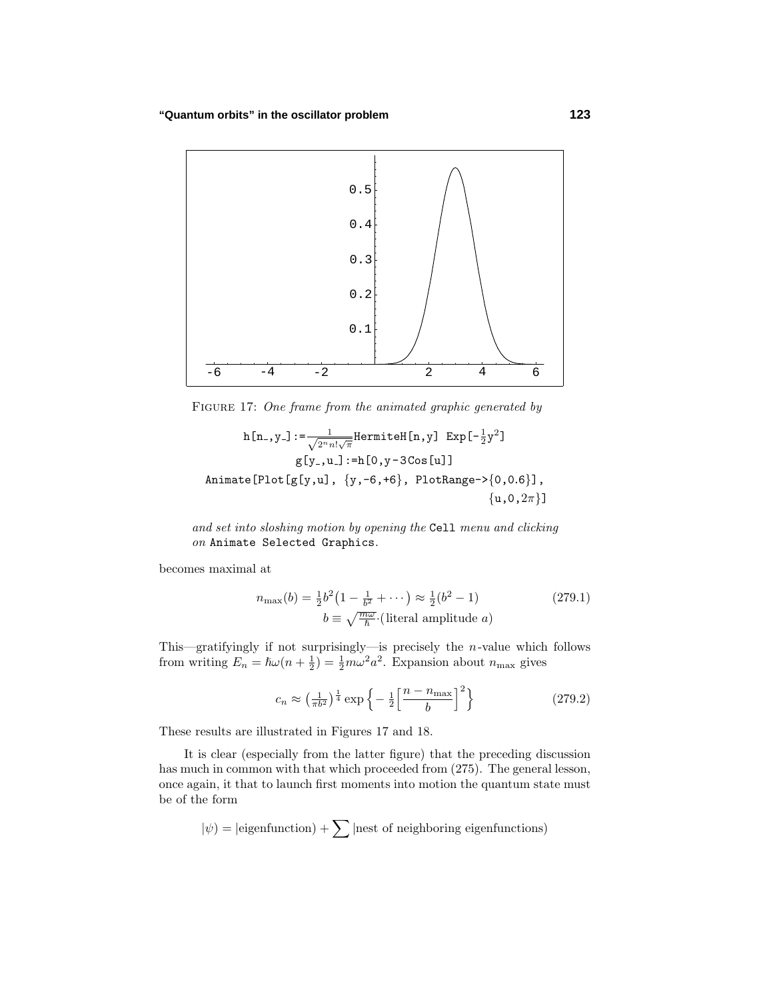

FIGURE 17: One frame from the animated graphic generated by

$$
h[n_-, y_-] := \frac{1}{\sqrt{2^n n! \sqrt{\pi}}} \text{HermiteH}[n, y] \text{ Exp}[-\frac{1}{2}y^2]
$$
\n
$$
g[y_-, u_-] := h[0, y - 3 \text{Cos}[u]]
$$
\n
$$
\text{Animate[Plot[g[y, u], {y, -6, +6}, PlotRange > {0, 0.6}],
$$
\n
$$
{u, 0, 2\pi}
$$

and set into sloshing motion by opening the Cell menu and clicking on Animate Selected Graphics.

becomes maximal at

$$
n_{\max}(b) = \frac{1}{2}b^2\left(1 - \frac{1}{b^2} + \cdots\right) \approx \frac{1}{2}(b^2 - 1)
$$
\n
$$
b \equiv \sqrt{\frac{m\omega}{h}} \cdot \text{(literal amplitude } a)
$$
\n(279.1)

This—gratifyingly if not surprisingly—is precisely the *n*-value which follows from writing  $E_n = \hbar \omega (n + \frac{1}{2}) = \frac{1}{2} m \omega^2 a^2$ . Expansion about  $n_{\text{max}}$  gives

$$
c_n \approx \left(\frac{1}{\pi b^2}\right)^{\frac{1}{4}} \exp\left\{-\frac{1}{2}\left[\frac{n-n_{\text{max}}}{b}\right]^2\right\} \tag{279.2}
$$

These results are illustrated in Figures 17 and 18.

It is clear (especially from the latter figure) that the preceding discussion has much in common with that which proceeded from (275). The general lesson, once again, it that to launch first moments into motion the quantum state must be of the form

$$
|\psi\rangle = |\text{eigenfunction}\rangle + \sum |\text{nest of neighboring eigenfunctions}\rangle
$$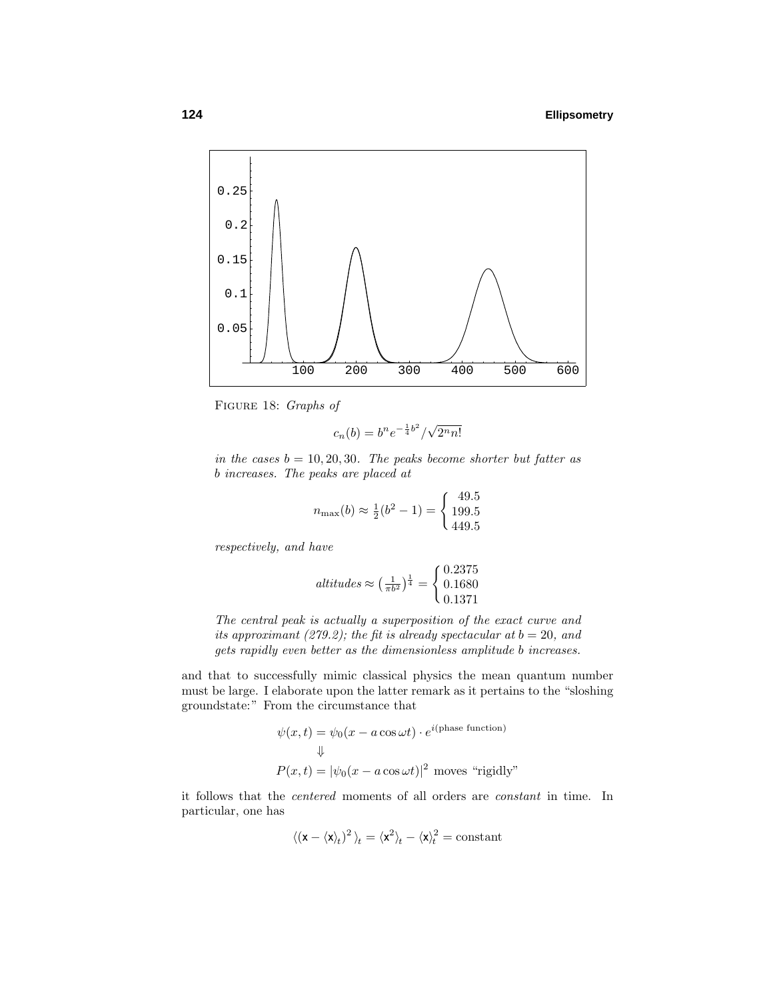

Figure 18: Graphs of

$$
c_n(b) = b^n e^{-\frac{1}{4}b^2} / \sqrt{2^n n!}
$$

in the cases  $b = 10, 20, 30$ . The peaks become shorter but fatter as *b* increases. The peaks are placed at

$$
n_{\text{max}}(b) \approx \frac{1}{2}(b^2 - 1) = \begin{cases} 49.5\\ 199.5\\ 449.5 \end{cases}
$$

respectively, and have

$$
sltitudes \approx \left(\frac{1}{\pi b^2}\right)^{\frac{1}{4}} = \begin{cases} 0.2375 \\ 0.1680 \\ 0.1371 \end{cases}
$$

The central peak is actually a superposition of the exact curve and its approximant (279.2); the fit is already spectacular at  $b = 20$ , and gets rapidly even better as the dimensionless amplitude *b* increases.

and that to successfully mimic classical physics the mean quantum number must be large. I elaborate upon the latter remark as it pertains to the "sloshing groundstate:" From the circumstance that

$$
\psi(x,t) = \psi_0(x - a\cos\omega t) \cdot e^{i(\text{phase function})}
$$

$$
\Downarrow
$$

$$
P(x,t) = |\psi_0(x - a\cos\omega t)|^2 \text{ moves "rigidly"}
$$

it follows that the centered moments of all orders are constant in time. In particular, one has

$$
\langle (\mathbf{x} - \langle \mathbf{x} \rangle_t)^2 \rangle_t = \langle \mathbf{x}^2 \rangle_t - \langle \mathbf{x} \rangle_t^2 = \text{constant}
$$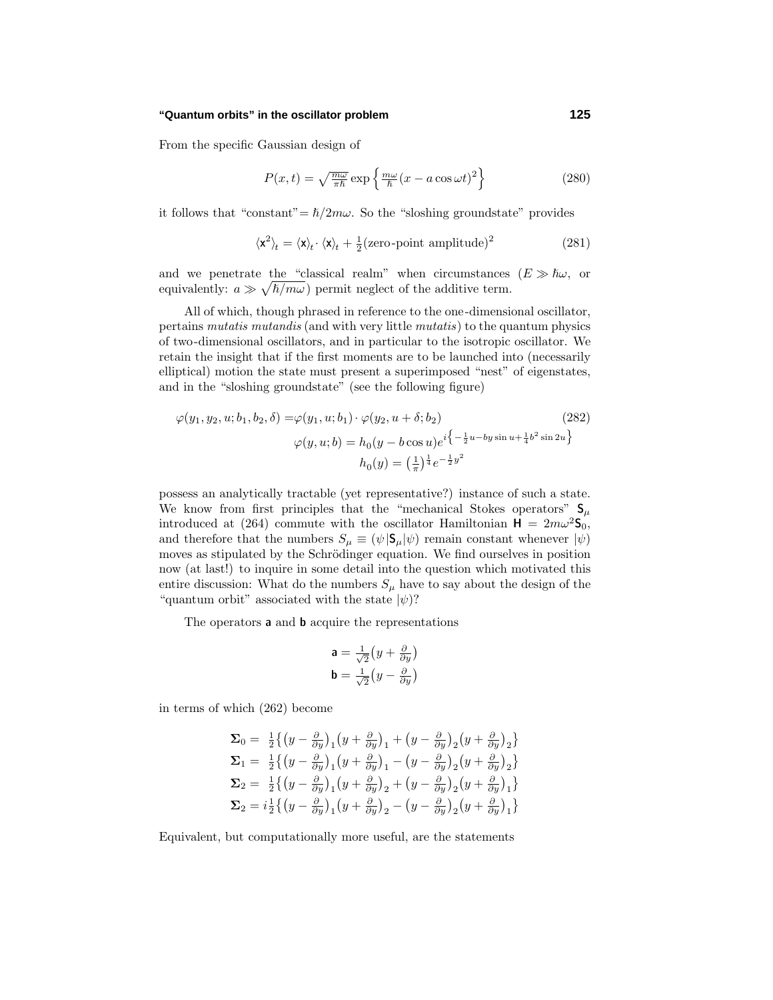From the specific Gaussian design of

$$
P(x,t) = \sqrt{\frac{m\omega}{\pi\hbar}} \exp\left\{\frac{m\omega}{\hbar}(x - a\cos\omega t)^2\right\}
$$
 (280)

it follows that "constant" $= \hbar/2m\omega$ . So the "sloshing groundstate" provides

$$
\langle \mathbf{x}^2 \rangle_t = \langle \mathbf{x} \rangle_t \cdot \langle \mathbf{x} \rangle_t + \frac{1}{2} (\text{zero-point amplitude})^2 \tag{281}
$$

and we penetrate the "classical realm" when circumstances  $(E \gg \hbar \omega)$ , or equivalently:  $a \gg \sqrt{\hbar/m\omega}$  permit neglect of the additive term.

All of which, though phrased in reference to the one-dimensional oscillator, pertains mutatis mutandis (and with very little mutatis) to the quantum physics of two-dimensional oscillators, and in particular to the isotropic oscillator. We retain the insight that if the first moments are to be launched into (necessarily elliptical) motion the state must present a superimposed "nest" of eigenstates, and in the "sloshing groundstate" (see the following figure)

$$
\varphi(y_1, y_2, u; b_1, b_2, \delta) = \varphi(y_1, u; b_1) \cdot \varphi(y_2, u + \delta; b_2)
$$
\n
$$
\varphi(y, u; b) = h_0(y - b \cos u)e^{i\left\{-\frac{1}{2}u - by\sin u + \frac{1}{4}b^2 \sin 2u\right\}}
$$
\n
$$
h_0(y) = \left(\frac{1}{\pi}\right)^{\frac{1}{4}} e^{-\frac{1}{2}y^2}
$$
\n(282)

possess an analytically tractable (yet representative?) instance of such a state. We know from first principles that the "mechanical Stokes operators"  $S_\mu$ introduced at (264) commute with the oscillator Hamiltonian  $H = 2m\omega^2$ **S**<sub>0</sub>, and therefore that the numbers  $S_{\mu} \equiv (\psi | \mathbf{S}_{\mu} | \psi)$  remain constant whenever  $|\psi\rangle$ moves as stipulated by the Schrödinger equation. We find ourselves in position now (at last!) to inquire in some detail into the question which motivated this entire discussion: What do the numbers  $S_\mu$  have to say about the design of the "quantum orbit" associated with the state  $|\psi\rangle$ ?

The operators **a** and **b** acquire the representations

$$
\mathbf{a} = \frac{1}{\sqrt{2}} \left( y + \frac{\partial}{\partial y} \right)
$$

$$
\mathbf{b} = \frac{1}{\sqrt{2}} \left( y - \frac{\partial}{\partial y} \right)
$$

in terms of which (262) become

$$
\Sigma_0 = \frac{1}{2} \left\{ \left( y - \frac{\partial}{\partial y} \right)_1 \left( y + \frac{\partial}{\partial y} \right)_1 + \left( y - \frac{\partial}{\partial y} \right)_2 \left( y + \frac{\partial}{\partial y} \right)_2 \right\}
$$
\n
$$
\Sigma_1 = \frac{1}{2} \left\{ \left( y - \frac{\partial}{\partial y} \right)_1 \left( y + \frac{\partial}{\partial y} \right)_1 - \left( y - \frac{\partial}{\partial y} \right)_2 \left( y + \frac{\partial}{\partial y} \right)_2 \right\}
$$
\n
$$
\Sigma_2 = \frac{1}{2} \left\{ \left( y - \frac{\partial}{\partial y} \right)_1 \left( y + \frac{\partial}{\partial y} \right)_2 + \left( y - \frac{\partial}{\partial y} \right)_2 \left( y + \frac{\partial}{\partial y} \right)_1 \right\}
$$
\n
$$
\Sigma_2 = i \frac{1}{2} \left\{ \left( y - \frac{\partial}{\partial y} \right)_1 \left( y + \frac{\partial}{\partial y} \right)_2 - \left( y - \frac{\partial}{\partial y} \right)_2 \left( y + \frac{\partial}{\partial y} \right)_1 \right\}
$$

Equivalent, but computationally more useful, are the statements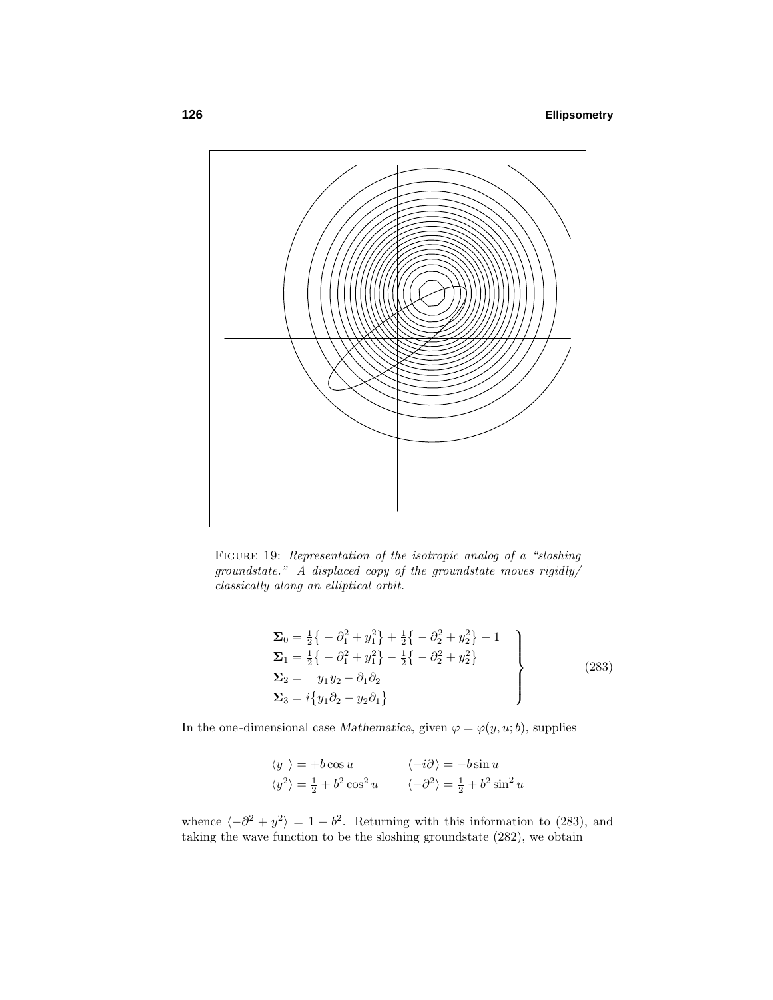

Figure 19: Representation of the isotropic analog of a "sloshing groundstate." A displaced copy of the groundstate moves rigidly/ classically along an elliptical orbit.

$$
\Sigma_0 = \frac{1}{2} \{ -\partial_1^2 + y_1^2 \} + \frac{1}{2} \{ -\partial_2^2 + y_2^2 \} - 1 \n\Sigma_1 = \frac{1}{2} \{ -\partial_1^2 + y_1^2 \} - \frac{1}{2} \{ -\partial_2^2 + y_2^2 \} \n\Sigma_2 = y_1 y_2 - \partial_1 \partial_2 \n\Sigma_3 = i \{ y_1 \partial_2 - y_2 \partial_1 \}
$$
\n(283)

In the one-dimensional case *Mathematica*, given  $\varphi = \varphi(y, u; b)$ , supplies

$$
\langle y \rangle = +b \cos u \qquad \langle -i\partial \rangle = -b \sin u
$$
  

$$
\langle y^2 \rangle = \frac{1}{2} + b^2 \cos^2 u \qquad \langle -\partial^2 \rangle = \frac{1}{2} + b^2 \sin^2 u
$$

whence  $\langle -\partial^2 + y^2 \rangle = 1 + b^2$ . Returning with this information to (283), and taking the wave function to be the sloshing groundstate (282), we obtain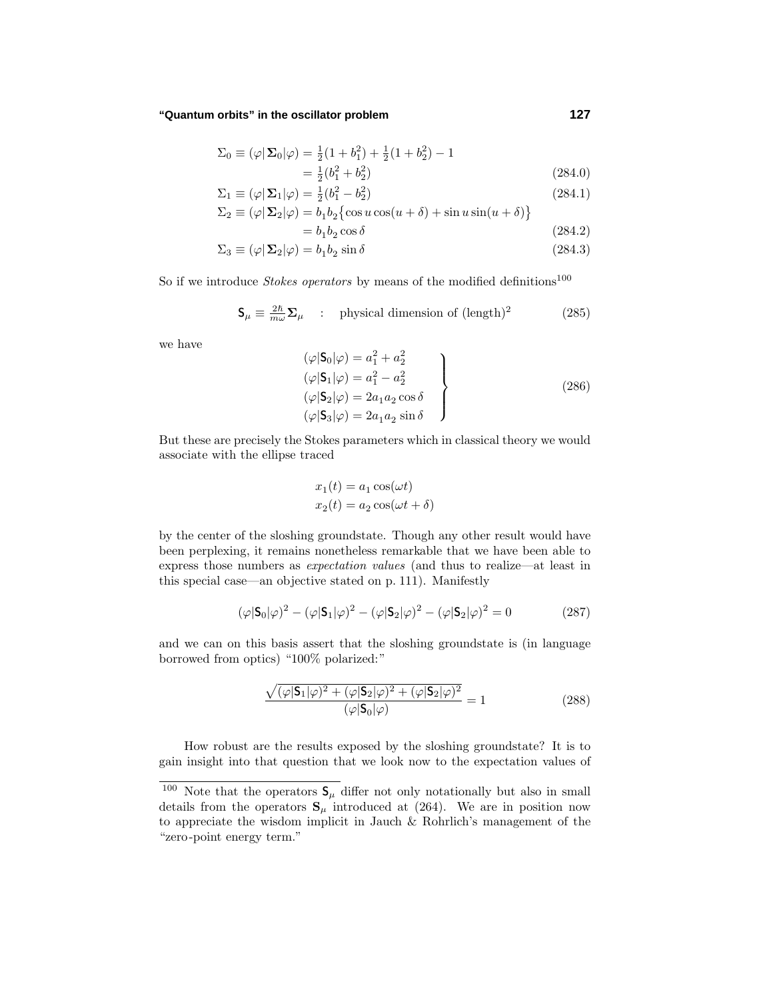$$
\Sigma_0 \equiv (\varphi | \mathbf{\Sigma}_0 | \varphi) = \frac{1}{2} (1 + b_1^2) + \frac{1}{2} (1 + b_2^2) - 1
$$
  
=  $\frac{1}{2} (b_1^2 + b_2^2)$  (284.0)

$$
= \frac{1}{2}(b_1^2 + b_2^2)
$$
\n
$$
\Sigma_1 \equiv (\varphi | \Sigma_1 | \varphi) = \frac{1}{2}(b_1^2 - b_2^2)
$$
\n(284.0)\n(284.1)

$$
\Sigma_2 \equiv (\varphi | \mathbf{\Sigma}_2 | \varphi) = b_1 b_2 \{ \cos u \cos(u + \delta) + \sin u \sin(u + \delta) \}
$$

$$
=b_1b_2\cos\delta\tag{284.2}
$$

$$
\Sigma_3 \equiv (\varphi | \mathbf{\Sigma}_2 | \varphi) = b_1 b_2 \sin \delta \tag{284.3}
$$

So if we introduce *Stokes operators* by means of the modified definitions<sup>100</sup>

$$
\mathbf{S}_{\mu} \equiv \frac{2\hbar}{m\omega} \mathbf{\Sigma}_{\mu} \quad : \quad \text{physical dimension of } (\text{length})^2 \tag{285}
$$

we have

$$
(\varphi|\mathbf{S}_0|\varphi) = a_1^2 + a_2^2
$$
  
\n
$$
(\varphi|\mathbf{S}_1|\varphi) = a_1^2 - a_2^2
$$
  
\n
$$
(\varphi|\mathbf{S}_2|\varphi) = 2a_1a_2\cos\delta
$$
  
\n
$$
(\varphi|\mathbf{S}_3|\varphi) = 2a_1a_2\sin\delta
$$
\n(286)

But these are precisely the Stokes parameters which in classical theory we would associate with the ellipse traced

$$
x_1(t) = a_1 \cos(\omega t)
$$
  

$$
x_2(t) = a_2 \cos(\omega t + \delta)
$$

by the center of the sloshing groundstate. Though any other result would have been perplexing, it remains nonetheless remarkable that we have been able to express those numbers as expectation values (and thus to realize—at least in this special case—an objective stated on p. 111). Manifestly

$$
(\varphi | \mathbf{S}_0 | \varphi)^2 - (\varphi | \mathbf{S}_1 | \varphi)^2 - (\varphi | \mathbf{S}_2 | \varphi)^2 - (\varphi | \mathbf{S}_2 | \varphi)^2 = 0
$$
 (287)

and we can on this basis assert that the sloshing groundstate is (in language borrowed from optics) "100% polarized:"

$$
\frac{\sqrt{(\varphi|\mathbf{S}_1|\varphi)^2 + (\varphi|\mathbf{S}_2|\varphi)^2 + (\varphi|\mathbf{S}_2|\varphi)^2}}{(\varphi|\mathbf{S}_0|\varphi)} = 1
$$
\n(288)

How robust are the results exposed by the sloshing groundstate? It is to gain insight into that question that we look now to the expectation values of

<sup>&</sup>lt;sup>100</sup> Note that the operators  $S_\mu$  differ not only notationally but also in small details from the operators  $S_\mu$  introduced at (264). We are in position now to appreciate the wisdom implicit in Jauch & Rohrlich's management of the "zero-point energy term."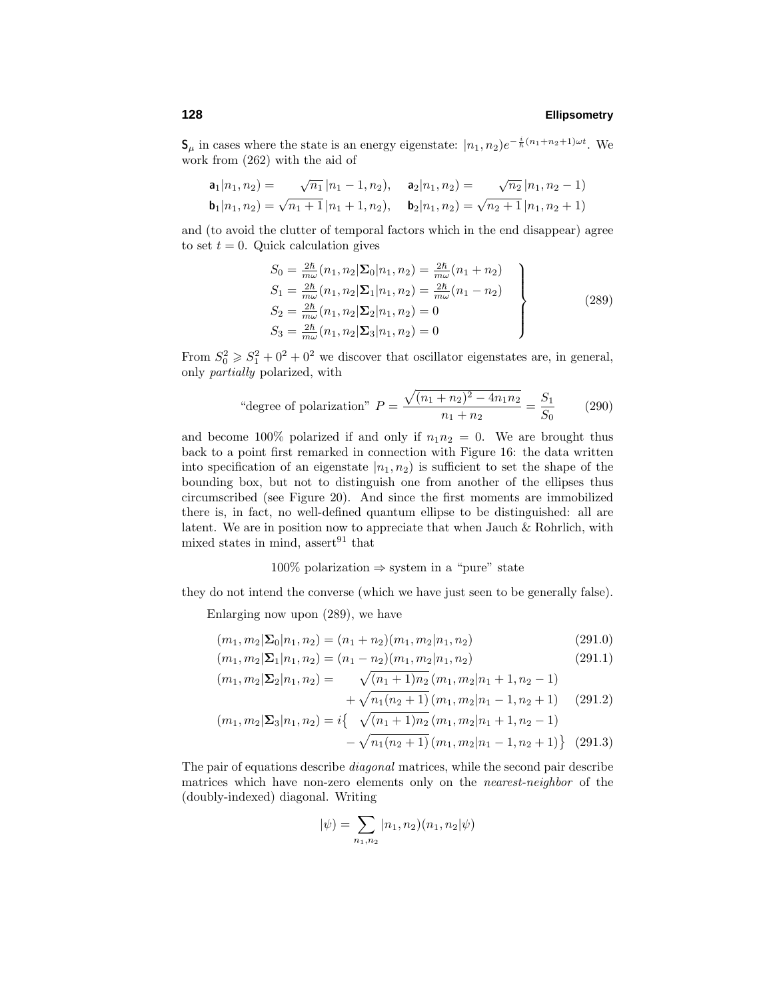**S**<sub>*μ*</sub> in cases where the state is an energy eigenstate:  $|n_1, n_2|e^{-\frac{i}{\hbar}(n_1+n_2+1)\omega t}$ . We work from (262) with the aid of

$$
\mathbf{a}_1|n_1, n_2) = \sqrt{n_1} |n_1 - 1, n_2\rangle, \quad \mathbf{a}_2|n_1, n_2) = \sqrt{n_2} |n_1, n_2 - 1\rangle
$$
  
\n
$$
\mathbf{b}_1|n_1, n_2) = \sqrt{n_1 + 1} |n_1 + 1, n_2\rangle, \quad \mathbf{b}_2|n_1, n_2) = \sqrt{n_2 + 1} |n_1, n_2 + 1\rangle
$$

and (to avoid the clutter of temporal factors which in the end disappear) agree to set  $t = 0$ . Quick calculation gives

$$
S_0 = \frac{2\hbar}{m\omega} (n_1, n_2 | \Sigma_0 | n_1, n_2) = \frac{2\hbar}{m\omega} (n_1 + n_2)
$$
  
\n
$$
S_1 = \frac{2\hbar}{m\omega} (n_1, n_2 | \Sigma_1 | n_1, n_2) = \frac{2\hbar}{m\omega} (n_1 - n_2)
$$
  
\n
$$
S_2 = \frac{2\hbar}{m\omega} (n_1, n_2 | \Sigma_2 | n_1, n_2) = 0
$$
  
\n
$$
S_3 = \frac{2\hbar}{m\omega} (n_1, n_2 | \Sigma_3 | n_1, n_2) = 0
$$
\n(289)

From  $S_0^2 \geq S_1^2 + 0^2 + 0^2$  we discover that oscillator eigenstates are, in general, only partially polarized, with

"degree of polarization" 
$$
P = \frac{\sqrt{(n_1 + n_2)^2 - 4n_1n_2}}{n_1 + n_2} = \frac{S_1}{S_0}
$$
 (290)

and become 100% polarized if and only if  $n_1n_2 = 0$ . We are brought thus back to a point first remarked in connection with Figure 16: the data written into specification of an eigenstate  $|n_1, n_2\rangle$  is sufficient to set the shape of the bounding box, but not to distinguish one from another of the ellipses thus circumscribed (see Figure 20). And since the first moments are immobilized there is, in fact, no well-defined quantum ellipse to be distinguished: all are latent. We are in position now to appreciate that when Jauch & Rohrlich, with mixed states in mind, assert $^{91}$  that

### $100\%$  polarization  $\Rightarrow$  system in a "pure" state

they do not intend the converse (which we have just seen to be generally false).

Enlarging now upon (289), we have

$$
(m_1, m_2 | \Sigma_0 | n_1, n_2) = (n_1 + n_2)(m_1, m_2 | n_1, n_2)
$$
\n(291.0)

$$
(m_1, m_2) \Sigma_1 | n_1, n_2) = (n_1 - n_2)(m_1, m_2 | n_1, n_2)
$$
\n(291.1)

$$
(m_1, m_2 | \mathbf{\Sigma}_2 | n_1, n_2) = \sqrt{(n_1 + 1)n_2} (m_1, m_2 | n_1 + 1, n_2 - 1)
$$

$$
+\sqrt{n_1(n_2+1)}(m_1, m_2|n_1-1, n_2+1) \quad (291.2)
$$

$$
(m_1, m_2 | \Sigma_3 | n_1, n_2) = i \{ \sqrt{(n_1 + 1)n_2} (m_1, m_2 | n_1 + 1, n_2 - 1) - \sqrt{n_1(n_2 + 1)} (m_1, m_2 | n_1 - 1, n_2 + 1) \} (291.3)
$$

The pair of equations describe diagonal matrices, while the second pair describe matrices which have non-zero elements only on the nearest-neighbor of the (doubly-indexed) diagonal. Writing

$$
|\psi) = \sum_{n_1, n_2} |n_1, n_2)(n_1, n_2|\psi)
$$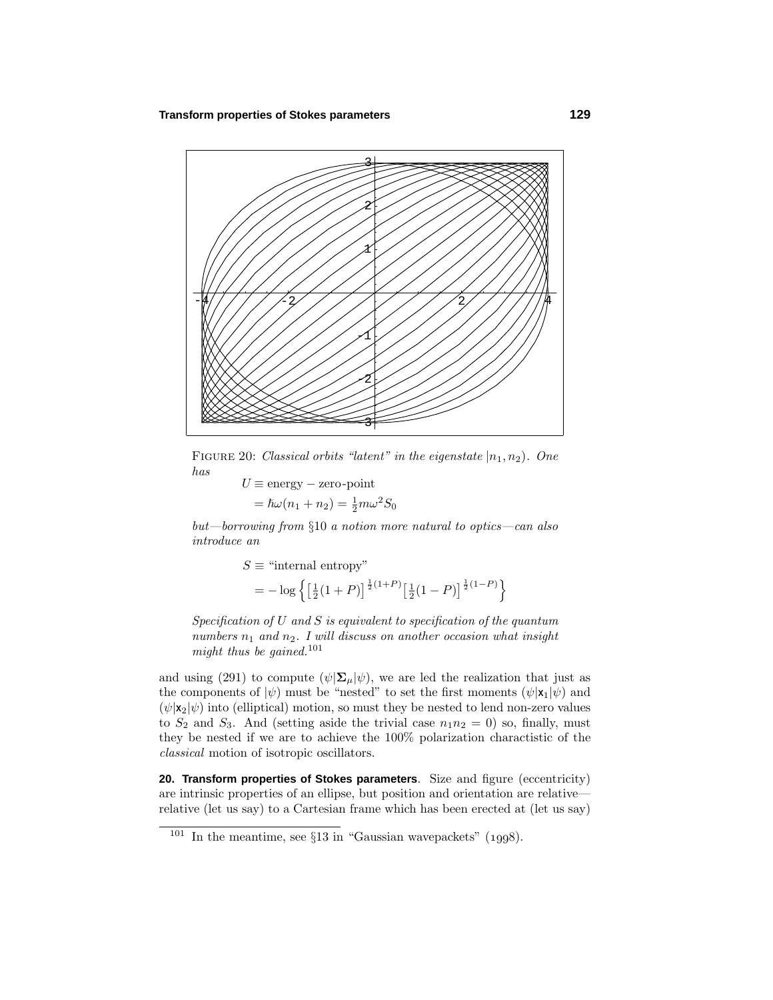

FIGURE 20: Classical orbits "latent" in the eigenstate  $|n_1, n_2|$ . One has

 $U \equiv$  energy – zero-point  $= \hslash \omega(n_1 + n_2) = \frac{1}{2} m \omega^2 S_0$ 

but—borrowing from §10 a notion more natural to optics—can also introduce an

$$
S \equiv \text{``internal entropy''}
$$
  
=  $-\log \left\{ \left[ \frac{1}{2} (1+P) \right]^{\frac{1}{2} (1+P)} \left[ \frac{1}{2} (1-P) \right]^{\frac{1}{2} (1-P)} \right\}$ 

Specification of *U* and *S* is equivalent to specification of the quantum numbers  $n_1$  and  $n_2$ . I will discuss on another occasion what insight might thus be gained.<sup>101</sup>

and using (291) to compute  $(\psi | \Sigma_{\mu} | \psi)$ , we are led the realization that just as the components of  $|\psi\rangle$  must be "nested" to set the first moments  $(\psi|\mathbf{x}_1|\psi)$  and  $(\psi | \mathbf{x}_2 | \psi)$  into (elliptical) motion, so must they be nested to lend non-zero values to  $S_2$  and  $S_3$ . And (setting aside the trivial case  $n_1n_2 = 0$ ) so, finally, must they be nested if we are to achieve the 100% polarization charactistic of the classical motion of isotropic oscillators.

**20. Transform properties of Stokes parameters**. Size and figure (eccentricity) are intrinsic properties of an ellipse, but position and orientation are relative relative (let us say) to a Cartesian frame which has been erected at (let us say)

 $101$  In the meantime, see  $\S 13$  in "Gaussian wavepackets" (1998).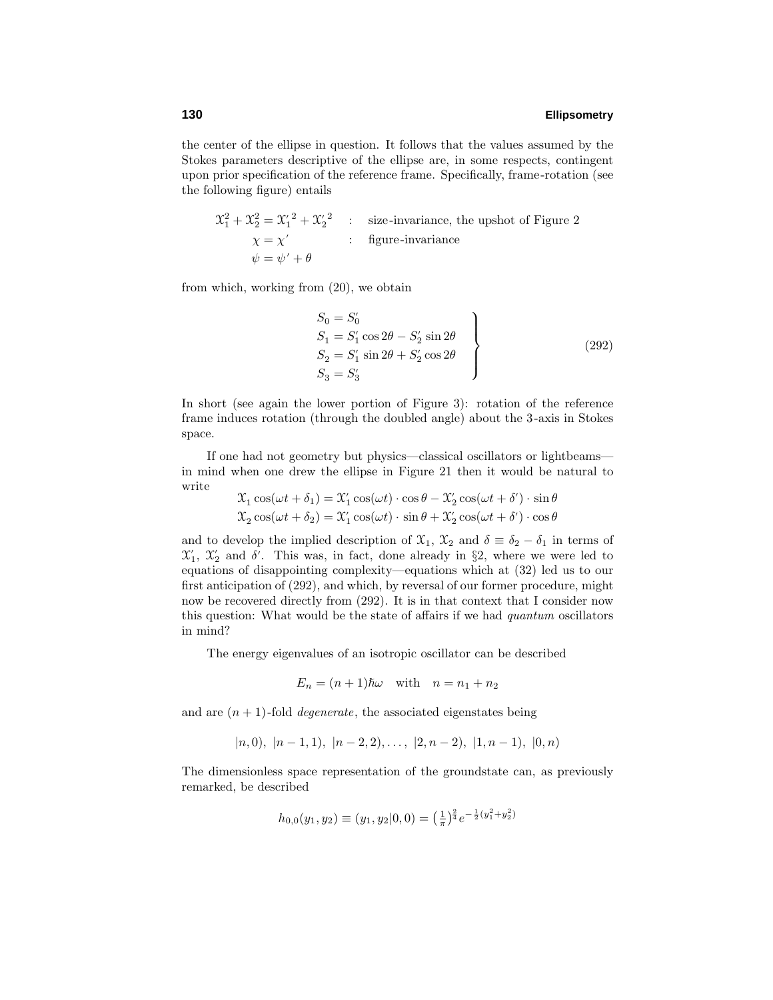the center of the ellipse in question. It follows that the values assumed by the Stokes parameters descriptive of the ellipse are, in some respects, contingent upon prior specification of the reference frame. Specifically, frame-rotation (see the following figure) entails

$$
\mathcal{X}_1^2 + \mathcal{X}_2^2 = \mathcal{X}_1'^2 + \mathcal{X}_2'^2 \qquad \text{isize-invariance, the upshot of Figure 2}
$$
\n
$$
\chi = \chi' \qquad \qquad \text{figure-invariance}
$$
\n
$$
\psi = \psi' + \theta
$$

from which, working from (20), we obtain

$$
S_0 = S'_0
$$
  
\n
$$
S_1 = S'_1 \cos 2\theta - S'_2 \sin 2\theta
$$
  
\n
$$
S_2 = S'_1 \sin 2\theta + S'_2 \cos 2\theta
$$
  
\n
$$
S_3 = S'_3
$$
\n(292)

In short (see again the lower portion of Figure 3): rotation of the reference frame induces rotation (through the doubled angle) about the 3-axis in Stokes space.

If one had not geometry but physics—classical oscillators or lightbeams in mind when one drew the ellipse in Figure 21 then it would be natural to write

$$
\mathcal{X}_1 \cos(\omega t + \delta_1) = \mathcal{X}_1' \cos(\omega t) \cdot \cos \theta - \mathcal{X}_2' \cos(\omega t + \delta') \cdot \sin \theta
$$
  

$$
\mathcal{X}_2 \cos(\omega t + \delta_2) = \mathcal{X}_1' \cos(\omega t) \cdot \sin \theta + \mathcal{X}_2' \cos(\omega t + \delta') \cdot \cos \theta
$$

and to develop the implied description of  $\mathfrak{X}_1$ ,  $\mathfrak{X}_2$  and  $\delta \equiv \delta_2 - \delta_1$  in terms of  $\mathcal{X}'_1$ ,  $\mathcal{X}'_2$  and  $\delta'$ . This was, in fact, done already in §2, where we were led to equations of disappointing complexity—equations which at (32) led us to our first anticipation of (292), and which, by reversal of our former procedure, might now be recovered directly from  $(292)$ . It is in that context that I consider now this question: What would be the state of affairs if we had quantum oscillators in mind?

The energy eigenvalues of an isotropic oscillator can be described

$$
E_n = (n+1)\hbar\omega \quad \text{with} \quad n = n_1 + n_2
$$

and are  $(n+1)$ -fold *degenerate*, the associated eigenstates being

$$
|n,0), |n-1,1), |n-2,2), \ldots, |2,n-2), |1,n-1), |0,n)
$$

The dimensionless space representation of the groundstate can, as previously remarked, be described

$$
h_{0,0}(y_1, y_2) \equiv (y_1, y_2 | 0, 0) = \left(\frac{1}{\pi}\right)^{\frac{2}{4}} e^{-\frac{1}{2}(y_1^2 + y_2^2)}
$$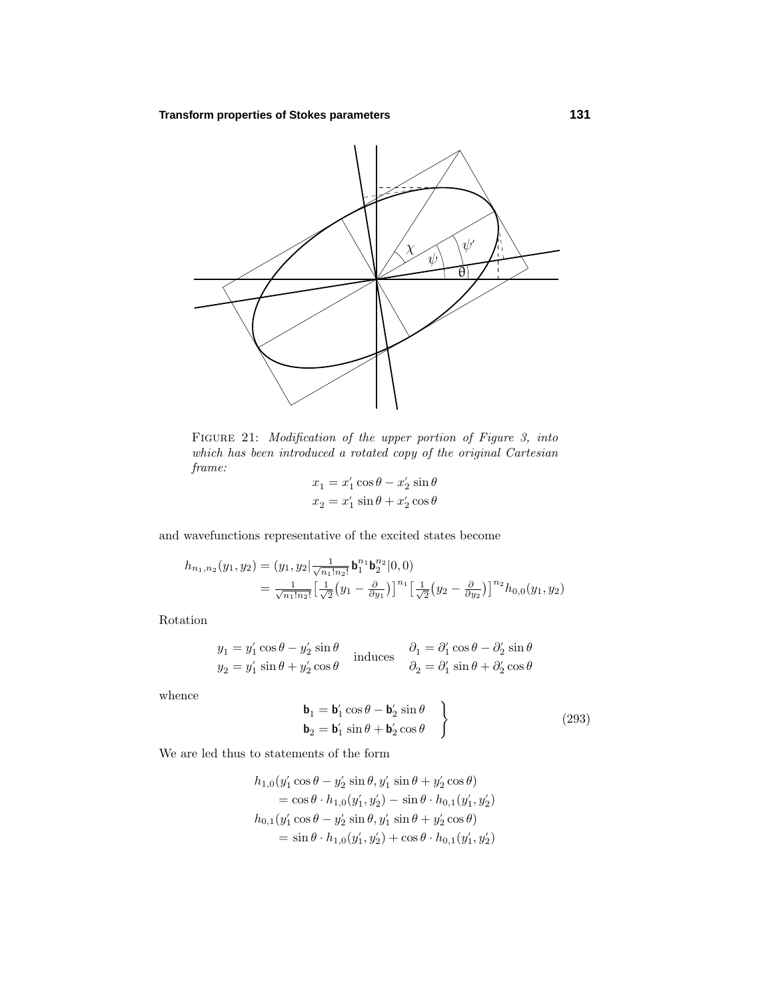

FIGURE 21: Modification of the upper portion of Figure 3, into which has been introduced a rotated copy of the original Cartesian frame:

$$
x_1 = x'_1 \cos \theta - x'_2 \sin \theta
$$
  

$$
x_2 = x'_1 \sin \theta + x'_2 \cos \theta
$$

and wavefunctions representative of the excited states become

$$
h_{n_1,n_2}(y_1,y_2) = (y_1, y_2 | \frac{1}{\sqrt{n_1! n_2!}} \mathbf{b}_1^{n_1} \mathbf{b}_2^{n_2} |0,0)
$$
  
= 
$$
\frac{1}{\sqrt{n_1! n_2!}} \left[ \frac{1}{\sqrt{2}} (y_1 - \frac{\partial}{\partial y_1}) \right]^{n_1} \left[ \frac{1}{\sqrt{2}} (y_2 - \frac{\partial}{\partial y_2}) \right]^{n_2} h_{0,0}(y_1, y_2)
$$

Rotation

$$
y_1 = y'_1 \cos \theta - y'_2 \sin \theta
$$
  
\n
$$
y_2 = y'_1 \sin \theta + y'_2 \cos \theta
$$
 induces  $\begin{aligned} \partial_1 &= \partial'_1 \cos \theta - \partial'_2 \sin \theta \\ \partial_2 &= \partial'_1 \sin \theta + \partial'_2 \cos \theta \end{aligned}$ 

whence

$$
\begin{aligned}\n\mathbf{b}_1 &= \mathbf{b}'_1 \cos \theta - \mathbf{b}'_2 \sin \theta \\
\mathbf{b}_2 &= \mathbf{b}'_1 \sin \theta + \mathbf{b}'_2 \cos \theta\n\end{aligned}
$$
\n(293)

We are led thus to statements of the form

$$
h_{1,0}(y'_1 \cos \theta - y'_2 \sin \theta, y'_1 \sin \theta + y'_2 \cos \theta)
$$
  
=  $\cos \theta \cdot h_{1,0}(y'_1, y'_2) - \sin \theta \cdot h_{0,1}(y'_1, y'_2)$   

$$
h_{0,1}(y'_1 \cos \theta - y'_2 \sin \theta, y'_1 \sin \theta + y'_2 \cos \theta)
$$
  
=  $\sin \theta \cdot h_{1,0}(y'_1, y'_2) + \cos \theta \cdot h_{0,1}(y'_1, y'_2)$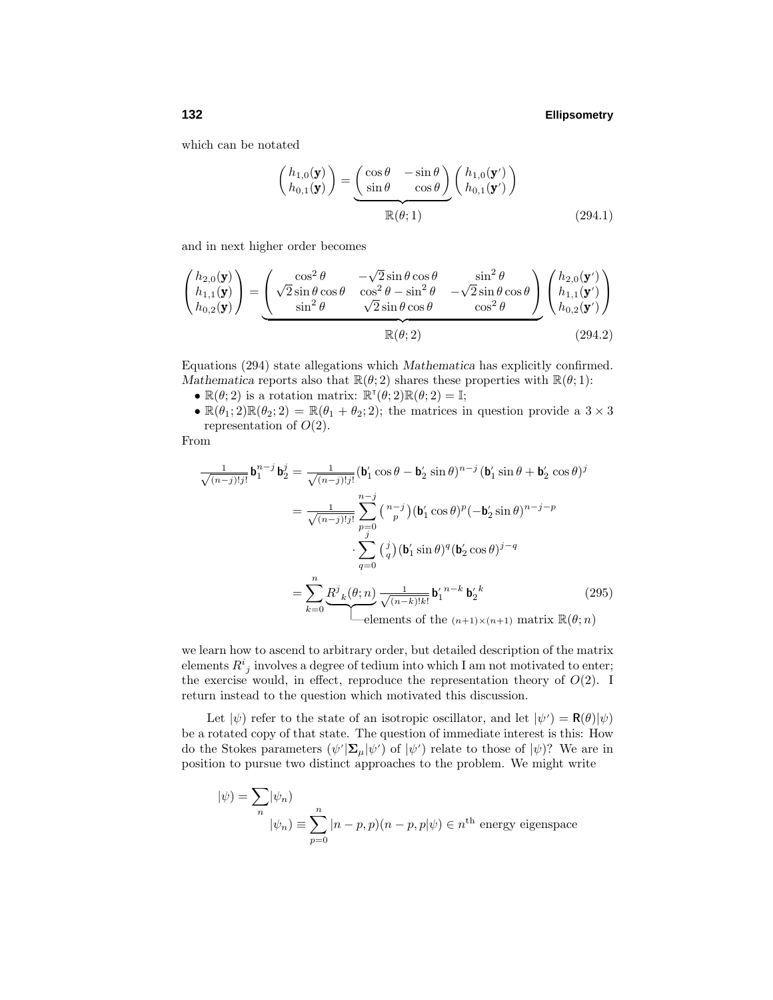which can be notated

$$
\begin{pmatrix} h_{1,0}(\mathbf{y}) \\ h_{0,1}(\mathbf{y}) \end{pmatrix} = \underbrace{\begin{pmatrix} \cos \theta & -\sin \theta \\ \sin \theta & \cos \theta \end{pmatrix}}_{\mathbb{R}(\theta;1)} \begin{pmatrix} h_{1,0}(\mathbf{y}') \\ h_{0,1}(\mathbf{y}') \end{pmatrix}
$$
\n(294.1)

and in next higher order becomes

$$
\begin{pmatrix} h_{2,0}(\mathbf{y}) \\ h_{1,1}(\mathbf{y}) \\ h_{0,2}(\mathbf{y}) \end{pmatrix} = \underbrace{\begin{pmatrix} \cos^2 \theta & -\sqrt{2} \sin \theta \cos \theta & \sin^2 \theta \\ \sqrt{2} \sin \theta \cos \theta & \cos^2 \theta - \sin^2 \theta & -\sqrt{2} \sin \theta \cos \theta \end{pmatrix}}_{\mathbb{R}(\theta; 2)} \begin{pmatrix} h_{2,0}(\mathbf{y}') \\ h_{1,1}(\mathbf{y}') \\ h_{0,2}(\mathbf{y}') \end{pmatrix}
$$
\n
$$
\mathbb{R}(\theta; 2) \tag{294.2}
$$

Equations (294) state allegations which *Mathematica* has explicitly confirmed. *Mathematica* reports also that  $\mathbb{R}(\theta; 2)$  shares these properties with  $\mathbb{R}(\theta; 1)$ :

- $\mathbb{R}(\theta; 2)$  is a rotation matrix:  $\mathbb{R}^{\mathsf{T}}(\theta; 2)\mathbb{R}(\theta; 2) = \mathbb{I};$
- $\mathbb{R}(\theta_1; 2)\mathbb{R}(\theta_2; 2) = \mathbb{R}(\theta_1 + \theta_2; 2)$ ; the matrices in question provide a  $3 \times 3$ representation of *O*(2).

From

$$
\frac{1}{\sqrt{(n-j)!j!}} \mathbf{b}_{1}^{n-j} \mathbf{b}_{2}^{j} = \frac{1}{\sqrt{(n-j)!j!}} (\mathbf{b}_{1}' \cos \theta - \mathbf{b}_{2}' \sin \theta)^{n-j} (\mathbf{b}_{1}' \sin \theta + \mathbf{b}_{2}' \cos \theta)^{j}
$$

$$
= \frac{1}{\sqrt{(n-j)!j!}} \sum_{p=0}^{n-j} {n-j \choose p} (\mathbf{b}_{1}' \cos \theta)^{p} (-\mathbf{b}_{2}' \sin \theta)^{n-j-p}
$$

$$
\cdot \sum_{q=0}^{j} {j \choose q} (\mathbf{b}_{1}' \sin \theta)^{q} (\mathbf{b}_{2}' \cos \theta)^{j-q}
$$

$$
= \sum_{k=0}^{n} \underbrace{R^{j}{}_{k}(\theta; n)}_{\text{elements of the } (n+1) \times (n+1)} \underbrace{\mathbf{b}_{2}^{n-k}}_{\text{numbers of the } (n+1) \times (n+1)} \text{ matrix } \mathbb{R}(\theta; n)
$$
(295)

we learn how to ascend to arbitrary order, but detailed description of the matrix elements  $R^i_{\ j}$  involves a degree of tedium into which I am not motivated to enter; the exercise would, in effect, reproduce the representation theory of  $O(2)$ . I return instead to the question which motivated this discussion.

Let  $|\psi\rangle$  refer to the state of an isotropic oscillator, and let  $|\psi\rangle = \mathbf{R}(\theta)|\psi\rangle$ be a rotated copy of that state. The question of immediate interest is this: How do the Stokes parameters  $(\psi' | \mathbf{\Sigma}_{\mu} | \psi')$  of  $|\psi' \rangle$  relate to those of  $|\psi \rangle$ ? We are in position to pursue two distinct approaches to the problem. We might write

$$
|\psi\rangle = \sum_{n} |\psi_n\rangle
$$
  

$$
|\psi_n\rangle = \sum_{p=0}^{n} |n-p, p\rangle (n-p, p|\psi\rangle \in n^{\text{th}} \text{ energy eigenspace}
$$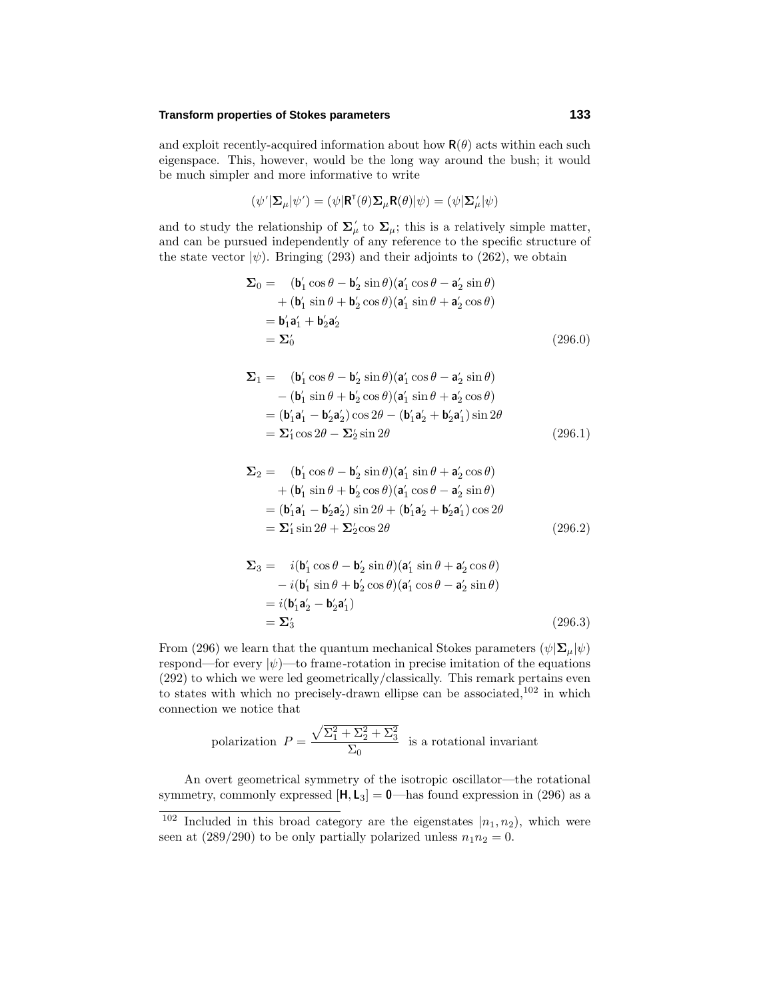# **Transform properties of Stokes parameters 133**

and exploit recently-acquired information about how  $\mathbf{R}(\theta)$  acts within each such eigenspace. This, however, would be the long way around the bush; it would be much simpler and more informative to write

$$
(\psi' | \mathbf{\Sigma}_{\mu} | \psi') = (\psi | \mathbf{R}^{\mathsf{T}}(\theta) \mathbf{\Sigma}_{\mu} \mathbf{R}(\theta) | \psi) = (\psi | \mathbf{\Sigma}_{\mu} | \psi)
$$

and to study the relationship of  $\Sigma^{\prime}_{\mu}$  to  $\Sigma_{\mu}$ ; this is a relatively simple matter, and can be pursued independently of any reference to the specific structure of the state vector  $|\psi\rangle$ . Bringing (293) and their adjoints to (262), we obtain

$$
\Sigma_0 = (\mathbf{b}'_1 \cos \theta - \mathbf{b}'_2 \sin \theta)(\mathbf{a}'_1 \cos \theta - \mathbf{a}'_2 \sin \theta)
$$
  
+ (\mathbf{b}'\_1 \sin \theta + \mathbf{b}'\_2 \cos \theta)(\mathbf{a}'\_1 \sin \theta + \mathbf{a}'\_2 \cos \theta)  
= \mathbf{b}'\_1 \mathbf{a}'\_1 + \mathbf{b}'\_2 \mathbf{a}'\_2  
= \Sigma'\_0 (296.0)

$$
\Sigma_1 = (\mathbf{b}'_1 \cos \theta - \mathbf{b}'_2 \sin \theta)(\mathbf{a}'_1 \cos \theta - \mathbf{a}'_2 \sin \theta)
$$
  
–  $(\mathbf{b}'_1 \sin \theta + \mathbf{b}'_2 \cos \theta)(\mathbf{a}'_1 \sin \theta + \mathbf{a}'_2 \cos \theta)$   
=  $(\mathbf{b}'_1 \mathbf{a}'_1 - \mathbf{b}'_2 \mathbf{a}'_2) \cos 2\theta - (\mathbf{b}'_1 \mathbf{a}'_2 + \mathbf{b}'_2 \mathbf{a}'_1) \sin 2\theta$   
=  $\Sigma_1' \cos 2\theta - \Sigma_2' \sin 2\theta$  (296.1)

$$
\Sigma_2 = (\mathbf{b}'_1 \cos \theta - \mathbf{b}'_2 \sin \theta)(\mathbf{a}'_1 \sin \theta + \mathbf{a}'_2 \cos \theta)
$$
  
+  $(\mathbf{b}'_1 \sin \theta + \mathbf{b}'_2 \cos \theta)(\mathbf{a}'_1 \cos \theta - \mathbf{a}'_2 \sin \theta)$   
=  $(\mathbf{b}'_1 \mathbf{a}'_1 - \mathbf{b}'_2 \mathbf{a}'_2) \sin 2\theta + (\mathbf{b}'_1 \mathbf{a}'_2 + \mathbf{b}'_2 \mathbf{a}'_1) \cos 2\theta$   
=  $\Sigma'_1 \sin 2\theta + \Sigma'_2 \cos 2\theta$  (296.2)

$$
\Sigma_3 = i(\mathbf{b}'_1 \cos \theta - \mathbf{b}'_2 \sin \theta)(\mathbf{a}'_1 \sin \theta + \mathbf{a}'_2 \cos \theta)
$$
  
\n
$$
- i(\mathbf{b}'_1 \sin \theta + \mathbf{b}'_2 \cos \theta)(\mathbf{a}'_1 \cos \theta - \mathbf{a}'_2 \sin \theta)
$$
  
\n
$$
= i(\mathbf{b}'_1 \mathbf{a}'_2 - \mathbf{b}'_2 \mathbf{a}'_1)
$$
  
\n
$$
= \Sigma'_3
$$
 (296.3)

From (296) we learn that the quantum mechanical Stokes parameters  $(\psi | \mathbf{\Sigma}_{\mu} | \psi)$ respond—for every  $|\psi\rangle$ —to frame-rotation in precise imitation of the equations (292) to which we were led geometrically/classically. This remark pertains even to states with which no precisely-drawn ellipse can be associated,<sup>102</sup> in which connection we notice that

polarization 
$$
P = \frac{\sqrt{\Sigma_1^2 + \Sigma_2^2 + \Sigma_3^2}}{\Sigma_0}
$$
 is a rotational invariant

An overt geometrical symmetry of the isotropic oscillator—the rotational symmetry, commonly expressed  $[H, L_3] = 0$ —has found expression in (296) as a

<sup>&</sup>lt;sup>102</sup> Included in this broad category are the eigenstates  $|n_1, n_2|$ , which were seen at  $(289/290)$  to be only partially polarized unless  $n_1n_2 = 0$ .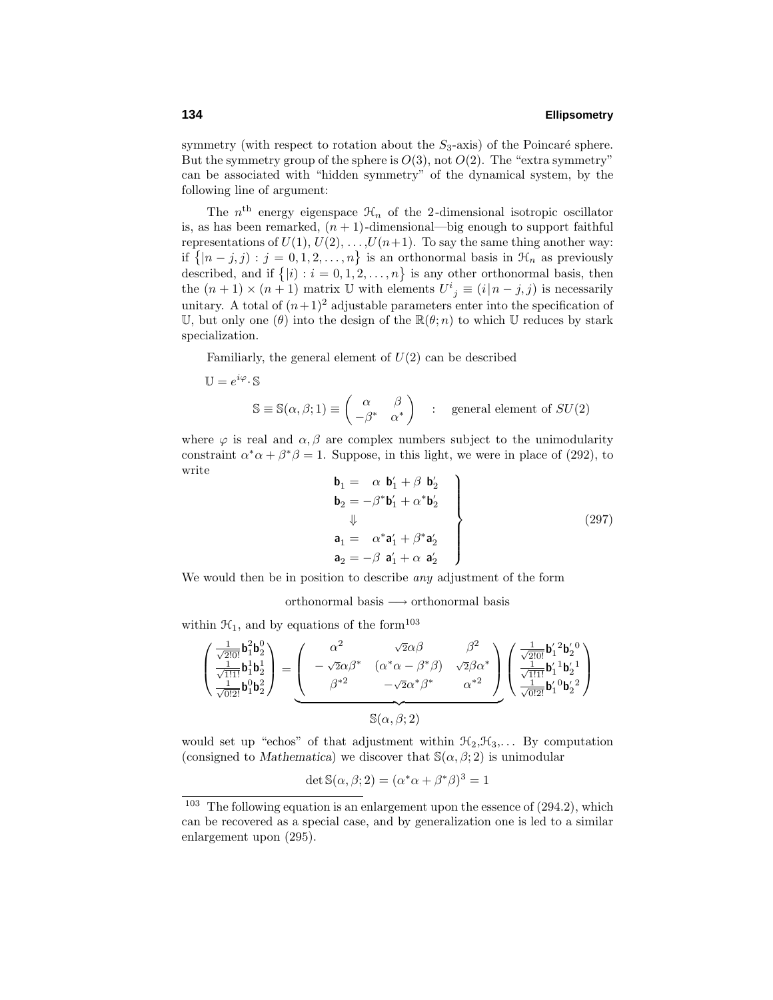symmetry (with respect to rotation about the  $S_3$ -axis) of the Poincaré sphere. But the symmetry group of the sphere is  $O(3)$ , not  $O(2)$ . The "extra symmetry" can be associated with "hidden symmetry" of the dynamical system, by the following line of argument:

The  $n<sup>th</sup>$  energy eigenspace  $\mathcal{H}_n$  of the 2-dimensional isotropic oscillator is, as has been remarked,  $(n + 1)$ -dimensional—big enough to support faithful representations of  $U(1)$ ,  $U(2)$ ,  $\dots$ ,  $U(n+1)$ . To say the same thing another way: if  $\{|n-j,j\, : j = 0,1,2,\ldots,n\}$  is an orthonormal basis in  $\mathcal{H}_n$  as previously described, and if  $\{|i\rangle : i = 0, 1, 2, \ldots, n\}$  is any other orthonormal basis, then the  $(n + 1) \times (n + 1)$  matrix U with elements  $U^i{}_j \equiv (i | n - j, j)$  is necessarily unitary. A total of  $(n+1)^2$  adjustable parameters enter into the specification of U, but only one ( $\theta$ ) into the design of the  $\mathbb{R}(\theta; n)$  to which U reduces by stark specialization.

Familiarly, the general element of  $U(2)$  can be described

$$
\mathbb{U} = e^{i\varphi} \cdot \mathbb{S}
$$
  

$$
\mathbb{S} \equiv \mathbb{S}(\alpha, \beta; 1) \equiv \begin{pmatrix} \alpha & \beta \\ -\beta^* & \alpha^* \end{pmatrix} : \text{ general element of } SU(2)
$$

where  $\varphi$  is real and  $\alpha, \beta$  are complex numbers subject to the unimodularity constraint  $\alpha^* \alpha + \beta^* \beta = 1$ . Suppose, in this light, we were in place of (292), to write

$$
\begin{aligned}\n\mathbf{b}_1 &= \alpha \mathbf{b}'_1 + \beta \mathbf{b}'_2 \\
\mathbf{b}_2 &= -\beta^* \mathbf{b}'_1 + \alpha^* \mathbf{b}'_2 \\
\downarrow \qquad \qquad \downarrow \\
\mathbf{a}_1 &= \alpha^* \mathbf{a}'_1 + \beta^* \mathbf{a}'_2 \\
\mathbf{a}_2 &= -\beta \mathbf{a}'_1 + \alpha \mathbf{a}'_2\n\end{aligned}
$$
\n(297)

We would then be in position to describe *any* adjustment of the form

orthonormal basis −→ orthonormal basis

within  $\mathcal{H}_1$ , and by equations of the form<sup>103</sup>

$$
\begin{pmatrix}\frac{1}{\sqrt{2101}}\mathbf{b}_1^2\mathbf{b}_2^0 \\ \frac{1}{\sqrt{1111}}\mathbf{b}_1^1\mathbf{b}_2^1 \\ \frac{1}{\sqrt{0121}}\mathbf{b}_1^0\mathbf{b}_2^2\end{pmatrix} = \underbrace{\begin{pmatrix}\alpha^2 & \sqrt{2}\alpha\beta & \beta^2 \\ -\sqrt{2}\alpha\beta^* & (\alpha^*\alpha-\beta^*\beta) & \sqrt{2}\beta\alpha^* \\ \beta^{*2} & -\sqrt{2}\alpha^*\beta^* & \alpha^{*2}\end{pmatrix}}_{\mathbb{S}(\alpha,\beta;2)}\begin{pmatrix}\frac{1}{\sqrt{2101}}\mathbf{b}_1^{\prime\,2}\mathbf{b}_2^{\prime\,0} \\ \frac{1}{\sqrt{1111}}\mathbf{b}_1^{\prime\,1}\mathbf{b}_2^{\prime\,1} \\ \frac{1}{\sqrt{0121}}\mathbf{b}_1^{\prime\,0}\mathbf{b}_2^{\prime\,2}\end{pmatrix}
$$

would set up "echos" of that adjustment within  $\mathcal{H}_2, \mathcal{H}_3, \ldots$  By computation (consigned to *Mathematica*) we discover that  $\mathcal{S}(\alpha,\beta;2)$  is unimodular

$$
\det \mathbb{S}(\alpha, \beta; 2) = (\alpha^* \alpha + \beta^* \beta)^3 = 1
$$

<sup>&</sup>lt;sup>103</sup> The following equation is an enlargement upon the essence of  $(294.2)$ , which can be recovered as a special case, and by generalization one is led to a similar enlargement upon (295).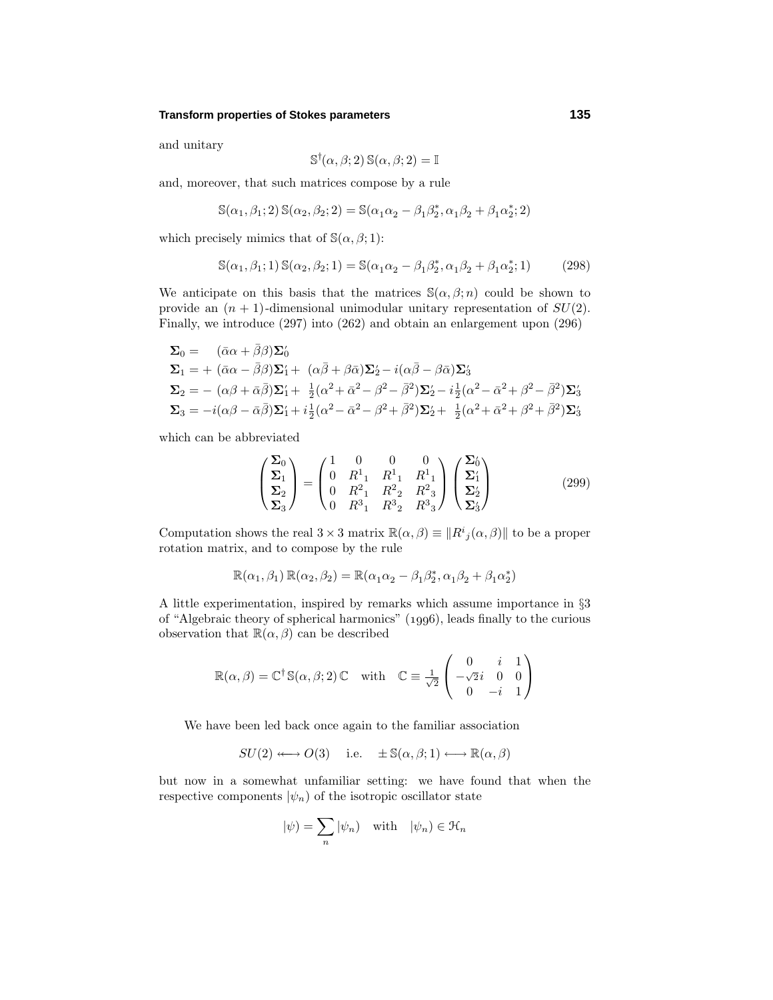## **Transform properties of Stokes parameters 135**

and unitary

$$
\mathbb{S}^{\dagger}(\alpha,\beta;2)\,\mathbb{S}(\alpha,\beta;2) = \mathbb{I}
$$

and, moreover, that such matrices compose by a rule

$$
\mathbb{S}(\alpha_1, \beta_1; 2) \, \mathbb{S}(\alpha_2, \beta_2; 2) = \mathbb{S}(\alpha_1 \alpha_2 - \beta_1 \beta_2^*, \alpha_1 \beta_2 + \beta_1 \alpha_2^*; 2)
$$

which precisely mimics that of  $\mathbb{S}(\alpha,\beta;1)$ :

$$
\mathbb{S}(\alpha_1, \beta_1; 1) \mathbb{S}(\alpha_2, \beta_2; 1) = \mathbb{S}(\alpha_1 \alpha_2 - \beta_1 \beta_2^*, \alpha_1 \beta_2 + \beta_1 \alpha_2^*; 1) \tag{298}
$$

We anticipate on this basis that the matrices  $\mathcal{S}(\alpha,\beta;n)$  could be shown to provide an  $(n + 1)$ -dimensional unimodular unitary representation of  $SU(2)$ . Finally, we introduce (297) into (262) and obtain an enlargement upon (296)

$$
\Sigma_0 = (\bar{\alpha}\alpha + \bar{\beta}\beta)\Sigma'_0 \n\Sigma_1 = + (\bar{\alpha}\alpha - \bar{\beta}\beta)\Sigma'_1 + (\alpha\bar{\beta} + \beta\bar{\alpha})\Sigma'_2 - i(\alpha\bar{\beta} - \beta\bar{\alpha})\Sigma'_3 \n\Sigma_2 = -(\alpha\beta + \bar{\alpha}\bar{\beta})\Sigma'_1 + \frac{1}{2}(\alpha^2 + \bar{\alpha}^2 - \beta^2 - \bar{\beta}^2)\Sigma'_2 - i\frac{1}{2}(\alpha^2 - \bar{\alpha}^2 + \beta^2 - \bar{\beta}^2)\Sigma'_3 \n\Sigma_3 = -i(\alpha\beta - \bar{\alpha}\bar{\beta})\Sigma'_1 + i\frac{1}{2}(\alpha^2 - \bar{\alpha}^2 - \beta^2 + \bar{\beta}^2)\Sigma'_2 + \frac{1}{2}(\alpha^2 + \bar{\alpha}^2 + \beta^2 + \bar{\beta}^2)\Sigma'_3
$$

which can be abbreviated

$$
\begin{pmatrix} \Sigma_0 \\ \Sigma_1 \\ \Sigma_2 \\ \Sigma_3 \end{pmatrix} = \begin{pmatrix} 1 & 0 & 0 & 0 \\ 0 & R_{-1}^1 & R_{-1}^1 & R_{-1}^1 \\ 0 & R_{-1}^2 & R_{-2}^2 & R_{-3}^2 \\ 0 & R_{-1}^3 & R_{-2}^3 & R_{-3}^3 \end{pmatrix} \begin{pmatrix} \Sigma_0' \\ \Sigma_1' \\ \Sigma_2' \\ \Sigma_3' \end{pmatrix}
$$
(299)

Computation shows the real  $3 \times 3$  matrix  $\mathbb{R}(\alpha, \beta) \equiv ||R^i{}_j(\alpha, \beta)||$  to be a proper rotation matrix, and to compose by the rule

$$
\mathbb{R}(\alpha_1, \beta_1) \mathbb{R}(\alpha_2, \beta_2) = \mathbb{R}(\alpha_1 \alpha_2 - \beta_1 \beta_2^*, \alpha_1 \beta_2 + \beta_1 \alpha_2^*)
$$

A little experimentation, inspired by remarks which assume importance in §3 of "Algebraic theory of spherical harmonics"  $(1996)$ , leads finally to the curious observation that  $\mathbb{R}(\alpha,\beta)$  can be described

$$
\mathbb{R}(\alpha, \beta) = \mathbb{C}^{\dagger} \mathbb{S}(\alpha, \beta; 2) \mathbb{C} \text{ with } \mathbb{C} \equiv \frac{1}{\sqrt{2}} \begin{pmatrix} 0 & i & 1 \\ -\sqrt{2}i & 0 & 0 \\ 0 & -i & 1 \end{pmatrix}
$$

We have been led back once again to the familiar association

 $SU(2) \longleftrightarrow O(3)$  i.e.  $\pm \mathbb{S}(\alpha, \beta; 1) \longleftrightarrow \mathbb{R}(\alpha, \beta)$ 

but now in a somewhat unfamiliar setting: we have found that when the respective components  $|\psi_n\rangle$  of the isotropic oscillator state

$$
|\psi) = \sum_{n} |\psi_n| \quad \text{with} \quad |\psi_n) \in \mathcal{H}_n
$$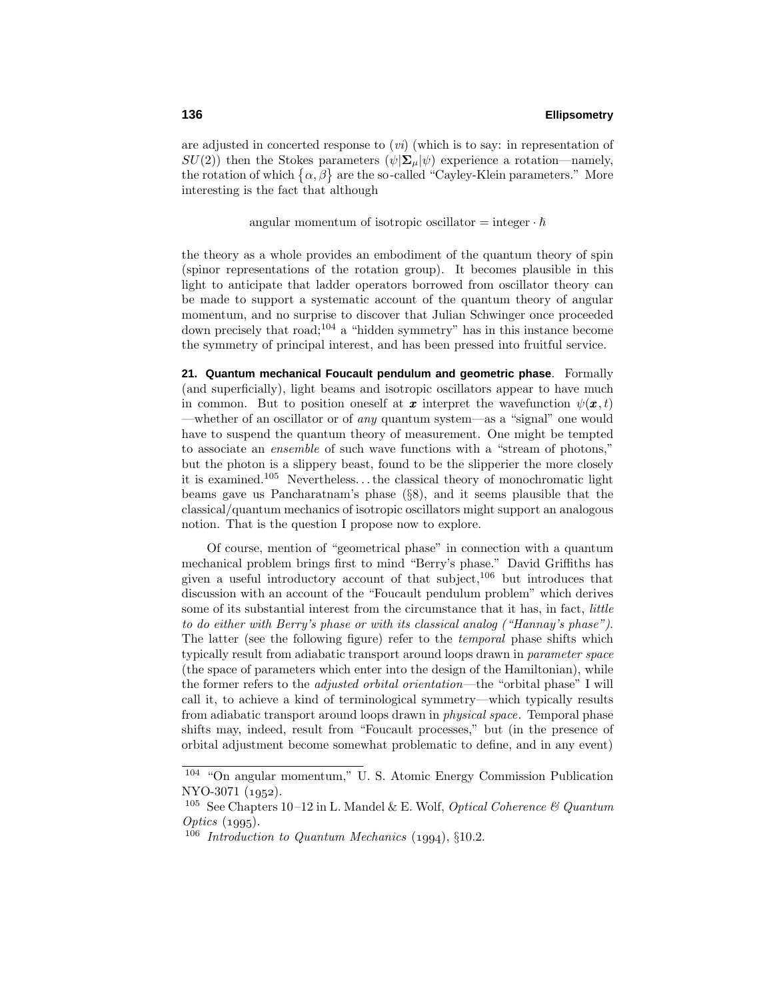are adjusted in concerted response to  $(vi)$  (which is to say: in representation of *SU*(2)) then the Stokes parameters  $(\psi | \Sigma_{\mu} | \psi)$  experience a rotation—namely, the rotation of which  $\{\alpha, \beta\}$  are the so-called "Cayley-Klein parameters." More interesting is the fact that although

angular momentum of isotropic oscillator  $=$  integer  $\cdot \hbar$ 

the theory as a whole provides an embodiment of the quantum theory of spin (spinor representations of the rotation group). It becomes plausible in this light to anticipate that ladder operators borrowed from oscillator theory can be made to support a systematic account of the quantum theory of angular momentum, and no surprise to discover that Julian Schwinger once proceeded down precisely that road;<sup>104</sup> a "hidden symmetry" has in this instance become the symmetry of principal interest, and has been pressed into fruitful service.

**21. Quantum mechanical Foucault pendulum and geometric phase**. Formally (and superficially), light beams and isotropic oscillators appear to have much in common. But to position oneself at **x** interpret the wavefunction  $\psi(\mathbf{x}, t)$ —whether of an oscillator or of *any* quantum system—as a "signal" one would have to suspend the quantum theory of measurement. One might be tempted to associate an ensemble of such wave functions with a "stream of photons," but the photon is a slippery beast, found to be the slipperier the more closely it is examined.<sup>105</sup> Nevertheless*...*the classical theory of monochromatic light beams gave us Pancharatnam's phase (§8), and it seems plausible that the classical/quantum mechanics of isotropic oscillators might support an analogous notion. That is the question I propose now to explore.

Of course, mention of "geometrical phase" in connection with a quantum mechanical problem brings first to mind "Berry's phase." David Griffiths has given a useful introductory account of that subject, $106$  but introduces that discussion with an account of the "Foucault pendulum problem" which derives some of its substantial interest from the circumstance that it has, in fact, *little* to do either with Berry's phase or with its classical analog ("Hannay's phase"). The latter (see the following figure) refer to the temporal phase shifts which typically result from adiabatic transport around loops drawn in parameter space (the space of parameters which enter into the design of the Hamiltonian), while the former refers to the *adjusted orbital orientation*—the "orbital phase" I will call it, to achieve a kind of terminological symmetry—which typically results from adiabatic transport around loops drawn in physical space. Temporal phase shifts may, indeed, result from "Foucault processes," but (in the presence of orbital adjustment become somewhat problematic to define, and in any event)

<sup>104</sup> "On angular momentum," U. S. Atomic Energy Commission Publication NYO-3071 (1952).

<sup>&</sup>lt;sup>105</sup> See Chapters 10–12 in L. Mandel & E. Wolf, *Optical Coherence* & *Quantum* Optics  $(1995)$ .

 $106$  Introduction to Quantum Mechanics (1994), §10.2.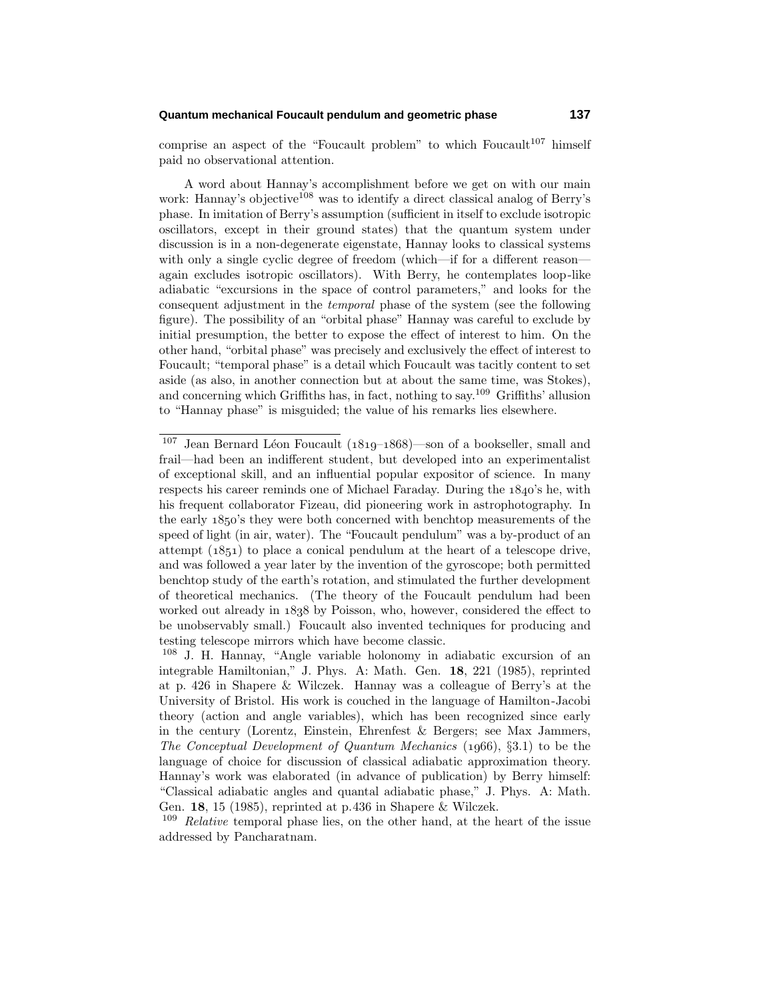# **Quantum mechanical Foucault pendulum and geometric phase 137**

comprise an aspect of the "Foucault problem" to which Foucault<sup>107</sup> himself paid no observational attention.

A word about Hannay's accomplishment before we get on with our main work: Hannay's objective<sup>108</sup> was to identify a direct classical analog of Berry's phase. In imitation of Berry's assumption (sufficient in itself to exclude isotropic oscillators, except in their ground states) that the quantum system under discussion is in a non-degenerate eigenstate, Hannay looks to classical systems with only a single cyclic degree of freedom (which—if for a different reason again excludes isotropic oscillators). With Berry, he contemplates loop-like adiabatic "excursions in the space of control parameters," and looks for the consequent adjustment in the temporal phase of the system (see the following figure). The possibility of an "orbital phase" Hannay was careful to exclude by initial presumption, the better to expose the effect of interest to him. On the other hand, "orbital phase" was precisely and exclusively the effect of interest to Foucault; "temporal phase" is a detail which Foucault was tacitly content to set aside (as also, in another connection but at about the same time, was Stokes), and concerning which Griffiths has, in fact, nothing to say.<sup>109</sup> Griffiths' allusion to "Hannay phase" is misguided; the value of his remarks lies elsewhere.

 $107$  Jean Bernard Léon Foucault ( $1819-1868$ )—son of a bookseller, small and frail—had been an indifferent student, but developed into an experimentalist of exceptional skill, and an influential popular expositor of science. In many respects his career reminds one of Michael Faraday. During the  $1840$ 's he, with his frequent collaborator Fizeau, did pioneering work in astrophotography. In the early  $1850$ 's they were both concerned with benchtop measurements of the speed of light (in air, water). The "Foucault pendulum" was a by-product of an attempt  $(1851)$  to place a conical pendulum at the heart of a telescope drive, and was followed a year later by the invention of the gyroscope; both permitted benchtop study of the earth's rotation, and stimulated the further development of theoretical mechanics. (The theory of the Foucault pendulum had been worked out already in 1838 by Poisson, who, however, considered the effect to be unobservably small.) Foucault also invented techniques for producing and testing telescope mirrors which have become classic.

<sup>108</sup> J. H. Hannay, "Angle variable holonomy in adiabatic excursion of an integrable Hamiltonian," J. Phys. A: Math. Gen. **18**, 221 (1985), reprinted at p. 426 in Shapere & Wilczek. Hannay was a colleague of Berry's at the University of Bristol. His work is couched in the language of Hamilton-Jacobi theory (action and angle variables), which has been recognized since early in the century (Lorentz, Einstein, Ehrenfest & Bergers; see Max Jammers, The Conceptual Development of Quantum Mechanics  $(1066)$ , §3.1) to be the language of choice for discussion of classical adiabatic approximation theory. Hannay's work was elaborated (in advance of publication) by Berry himself: "Classical adiabatic angles and quantal adiabatic phase," J. Phys. A: Math. Gen. **18**, 15 (1985), reprinted at p.436 in Shapere & Wilczek.

 $109$  *Relative* temporal phase lies, on the other hand, at the heart of the issue addressed by Pancharatnam.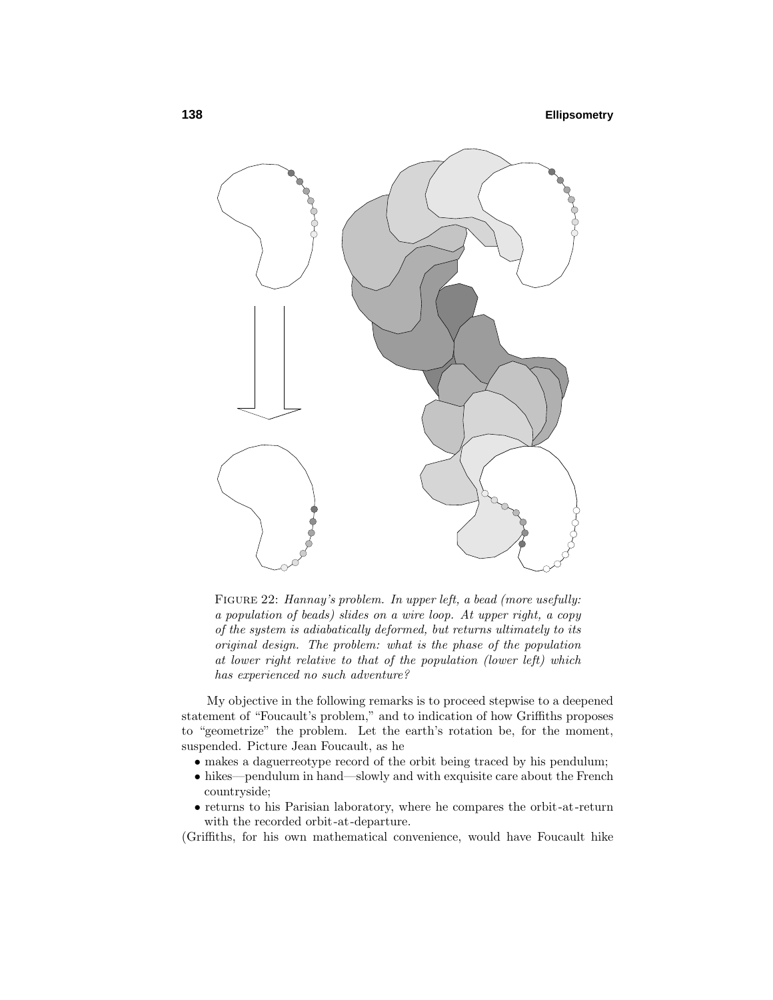

FIGURE 22: Hannay's problem. In upper left, a bead (more usefully: a population of beads) slides on a wire loop. At upper right, a copy of the system is adiabatically deformed, but returns ultimately to its original design. The problem: what is the phase of the population at lower right relative to that of the population (lower left) which has experienced no such adventure?

My objective in the following remarks is to proceed stepwise to a deepened statement of "Foucault's problem," and to indication of how Griffiths proposes to "geometrize" the problem. Let the earth's rotation be, for the moment, suspended. Picture Jean Foucault, as he

- makes a daguerreotype record of the orbit being traced by his pendulum;
- hikes—pendulum in hand—slowly and with exquisite care about the French countryside;
- returns to his Parisian laboratory, where he compares the orbit-at-return with the recorded orbit-at-departure.

(Griffiths, for his own mathematical convenience, would have Foucault hike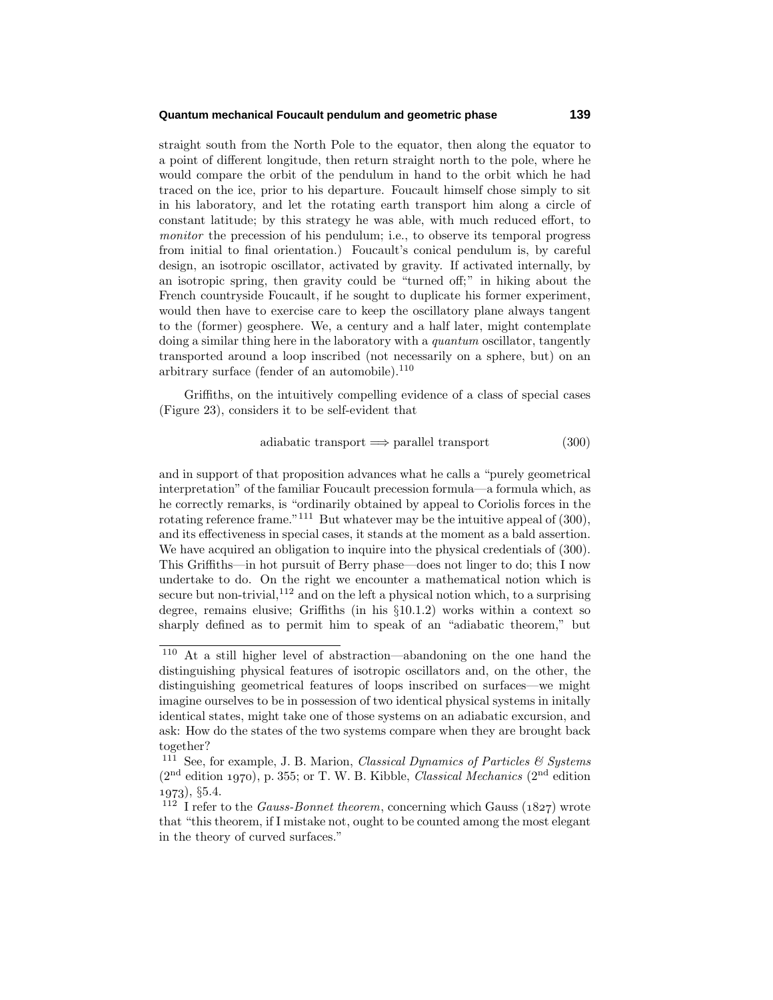#### **Quantum mechanical Foucault pendulum and geometric phase 139**

straight south from the North Pole to the equator, then along the equator to a point of different longitude, then return straight north to the pole, where he would compare the orbit of the pendulum in hand to the orbit which he had traced on the ice, prior to his departure. Foucault himself chose simply to sit in his laboratory, and let the rotating earth transport him along a circle of constant latitude; by this strategy he was able, with much reduced effort, to monitor the precession of his pendulum; i.e., to observe its temporal progress from initial to final orientation.) Foucault's conical pendulum is, by careful design, an isotropic oscillator, activated by gravity. If activated internally, by an isotropic spring, then gravity could be "turned off;" in hiking about the French countryside Foucault, if he sought to duplicate his former experiment, would then have to exercise care to keep the oscillatory plane always tangent to the (former) geosphere. We, a century and a half later, might contemplate doing a similar thing here in the laboratory with a *quantum* oscillator, tangently transported around a loop inscribed (not necessarily on a sphere, but) on an arbitrary surface (fender of an automobile). $110$ 

Griffiths, on the intuitively compelling evidence of a class of special cases (Figure 23), considers it to be self-evident that

$$
adiabatic transport \implies parallel transport \tag{300}
$$

and in support of that proposition advances what he calls a "purely geometrical interpretation" of the familiar Foucault precession formula—a formula which, as he correctly remarks, is "ordinarily obtained by appeal to Coriolis forces in the rotating reference frame."<sup>111</sup> But whatever may be the intuitive appeal of  $(300)$ , and its effectiveness in special cases, it stands at the moment as a bald assertion. We have acquired an obligation to inquire into the physical credentials of  $(300)$ . This Griffiths—in hot pursuit of Berry phase—does not linger to do; this I now undertake to do. On the right we encounter a mathematical notion which is secure but non-trivial,  $1^{12}$  and on the left a physical notion which, to a surprising degree, remains elusive; Griffiths (in his §10.1.2) works within a context so sharply defined as to permit him to speak of an "adiabatic theorem," but

<sup>110</sup> At a still higher level of abstraction—abandoning on the one hand the distinguishing physical features of isotropic oscillators and, on the other, the distinguishing geometrical features of loops inscribed on surfaces—we might imagine ourselves to be in possession of two identical physical systems in initally identical states, might take one of those systems on an adiabatic excursion, and ask: How do the states of the two systems compare when they are brought back together?

<sup>&</sup>lt;sup>111</sup> See, for example, J. B. Marion, *Classical Dynamics of Particles*  $\mathcal{C}$  *Systems*  $(2<sup>nd</sup>$  edition 1970), p. 355; or T. W. B. Kibble, *Classical Mechanics*  $(2<sup>nd</sup>$  edition ), §5.4.

<sup>&</sup>lt;sup>112</sup> I refer to the *Gauss-Bonnet theorem*, concerning which Gauss ( $1827$ ) wrote that "this theorem, if I mistake not, ought to be counted among the most elegant in the theory of curved surfaces."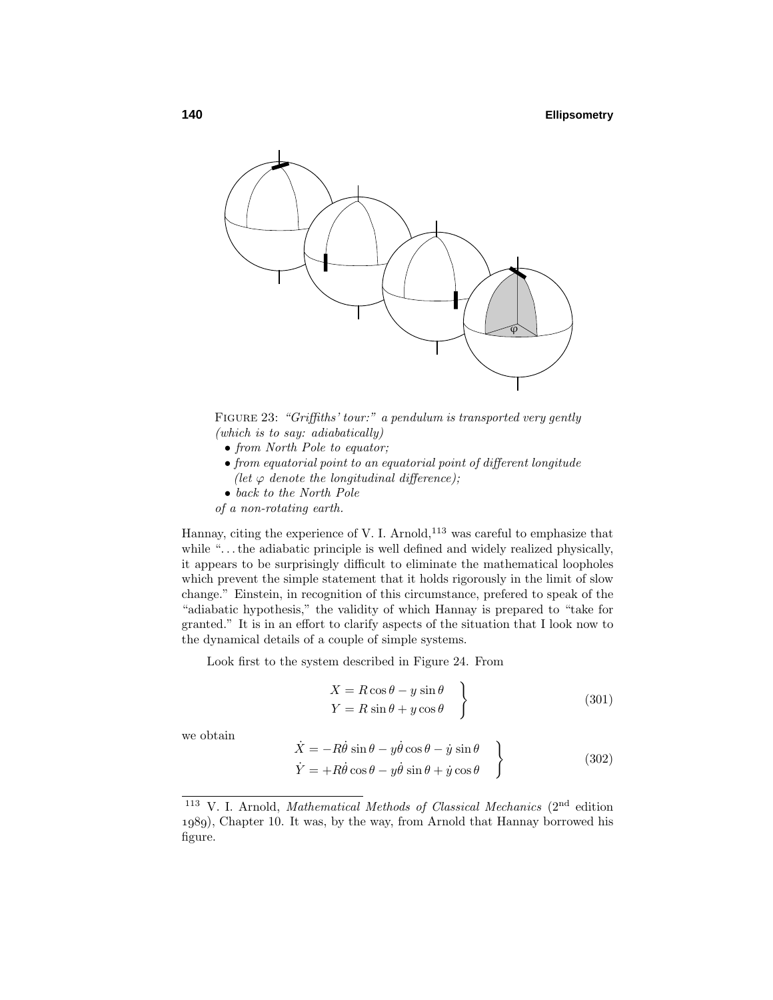

FIGURE 23: "Griffiths' tour:" a pendulum is transported very gently (which is to say: adiabatically)

- from North Pole to equator;
- from equatorial point to an equatorial point of different longitude (let  $\varphi$  denote the longitudinal difference);
- back to the North Pole
- of a non-rotating earth.

Hannay, citing the experience of V. I. Arnold, $113$  was careful to emphasize that while "...the adiabatic principle is well defined and widely realized physically, it appears to be surprisingly difficult to eliminate the mathematical loopholes which prevent the simple statement that it holds rigorously in the limit of slow change." Einstein, in recognition of this circumstance, prefered to speak of the "adiabatic hypothesis," the validity of which Hannay is prepared to "take for granted." It is in an effort to clarify aspects of the situation that I look now to the dynamical details of a couple of simple systems.

Look first to the system described in Figure 24. From

$$
X = R\cos\theta - y\sin\theta
$$
  
\n
$$
Y = R\sin\theta + y\cos\theta
$$
 (301)

we obtain

$$
\begin{aligned}\n\dot{X} &= -R\dot{\theta}\sin\theta - y\dot{\theta}\cos\theta - \dot{y}\sin\theta \\
\dot{Y} &= +R\dot{\theta}\cos\theta - y\dot{\theta}\sin\theta + \dot{y}\cos\theta\n\end{aligned}
$$
\n(302)

<sup>&</sup>lt;sup>113</sup> V. I. Arnold, *Mathematical Methods of Classical Mechanics* ( $2<sup>nd</sup>$  edition ), Chapter 10. It was, by the way, from Arnold that Hannay borrowed his figure.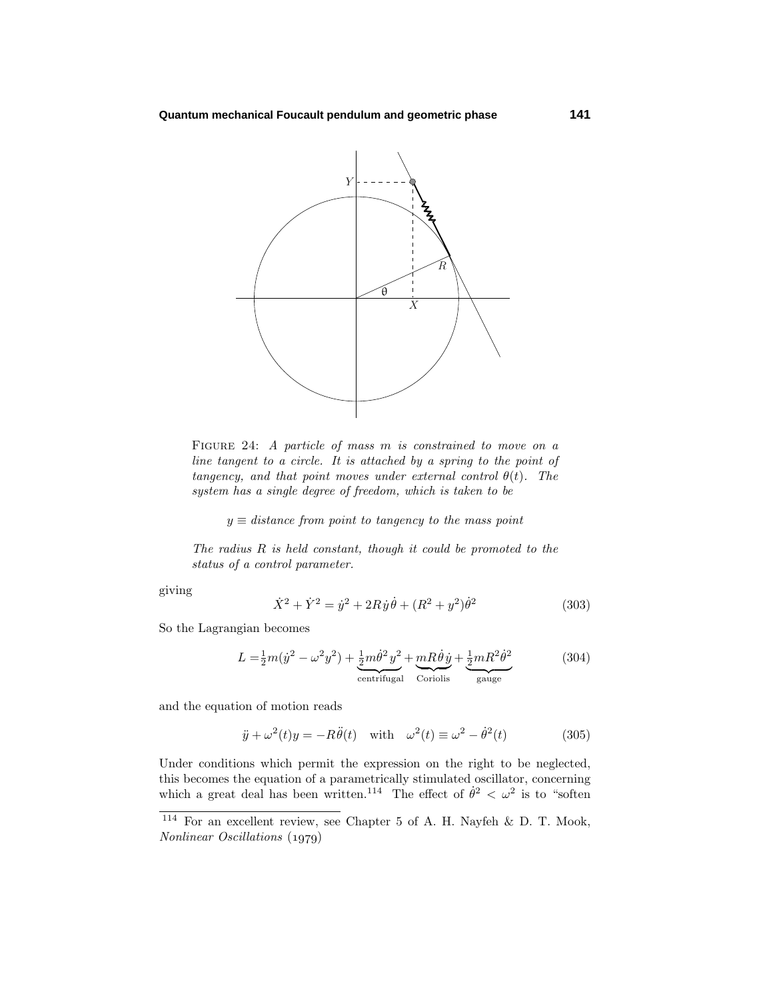

FIGURE 24: A particle of mass m is constrained to move on a line tangent to a circle. It is attached by a spring to the point of tangency, and that point moves under external control  $\theta(t)$ . The system has a single degree of freedom, which is taken to be

 $y \equiv distance from point to tangency to the mass point$ 

The radius *R* is held constant, though it could be promoted to the status of a control parameter.

giving

$$
\dot{X}^2 + \dot{Y}^2 = \dot{y}^2 + 2R\dot{y}\dot{\theta} + (R^2 + y^2)\dot{\theta}^2
$$
\n(303)

So the Lagrangian becomes

$$
L = \frac{1}{2}m(\dot{y}^2 - \omega^2 y^2) + \underbrace{\frac{1}{2}m\dot{\theta}^2 y^2}_{\text{centrifugal}} + \underbrace{mR\dot{\theta}\dot{y}}_{\text{Coriolis}} + \underbrace{\frac{1}{2}mR^2\dot{\theta}^2}_{\text{gauge}} \tag{304}
$$

and the equation of motion reads

$$
\ddot{y} + \omega^2(t)y = -R\ddot{\theta}(t) \quad \text{with} \quad \omega^2(t) \equiv \omega^2 - \dot{\theta}^2(t) \tag{305}
$$

Under conditions which permit the expression on the right to be neglected, this becomes the equation of a parametrically stimulated oscillator, concerning which a great deal has been written.<sup>114</sup> The effect of  $\dot{\theta}^2 < \omega^2$  is to "soften

<sup>114</sup> For an excellent review, see Chapter 5 of A. H. Nayfeh & D. T. Mook, Nonlinear Oscillations (1979)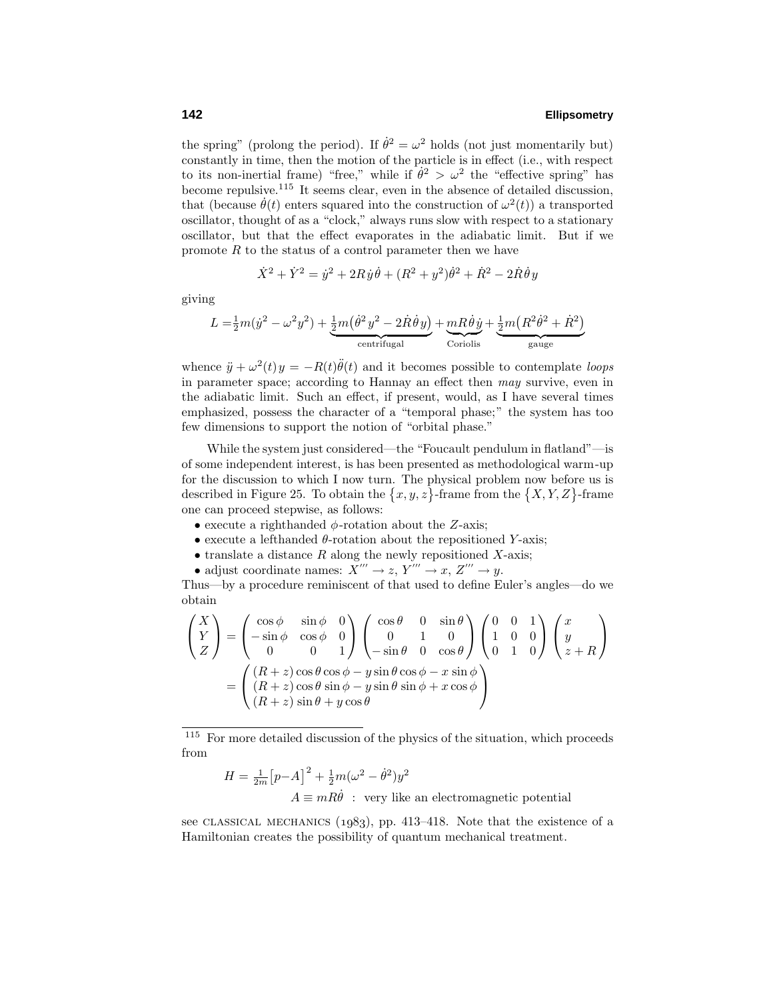the spring" (prolong the period). If  $\dot{\theta}^2 = \omega^2$  holds (not just momentarily but) constantly in time, then the motion of the particle is in effect (i.e., with respect to its non-inertial frame) "free," while if  $\dot{\theta}^2 > \omega^2$  the "effective spring" has become repulsive.<sup>115</sup> It seems clear, even in the absence of detailed discussion, that (because  $\dot{\theta}(t)$  enters squared into the construction of  $\omega^2(t)$ ) a transported oscillator, thought of as a "clock," always runs slow with respect to a stationary oscillator, but that the effect evaporates in the adiabatic limit. But if we promote *R* to the status of a control parameter then we have

$$
\dot{X}^2 + \dot{Y}^2 = \dot{y}^2 + 2R\dot{y}\dot{\theta} + (R^2 + y^2)\dot{\theta}^2 + \dot{R}^2 - 2\dot{R}\dot{\theta}y
$$

giving

$$
L = \frac{1}{2}m(\dot{y}^2 - \omega^2 y^2) + \underbrace{\frac{1}{2}m(\dot{\theta}^2 y^2 - 2 \dot{R} \dot{\theta} y)}_{\text{centrifugal}} + \underbrace{m R \dot{\theta} \dot{y}}_{\text{Coriolis}} + \underbrace{\frac{1}{2}m\big(R^2 \dot{\theta}^2 + \dot{R}^2\big)}_{\text{gauge}}
$$

whence  $\ddot{y} + \omega^2(t)y = -R(t)\ddot{\theta}(t)$  and it becomes possible to contemplate *loops* in parameter space; according to Hannay an effect then may survive, even in the adiabatic limit. Such an effect, if present, would, as I have several times emphasized, possess the character of a "temporal phase;" the system has too few dimensions to support the notion of "orbital phase."

While the system just considered—the "Foucault pendulum in flatland"—is of some independent interest, is has been presented as methodological warm-up for the discussion to which I now turn. The physical problem now before us is described in Figure 25. To obtain the  $\{x, y, z\}$ -frame from the  $\{X, Y, Z\}$ -frame one can proceed stepwise, as follows:

- $\bullet$  execute a righthanded  $\phi$ -rotation about the *Z*-axis;
- execute a lefthanded *θ*-rotation about the repositioned *Y*-axis;
- translate a distance *R* along the newly repositioned *X*-axis;
- adjust coordinate names:  $X''' \to z$ ,  $Y''' \to x$ ,  $Z''' \to y$ .

Thus—by a procedure reminiscent of that used to define Euler's angles—do we obtain

$$
\begin{pmatrix}\nX \\
Y \\
Z\n\end{pmatrix} = \begin{pmatrix}\n\cos\phi & \sin\phi & 0 \\
-\sin\phi & \cos\phi & 0 \\
0 & 0 & 1\n\end{pmatrix} \begin{pmatrix}\n\cos\theta & 0 & \sin\theta \\
0 & 1 & 0 \\
-\sin\theta & 0 & \cos\theta\n\end{pmatrix} \begin{pmatrix}\n0 & 0 & 1 \\
1 & 0 & 0 \\
0 & 1 & 0\n\end{pmatrix} \begin{pmatrix}\nx \\
y \\
z+R\n\end{pmatrix}
$$
\n
$$
= \begin{pmatrix}\n(R+z)\cos\theta\cos\phi - y\sin\theta\cos\phi - x\sin\phi \\
(R+z)\cos\theta\sin\phi - y\sin\theta\sin\phi + x\cos\phi \\
(R+z)\sin\theta + y\cos\theta\n\end{pmatrix}
$$

<sup>115</sup> For more detailed discussion of the physics of the situation, which proceeds from

$$
H = \frac{1}{2m} [p - A]^2 + \frac{1}{2} m (\omega^2 - \dot{\theta}^2) y^2
$$
  

$$
A \equiv mR\dot{\theta} : \text{ very like an electromagnetic potential}
$$

see CLASSICAL MECHANICS  $(1983)$ , pp. 413–418. Note that the existence of a Hamiltonian creates the possibility of quantum mechanical treatment.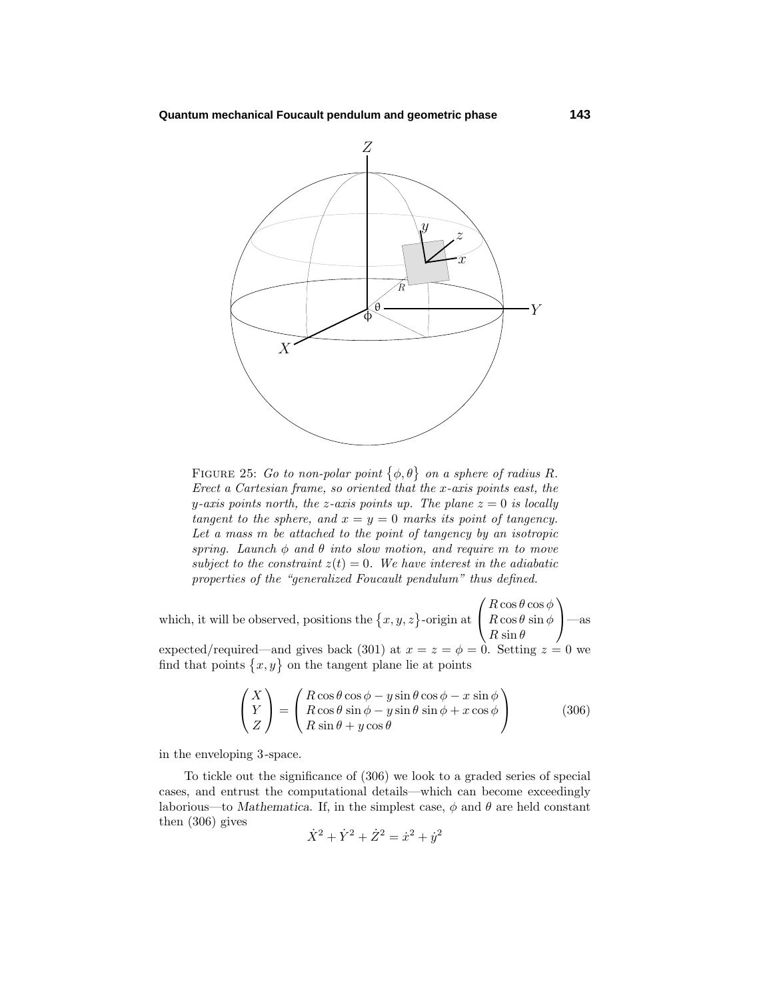

FIGURE 25: Go to non-polar point  $\{\phi, \theta\}$  on a sphere of radius R. Erect a Cartesian frame, so oriented that the *x*-axis points east, the *y*-axis points north, the *z*-axis points up. The plane  $z = 0$  is locally tangent to the sphere, and  $x = y = 0$  marks its point of tangency. Let a mass *m* be attached to the point of tangency by an isotropic spring. Launch *φ* and *θ* into slow motion, and require *m* to move subject to the constraint  $z(t)=0$ . We have interest in the adiabatic properties of the "generalized Foucault pendulum" thus defined.

which, it will be observed, positions the  $\{x, y, z\}$ -origin at  $\sqrt{ }$  $\mathcal{L}$ *R* cos *θ* cos *φ*  $R \cos \theta \sin \phi$  $R \sin \theta$  $\setminus$ —as expected/required—and gives back (301) at  $x = z = \phi = 0$ . Setting  $z = 0$  we find that points  $\{x, y\}$  on the tangent plane lie at points

$$
\begin{pmatrix} X \ Y \ Z \end{pmatrix} = \begin{pmatrix} R\cos\theta\cos\phi - y\sin\theta\cos\phi - x\sin\phi \\ R\cos\theta\sin\phi - y\sin\theta\sin\phi + x\cos\phi \\ R\sin\theta + y\cos\theta \end{pmatrix}
$$
(306)

in the enveloping 3-space.

To tickle out the significance of (306) we look to a graded series of special cases, and entrust the computational details—which can become exceedingly laborious—to *Mathematica*. If, in the simplest case,  $\phi$  and  $\theta$  are held constant then (306) gives

$$
\dot{X}^2 + \dot{Y}^2 + \dot{Z}^2 = \dot{x}^2 + \dot{y}^2
$$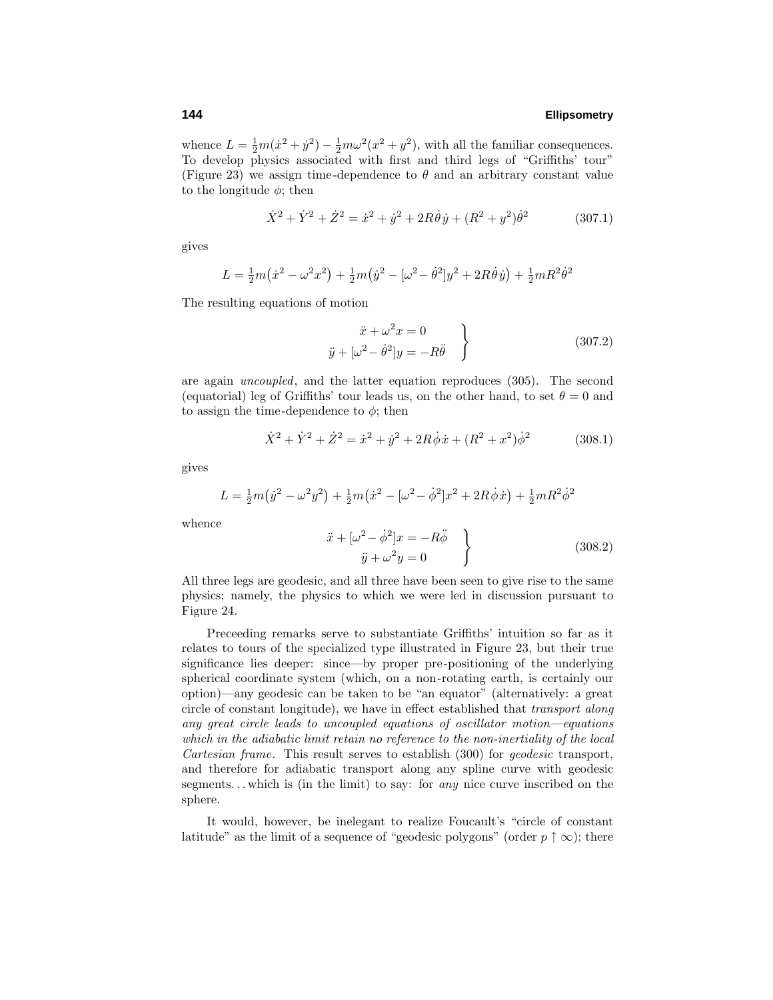whence  $L = \frac{1}{2}m(\dot{x}^2 + \dot{y}^2) - \frac{1}{2}m\omega^2(x^2 + y^2)$ , with all the familiar consequences. To develop physics associated with first and third legs of "Griffiths' tour" (Figure 23) we assign time-dependence to  $\theta$  and an arbitrary constant value to the longitude  $\phi$ ; then

$$
\dot{X}^2 + \dot{Y}^2 + \dot{Z}^2 = \dot{x}^2 + \dot{y}^2 + 2R\dot{\theta}\dot{y} + (R^2 + y^2)\dot{\theta}^2
$$
 (307.1)

gives

$$
L = \frac{1}{2}m(\dot{x}^2 - \omega^2 x^2) + \frac{1}{2}m(\dot{y}^2 - [\omega^2 - \dot{\theta}^2]y^2 + 2R\dot{\theta}\dot{y}) + \frac{1}{2}mR^2\dot{\theta}^2
$$

The resulting equations of motion

$$
\ddot{x} + \omega^2 x = 0
$$
  

$$
\ddot{y} + [\omega^2 - \dot{\theta}^2]y = -R\ddot{\theta}
$$
 (307.2)

are again uncoupled, and the latter equation reproduces (305). The second (equatorial) leg of Griffiths' tour leads us, on the other hand, to set  $\theta = 0$  and to assign the time-dependence to  $\phi$ ; then

$$
\dot{X}^2 + \dot{Y}^2 + \dot{Z}^2 = \dot{x}^2 + \dot{y}^2 + 2R\dot{\phi}\dot{x} + (R^2 + x^2)\dot{\phi}^2
$$
 (308.1)

gives

$$
L = \frac{1}{2}m(\dot{y}^2 - \omega^2 y^2) + \frac{1}{2}m(\dot{x}^2 - [\omega^2 - \dot{\phi}^2]x^2 + 2R\dot{\phi}\dot{x}) + \frac{1}{2}mR^2\dot{\phi}^2
$$
  
e  

$$
\ddot{x} + [\omega^2 - \dot{\phi}^2]x = -R\ddot{\phi}
$$

$$
\ddot{u} + \omega^2 u = 0
$$
(308.2)

whence

All three legs are geodesic, and all three have been seen to give rise to the same physics; namely, the physics to which we were led in discussion pursuant to Figure 24.

Preceeding remarks serve to substantiate Griffiths' intuition so far as it relates to tours of the specialized type illustrated in Figure 23, but their true significance lies deeper: since—by proper pre-positioning of the underlying spherical coordinate system (which, on a non-rotating earth, is certainly our option)—any geodesic can be taken to be "an equator" (alternatively: a great circle of constant longitude), we have in effect established that transport along any great circle leads to uncoupled equations of oscillator motion—equations which in the adiabatic limit retain no reference to the non-inertiality of the local Cartesian frame. This result serves to establish (300) for geodesic transport, and therefore for adiabatic transport along any spline curve with geodesic segments*...* which is (in the limit) to say: for any nice curve inscribed on the sphere.

It would, however, be inelegant to realize Foucault's "circle of constant latitude" as the limit of a sequence of "geodesic polygons" (order  $p \uparrow \infty$ ); there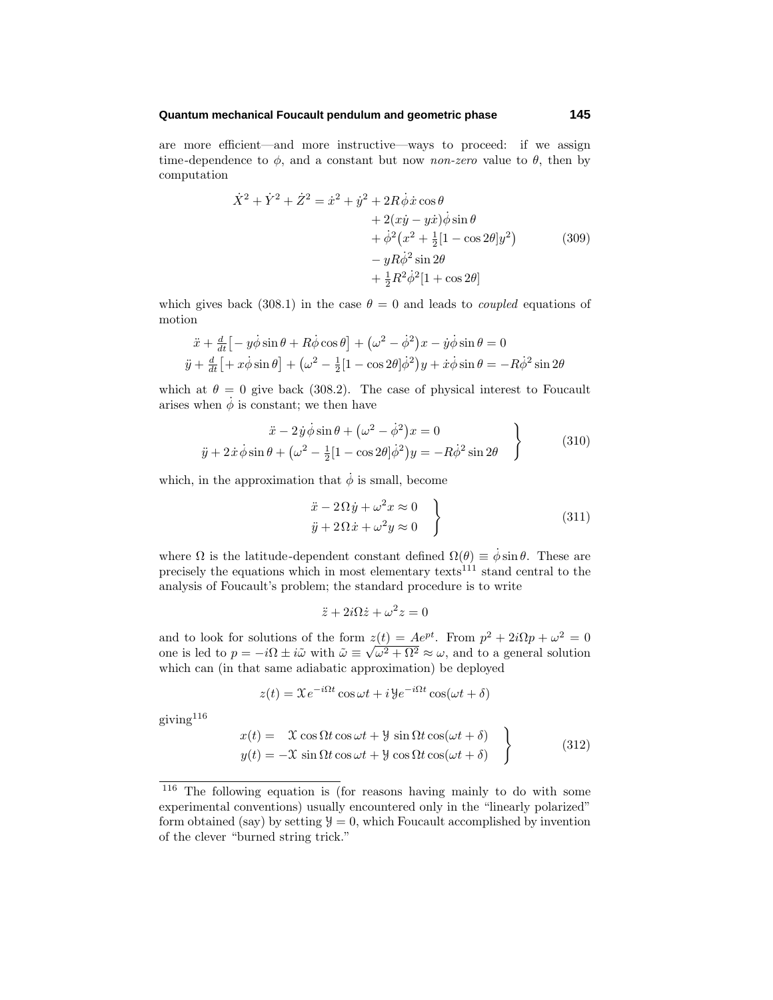## **Quantum mechanical Foucault pendulum and geometric phase 145**

are more efficient—and more instructive—ways to proceed: if we assign time-dependence to  $\phi$ , and a constant but now *non-zero* value to  $\theta$ , then by computation

$$
\dot{X}^2 + \dot{Y}^2 + \dot{Z}^2 = \dot{x}^2 + \dot{y}^2 + 2R\dot{\phi}\dot{x}\cos\theta
$$
  
+ 2(x\dot{y} - y\dot{x})\dot{\phi}\sin\theta  
+ \dot{\phi}^2(x^2 + \frac{1}{2}[1 - \cos 2\theta]y^2)  
- yR\dot{\phi}^2\sin 2\theta  
+ \frac{1}{2}R^2\dot{\phi}^2[1 + \cos 2\theta] (309)

which gives back (308.1) in the case  $\theta = 0$  and leads to *coupled* equations of motion

$$
\ddot{x} + \frac{d}{dt} \left[ -y\dot{\phi}\sin\theta + R\dot{\phi}\cos\theta \right] + (\omega^2 - \dot{\phi}^2)x - y\dot{\phi}\sin\theta = 0
$$
  

$$
\ddot{y} + \frac{d}{dt} \left[ +x\dot{\phi}\sin\theta \right] + (\omega^2 - \frac{1}{2}\left[1 - \cos 2\theta\right]\dot{\phi}^2)y + \dot{x}\dot{\phi}\sin\theta = -R\dot{\phi}^2\sin 2\theta
$$

which at  $\theta = 0$  give back (308.2). The case of physical interest to Foucault arises when  $\phi$  is constant; we then have

$$
\ddot{x} - 2\dot{y}\dot{\phi}\sin\theta + \left(\omega^2 - \dot{\phi}^2\right)x = 0
$$
  

$$
\ddot{y} + 2\dot{x}\dot{\phi}\sin\theta + \left(\omega^2 - \frac{1}{2}\left[1 - \cos 2\theta\right]\dot{\phi}^2\right)y = -R\dot{\phi}^2\sin 2\theta
$$
 (310)

which, in the approximation that  $\dot{\phi}$  is small, become

$$
\ddot{x} - 2\Omega \dot{y} + \omega^2 x \approx 0
$$
  
\n
$$
\ddot{y} + 2\Omega \dot{x} + \omega^2 y \approx 0
$$
\n(311)

where  $\Omega$  is the latitude-dependent constant defined  $\Omega(\theta) \equiv \dot{\phi} \sin \theta$ . These are precisely the equations which in most elementary texts<sup>111</sup> stand central to the analysis of Foucault's problem; the standard procedure is to write

$$
\ddot{z} + 2i\Omega \dot{z} + \omega^2 z = 0
$$

and to look for solutions of the form  $z(t) = Ae^{pt}$ . From  $p^2 + 2i\Omega p + \omega^2 = 0$ and to look for solutions of the form  $z(t) = A e^{t}$ . From  $p^2 + 2i\Omega p + \omega^2 = 0$ <br>one is led to  $p = -i\Omega \pm i\tilde{\omega}$  with  $\tilde{\omega} \equiv \sqrt{\omega^2 + \Omega^2} \approx \omega$ , and to a general solution which can (in that same adiabatic approximation) be deployed

$$
z(t) = \mathfrak{X}e^{-i\Omega t}\cos\omega t + i\mathfrak{Y}e^{-i\Omega t}\cos(\omega t + \delta)
$$

giving  $116$ 

$$
x(t) = \mathcal{X} \cos \Omega t \cos \omega t + \mathcal{Y} \sin \Omega t \cos(\omega t + \delta)
$$
  

$$
y(t) = -\mathcal{X} \sin \Omega t \cos \omega t + \mathcal{Y} \cos \Omega t \cos(\omega t + \delta)
$$
 (312)

<sup>116</sup> The following equation is (for reasons having mainly to do with some experimental conventions) usually encountered only in the "linearly polarized" form obtained (say) by setting  $y = 0$ , which Foucault accomplished by invention of the clever "burned string trick."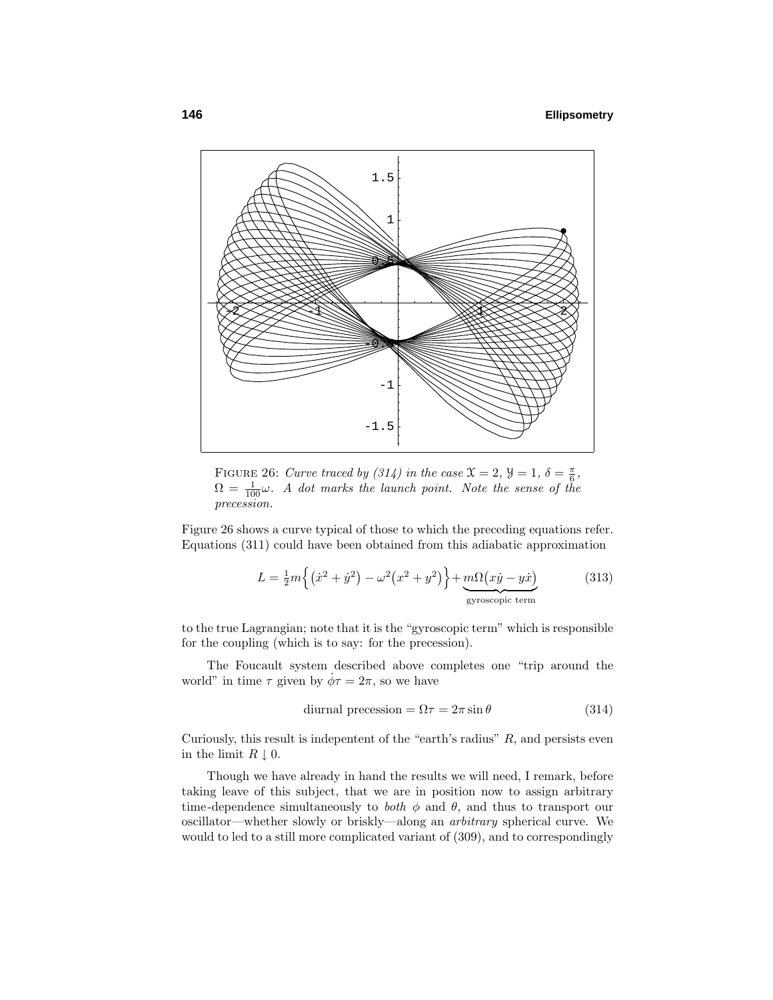

FIGURE 26: Curve traced by (314) in the case  $\mathfrak{X} = 2$ ,  $\mathfrak{Y} = 1$ ,  $\delta = \frac{\pi}{6}$ ,  $\Omega = \frac{1}{100}\omega$ . A dot marks the launch point. Note the sense of the precession.

Figure 26 shows a curve typical of those to which the preceding equations refer. Equations (311) could have been obtained from this adiabatic approximation

$$
L = \frac{1}{2}m\left\{ \left(\dot{x}^2 + \dot{y}^2\right) - \omega^2 \left(x^2 + y^2\right) \right\} + \underbrace{m\Omega\left(x\dot{y} - y\dot{x}\right)}_{\text{gyroscopic term}} \tag{313}
$$

to the true Lagrangian; note that it is the "gyroscopic term" which is responsible for the coupling (which is to say: for the precession).

The Foucault system described above completes one "trip around the world" in time  $\tau$  given by  $\dot{\phi}\tau = 2\pi$ , so we have

$$
d\text{iurnal precession} = \Omega \tau = 2\pi \sin \theta \tag{314}
$$

Curiously, this result is indepentent of the "earth's radius" *R*, and persists even in the limit  $R \downarrow 0$ .

Though we have already in hand the results we will need, I remark, before taking leave of this subject, that we are in position now to assign arbitrary time-dependence simultaneously to *both*  $\phi$  and  $\theta$ , and thus to transport our oscillator—whether slowly or briskly—along an arbitrary spherical curve. We would to led to a still more complicated variant of (309), and to correspondingly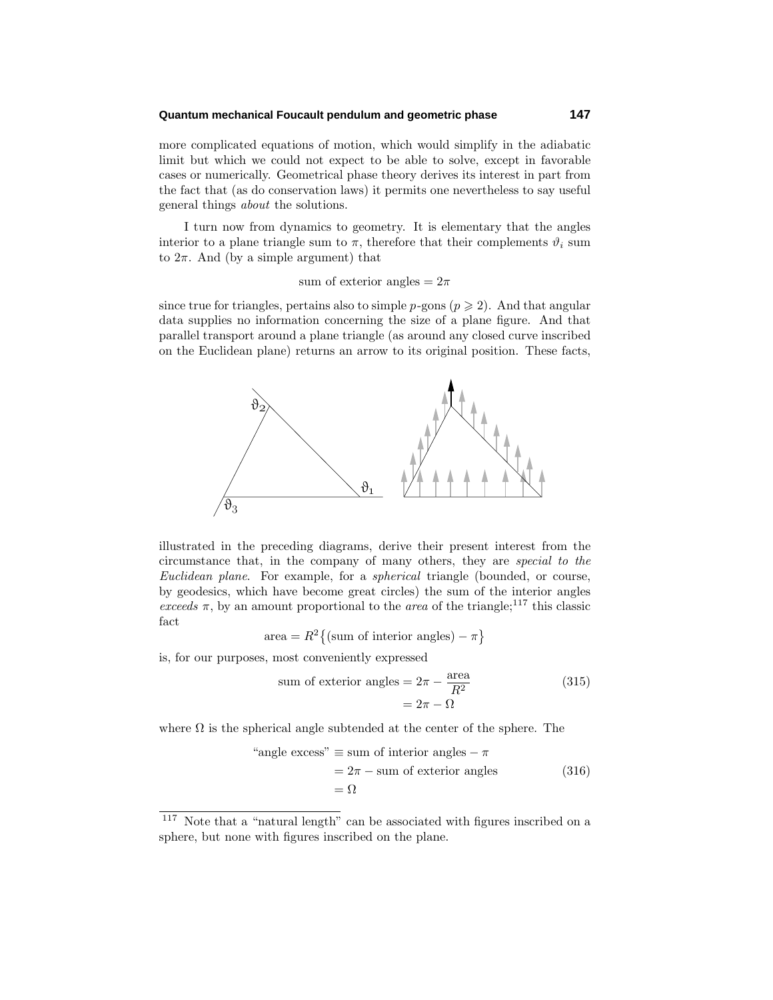## **Quantum mechanical Foucault pendulum and geometric phase 147**

more complicated equations of motion, which would simplify in the adiabatic limit but which we could not expect to be able to solve, except in favorable cases or numerically. Geometrical phase theory derives its interest in part from the fact that (as do conservation laws) it permits one nevertheless to say useful general things about the solutions.

I turn now from dynamics to geometry. It is elementary that the angles interior to a plane triangle sum to  $\pi$ , therefore that their complements  $\vartheta_i$  sum to  $2\pi$ . And (by a simple argument) that

sum of exterior angles  $= 2\pi$ 

since true for triangles, pertains also to simple  $p$ -gons ( $p \geq 2$ ). And that angular data supplies no information concerning the size of a plane figure. And that parallel transport around a plane triangle (as around any closed curve inscribed on the Euclidean plane) returns an arrow to its original position. These facts,



illustrated in the preceding diagrams, derive their present interest from the circumstance that, in the company of many others, they are special to the Euclidean plane. For example, for a spherical triangle (bounded, or course, by geodesics, which have become great circles) the sum of the interior angles exceeds  $\pi$ , by an amount proportional to the *area* of the triangle;<sup>117</sup> this classic fact

$$
area = R^2 \{ (sum of interior angles) - \pi \}
$$

is, for our purposes, most conveniently expressed

sum of exterior angles 
$$
= 2\pi - \frac{\text{area}}{R^2}
$$
 (315)  
 $= 2\pi - \Omega$ 

where  $\Omega$  is the spherical angle subtended at the center of the sphere. The

"angle excess" 
$$
\equiv
$$
 sum of interior angles  $-\pi$   
=  $2\pi -$  sum of exterior angles (316)  
=  $\Omega$ 

<sup>117</sup> Note that a "natural length" can be associated with figures inscribed on a sphere, but none with figures inscribed on the plane.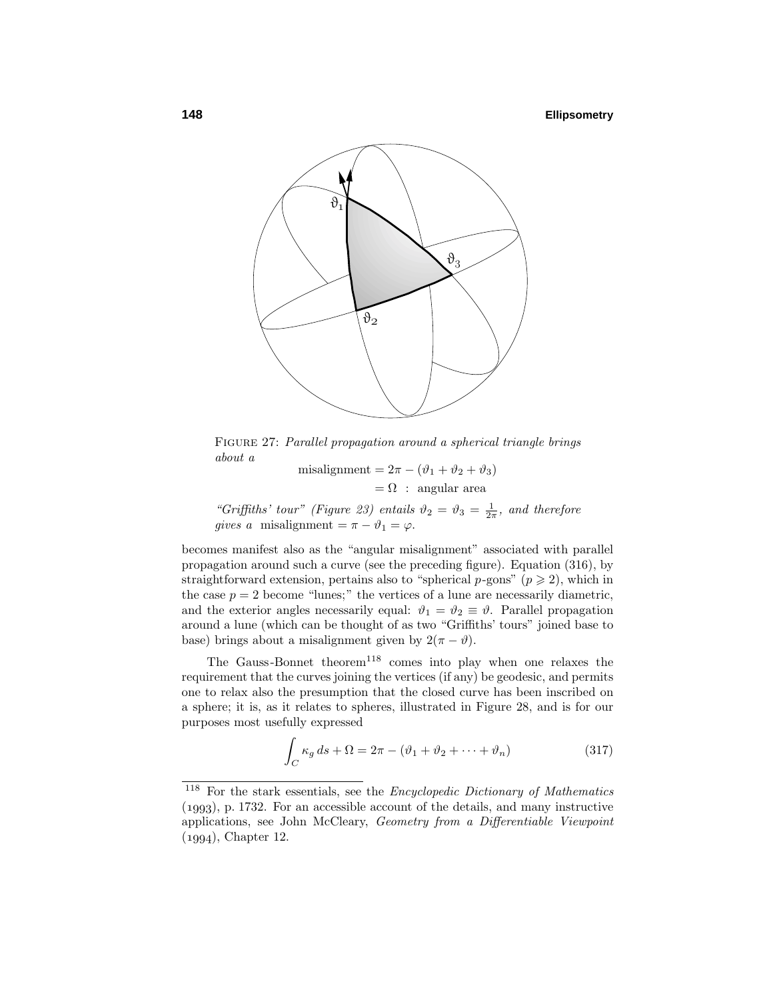## **148 Ellipsometry**



Figure 27: Parallel propagation around a spherical triangle brings about a

misalignment =  $2\pi - (\vartheta_1 + \vartheta_2 + \vartheta_3)$  $= \Omega$  : angular area

"Griffiths' tour" (Figure 23) entails  $\vartheta_2 = \vartheta_3 = \frac{1}{2\pi}$ , and therefore gives a misalignment =  $\pi - \vartheta_1 = \varphi$ .

becomes manifest also as the "angular misalignment" associated with parallel propagation around such a curve (see the preceding figure). Equation (316), by straightforward extension, pertains also to "spherical  $p$ -gons" ( $p \geq 2$ ), which in the case  $p = 2$  become "lunes;" the vertices of a lune are necessarily diametric, and the exterior angles necessarily equal:  $\vartheta_1 = \vartheta_2 \equiv \vartheta$ . Parallel propagation around a lune (which can be thought of as two "Griffiths' tours" joined base to base) brings about a misalignment given by  $2(\pi - \vartheta)$ .

The Gauss-Bonnet theorem<sup>118</sup> comes into play when one relaxes the requirement that the curves joining the vertices (if any) be geodesic, and permits one to relax also the presumption that the closed curve has been inscribed on a sphere; it is, as it relates to spheres, illustrated in Figure 28, and is for our purposes most usefully expressed

$$
\int_C \kappa_g \, ds + \Omega = 2\pi - (\vartheta_1 + \vartheta_2 + \dots + \vartheta_n) \tag{317}
$$

<sup>118</sup> For the stark essentials, see the Encyclopedic Dictionary of Mathematics  $(1993)$ , p. 1732. For an accessible account of the details, and many instructive applications, see John McCleary, Geometry from a Differentiable Viewpoint  $(1994)$ , Chapter 12.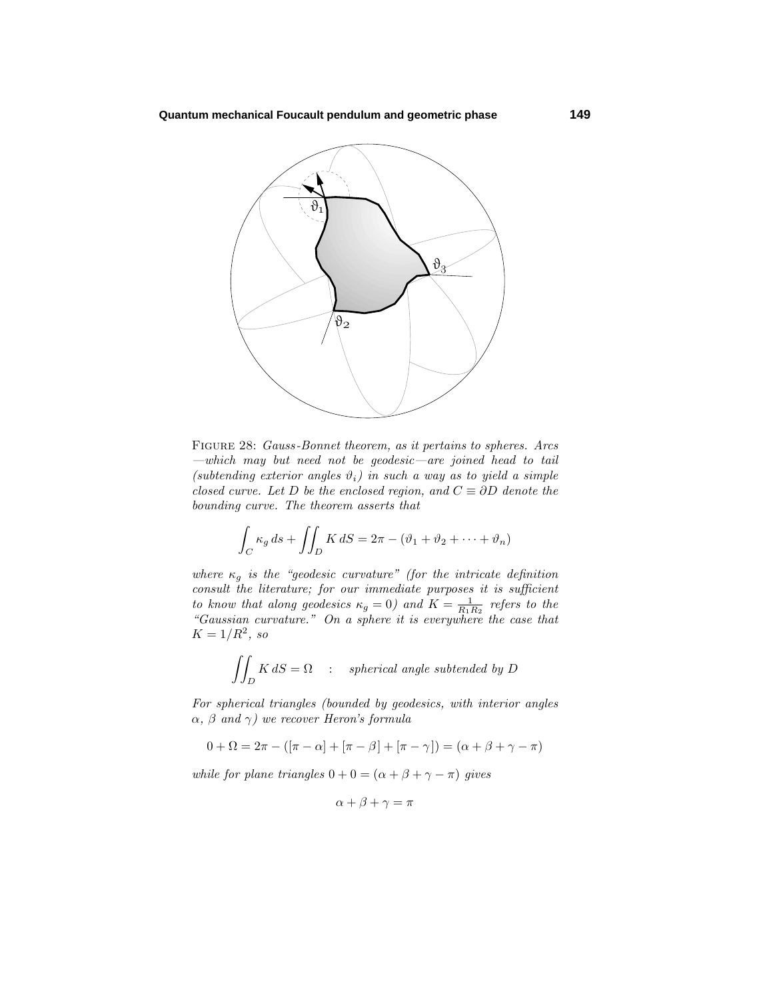

Figure 28: Gauss -Bonnet theorem, as it pertains to spheres. Arcs —which may but need not be geodesic—are joined head to tail (subtending exterior angles  $\vartheta_i$ ) in such a way as to yield a simple closed curve. Let *D* be the enclosed region, and  $C \equiv \partial D$  denote the bounding curve. The theorem asserts that

$$
\int_C \kappa_g ds + \iint_D K dS = 2\pi - (\vartheta_1 + \vartheta_2 + \dots + \vartheta_n)
$$

where  $\kappa_g$  is the "geodesic curvature" (for the intricate definition consult the literature; for our immediate purposes it is sufficient to know that along geodesics  $\kappa_g = 0$ ) and  $K = \frac{1}{R_1 R_2}$  refers to the "Gaussian curvature." On a sphere it is everywhere the case that  $K = 1/R^2$ , so

$$
\iint_D K \, dS = \Omega \quad : \quad spherical \,\, angle \,\, subtended \,\,by \,\,D
$$

For spherical triangles (bounded by geodesics, with interior angles *α*, *β* and *γ*) we recover Heron's formula

$$
0+\Omega=2\pi-([\pi-\alpha]+[\pi-\beta]+[\pi-\gamma])=(\alpha+\beta+\gamma-\pi)
$$

while for plane triangles  $0 + 0 = (\alpha + \beta + \gamma - \pi)$  gives

 $\alpha + \beta + \gamma = \pi$